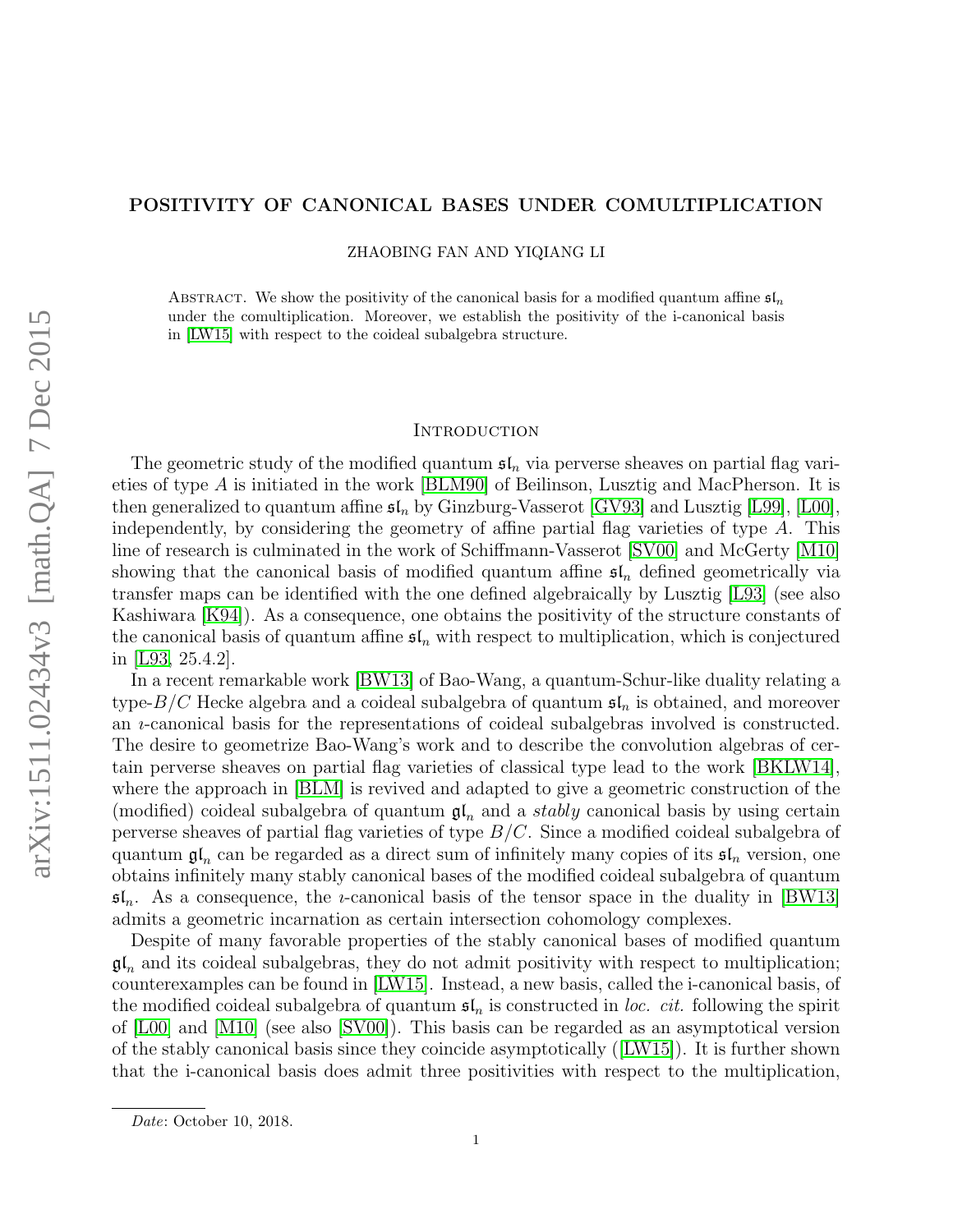### POSITIVITY OF CANONICAL BASES UNDER COMULTIPLICATION

ZHAOBING FAN AND YIQIANG LI

ABSTRACT. We show the positivity of the canonical basis for a modified quantum affine  $\mathfrak{sl}_n$ under the comultiplication. Moreover, we establish the positivity of the i-canonical basis in [\[LW15\]](#page-44-0) with respect to the coideal subalgebra structure.

#### <span id="page-0-0"></span>**INTRODUCTION**

The geometric study of the modified quantum  $\mathfrak{sl}_n$  via perverse sheaves on partial flag varieties of type A is initiated in the work [\[BLM90\]](#page-44-1) of Beilinson, Lusztig and MacPherson. It is then generalized to quantum affine  $\mathfrak{sl}_n$  by Ginzburg-Vasserot [\[GV93\]](#page-44-2) and Lusztig [\[L99\]](#page-44-3), [\[L00\]](#page-44-4), independently, by considering the geometry of affine partial flag varieties of type A. This line of research is culminated in the work of Schiffmann-Vasserot [\[SV00\]](#page-45-0) and McGerty [\[M10\]](#page-44-5) showing that the canonical basis of modified quantum affine  $\mathfrak{sl}_n$  defined geometrically via transfer maps can be identified with the one defined algebraically by Lusztig [\[L93\]](#page-44-6) (see also Kashiwara [\[K94\]](#page-44-7)). As a consequence, one obtains the positivity of the structure constants of the canonical basis of quantum affine  $\mathfrak{sl}_n$  with respect to multiplication, which is conjectured in [\[L93,](#page-44-6) 25.4.2].

In a recent remarkable work [\[BW13\]](#page-44-8) of Bao-Wang, a quantum-Schur-like duality relating a type- $B/C$  Hecke algebra and a coideal subalgebra of quantum  $\mathfrak{sl}_n$  is obtained, and moreover an ı-canonical basis for the representations of coideal subalgebras involved is constructed. The desire to geometrize Bao-Wang's work and to describe the convolution algebras of certain perverse sheaves on partial flag varieties of classical type lead to the work [\[BKLW14\]](#page-44-9), where the approach in [\[BLM\]](#page-44-10) is revived and adapted to give a geometric construction of the (modified) coideal subalgebra of quantum  $\mathfrak{gl}_n$  and a *stably* canonical basis by using certain perverse sheaves of partial flag varieties of type  $B/C$ . Since a modified coideal subalgebra of quantum  $\mathfrak{gl}_n$  can be regarded as a direct sum of infinitely many copies of its  $\mathfrak{sl}_n$  version, one obtains infinitely many stably canonical bases of the modified coideal subalgebra of quantum  $\mathfrak{sl}_n$ . As a consequence, the *u*-canonical basis of the tensor space in the duality in [\[BW13\]](#page-44-8) admits a geometric incarnation as certain intersection cohomology complexes.

Despite of many favorable properties of the stably canonical bases of modified quantum  $\mathfrak{gl}_n$  and its coideal subalgebras, they do not admit positivity with respect to multiplication; counterexamples can be found in [\[LW15\]](#page-44-0). Instead, a new basis, called the i-canonical basis, of the modified coideal subalgebra of quantum  $\mathfrak{sl}_n$  is constructed in loc. cit. following the spirit of [\[L00\]](#page-44-4) and [\[M10\]](#page-44-5) (see also [\[SV00\]](#page-45-0)). This basis can be regarded as an asymptotical version of the stably canonical basis since they coincide asymptotically ([\[LW15\]](#page-44-0)). It is further shown that the i-canonical basis does admit three positivities with respect to the multiplication,

Date: October 10, 2018.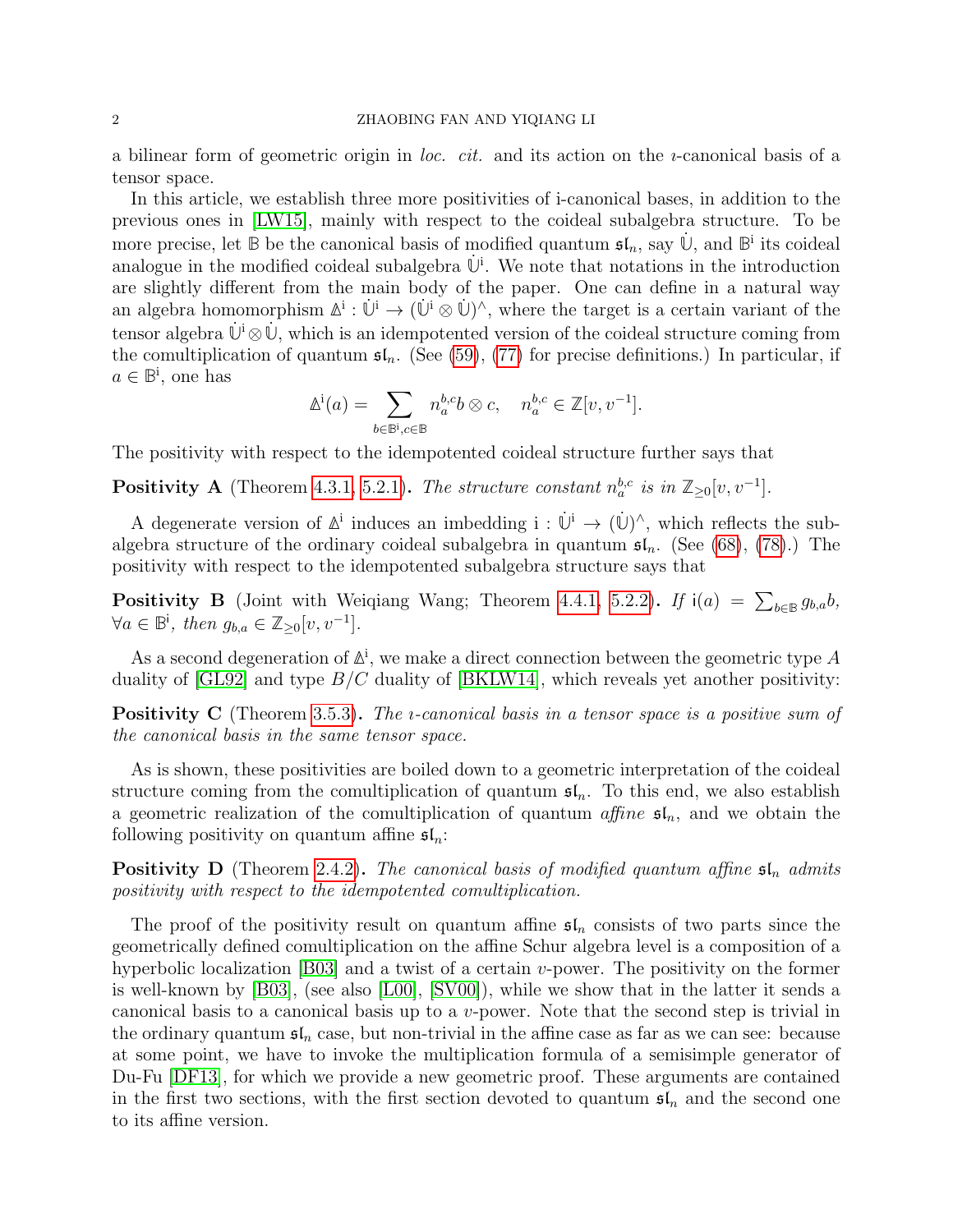### 2 ZHAOBING FAN AND YIQIANG LI

a bilinear form of geometric origin in *loc. cit.* and its action on the *u*-canonical basis of a tensor space.

In this article, we establish three more positivities of i-canonical bases, in addition to the previous ones in [\[LW15\]](#page-44-0), mainly with respect to the coideal subalgebra structure. To be more precise, let  $\mathbb{B}$  be the canonical basis of modified quantum  $\mathfrak{sl}_n$ , say  $\dot{\mathbb{U}}$ , and  $\mathbb{B}^i$  its coideal analogue in the modified coideal subalgebra  $\dot{\mathbb{U}}^i$ . We note that notations in the introduction are slightly different from the main body of the paper. One can define in a natural way an algebra homomorphism  $\mathbb{A}^i : \dot{\mathbb{U}}^i \to (\dot{\mathbb{U}}^i \otimes \dot{\mathbb{U}})^{\wedge}$ , where the target is a certain variant of the tensor algebra  $\dot{\mathbb{U}}^i \otimes \dot{\mathbb{U}}$ , which is an idempotented version of the coideal structure coming from the comultiplication of quantum  $\mathfrak{sl}_n$ . (See [\(59\)](#page-35-0), [\(77\)](#page-43-0) for precise definitions.) In particular, if  $a \in \mathbb{B}^i$ , one has

$$
\mathbb{A}^{\mathbf{i}}(a) = \sum_{b \in \mathbb{B}^{\mathbf{i}}, c \in \mathbb{B}} n_a^{b,c} b \otimes c, \quad n_a^{b,c} \in \mathbb{Z}[v, v^{-1}].
$$

The positivity with respect to the idempotented coideal structure further says that

**Positivity A** (Theorem [4.3.1,](#page-36-0) [5.2.1\)](#page-44-11). The structure constant  $n_a^{b,c}$  is in  $\mathbb{Z}_{\geq 0}[v, v^{-1}]$ .

A degenerate version of  $\mathbb{A}^i$  induces an imbedding  $i : \dot{\mathbb{U}}^i \to (\dot{\mathbb{U}})^{\wedge}$ , which reflects the subalgebra structure of the ordinary coideal subalgebra in quantum  $\mathfrak{sl}_n$ . (See [\(68\)](#page-38-0), [\(78\)](#page-44-12).) The positivity with respect to the idempotented subalgebra structure says that

<span id="page-1-0"></span>**Positivity B** (Joint with Weiqiang Wang; Theorem [4.4.1,](#page-38-1) [5.2.2\)](#page-44-13). If  $i(a) = \sum_{b \in B} g_{b,a} b$ ,  $\forall a \in \mathbb{B}^{\mathsf{i}}, \text{ then } g_{b,a} \in \mathbb{Z}_{\geq 0}[v, v^{-1}].$ 

As a second degeneration of  $\mathbb{A}^i$ , we make a direct connection between the geometric type A duality of  $\left[GL92\right]$  and type  $B/C$  duality of  $\left[BKLW14\right]$ , which reveals yet another positivity:

**Positivity C** (Theorem [3.5.3\)](#page-31-0). The *i*-canonical basis in a tensor space is a positive sum of the canonical basis in the same tensor space.

As is shown, these positivities are boiled down to a geometric interpretation of the coideal structure coming from the comultiplication of quantum  $\mathfrak{sl}_n$ . To this end, we also establish a geometric realization of the comultiplication of quantum affine  $\mathfrak{sl}_n$ , and we obtain the following positivity on quantum affine  $\mathfrak{sl}_n$ :

**Positivity D** (Theorem [2.4.2\)](#page-19-0). The canonical basis of modified quantum affine  $\mathfrak{sl}_n$  admits positivity with respect to the idempotented comultiplication.

The proof of the positivity result on quantum affine  $\mathfrak{sl}_n$  consists of two parts since the geometrically defined comultiplication on the affine Schur algebra level is a composition of a hyperbolic localization [\[B03\]](#page-44-15) and a twist of a certain  $v$ -power. The positivity on the former is well-known by [\[B03\]](#page-44-15), (see also [\[L00\]](#page-44-4), [\[SV00\]](#page-45-0)), while we show that in the latter it sends a canonical basis to a canonical basis up to a v-power. Note that the second step is trivial in the ordinary quantum  $\mathfrak{sl}_n$  case, but non-trivial in the affine case as far as we can see: because at some point, we have to invoke the multiplication formula of a semisimple generator of Du-Fu [\[DF13\]](#page-44-16), for which we provide a new geometric proof. These arguments are contained in the first two sections, with the first section devoted to quantum  $\mathfrak{sl}_n$  and the second one to its affine version.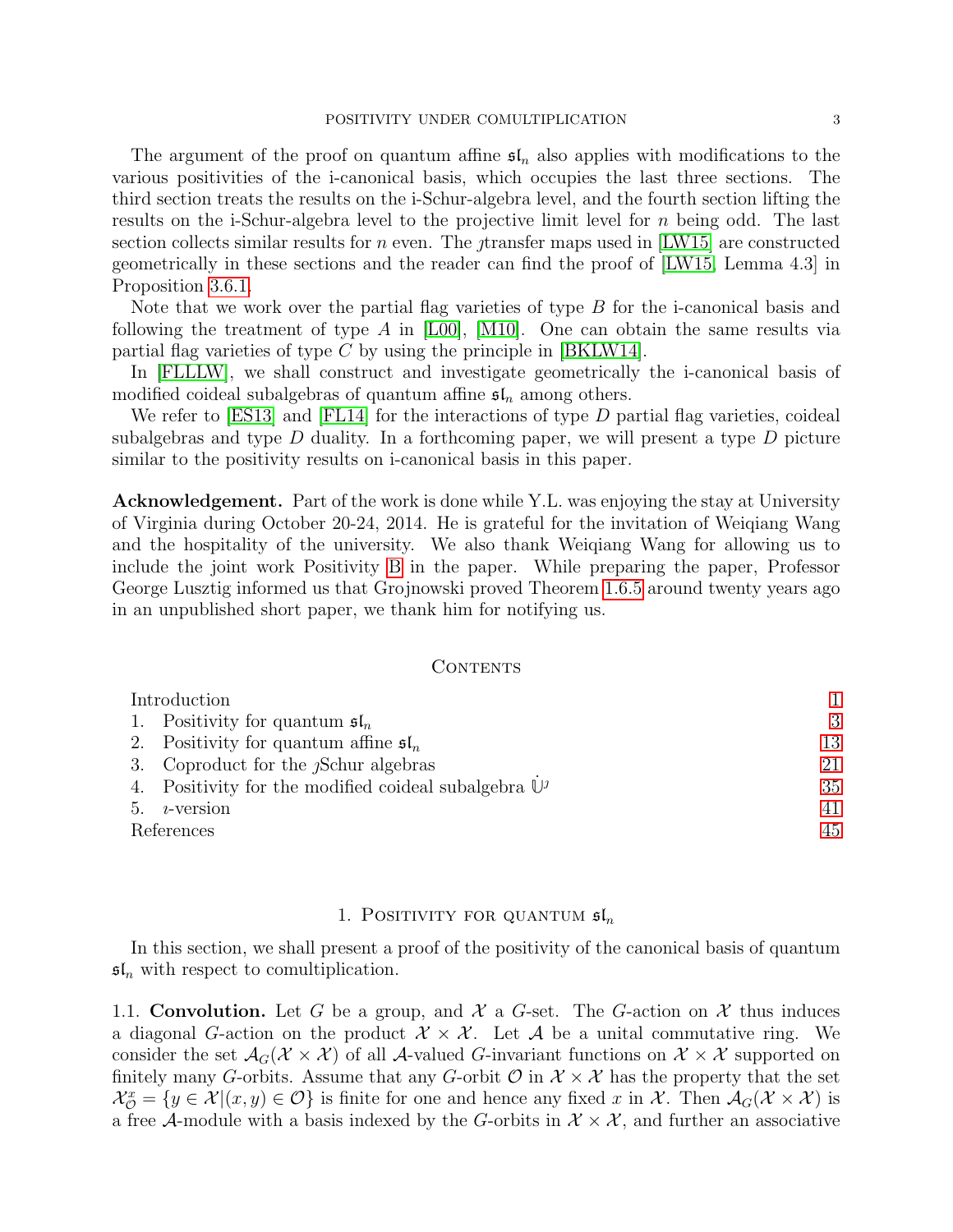The argument of the proof on quantum affine  $\mathfrak{sl}_n$  also applies with modifications to the various positivities of the i-canonical basis, which occupies the last three sections. The third section treats the results on the i-Schur-algebra level, and the fourth section lifting the results on the i-Schur-algebra level to the projective limit level for n being odd. The last section collects similar results for *n* even. The transfer maps used in  $[LW15]$  are constructed geometrically in these sections and the reader can find the proof of [\[LW15,](#page-44-0) Lemma 4.3] in Proposition [3.6.1.](#page-32-0)

Note that we work over the partial flag varieties of type B for the i-canonical basis and following the treatment of type A in  $[LO0]$ ,  $[M10]$ . One can obtain the same results via partial flag varieties of type  $C$  by using the principle in [\[BKLW14\]](#page-44-9).

In [\[FLLLW\]](#page-44-17), we shall construct and investigate geometrically the i-canonical basis of modified coideal subalgebras of quantum affine  $\mathfrak{sl}_n$  among others.

We refer to  $[ES13]$  and  $[FL14]$  for the interactions of type D partial flag varieties, coideal subalgebras and type  $D$  duality. In a forthcoming paper, we will present a type  $D$  picture similar to the positivity results on i-canonical basis in this paper.

Acknowledgement. Part of the work is done while Y.L. was enjoying the stay at University of Virginia during October 20-24, 2014. He is grateful for the invitation of Weiqiang Wang and the hospitality of the university. We also thank Weiqiang Wang for allowing us to include the joint work Positivity [B](#page-1-0) in the paper. While preparing the paper, Professor George Lusztig informed us that Grojnowski proved Theorem [1.6.5](#page-11-0) around twenty years ago in an unpublished short paper, we thank him for notifying us.

### CONTENTS

| Introduction                                                            |    |
|-------------------------------------------------------------------------|----|
| 1. Positivity for quantum $\mathfrak{sl}_n$                             | 3  |
| 2. Positivity for quantum affine $\mathfrak{sl}_n$                      | 13 |
| 3. Coproduct for the <i>Schur algebras</i>                              | 21 |
| 4. Positivity for the modified coideal subalgebra $\mathbb{U}^{\jmath}$ | 35 |
| $i$ -version<br>5.                                                      | 41 |
| References                                                              | 45 |

### 1. POSITIVITY FOR QUANTUM  $\mathfrak{sl}_n$

<span id="page-2-0"></span>In this section, we shall present a proof of the positivity of the canonical basis of quantum  $\mathfrak{sl}_n$  with respect to comultiplication.

<span id="page-2-1"></span>1.1. Convolution. Let G be a group, and X a G-set. The G-action on X thus induces a diagonal G-action on the product  $\mathcal{X} \times \mathcal{X}$ . Let A be a unital commutative ring. We consider the set  $\mathcal{A}_G(\mathcal{X} \times \mathcal{X})$  of all A-valued G-invariant functions on  $\mathcal{X} \times \mathcal{X}$  supported on finitely many G-orbits. Assume that any G-orbit  $\mathcal{O}$  in  $\mathcal{X} \times \mathcal{X}$  has the property that the set  $\mathcal{X}_{\mathcal{O}}^x = \{y \in \mathcal{X} | (x, y) \in \mathcal{O}\}\$ is finite for one and hence any fixed x in X. Then  $\mathcal{A}_G(\mathcal{X} \times \mathcal{X})$  is a free A-module with a basis indexed by the G-orbits in  $\mathcal{X} \times \mathcal{X}$ , and further an associative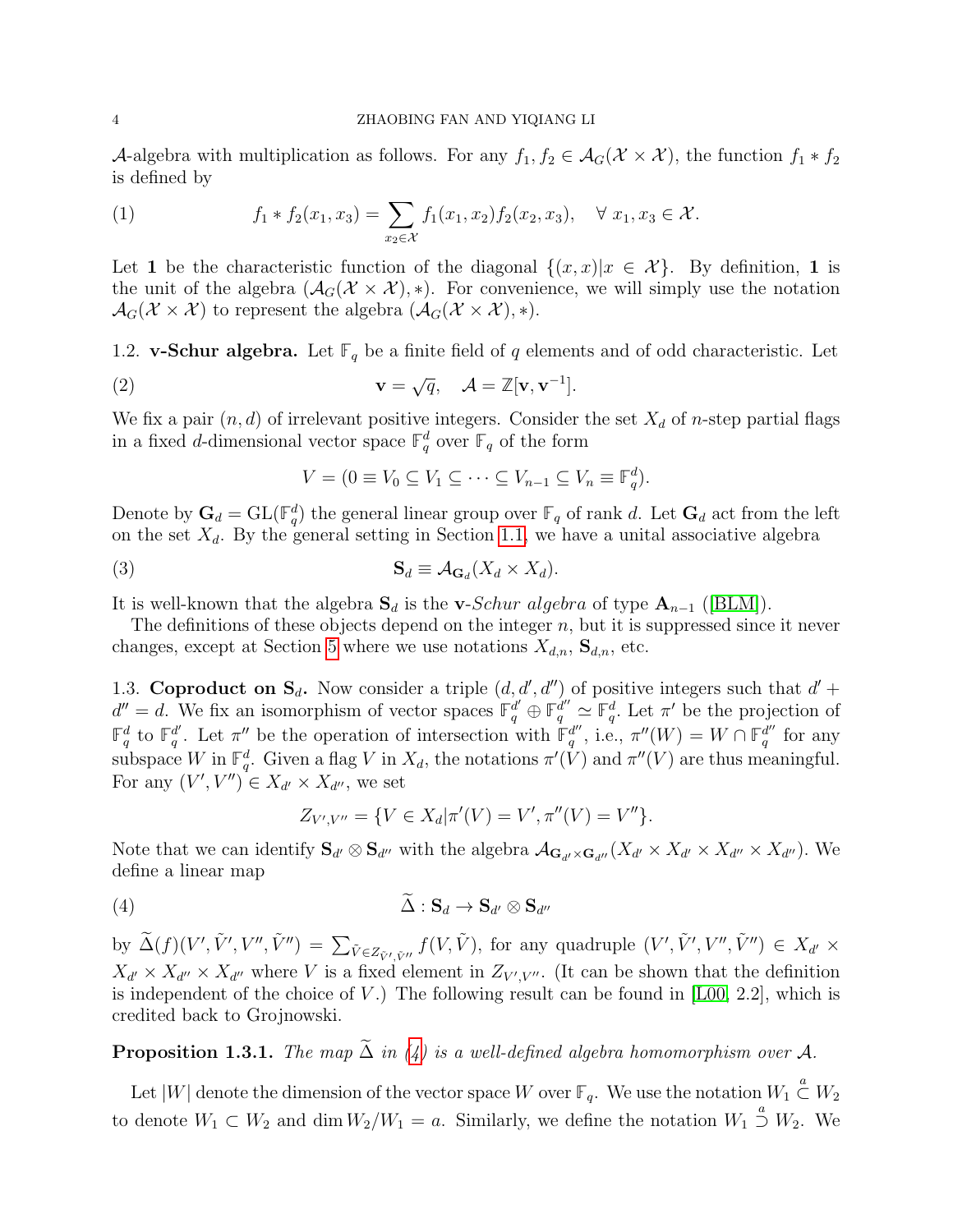### 4 ZHAOBING FAN AND YIQIANG LI

A-algebra with multiplication as follows. For any  $f_1, f_2 \in \mathcal{A}_G(\mathcal{X} \times \mathcal{X})$ , the function  $f_1 * f_2$ is defined by

(1) 
$$
f_1 * f_2(x_1, x_3) = \sum_{x_2 \in \mathcal{X}} f_1(x_1, x_2) f_2(x_2, x_3), \quad \forall x_1, x_3 \in \mathcal{X}.
$$

Let 1 be the characteristic function of the diagonal  $\{(x, x)|x \in \mathcal{X}\}\$ . By definition, 1 is the unit of the algebra  $(\mathcal{A}_G(\mathcal{X}\times\mathcal{X}), *)$ . For convenience, we will simply use the notation  $\mathcal{A}_G(\mathcal{X} \times \mathcal{X})$  to represent the algebra  $(\mathcal{A}_G(\mathcal{X} \times \mathcal{X}), *)$ .

<span id="page-3-1"></span>1.2. **v-Schur algebra.** Let  $\mathbb{F}_q$  be a finite field of q elements and of odd characteristic. Let

(2) 
$$
\mathbf{v} = \sqrt{q}, \quad \mathcal{A} = \mathbb{Z}[\mathbf{v}, \mathbf{v}^{-1}].
$$

We fix a pair  $(n, d)$  of irrelevant positive integers. Consider the set  $X_d$  of n-step partial flags in a fixed d-dimensional vector space  $\mathbb{F}_q^d$  over  $\mathbb{F}_q$  of the form

<span id="page-3-4"></span>
$$
V = (0 \equiv V_0 \subseteq V_1 \subseteq \cdots \subseteq V_{n-1} \subseteq V_n \equiv \mathbb{F}_q^d).
$$

Denote by  $G_d = GL(\mathbb{F}_q^d)$  the general linear group over  $\mathbb{F}_q$  of rank d. Let  $G_d$  act from the left on the set  $X_d$ . By the general setting in Section [1.1,](#page-2-1) we have a unital associative algebra

<span id="page-3-3"></span>
$$
\mathbf{S}_d \equiv \mathcal{A}_{\mathbf{G}_d}(X_d \times X_d).
$$

It is well-known that the algebra  $S_d$  is the v-Schur algebra of type  $A_{n-1}$  ([\[BLM\]](#page-44-10)).

The definitions of these objects depend on the integer  $n$ , but it is suppressed since it never changes, except at Section [5](#page-40-0) where we use notations  $X_{d,n}$ ,  $\mathbf{S}_{d,n}$ , etc.

<span id="page-3-2"></span>1.3. Coproduct on  $S_d$ . Now consider a triple  $(d, d', d'')$  of positive integers such that  $d'$  +  $d'' = d$ . We fix an isomorphism of vector spaces  $\mathbb{F}_q^{d'} \oplus \mathbb{F}_q^{d''} \simeq \mathbb{F}_q^d$ . Let  $\pi'$  be the projection of  $\mathbb{F}_q^d$  to  $\mathbb{F}_q^{d'}$  $\mathbf{q}^d$ . Let  $\pi''$  be the operation of intersection with  $\mathbb{F}_q^{d''}$  $q''$ , i.e.,  $\pi''(W) = W \cap \mathbb{F}_q^{d''}$  $\frac{d''}{q}$  for any subspace W in  $\mathbb{F}_q^d$ . Given a flag V in  $X_d$ , the notations  $\pi'(V)$  and  $\pi''(V)$  are thus meaningful. For any  $(V', V'') \in X_{d'} \times X_{d''}$ , we set

$$
Z_{V',V''} = \{ V \in X_d | \pi'(V) = V', \pi''(V) = V'' \}.
$$

Note that we can identify  $S_{d'} \otimes S_{d''}$  with the algebra  $\mathcal{A}_{\mathbf{G}_{d'} \times \mathbf{G}_{d''}}(X_{d'} \times X_{d'} \times X_{d''} \times X_{d''})$ . We define a linear map

<span id="page-3-0"></span>
$$
\Delta: \mathbf{S}_d \to \mathbf{S}_{d'} \otimes \mathbf{S}_{d''}
$$

by  $\widetilde{\Delta}(f)(V',\tilde{V}',V'',\tilde{V}'') = \sum_{\tilde{V} \in Z_{\tilde{V}',\tilde{V}''}} f(V,\tilde{V}),$  for any quadruple  $(V',\tilde{V}',V'',\tilde{V}'') \in X_{d'} \times$  $X_{d'} \times X_{d''} \times X_{d''}$  where V is a fixed element in  $Z_{V',V''}$ . (It can be shown that the definition is independent of the choice of  $V$ .) The following result can be found in [\[L00,](#page-44-4) 2.2], which is credited back to Grojnowski.

**Proposition 1.3.1.** The map  $\tilde{\Delta}$  in [\(4\)](#page-3-0) is a well-defined algebra homomorphism over A.

Let  $|W|$  denote the dimension of the vector space W over  $\mathbb{F}_q$ . We use the notation  $W_1 \overset{a}{\subset} W_2$ to denote  $W_1 \subset W_2$  and dim  $W_2/W_1 = a$ . Similarly, we define the notation  $W_1 \stackrel{a}{\supset} W_2$ . We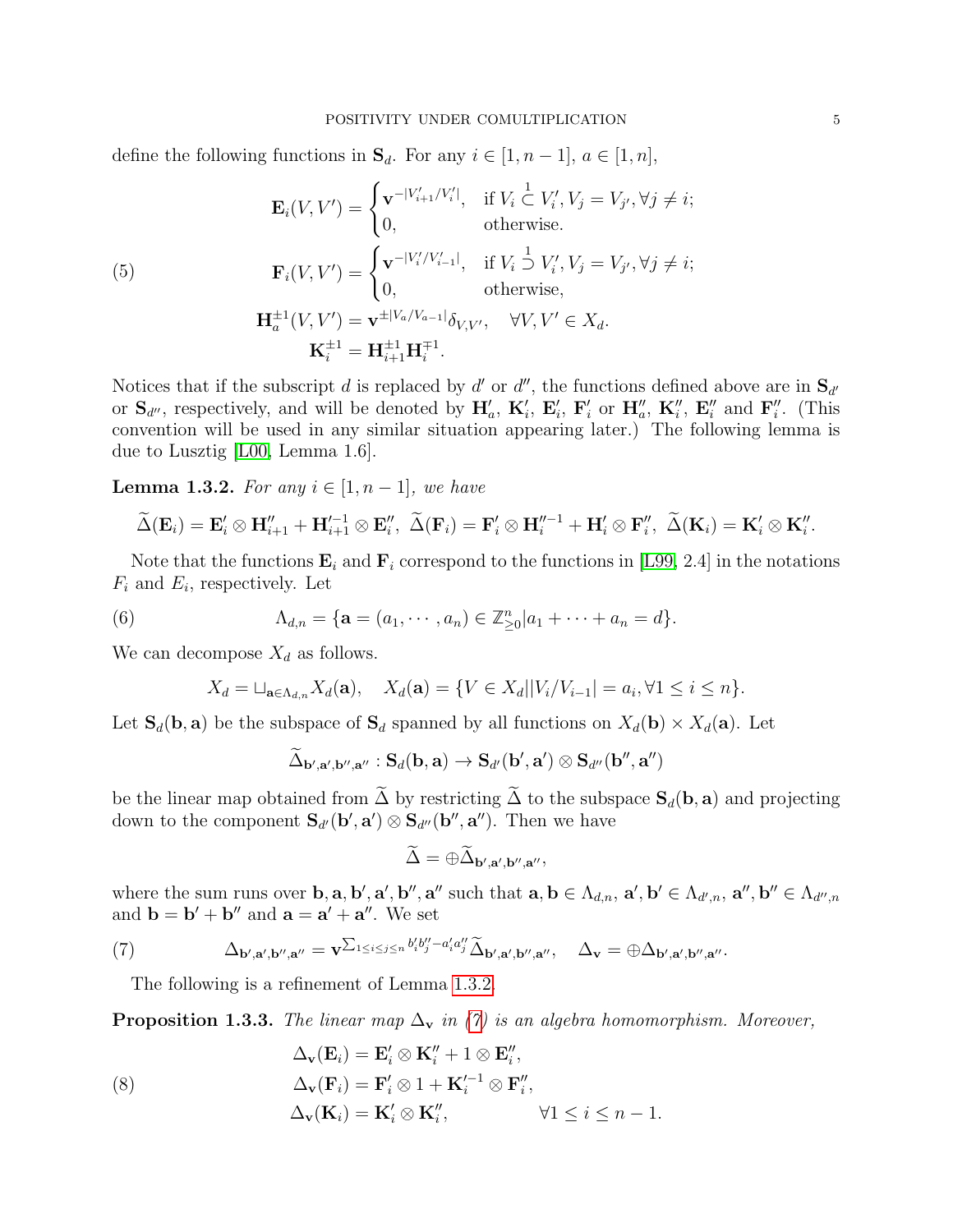#### POSITIVITY UNDER COMULTIPLICATION 5

define the following functions in  $\mathbf{S}_d$ . For any  $i \in [1, n-1]$ ,  $a \in [1, n]$ ,

(5)  
\n
$$
\mathbf{E}_{i}(V,V') = \begin{cases}\n\mathbf{v}^{-|V'_{i+1}/V'_{i}|}, & \text{if } V_{i} \subset V'_{i}, V_{j} = V_{j'}, \forall j \neq i; \\
0, & \text{otherwise.} \n\end{cases}
$$
\n(5)  
\n
$$
\mathbf{F}_{i}(V,V') = \begin{cases}\n\mathbf{v}^{-|V'_{i}/V'_{i-1}|}, & \text{if } V_{i} \supset V'_{i}, V_{j} = V_{j'}, \forall j \neq i; \\
0, & \text{otherwise,} \n\end{cases}
$$
\n
$$
\mathbf{H}_{a}^{\pm 1}(V,V') = \mathbf{v}^{\pm |V_{a}/V_{a-1}|} \delta_{V,V'}, \quad \forall V, V' \in X_{d}.
$$
\n
$$
\mathbf{K}_{i}^{\pm 1} = \mathbf{H}_{i+1}^{\pm 1} \mathbf{H}_{i}^{\mp 1}.
$$

Notices that if the subscript d is replaced by d' or d'', the functions defined above are in  $S_{d'}$ or  $\mathbf{S}_{d''}$ , respectively, and will be denoted by  $\mathbf{H}'_a$ ,  $\mathbf{K}'_i$ ,  $\mathbf{E}'_i$ ,  $\mathbf{F}'_i$  or  $\mathbf{H}''_a$ ,  $\mathbf{K}''_i$ ,  $\mathbf{E}''_i$  and  $\mathbf{F}''_i$ . (This convention will be used in any similar situation appearing later.) The following lemma is due to Lusztig [\[L00,](#page-44-4) Lemma 1.6].

<span id="page-4-0"></span>**Lemma 1.3.2.** For any  $i \in [1, n-1]$ , we have

$$
\widetilde{\Delta}(\mathbf{E}_i)=\mathbf{E}'_i\otimes \mathbf{H}''_{i+1}+\mathbf{H}'^{-1}_{i+1}\otimes \mathbf{E}''_i, \ \widetilde{\Delta}(\mathbf{F}_i)=\mathbf{F}'_i\otimes \mathbf{H}''^{-1}_i+\mathbf{H}'_i\otimes \mathbf{F}''_i, \ \widetilde{\Delta}(\mathbf{K}_i)=\mathbf{K}'_i\otimes \mathbf{K}''_i.
$$

Note that the functions  $\mathbf{E}_i$  and  $\mathbf{F}_i$  correspond to the functions in [\[L99,](#page-44-3) 2.4] in the notations  $F_i$  and  $E_i$ , respectively. Let

<span id="page-4-4"></span>(6) 
$$
\Lambda_{d,n} = \{ \mathbf{a} = (a_1, \cdots, a_n) \in \mathbb{Z}_{\geq 0}^n | a_1 + \cdots + a_n = d \}.
$$

We can decompose  $X_d$  as follows.

$$
X_d = \sqcup_{\mathbf{a} \in \Lambda_{d,n}} X_d(\mathbf{a}), \quad X_d(\mathbf{a}) = \{ V \in X_d | |V_i / V_{i-1}| = a_i, \forall 1 \le i \le n \}.
$$

Let  $\mathbf{S}_d(\mathbf{b}, \mathbf{a})$  be the subspace of  $\mathbf{S}_d$  spanned by all functions on  $X_d(\mathbf{b}) \times X_d(\mathbf{a})$ . Let

$$
\widetilde{\Delta}_{\mathbf{b}',\mathbf{a}',\mathbf{b}'',\mathbf{a}''}: \mathbf{S}_d(\mathbf{b},\mathbf{a}) \to \mathbf{S}_{d'}(\mathbf{b}',\mathbf{a}') \otimes \mathbf{S}_{d''}(\mathbf{b}'',\mathbf{a}'')
$$

be the linear map obtained from  $\widetilde{\Delta}$  by restricting  $\widetilde{\Delta}$  to the subspace  $S_d(b, a)$  and projecting down to the component  $S_{d'}(b', a') \otimes S_{d''}(b'', a'')$ . Then we have

$$
\Delta = \oplus \Delta_{\mathbf{b}',\mathbf{a}',\mathbf{b}'',\mathbf{a}'},
$$

where the sum runs over  $\mathbf{b}, \mathbf{a}, \mathbf{b}', \mathbf{a}', \mathbf{b}'', \mathbf{a}''$  such that  $\mathbf{a}, \mathbf{b} \in \Lambda_{d,n}$ ,  $\mathbf{a}', \mathbf{b}' \in \Lambda_{d',n}$ ,  $\mathbf{a}'', \mathbf{b}'' \in \Lambda_{d'',n}$ and  $\mathbf{b} = \mathbf{b}' + \mathbf{b}''$  and  $\mathbf{a} = \mathbf{a}' + \mathbf{a}''$ . We set

<span id="page-4-1"></span>(7) 
$$
\Delta_{\mathbf{b}',\mathbf{a}',\mathbf{b}'',\mathbf{a}''} = \mathbf{v}^{\sum_{1 \leq i \leq j \leq n} b'_i b''_j - a'_i a''_j} \widetilde{\Delta}_{\mathbf{b}',\mathbf{a}',\mathbf{b}'',\mathbf{a}'}, \quad \Delta_{\mathbf{v}} = \oplus \Delta_{\mathbf{b}',\mathbf{a}',\mathbf{b}'',\mathbf{a}''}.
$$

The following is a refinement of Lemma [1.3.2.](#page-4-0)

<span id="page-4-2"></span>**Proposition 1.3.3.** The linear map  $\Delta_{\mathbf{v}}$  in [\(7\)](#page-4-1) is an algebra homomorphism. Moreover,

<span id="page-4-3"></span>(8)  
\n
$$
\Delta_{\mathbf{v}}(\mathbf{E}_{i}) = \mathbf{E}'_{i} \otimes \mathbf{K}''_{i} + 1 \otimes \mathbf{E}''_{i},
$$
\n
$$
\Delta_{\mathbf{v}}(\mathbf{F}_{i}) = \mathbf{F}'_{i} \otimes 1 + \mathbf{K}'^{-1}_{i} \otimes \mathbf{F}''_{i},
$$
\n
$$
\Delta_{\mathbf{v}}(\mathbf{K}_{i}) = \mathbf{K}'_{i} \otimes \mathbf{K}''_{i}, \qquad \forall 1 \leq i \leq n - 1.
$$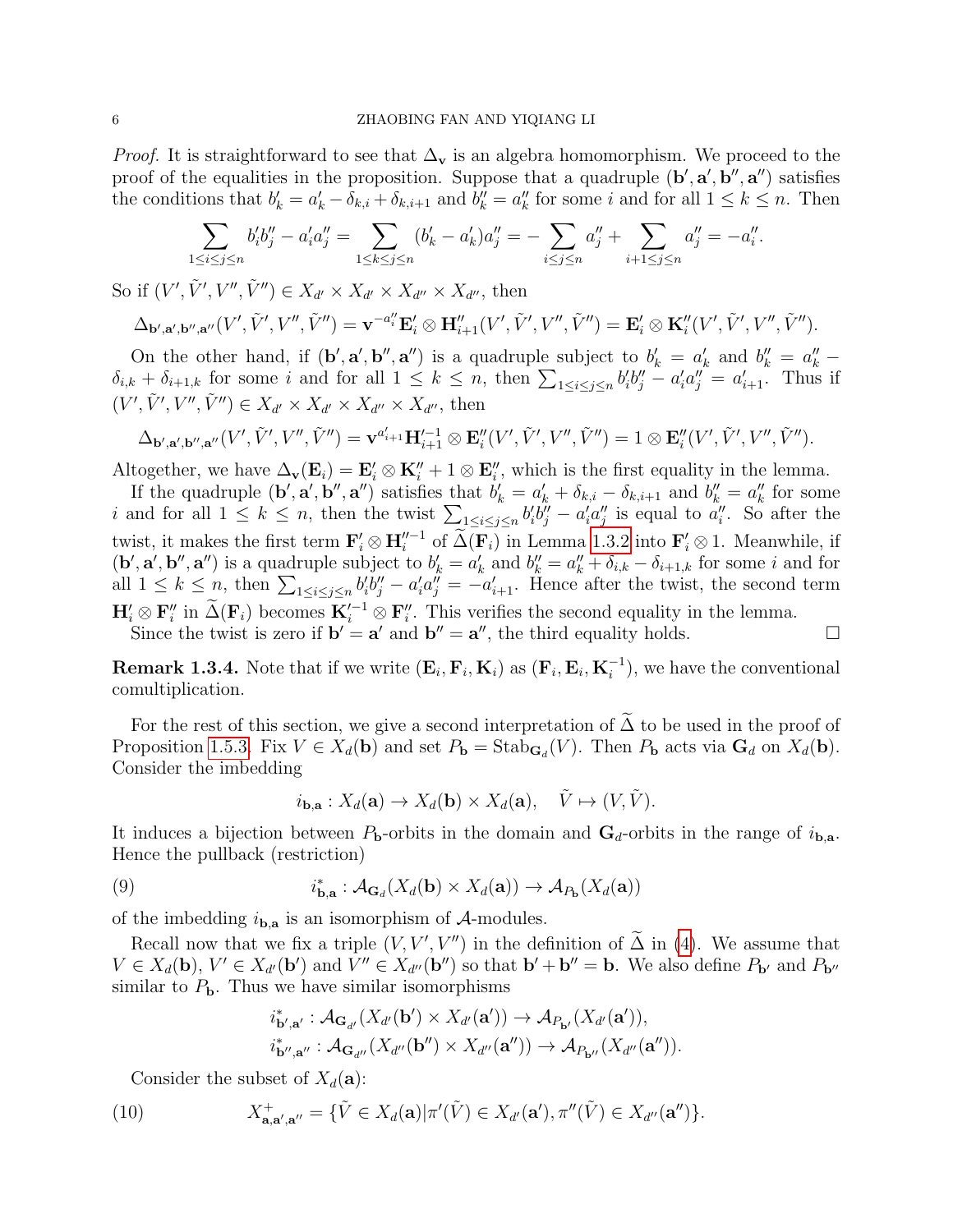*Proof.* It is straightforward to see that  $\Delta_{\mathbf{v}}$  is an algebra homomorphism. We proceed to the proof of the equalities in the proposition. Suppose that a quadruple  $(\mathbf{b}', \mathbf{a}', \mathbf{b}'', \mathbf{a}'')$  satisfies the conditions that  $b'_k = a'_k - \delta_{k,i} + \delta_{k,i+1}$  and  $b''_k = a''_k$  for some i and for all  $1 \leq k \leq n$ . Then

$$
\sum_{1 \le i \le j \le n} b_i' b_j'' - a_i' a_j'' = \sum_{1 \le k \le j \le n} (b_k' - a_k') a_j'' = - \sum_{i \le j \le n} a_j'' + \sum_{i+1 \le j \le n} a_j'' = -a_i''.
$$

So if  $(V', \tilde{V}', V'', \tilde{V}'') \in X_{d'} \times X_{d'} \times X_{d''} \times X_{d''}$ , then

$$
\Delta_{\mathbf{b}',\mathbf{a}',\mathbf{b}'',\mathbf{a}''}(V',\tilde{V}',V'',\tilde{V}'')=\mathbf{v}^{-a''_i}\mathbf{E}'_i\otimes \mathbf{H}''_{i+1}(V',\tilde{V}',V'',\tilde{V}'')=\mathbf{E}'_i\otimes \mathbf{K}''_i(V',\tilde{V}',V'',\tilde{V}'').
$$

On the other hand, if  $(\mathbf{b}', \mathbf{a}', \mathbf{b}'', \mathbf{a}'')$  is a quadruple subject to  $b'_k = a'_k$  and  $b''_k = a''_k$  $\delta_{i,k} + \delta_{i+1,k}$  for some i and for all  $1 \leq k \leq n$ , then  $\sum_{1 \leq i \leq j \leq n} b_i' b_j'' - a_i' a_j'' = a_{i+1}'$ . Thus if  $(V', \tilde{V}', V'', \tilde{V}'') \in X_{d'} \times X_{d'} \times X_{d''} \times X_{d''}$ , then

$$
\Delta_{\mathbf{b}',\mathbf{a}',\mathbf{b}'',\mathbf{a}''}(V',\tilde{V}',V'',\tilde{V}'')=\mathbf{v}^{a_{i+1}'}\mathbf{H}_{i+1}'^{-1}\otimes \mathbf{E}_i''(V',\tilde{V}',V'',\tilde{V}'')=1\otimes \mathbf{E}_i''(V',\tilde{V}',V'',\tilde{V}'').
$$

Altogether, we have  $\Delta_{\mathbf{v}}(\mathbf{E}_i) = \mathbf{E}'_i \otimes \mathbf{K}''_i + 1 \otimes \mathbf{E}''_i$ , which is the first equality in the lemma.

If the quadruple  $(\mathbf{b}', \mathbf{a}', \mathbf{b}'', \mathbf{a}'')$  satisfies that  $b'_k = a'_k + \delta_{k,i} - \delta_{k,i+1}$  and  $b''_k = a''_k$  for some i and for all  $1 \leq k \leq n$ , then the twist  $\sum_{1 \leq i \leq j \leq n} b'_i b''_j - a'_i a''_j$  is equal to  $a''_i$ . So after the twist, it makes the first term  $\mathbf{F}'_i \otimes \mathbf{H}''^{-1}$  of  $\widetilde{\Delta}(\mathbf{F}_i)$  in Lemma [1.3.2](#page-4-0) into  $\mathbf{F}'_i \otimes 1$ . Meanwhile, if  $(\mathbf{b}', \mathbf{a}', \mathbf{b}'', \mathbf{a}'')$  is a quadruple subject to  $b'_k = a'_k$  and  $b''_k = a''_k + \delta_{i,k} - \delta_{i+1,k}$  for some i and for all  $1 \leq k \leq n$ , then  $\sum_{1 \leq i \leq j \leq n} b'_i b''_j - a'_i a''_j = -a'_{i+1}$ . Hence after the twist, the second term  $\mathbf{H}'_i \otimes \mathbf{F}''_i$  in  $\widetilde{\Delta}(\mathbf{F}_i)$  becomes  $\mathbf{K}'^{-1} \otimes \mathbf{F}''_i$ . This verifies the second equality in the lemma. Since the twist is zero if  $\mathbf{b}' = \mathbf{a}'$  and  $\mathbf{b}'' = \mathbf{a}''$ , the third equality holds.

**Remark 1.3.4.** Note that if we write  $(\mathbf{E}_i, \mathbf{F}_i, \mathbf{K}_i)$  as  $(\mathbf{F}_i, \mathbf{E}_i, \mathbf{K}_i^{-1})$ , we have the conventional comultiplication.

For the rest of this section, we give a second interpretation of  $\Delta$  to be used in the proof of Proposition [1.5.3.](#page-8-0) Fix  $V \in X_d(\mathbf{b})$  and set  $P_{\mathbf{b}} = \text{Stab}_{\mathbf{G}_d}(V)$ . Then  $P_{\mathbf{b}}$  acts via  $\mathbf{G}_d$  on  $X_d(\mathbf{b})$ . Consider the imbedding

$$
i_{\mathbf{b},\mathbf{a}}: X_d(\mathbf{a}) \to X_d(\mathbf{b}) \times X_d(\mathbf{a}), \quad \tilde{V} \mapsto (V, \tilde{V}).
$$

It induces a bijection between  $P_{\bf b}$ -orbits in the domain and  ${\bf G}_d$ -orbits in the range of  $i_{\bf b,a}$ . Hence the pullback (restriction)

(9) 
$$
i_{\mathbf{b},\mathbf{a}}^* : \mathcal{A}_{\mathbf{G}_d}(X_d(\mathbf{b}) \times X_d(\mathbf{a})) \to \mathcal{A}_{P_{\mathbf{b}}}(X_d(\mathbf{a}))
$$

of the imbedding  $i_{\mathbf{b},\mathbf{a}}$  is an isomorphism of  $\mathcal{A}$ -modules.

Recall now that we fix a triple  $(V, V', V'')$  in the definition of  $\tilde{\Delta}$  in [\(4\)](#page-3-0). We assume that  $V \in X_d(\mathbf{b}), V' \in X_{d'}(\mathbf{b'})$  and  $V'' \in X_{d''}(\mathbf{b''})$  so that  $\mathbf{b'} + \mathbf{b''} = \mathbf{b}$ . We also define  $P_{\mathbf{b'}}$  and  $P_{\mathbf{b''}}$ similar to  $P_{\mathbf{b}}$ . Thus we have similar isomorphisms

$$
\begin{aligned} i^*_{\mathbf{b}',\mathbf{a}'} : \mathcal{A}_{\mathbf{G}_{d'}}(X_{d'}(\mathbf{b}') \times X_{d'}(\mathbf{a}')) &\rightarrow \mathcal{A}_{P_{\mathbf{b}'}}(X_{d'}(\mathbf{a}')), \\ i^*_{\mathbf{b}'',\mathbf{a}''} : \mathcal{A}_{\mathbf{G}_{d''}}(X_{d''}(\mathbf{b}'') \times X_{d''}(\mathbf{a}'')) &\rightarrow \mathcal{A}_{P_{\mathbf{b}''}}(X_{d''}(\mathbf{a}'')). \end{aligned}
$$

Consider the subset of  $X_d(\mathbf{a})$ :

<span id="page-5-0"></span>(10) 
$$
X^+_{\mathbf{a},\mathbf{a}',\mathbf{a}''} = \{ \tilde{V} \in X_d(\mathbf{a}) | \pi'(\tilde{V}) \in X_{d'}(\mathbf{a}'), \pi''(\tilde{V}) \in X_{d''}(\mathbf{a}'') \}.
$$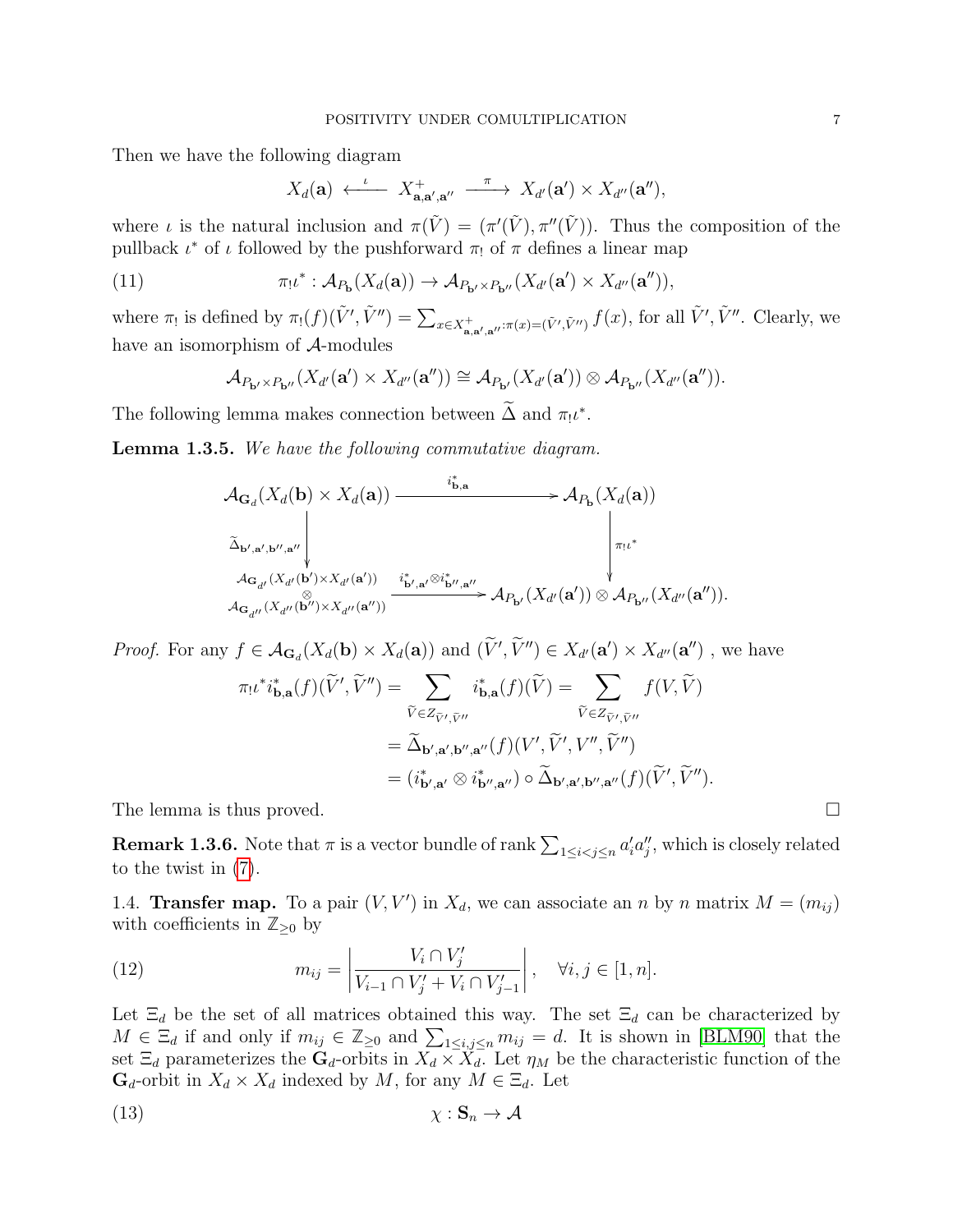Then we have the following diagram

$$
X_d(\mathbf{a}) \xleftarrow{\iota} X^+_{\mathbf{a},\mathbf{a}',\mathbf{a}''} \xrightarrow{\pi} X_{d'}(\mathbf{a}') \times X_{d''}(\mathbf{a}''),
$$

where *i* is the natural inclusion and  $\pi(\tilde{V}) = (\pi'(\tilde{V}), \pi''(\tilde{V}))$ . Thus the composition of the pullback  $\iota^*$  of  $\iota$  followed by the pushforward  $\pi_!$  of  $\pi$  defines a linear map

<span id="page-6-1"></span>(11) 
$$
\pi_! \iota^* : \mathcal{A}_{P_{\mathbf{b}}}(X_d(\mathbf{a})) \to \mathcal{A}_{P_{\mathbf{b}'} \times P_{\mathbf{b}''}}(X_{d'}(\mathbf{a}') \times X_{d''}(\mathbf{a}'')),
$$

where  $\pi_!$  is defined by  $\pi_!(f)(\tilde{V}', \tilde{V}'') = \sum_{x \in X^+_{\mathbf{a},\mathbf{a}',\mathbf{a}''}:\pi(x) = (\tilde{V}', \tilde{V}'') } f(x)$ , for all  $\tilde{V}', \tilde{V}''$ . Clearly, we have an isomorphism of A-modules

$$
\mathcal{A}_{P_{\mathbf{b}'}\times P_{\mathbf{b}''}}(X_{d'}(\mathbf{a}')\times X_{d''}(\mathbf{a}''))\cong \mathcal{A}_{P_{\mathbf{b}'}}(X_{d'}(\mathbf{a}'))\otimes \mathcal{A}_{P_{\mathbf{b}''}}(X_{d''}(\mathbf{a}'')).
$$

The following lemma makes connection between  $\tilde{\Delta}$  and  $\pi_! \iota^*$ .

<span id="page-6-2"></span>**Lemma 1.3.5.** We have the following commutative diagram.

$$
\mathcal{A}_{\mathbf{G}_d}(X_d(\mathbf{b}) \times X_d(\mathbf{a})) \xrightarrow{\qquad \qquad i^*_{\mathbf{b},\mathbf{a}} \qquad \qquad} \mathcal{A}_{P_{\mathbf{b}}}(X_d(\mathbf{a}))
$$
\n
$$
\Delta_{\mathbf{b}',\mathbf{a}',\mathbf{b}'',\mathbf{a}''} \Bigg|_{\mathcal{A}_{\mathbf{G}_{d'}}(X_{d'}(\mathbf{b}') \times X_{d'}(\mathbf{a}'))} \xrightarrow{\qquad \qquad i^*_{\mathbf{b}',\mathbf{a}'} \otimes i^*_{\mathbf{b}'',\mathbf{a}''}} \mathcal{A}_{P_{\mathbf{b}'}}(X_{d'}(\mathbf{a}')) \otimes \mathcal{A}_{P_{\mathbf{b}''}}(X_{d''}(\mathbf{a}'')).
$$
\n
$$
\mathcal{A}_{\mathbf{G}_{d''}}(X_{d''}(\mathbf{b}'') \times X_{d''}(\mathbf{a}''))} \xrightarrow{\qquad \qquad i^*_{\mathbf{b}',\mathbf{a}'} \otimes i^*_{\mathbf{b}''},\mathbf{a}''}} \mathcal{A}_{P_{\mathbf{b}'}}(X_{d'}(\mathbf{a}')) \otimes \mathcal{A}_{P_{\mathbf{b}''}}(X_{d''}(\mathbf{a}'')).
$$

*Proof.* For any  $f \in \mathcal{A}_{\mathbf{G}_d}(X_d(\mathbf{b}) \times X_d(\mathbf{a}))$  and  $(\tilde{V}', \tilde{V}'') \in X_{d'}(\mathbf{a}') \times X_{d''}(\mathbf{a}'')$ , we have  $\pi_!\iota^*i^*_{\mathbf{b},\mathbf{a}}(f)(\widetilde{V}',\widetilde{V}'') = \sum$  $_{V\in Z_{\widetilde{V}',\widetilde{V}''}$  $i_{\mathbf{b},\mathbf{a}}^*(f)(\widetilde{V}) = \sum$  $_{V\in Z_{\widetilde{V}',\widetilde{V}''}$  $f(V, V)$  $= \widetilde{\Delta}_{\mathbf{b}',\mathbf{a}',\mathbf{b}'',\mathbf{a}''}(f)(V',\widetilde{V}',V'',\widetilde{V}'')$  $=(i^*_{\mathbf{b}',\mathbf{a}'}\otimes i^*_{\mathbf{b}'',\mathbf{a}''})\circ\widetilde{\Delta}_{\mathbf{b}',\mathbf{a}',\mathbf{b}'',\mathbf{a}''}(f)(\widetilde{V}',\widetilde{V}'').$ 

The lemma is thus proved.

**Remark 1.3.6.** Note that  $\pi$  is a vector bundle of rank  $\sum_{1 \leq i < j \leq n} a'_i a''_j$ , which is closely related to the twist in [\(7\)](#page-4-1).

<span id="page-6-0"></span>1.4. **Transfer map.** To a pair  $(V, V')$  in  $X_d$ , we can associate an n by n matrix  $M = (m_{ij})$ with coefficients in  $\mathbb{Z}_{\geq 0}$  by

<span id="page-6-4"></span>(12) 
$$
m_{ij} = \left| \frac{V_i \cap V'_j}{V_{i-1} \cap V'_j + V_i \cap V'_{j-1}} \right|, \quad \forall i, j \in [1, n].
$$

Let  $\Xi_d$  be the set of all matrices obtained this way. The set  $\Xi_d$  can be characterized by  $M \in \Xi_d$  if and only if  $m_{ij} \in \mathbb{Z}_{\geq 0}$  and  $\sum_{1 \leq i,j \leq n} m_{ij} = d$ . It is shown in [\[BLM90\]](#page-44-1) that the set  $\Xi_d$  parameterizes the  $\mathbf{G}_d$ -orbits in  $X_d \times \widetilde{X}_d$ . Let  $\eta_M$  be the characteristic function of the  $\mathbf{G}_d$ -orbit in  $X_d \times X_d$  indexed by M, for any  $M \in \Xi_d$ . Let

<span id="page-6-3"></span>
$$
\chi: \mathbf{S}_n \to \mathcal{A}
$$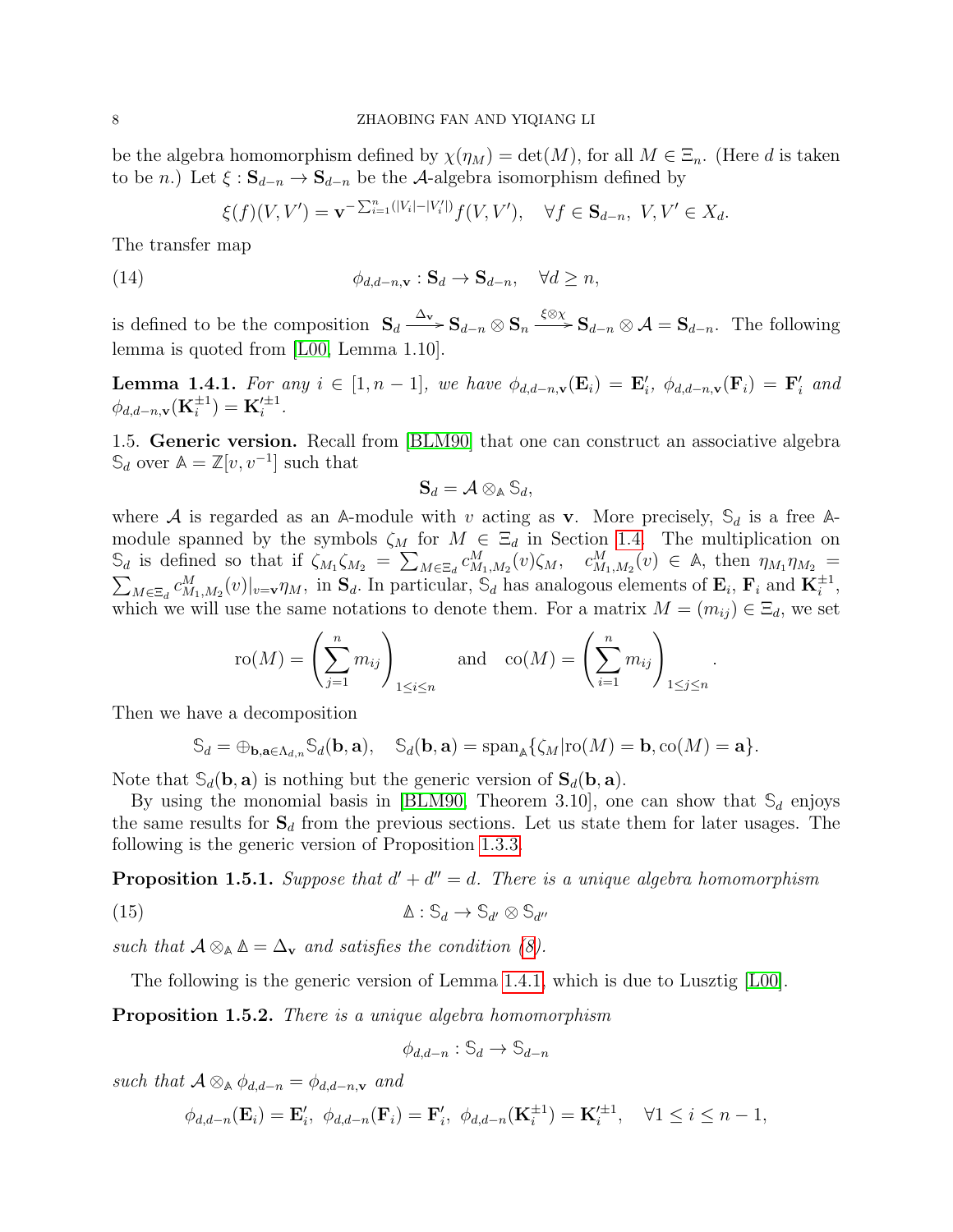be the algebra homomorphism defined by  $\chi(\eta_M) = \det(M)$ , for all  $M \in \Xi_n$ . (Here d is taken to be *n*.) Let  $\xi$  :  $\mathbf{S}_{d-n} \to \mathbf{S}_{d-n}$  be the A-algebra isomorphism defined by

$$
\xi(f)(V,V') = \mathbf{v}^{-\sum_{i=1}^{n}(|V_i| - |V'_i|)} f(V,V'), \quad \forall f \in \mathbf{S}_{d-n}, \ V, V' \in X_d.
$$

The transfer map

(14) 
$$
\phi_{d,d-n,\mathbf{v}} : \mathbf{S}_d \to \mathbf{S}_{d-n}, \quad \forall d \geq n,
$$

is defined to be the composition  $S_d \xrightarrow{\Delta_v} S_{d-n} \otimes S_n \xrightarrow{\xi \otimes \chi} S_{d-n} \otimes A = S_{d-n}$ . The following lemma is quoted from [\[L00,](#page-44-4) Lemma 1.10].

<span id="page-7-0"></span>**Lemma 1.4.1.** For any  $i \in [1, n-1]$ , we have  $\phi_{d,d-n,\mathbf{v}}(\mathbf{E}_i) = \mathbf{E}'_i$ ,  $\phi_{d,d-n,\mathbf{v}}(\mathbf{F}_i) = \mathbf{F}'_i$  and  $\phi_{d,d-n,\mathbf{v}}(\mathbf{K}_i^{\pm 1}) = \mathbf{K}'^{\pm 1}_i.$ 

<span id="page-7-1"></span>1.5. Generic version. Recall from [\[BLM90\]](#page-44-1) that one can construct an associative algebra  $\mathbb{S}_d$  over  $\mathbb{A} = \mathbb{Z}[v, v^{-1}]$  such that

$$
\mathbf{S}_d = \mathcal{A} \otimes_{\mathbb{A}} \mathbb{S}_d,
$$

where A is regarded as an  $\mathbb{A}$ -module with v acting as **v**. More precisely,  $\mathbb{S}_d$  is a free  $\mathbb{A}$ module spanned by the symbols  $\zeta_M$  for  $M \in \Xi_d$  in Section [1.4.](#page-6-0) The multiplication on  $\mathcal{S}_d$  is defined so that if  $\zeta_{M_1}\zeta_{M_2} = \sum_{M\in\Xi_d} c_{M_1,M_2}^M(v)\zeta_M$ ,  $c_{M_1,M_2}^M(v) \in A$ , then  $\eta_{M_1}\eta_{M_2} =$  $\sum_{M\in\Xi_d} c_{M_1,M_2}^M(v)|_{v=v}\eta_M$ , in  $\mathbf{S}_d$ . In particular,  $\mathbb{S}_d$  has analogous elements of  $\mathbf{E}_i$ ,  $\mathbf{F}_i$  and  $\mathbf{K}_i^{\pm 1}$ , which we will use the same notations to denote them. For a matrix  $M = (m_{ij}) \in \Xi_d$ , we set

$$
\text{ro}(M) = \left(\sum_{j=1}^n m_{ij}\right)_{1 \le i \le n} \quad \text{and} \quad \text{co}(M) = \left(\sum_{i=1}^n m_{ij}\right)_{1 \le j \le n}.
$$

Then we have a decomposition

$$
\mathbb{S}_d = \oplus_{\mathbf{b},\mathbf{a}\in\Lambda_{d,n}} \mathbb{S}_d(\mathbf{b},\mathbf{a}), \quad \mathbb{S}_d(\mathbf{b},\mathbf{a}) = \mathrm{span}_{\mathbb{A}} \{ \zeta_M | \mathrm{ro}(M) = \mathbf{b}, \mathrm{co}(M) = \mathbf{a} \}.
$$

Note that  $\mathcal{S}_d(\mathbf{b}, \mathbf{a})$  is nothing but the generic version of  $\mathbf{S}_d(\mathbf{b}, \mathbf{a})$ .

By using the monomial basis in [\[BLM90,](#page-44-1) Theorem 3.10], one can show that  $\mathcal{S}_d$  enjoys the same results for  $S_d$  from the previous sections. Let us state them for later usages. The following is the generic version of Proposition [1.3.3.](#page-4-2)

<span id="page-7-2"></span>**Proposition 1.5.1.** Suppose that  $d' + d'' = d$ . There is a unique algebra homomorphism

<span id="page-7-3"></span>
$$
\Delta: \mathbb{S}_d \to \mathbb{S}_{d'} \otimes \mathbb{S}_{d''}
$$

such that  $A \otimes_{\mathbb{A}} \mathbb{\Delta} = \Delta_{\mathbf{v}}$  and satisfies the condition [\(8\)](#page-4-3).

The following is the generic version of Lemma [1.4.1,](#page-7-0) which is due to Lusztig [\[L00\]](#page-44-4).

**Proposition 1.5.2.** There is a unique algebra homomorphism

$$
\phi_{d,d-n} : \mathbb{S}_d \to \mathbb{S}_{d-n}
$$

such that  $A \otimes_{\mathbb{A}} \phi_{d,d-n} = \phi_{d,d-n,\mathbf{v}}$  and

$$
\phi_{d,d-n}(\mathbf{E}_i)=\mathbf{E}'_i, \ \phi_{d,d-n}(\mathbf{F}_i)=\mathbf{F}'_i, \ \phi_{d,d-n}(\mathbf{K}_i^{\pm 1})=\mathbf{K}'_i^{\pm 1}, \quad \forall 1 \leq i \leq n-1,
$$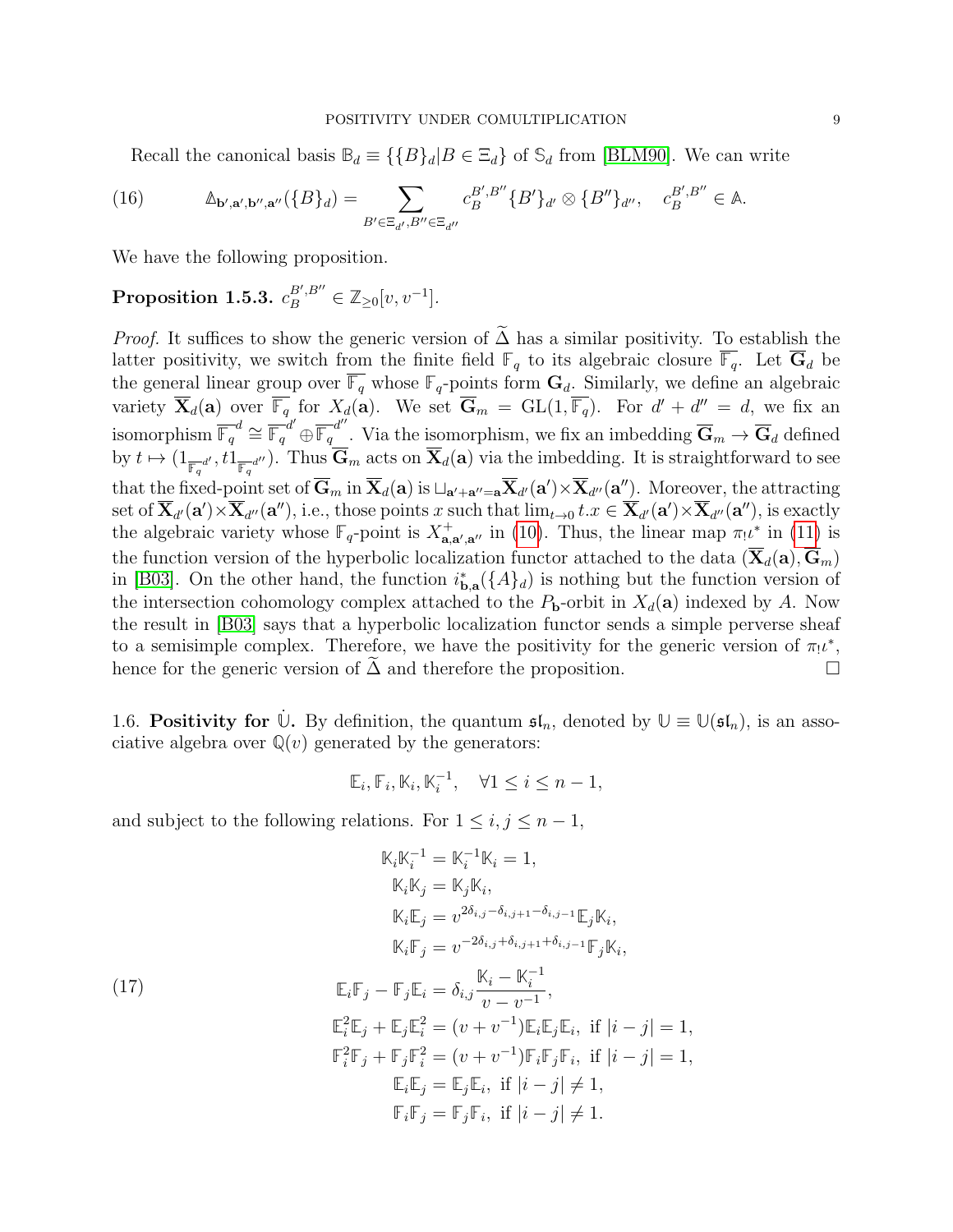Recall the canonical basis  $\mathbb{B}_d \equiv \{\{B\}_d | B \in \Xi_d\}$  of  $\mathbb{S}_d$  from [\[BLM90\]](#page-44-1). We can write

<span id="page-8-1"></span>(16) 
$$
\mathbb{A}_{\mathbf{b}',\mathbf{a}',\mathbf{b}'',\mathbf{a}''}(\{B\}_d) = \sum_{B' \in \Xi_{d'},B'' \in \Xi_{d''}} c_B^{B',B''}\{B'\}_{d'} \otimes \{B''\}_{d''}, \quad c_B^{B',B''} \in \mathbb{A}.
$$

We have the following proposition.

# <span id="page-8-0"></span> $\textbf{Proposition 1.5.3.} \ \ c_B^{B',B''} \in \mathbb{Z}_{\geq 0} [v,v^{-1}] .$

*Proof.* It suffices to show the generic version of  $\tilde{\Delta}$  has a similar positivity. To establish the latter positivity, we switch from the finite field  $\mathbb{F}_q$  to its algebraic closure  $\overline{\mathbb{F}_q}$ . Let  $\overline{\mathbf{G}}_d$  be the general linear group over  $\overline{\mathbb{F}_q}$  whose  $\mathbb{F}_q$ -points form  $\mathbf{G}_d$ . Similarly, we define an algebraic variety  $\overline{\mathbf{X}}_d(\mathbf{a})$  over  $\overline{\mathbb{F}_q}$  for  $X_d(\mathbf{a})$ . We set  $\overline{\mathbf{G}}_m = GL(1, \overline{\mathbb{F}_q})$ . For  $d' + d'' = d$ , we fix an isomorphism  $\overline{\mathbb{F}_q}^d \cong \overline{\mathbb{F}_q}^{d'} \oplus \overline{\mathbb{F}_q}^{d''}$ . Via the isomorphism, we fix an imbedding  $\overline{\mathbf{G}}_m \to \overline{\mathbf{G}}_d$  defined by  $t \mapsto (1_{\overline{\mathbb{F}_q}^{d'}} , t1_{\overline{\mathbb{F}_q}^{d''}})$ . Thus  $\mathbf{G}_m$  acts on  $\mathbf{X}_d(\mathbf{a})$  via the imbedding. It is straightforward to see that the fixed-point set of  $\overline{\mathbf{G}}_m$  in  $\overline{\mathbf{X}}_d(\mathbf{a})$  is  $\sqcup_{\mathbf{a}'+\mathbf{a}''=\mathbf{a}}\overline{\mathbf{X}}_{d'}(\mathbf{a}')\times\overline{\mathbf{X}}_{d''}(\mathbf{a}'')$ . Moreover, the attracting set of  $\overline{\mathbf{X}}_{d'}(\mathbf{a}')\times\overline{\mathbf{X}}_{d''}(\mathbf{a}''),$  i.e., those points x such that  $\lim_{t\to 0}t.x\in\overline{\mathbf{X}}_{d'}(\mathbf{a}')\times\overline{\mathbf{X}}_{d''}(\mathbf{a}''),$  is exactly the algebraic variety whose  $\mathbb{F}_q$ -point is  $X^+_{\mathbf{a},\mathbf{a}',\mathbf{a}''}$  in [\(10\)](#page-5-0). Thus, the linear map  $\pi_1\iota^*$  in [\(11\)](#page-6-1) is the function version of the hyperbolic localization functor attached to the data  $(\overline{\mathbf{X}}_d(\mathbf{a}), \overline{\mathbf{G}}_m)$ in [\[B03\]](#page-44-15). On the other hand, the function  $i_{\mathbf{b},\mathbf{a}}^*(\{A\}_d)$  is nothing but the function version of the intersection cohomology complex attached to the  $P_{\mathbf{b}}$ -orbit in  $X_d(\mathbf{a})$  indexed by A. Now the result in [\[B03\]](#page-44-15) says that a hyperbolic localization functor sends a simple perverse sheaf to a semisimple complex. Therefore, we have the positivity for the generic version of  $\pi_! \iota^*$ , hence for the generic version of  $\Delta$  and therefore the proposition.  $\Box$ 

<span id="page-8-3"></span>1.6. **Positivity for**  $\dot{\mathbb{U}}$ . By definition, the quantum  $\mathfrak{sl}_n$ , denoted by  $\mathbb{U} \equiv \mathbb{U}(\mathfrak{sl}_n)$ , is an associative algebra over  $\mathbb{Q}(v)$  generated by the generators:

$$
\mathbb{E}_i, \mathbb{F}_i, \mathbb{K}_i, \mathbb{K}_i^{-1}, \quad \forall 1 \le i \le n-1,
$$

and subject to the following relations. For  $1 \leq i, j \leq n-1$ ,

<span id="page-8-2"></span>(17)  
\n
$$
\mathbb{K}_{i} \mathbb{K}_{i}^{-1} = \mathbb{K}_{i}^{-1} \mathbb{K}_{i} = 1,
$$
\n
$$
\mathbb{K}_{i} \mathbb{K}_{j} = \mathbb{K}_{j} \mathbb{K}_{i},
$$
\n
$$
\mathbb{K}_{i} \mathbb{E}_{j} = v^{2\delta_{i,j} - \delta_{i,j+1} - \delta_{i,j-1}} \mathbb{E}_{j} \mathbb{K}_{i},
$$
\n
$$
\mathbb{K}_{i} \mathbb{F}_{j} = v^{-2\delta_{i,j} + \delta_{i,j+1} + \delta_{i,j-1}} \mathbb{F}_{j} \mathbb{K}_{i},
$$
\n
$$
\mathbb{E}_{i} \mathbb{F}_{j} - \mathbb{F}_{j} \mathbb{E}_{i} = \delta_{i,j} \frac{\mathbb{K}_{i} - \mathbb{K}_{i}^{-1}}{v - v^{-1}},
$$
\n
$$
\mathbb{E}_{i}^{2} \mathbb{E}_{j} + \mathbb{E}_{j} \mathbb{E}_{i}^{2} = (v + v^{-1}) \mathbb{E}_{i} \mathbb{E}_{j} \mathbb{E}_{i}, \text{ if } |i - j| = 1,
$$
\n
$$
\mathbb{F}_{i}^{2} \mathbb{F}_{j} + \mathbb{F}_{j} \mathbb{F}_{i}^{2} = (v + v^{-1}) \mathbb{F}_{i} \mathbb{F}_{j} \mathbb{F}_{i}, \text{ if } |i - j| = 1,
$$
\n
$$
\mathbb{E}_{i} \mathbb{E}_{j} = \mathbb{E}_{j} \mathbb{E}_{i}, \text{ if } |i - j| \neq 1,
$$
\n
$$
\mathbb{F}_{i} \mathbb{F}_{j} = \mathbb{F}_{j} \mathbb{F}_{i}, \text{ if } |i - j| \neq 1.
$$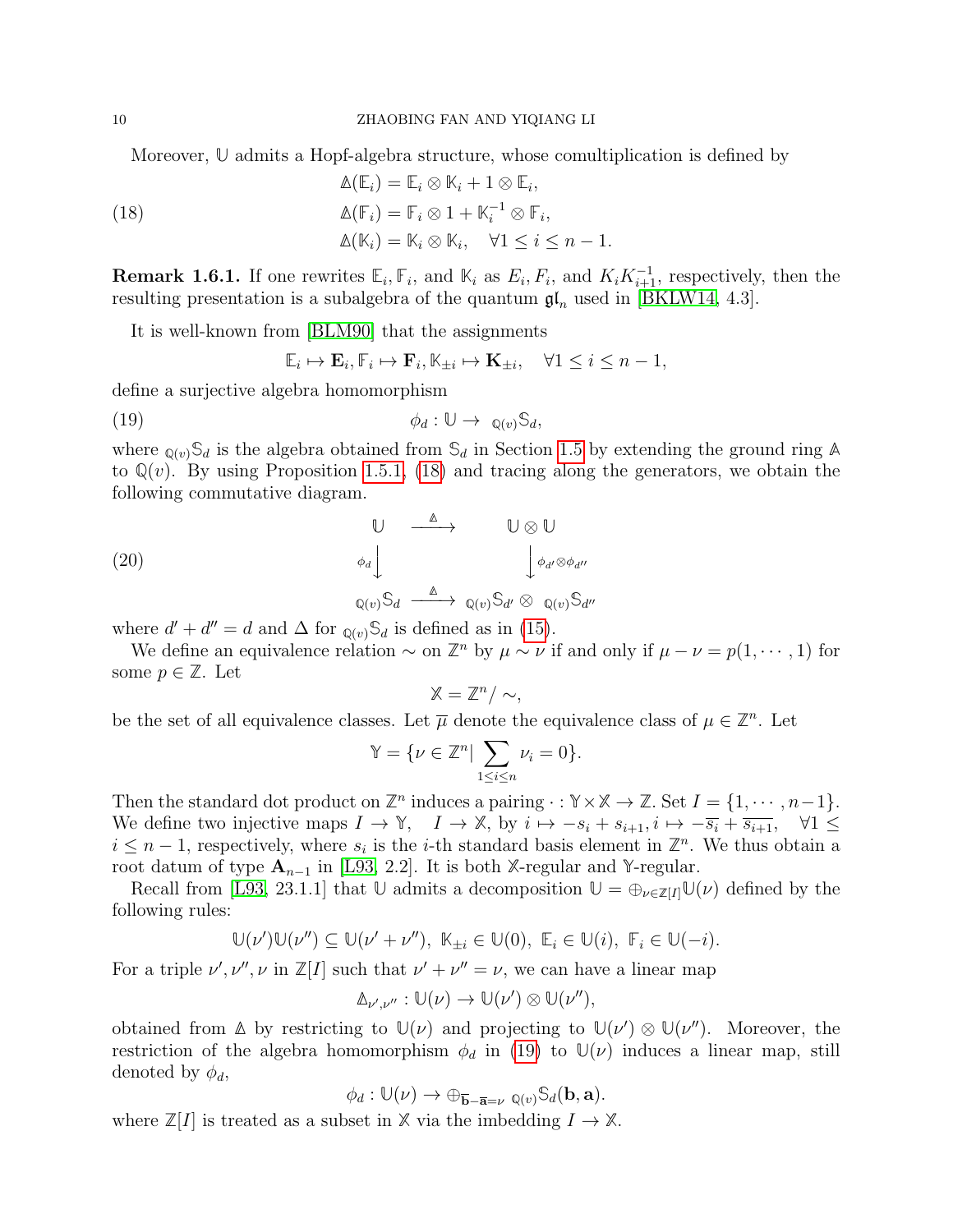Moreover, **U** admits a Hopf-algebra structure, whose comultiplication is defined by

<span id="page-9-0"></span>(18) 
$$
\Delta(\mathbb{E}_{i}) = \mathbb{E}_{i} \otimes \mathbb{K}_{i} + 1 \otimes \mathbb{E}_{i},
$$

$$
\Delta(\mathbb{F}_{i}) = \mathbb{F}_{i} \otimes 1 + \mathbb{K}_{i}^{-1} \otimes \mathbb{F}_{i},
$$

$$
\Delta(\mathbb{K}_{i}) = \mathbb{K}_{i} \otimes \mathbb{K}_{i}, \quad \forall 1 \leq i \leq n - 1.
$$

**Remark 1.6.1.** If one rewrites  $\mathbb{E}_i$ ,  $\mathbb{F}_i$ , and  $\mathbb{K}_i$  as  $E_i$ ,  $F_i$ , and  $K_i K_{i+1}^{-1}$ , respectively, then the resulting presentation is a subalgebra of the quantum  $\mathfrak{gl}_n$  used in [\[BKLW14,](#page-44-9) 4.3].

It is well-known from [\[BLM90\]](#page-44-1) that the assignments

$$
\mathbb{E}_i \mapsto \mathbf{E}_i, \mathbb{F}_i \mapsto \mathbf{F}_i, \mathbb{K}_{\pm i} \mapsto \mathbf{K}_{\pm i}, \quad \forall 1 \le i \le n-1,
$$

define a surjective algebra homomorphism

<span id="page-9-1"></span>
$$
\phi_d: \mathbb{U} \to \mathbb{Q}(v)\mathbb{S}_d,
$$

where  $_{\mathbb{Q}(v)}\mathbb{S}_d$  is the algebra obtained from  $\mathbb{S}_d$  in Section [1.5](#page-7-1) by extending the ground ring  $\mathbb{A}$ to  $\mathbb{Q}(v)$ . By using Proposition [1.5.1,](#page-7-2) [\(18\)](#page-9-0) and tracing along the generators, we obtain the following commutative diagram.

<span id="page-9-2"></span>(20)  
\n
$$
\begin{array}{ccc}\n & \downarrow & \searrow & \vee \\
 & \downarrow & \downarrow \phi_{d'} \otimes \phi_{d'} \\
 & \downarrow & \downarrow \phi_{d'} \otimes \phi_{d'} \\
 & \downarrow & \downarrow \phi_{d'} \otimes \phi_{d'} \\
 & \downarrow & \downarrow \phi_{d'} \otimes \phi_{d'}\n\end{array}
$$

where  $d' + d'' = d$  and  $\Delta$  for  $_{\mathbb{Q}(v)}\mathbb{S}_d$  is defined as in [\(15\)](#page-7-3).

We define an equivalence relation  $\sim$  on  $\mathbb{Z}^n$  by  $\mu \sim \nu$  if and only if  $\mu - \nu = p(1, \dots, 1)$  for some  $p \in \mathbb{Z}$ . Let

$$
\mathbb{X}=\mathbb{Z}^n/\sim,
$$

be the set of all equivalence classes. Let  $\overline{\mu}$  denote the equivalence class of  $\mu \in \mathbb{Z}^n$ . Let

$$
\mathbb{Y} = \{ \nu \in \mathbb{Z}^n \mid \sum_{1 \le i \le n} \nu_i = 0 \}.
$$

Then the standard dot product on  $\mathbb{Z}^n$  induces a pairing  $\cdot : \mathbb{Y} \times \mathbb{X} \to \mathbb{Z}$ . Set  $I = \{1, \dots, n-1\}$ . We define two injective maps  $I \to \mathbb{Y}$ ,  $I \to \mathbb{X}$ , by  $i \mapsto -s_i + s_{i+1}, i \mapsto -\overline{s_i} + \overline{s_{i+1}}$ ,  $\forall 1 \leq$  $i \leq n-1$ , respectively, where  $s_i$  is the *i*-th standard basis element in  $\mathbb{Z}^n$ . We thus obtain a root datum of type  $A_{n-1}$  in [\[L93,](#page-44-6) 2.2]. It is both *X*-regular and *Y*-regular.

Recall from [\[L93,](#page-44-6) 23.1.1] that  $\mathbb{U}$  admits a decomposition  $\mathbb{U} = \bigoplus_{\nu \in \mathbb{Z}[I]} \mathbb{U}(\nu)$  defined by the following rules:

$$
\mathbb{U}(\nu')\mathbb{U}(\nu'') \subseteq \mathbb{U}(\nu' + \nu''), \ \mathbb{K}_{\pm i} \in \mathbb{U}(0), \ \mathbb{E}_i \in \mathbb{U}(i), \ \mathbb{F}_i \in \mathbb{U}(-i).
$$

For a triple  $\nu', \nu'', \nu$  in  $\mathbb{Z}[I]$  such that  $\nu' + \nu'' = \nu$ , we can have a linear map

$$
\mathbb{A}_{\nu',\nu''}: \mathbb{U}(\nu) \to \mathbb{U}(\nu') \otimes \mathbb{U}(\nu''),
$$

obtained from  $\Delta$  by restricting to  $\mathbb{U}(\nu)$  and projecting to  $\mathbb{U}(\nu') \otimes \mathbb{U}(\nu'')$ . Moreover, the restriction of the algebra homomorphism  $\phi_d$  in [\(19\)](#page-9-1) to  $\mathbb{U}(\nu)$  induces a linear map, still denoted by  $\phi_d$ ,

$$
\phi_d: \mathbb{U}(\nu) \to \oplus_{\overline{\mathbf{b}} - \overline{\mathbf{a}} = \nu} \mathbb{Q}(v) \mathbb{S}_d(\mathbf{b}, \mathbf{a}).
$$

where  $\mathbb{Z}[I]$  is treated as a subset in  $\mathbb{X}$  via the imbedding  $I \to \mathbb{X}$ .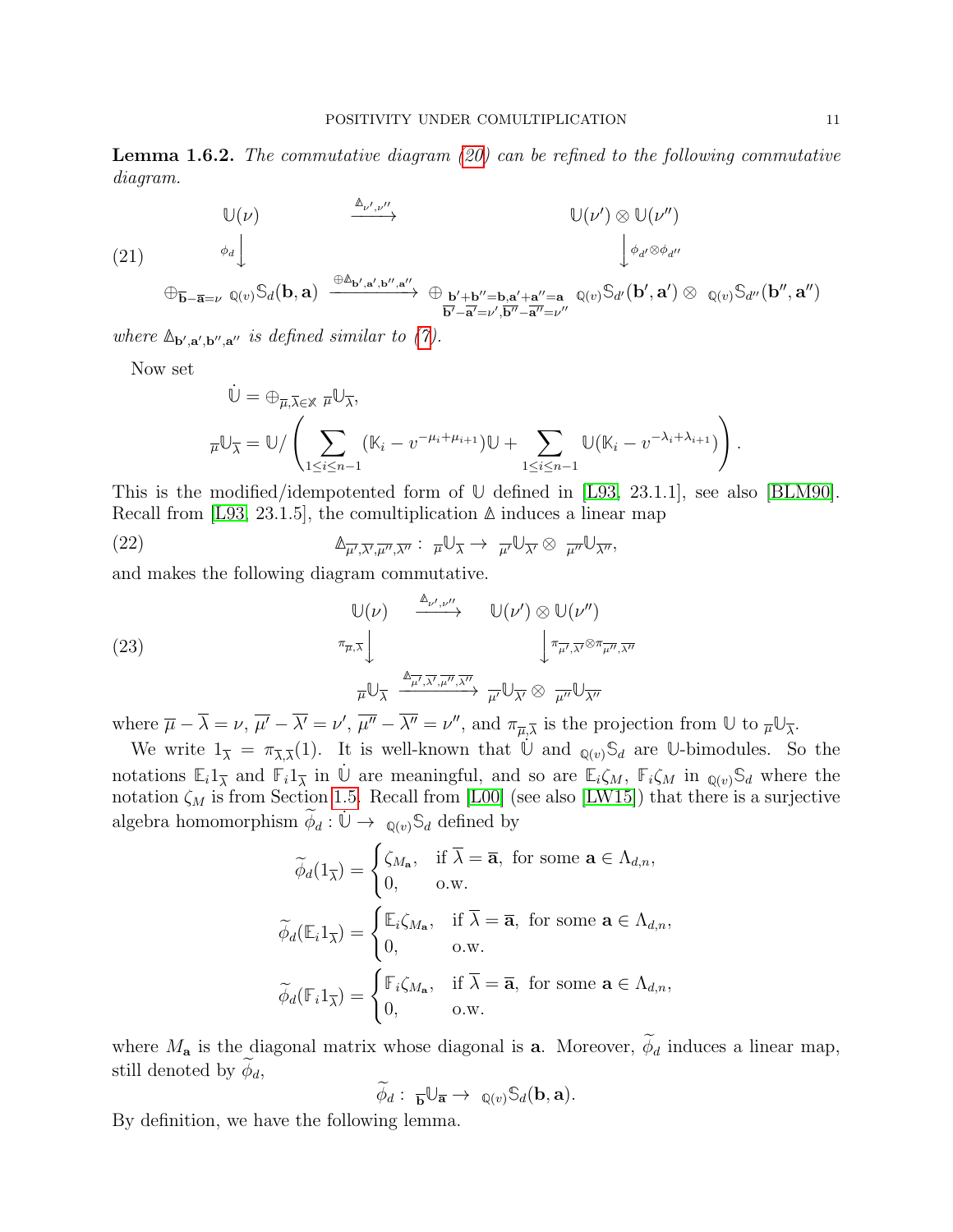**Lemma 1.6.2.** The commutative diagram  $(20)$  can be refined to the following commutative diagram.

<span id="page-10-0"></span>(21)  
\n
$$
\bigcup (\nu)
$$
\n
$$
\xrightarrow{\phi_d} \downarrow \qquad \qquad \bigcup (\nu') \otimes \mathbb{U}(\nu'')
$$
\n
$$
\xrightarrow{\phi_d} \downarrow \qquad \qquad \downarrow \phi_{d'} \otimes \phi_{d''}
$$
\n
$$
\oplus_{\overline{\mathbf{b}} - \overline{\mathbf{a}} = \nu} \mathbb{Q}(v) \mathbb{S}_d(\mathbf{b}, \mathbf{a}) \xrightarrow{\oplus \mathbb{A}_{\mathbf{b}', \mathbf{a}', \mathbf{b}'', \mathbf{a}''}} \oplus_{\overline{\mathbf{b}'+ \mathbf{b}'' = \mathbf{b}, \mathbf{a}'+ \mathbf{a}'' = \mathbf{a} \atop \overline{\mathbf{b}' - \overline{\mathbf{a}'} = \nu''}} \mathbb{Q}(v) \mathbb{S}_{d'}(\mathbf{b}', \mathbf{a}') \otimes \mathbb{Q}(v) \mathbb{S}_{d''}(\mathbf{b}'', \mathbf{a}'')
$$

where  $\mathbb{A}_{\mathbf{b}',\mathbf{a}',\mathbf{b}'',\mathbf{a}''}$  is defined similar to [\(7\)](#page-4-1).

Now set

$$
\dot{\mathbb{U}} = \bigoplus_{\overline{\mu}, \overline{\lambda} \in \mathbb{X}} \overline{\mu} \mathbb{U}_{\overline{\lambda}},
$$
\n
$$
\overline{\mu} \mathbb{U}_{\overline{\lambda}} = \mathbb{U} / \left( \sum_{1 \le i \le n-1} (\mathbb{K}_i - v^{-\mu_i + \mu_{i+1}}) \mathbb{U} + \sum_{1 \le i \le n-1} \mathbb{U} (\mathbb{K}_i - v^{-\lambda_i + \lambda_{i+1}}) \right).
$$

This is the modified/idempotented form of **U** defined in [\[L93,](#page-44-6) 23.1.1], see also [\[BLM90\]](#page-44-1). Recall from [\[L93,](#page-44-6) 23.1.5], the comultiplication **∆** induces a linear map

(22) 
$$
\mathbb{A}_{\overline{\mu'},\overline{\lambda'},\overline{\mu''},\overline{\lambda''}}:\ \overline{\mu}\mathbb{U}_{\overline{\lambda}}\to \ \overline{\mu'}\mathbb{U}_{\overline{\lambda'}}\otimes \ \overline{\mu''}\mathbb{U}_{\overline{\lambda''}},
$$

and makes the following diagram commutative.

<span id="page-10-1"></span>(23)  
\n
$$
\begin{array}{ccc}\n\mathbb{U}(\nu) & \xrightarrow{\mathbb{\Delta}_{\nu',\nu''}} & \mathbb{U}(\nu') \otimes \mathbb{U}(\nu'') \\
\downarrow^{\pi_{\overline{\mu},\overline{\lambda}}}\n\downarrow & & \downarrow^{\pi_{\overline{\mu'},\overline{\lambda'}}\otimes \pi_{\overline{\mu''},\overline{\lambda''}}} \\
-\n\end{array}
$$
\n
$$
\begin{array}{ccc}\n\pi_{\overline{\mu},\overline{\lambda}} & \xrightarrow{\mathbb{\Delta}_{\overline{\mu'},\overline{\lambda'},\overline{\mu''},\overline{\lambda''}}}\n\downarrow^{\pi_{\overline{\mu'},\overline{\lambda'}}}\n\downarrow^{\pi_{\overline{\mu'},\overline{\lambda'}}}\n\downarrow^{\pi_{\overline{\mu'}}}\n\mathbb{U}_{\overline{\lambda''}}\n\end{array}
$$

where  $\overline{\mu} - \overline{\lambda} = \nu$ ,  $\overline{\mu'} - \overline{\lambda'} = \nu'$ ,  $\overline{\mu''} - \overline{\lambda''} = \nu''$ , and  $\pi_{\overline{\mu},\overline{\lambda}}$  is the projection from  $\overline{\nu}$  to  $\overline{\mu} \mathbb{U}_{\overline{\lambda}}$ .

We write  $1_{\overline{\lambda}} = \pi_{\overline{\lambda},\overline{\lambda}}(1)$ . It is well-known that  $\dot{\mathbb{U}}$  and  $_{\mathbb{Q}(v)}\mathbb{S}_d$  are U-bimodules. So the notations  $\mathbb{E}_i 1_{\overline{\lambda}}$  and  $\mathbb{F}_i 1_{\overline{\lambda}}$  in  $\dot{\mathbb{U}}$  are meaningful, and so are  $\mathbb{E}_i \zeta_M$ ,  $\mathbb{F}_i \zeta_M$  in  $\mathbb{Q}(v) \mathbb{S}_d$  where the notation  $\zeta_M$  is from Section [1.5.](#page-7-1) Recall from [\[L00\]](#page-44-4) (see also [\[LW15\]](#page-44-0)) that there is a surjective algebra homomorphism  $\widetilde{\phi}_d : \dot{\mathbb{U}} \to \mathbb{Q}_{(v)}\mathbb{S}_d$  defined by

$$
\widetilde{\phi}_d(1_{\overline{\lambda}}) = \begin{cases}\n\zeta_{M_{\mathbf{a}}}, & \text{if } \overline{\lambda} = \overline{\mathbf{a}}, \text{ for some } \mathbf{a} \in \Lambda_{d,n}, \\
0, & \text{o.w.} \n\end{cases}
$$
\n
$$
\widetilde{\phi}_d(\mathbb{E}_i 1_{\overline{\lambda}}) = \begin{cases}\n\mathbb{E}_i \zeta_{M_{\mathbf{a}}}, & \text{if } \overline{\lambda} = \overline{\mathbf{a}}, \text{ for some } \mathbf{a} \in \Lambda_{d,n}, \\
0, & \text{o.w.} \n\end{cases}
$$
\n
$$
\widetilde{\phi}_d(\mathbb{F}_i 1_{\overline{\lambda}}) = \begin{cases}\n\mathbb{F}_i \zeta_{M_{\mathbf{a}}}, & \text{if } \overline{\lambda} = \overline{\mathbf{a}}, \text{ for some } \mathbf{a} \in \Lambda_{d,n}, \\
0, & \text{o.w.} \n\end{cases}
$$

where  $M_{\mathbf{a}}$  is the diagonal matrix whose diagonal is **a**. Moreover,  $\widetilde{\phi}_d$  induces a linear map, still denoted by  $\phi_d$ ,

$$
\widetilde{\phi}_d: \ \overline{\mathbf{b}}\mathbb{U}_{\overline{\mathbf{a}}}\to \mathbb{Q}_{(v)}\mathbb{S}_d(\mathbf{b},\mathbf{a}).
$$

By definition, we have the following lemma.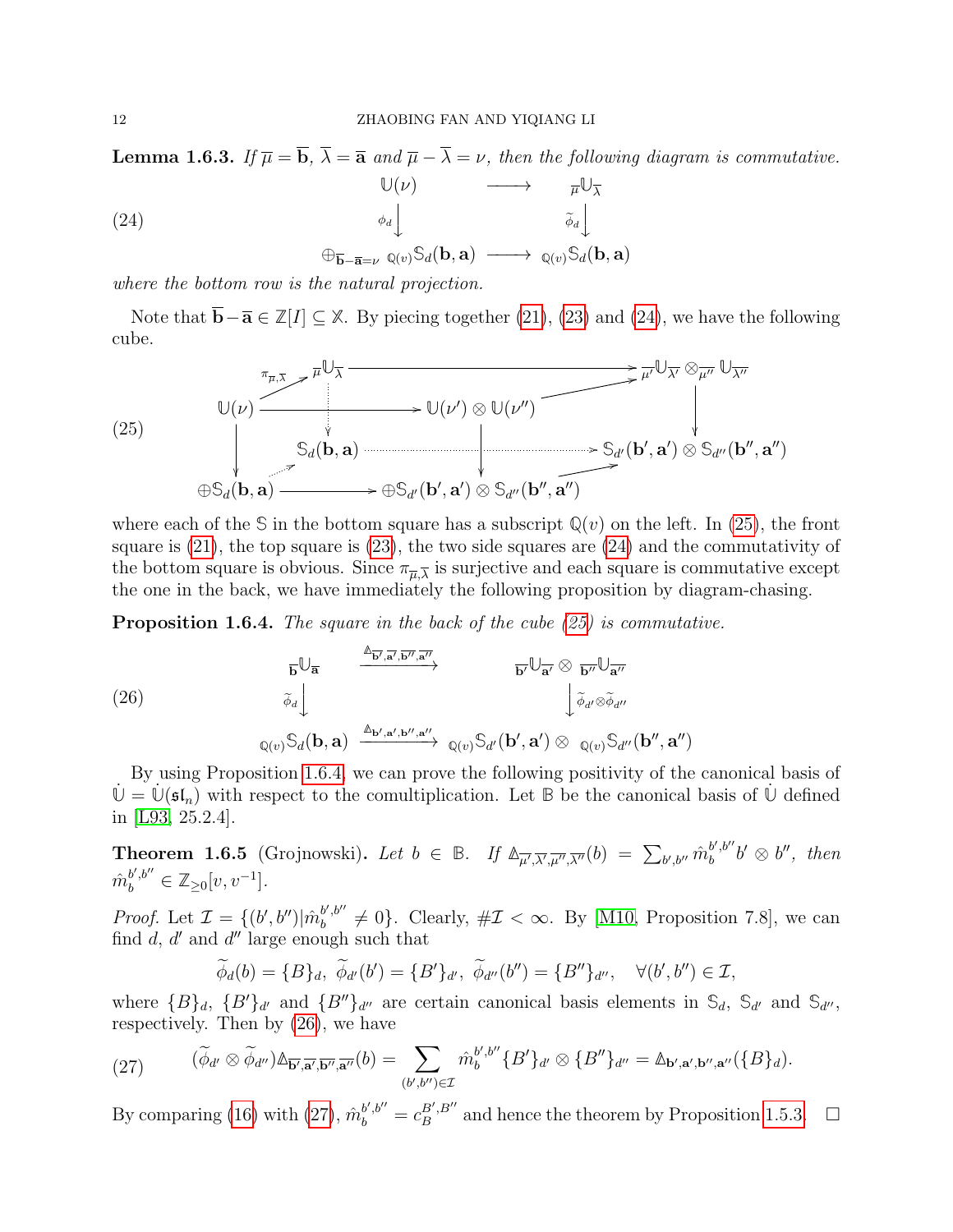**Lemma 1.6.3.** If  $\overline{\mu} = \overline{\mathbf{b}}, \overline{\lambda} = \overline{\mathbf{a}}$  and  $\overline{\mu} - \overline{\lambda} = \nu$ , then the following diagram is commutative.

<span id="page-11-1"></span>(24)  
\n
$$
\begin{array}{ccc}\n & \mathbb{U}(\nu) & \longrightarrow & \overline{\mu}\mathbb{U}_{\overline{\lambda}} \\
 & \phi_d \downarrow & & \widetilde{\phi}_d \downarrow \\
 & \oplus_{\overline{\mathbf{b}}-\overline{\mathbf{a}}=\nu} \mathbb{Q}(v) \mathbb{S}_d(\mathbf{b}, \mathbf{a}) & \longrightarrow & \mathbb{Q}(v) \mathbb{S}_d(\mathbf{b}, \mathbf{a})\n\end{array}
$$

where the bottom row is the natural projection.

Note that  $\overline{\mathbf{b}} - \overline{\mathbf{a}} \in \mathbb{Z}[I] \subseteq \mathbb{X}$ . By piecing together [\(21\)](#page-10-0), [\(23\)](#page-10-1) and [\(24\)](#page-11-1), we have the following cube.

<span id="page-11-2"></span>(25)  
\n
$$
\mathbb{U}(\nu) \xrightarrow{\pi_{\overline{\mu}, \overline{\lambda}} \rightarrow \overline{\mu} \mathbb{U}_{\overline{\lambda}}} \longrightarrow \mathbb{U}(\nu') \otimes \mathbb{U}(\nu'') \xrightarrow{\pi_{\overline{\mu}, \overline{\lambda}} \rightarrow \overline{\mu} \mathbb{U}_{\overline{\lambda'}} \mathbb{U}_{\overline{\lambda''}}} \mathbb{U}_{\overline{\lambda''}} \longrightarrow \mathbb{U}(\nu') \otimes \mathbb{U}(\nu'') \xrightarrow{\pi_{\overline{\mu}, \overline{\lambda}} \rightarrow \overline{\mu} \mathbb{U}_{\overline{\lambda'}} \mathbb{U}_{\overline{\lambda''}}} \mathbb{U}_{\overline{\lambda''}} \longrightarrow \mathbb{U}(\nu') \otimes \mathbb{U}(\nu'') \xrightarrow{\pi_{\overline{\mu}, \overline{\lambda}} \rightarrow \overline{\mu} \mathbb{U}_{\overline{\lambda'}} \mathbb{U}_{\overline{\lambda''}}}
$$
\n
$$
\oplus \mathbb{S}_d(\mathbf{b}, \mathbf{a}) \xrightarrow{\pi_{\overline{\mu}, \overline{\lambda}} \rightarrow \overline{\mu} \mathbb{U}_{\overline{\lambda}} \longrightarrow \mathbb{U}(\nu') \otimes \mathbb{U}(\nu'') \xrightarrow{\pi_{\overline{\mu}, \overline{\lambda}} \rightarrow \overline{\mu} \mathbb{U}_{\overline{\lambda''}} \mathbb{U}_{\overline{\lambda''}}
$$

where each of the  $S$  in the bottom square has a subscript  $\mathbb{Q}(v)$  on the left. In [\(25\)](#page-11-2), the front square is [\(21\)](#page-10-0), the top square is [\(23\)](#page-10-1), the two side squares are [\(24\)](#page-11-1) and the commutativity of the bottom square is obvious. Since  $\pi_{\overline{\mu},\overline{\lambda}}$  is surjective and each square is commutative except the one in the back, we have immediately the following proposition by diagram-chasing.

<span id="page-11-3"></span>**Proposition 1.6.4.** The square in the back of the cube [\(25\)](#page-11-2) is commutative.

<span id="page-11-4"></span>(26)  
\n
$$
\overline{b} \bigcup_{\overline{a}} \xrightarrow{\Delta_{\overline{b'}, \overline{a'}, \overline{b''}, \overline{a''}}}
$$
\n
$$
\overline{b'} \bigcup_{\overline{a'} \otimes \overline{b''}} \bigcup_{\overline{a''}} \overline{b''} \bigcup_{\overline{a''}} \overline{b''} \bigcup_{\overline{a''}} \overline{b''} \bigcup_{\overline{a''}} \overline{b''} \bigcup_{\overline{a''}} \overline{b''} \bigcup_{\overline{a''}} \overline{b''} \bigcup_{\overline{a''}} \overline{b''} \bigcup_{\overline{a''}} \overline{b''} \bigcup_{\overline{a''}} \overline{b''} \bigcup_{\overline{a''}} \overline{b''} \bigcup_{\overline{a''}} \overline{b''} \bigcup_{\overline{a''}} \overline{b''} \bigcup_{\overline{a''}} \overline{b''} \bigcup_{\overline{a''}} \overline{b''} \bigcup_{\overline{a''}} \overline{b''} \bigcup_{\overline{a''}} \overline{b''} \bigcup_{\overline{a''}} \overline{b''} \bigcup_{\overline{a''}} \overline{b''} \bigcup_{\overline{a''}} \overline{b''} \bigcup_{\overline{a''}} \overline{b''} \bigcup_{\overline{a''}} \overline{b''} \bigcup_{\overline{a''}} \overline{b''} \bigcup_{\overline{a''}} \overline{b''} \bigcup_{\overline{a''}} \overline{b''} \bigcup_{\overline{a''}} \overline{b''} \bigcup_{\overline{a''}} \overline{b''} \bigcup_{\overline{a''}} \overline{b''} \bigcup_{\overline{a''}} \overline{b''} \bigcup_{\overline{a''}} \overline{b''} \bigcup_{\overline{a''}} \overline{b''} \bigcup_{\overline{a''}} \overline{b''} \bigcup_{\overline{a''}} \overline{b''} \bigcup_{\overline{a''}} \overline{b''} \bigcup_{\overline{a''}} \overline{b''} \bigcup_{\overline{a''}} \overline{b''} \bigcup_{\overline{a''}} \overline{b''} \bigcup_{\overline{a''}} \overline{b''} \bigcup_{
$$

By using Proposition [1.6.4,](#page-11-3) we can prove the following positivity of the canonical basis of  $\mathbb{U} = \mathbb{U}(\mathfrak{sl}_n)$  with respect to the comultiplication. Let **B** be the canonical basis of  $\mathbb{U}$  defined in [\[L93,](#page-44-6) 25.2.4].

<span id="page-11-0"></span>**Theorem 1.6.5** (Grojnowski). Let  $b \in \mathbb{B}$ . If  $\mathbb{A}_{\overline{\mu'},\overline{\lambda'},\overline{\mu''},\overline{\lambda''}}(b) = \sum_{b',b''} \hat{m}_b^{b',b''}$  $b^{\prime}, b^{\prime\prime}b^{\prime}\otimes b^{\prime\prime}$ , then  $\hat{m}_b^{b',b''} \in \mathbb{Z}_{\geq 0}[v,v^{-1}].$ 

*Proof.* Let  $\mathcal{I} = \{ (b', b'') | \hat{m}_b^{b', b''} \}$  $b^{(b, b)}$   $\neq$  0}. Clearly,  $\#\mathcal{I} < \infty$ . By [\[M10,](#page-44-5) Proposition 7.8], we can find  $d$ ,  $d'$  and  $d''$  large enough such that

$$
\widetilde{\phi}_d(b) = \{B\}_d, \ \widetilde{\phi}_{d'}(b') = \{B'\}_{d'}, \ \widetilde{\phi}_{d''}(b'') = \{B''\}_{d''}, \ \ \forall (b', b'') \in \mathcal{I},
$$

where  ${B}_d$ ,  ${B'}_{d'}$  and  ${B''}_{d''}$  are certain canonical basis elements in  $S_d$ ,  $S_{d'}$  and  $S_{d''}$ , respectively. Then by [\(26\)](#page-11-4), we have

<span id="page-11-5"></span>
$$
(27) \qquad (\widetilde{\phi}_{d'}\otimes \widetilde{\phi}_{d''})\mathbb{A}_{\overline{\mathbf{b}',\mathbf{a}',\mathbf{b}'',\mathbf{a}''}}(b)=\sum_{(b',b'')\in\mathcal{I}}\hat{m}_{b}^{b',b''}\{B'\}_{d'}\otimes\{B''\}_{d''}=\mathbb{A}_{\mathbf{b}',\mathbf{a}',\mathbf{b}'',\mathbf{a}''}(\{B\}_{d}).
$$

By comparing [\(16\)](#page-8-1) with [\(27\)](#page-11-5),  $\hat{m}_{b}^{b',b''} = c_{B}^{B',B''}$  $B'_{B}$  and hence the theorem by Proposition [1.5.3.](#page-8-0)  $\Box$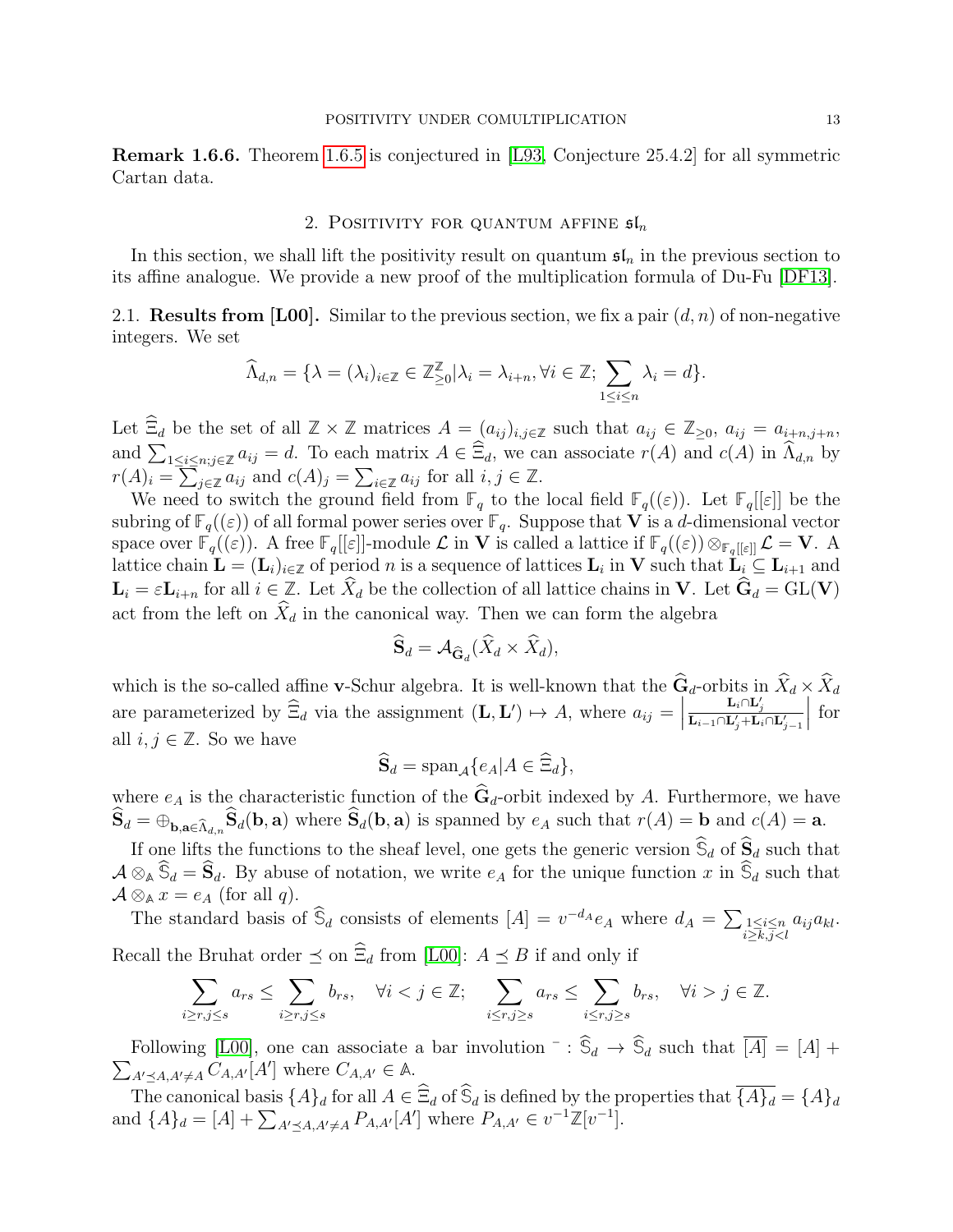Remark 1.6.6. Theorem [1.6.5](#page-11-0) is conjectured in [\[L93,](#page-44-6) Conjecture 25.4.2] for all symmetric Cartan data.

### 2. POSITIVITY FOR QUANTUM AFFINE  $\mathfrak{sl}_n$

<span id="page-12-0"></span>In this section, we shall lift the positivity result on quantum  $\mathfrak{sl}_n$  in the previous section to its affine analogue. We provide a new proof of the multiplication formula of Du-Fu [\[DF13\]](#page-44-16).

2.1. **Results from [L00].** Similar to the previous section, we fix a pair  $(d, n)$  of non-negative integers. We set

$$
\widehat{\Lambda}_{d,n} = \{ \lambda = (\lambda_i)_{i \in \mathbb{Z}} \in \mathbb{Z}_{\geq 0}^{\mathbb{Z}} | \lambda_i = \lambda_{i+n}, \forall i \in \mathbb{Z}; \sum_{1 \leq i \leq n} \lambda_i = d \}.
$$

Let  $\widehat{\Xi}_d$  be the set of all  $\mathbb{Z} \times \mathbb{Z}$  matrices  $A = (a_{ij})_{i,j \in \mathbb{Z}}$  such that  $a_{ij} \in \mathbb{Z}_{\geq 0}$ ,  $a_{ij} = a_{i+n,j+n}$ , and  $\sum_{1 \leq i \leq n; j \in \mathbb{Z}} a_{ij} = d$ . To each matrix  $A \in \Xi_d$ , we can associate  $r(A)$  and  $c(A)$  in  $\Lambda_{d,n}$  by  $r(A)_i = \sum_{j \in \mathbb{Z}} a_{ij}$  and  $c(A)_j = \sum_{i \in \mathbb{Z}} a_{ij}$  for all  $i, j \in \mathbb{Z}$ .

We need to switch the ground field from  $\mathbb{F}_q$  to the local field  $\mathbb{F}_q((\varepsilon))$ . Let  $\mathbb{F}_q[[\varepsilon]]$  be the subring of  $\mathbb{F}_q((\varepsilon))$  of all formal power series over  $\mathbb{F}_q$ . Suppose that **V** is a d-dimensional vector space over  $\mathbb{F}_q((\varepsilon))$ . A free  $\mathbb{F}_q[[\varepsilon]]$ -module  $\mathcal L$  in V is called a lattice if  $\mathbb{F}_q((\varepsilon))\otimes_{\mathbb{F}_q[[\varepsilon]]} \mathcal L = V$ . A lattice chain  $\mathbf{L} = (\mathbf{L}_i)_{i \in \mathbb{Z}}$  of period n is a sequence of lattices  $\mathbf{L}_i$  in V such that  $\mathbf{L}_i \subseteq \mathbf{L}_{i+1}$  and  $\mathbf{L}_i = \varepsilon \mathbf{L}_{i+n}$  for all  $i \in \mathbb{Z}$ . Let  $\hat{X}_d$  be the collection of all lattice chains in **V**. Let  $\hat{\mathbf{G}}_d = GL(\mathbf{V})$ act from the left on  $\widehat{X}_d$  in the canonical way. Then we can form the algebra

$$
\widehat{\mathbf{S}}_d = \mathcal{A}_{\widehat{\mathbf{G}}_d}(\widehat{X}_d \times \widehat{X}_d),
$$

which is the so-called affine **v**-Schur algebra. It is well-known that the  $\mathbf{G}_d$ -orbits in  $X_d \times X_d$ are parameterized by  $\widehat{\Xi}_d$  via the assignment  $(\mathbf{L}, \mathbf{L}') \mapsto A$ , where  $a_{ij} = \begin{bmatrix} 1 & i & j \end{bmatrix}$  $\frac{\mathbf{L}_i\cap \mathbf{L}_j'}{\mathbf{L}_{i-1}\cap \mathbf{L}_j'+\mathbf{L}_i\cap \mathbf{L}_{j-1}'}$  for all  $i, j \in \mathbb{Z}$ . So we have

$$
\widehat{\mathbf{S}}_d = \text{span}_{\mathcal{A}} \{ e_A | A \in \widehat{\Xi}_d \},
$$

where  $e_A$  is the characteristic function of the  $\hat{G}_d$ -orbit indexed by A. Furthermore, we have  $\mathbf{S}_d = \bigoplus_{\mathbf{b}, \mathbf{a} \in \widehat{\Lambda}_{d,n}} \mathbf{S}_d(\mathbf{b}, \mathbf{a})$  where  $\mathbf{S}_d(\mathbf{b}, \mathbf{a})$  is spanned by  $e_A$  such that  $r(A) = \mathbf{b}$  and  $c(A) = \mathbf{a}$ .

If one lifts the functions to the sheaf level, one gets the generic version  $\hat{S}_d$  of  $\hat{S}_d$  such that  $\mathcal{A} \otimes_{\mathbb{A}} \widehat{\mathbb{S}}_d = \widehat{\mathbf{S}}_d$ . By abuse of notation, we write  $e_A$  for the unique function x in  $\widehat{\mathbb{S}}_d$  such that  $\mathcal{A} \otimes_{\mathbb{A}} x = e_A$  (for all q).

The standard basis of  $\hat{S}_d$  consists of elements  $[A] = v^{-d_A} e_A$  where  $d_A = \sum_{\substack{1 \leq i \leq n \\ i \geq k, j < l}} a_{ij} a_{kl}$ . Recall the Bruhat order  $\preceq$  on  $\widehat{\Xi}_d$  from [\[L00\]](#page-44-4):  $A \preceq B$  if and only if

$$
\sum_{i\geq r, j\leq s} a_{rs} \leq \sum_{i\geq r, j\leq s} b_{rs}, \quad \forall i < j \in \mathbb{Z}; \quad \sum_{i\leq r, j\geq s} a_{rs} \leq \sum_{i\leq r, j\geq s} b_{rs}, \quad \forall i > j \in \mathbb{Z}.
$$

Following [\[L00\]](#page-44-4), one can associate a bar involution ¯ : **<sup>S</sup>**b<sup>d</sup> <sup>→</sup> **<sup>S</sup>**<sup>b</sup> <sup>P</sup> <sup>d</sup> such that [A] = [A] +  $A' \leq A, A' \neq A$   $C_{A,A'}[A']$  where  $C_{A,A'} \in A$ .

The canonical basis  ${A}_d$  for all  $A \in \widehat{\Xi}_d$  of  $\widehat{\mathcal{S}}_d$  is defined by the properties that  $\overline{A}_d = {A}_d$ and  $\{A\}_d = [A] + \sum_{A' \preceq A, A' \neq A} P_{A, A'}[A']$  where  $P_{A, A'} \in v^{-1} \mathbb{Z}[v^{-1}]$ .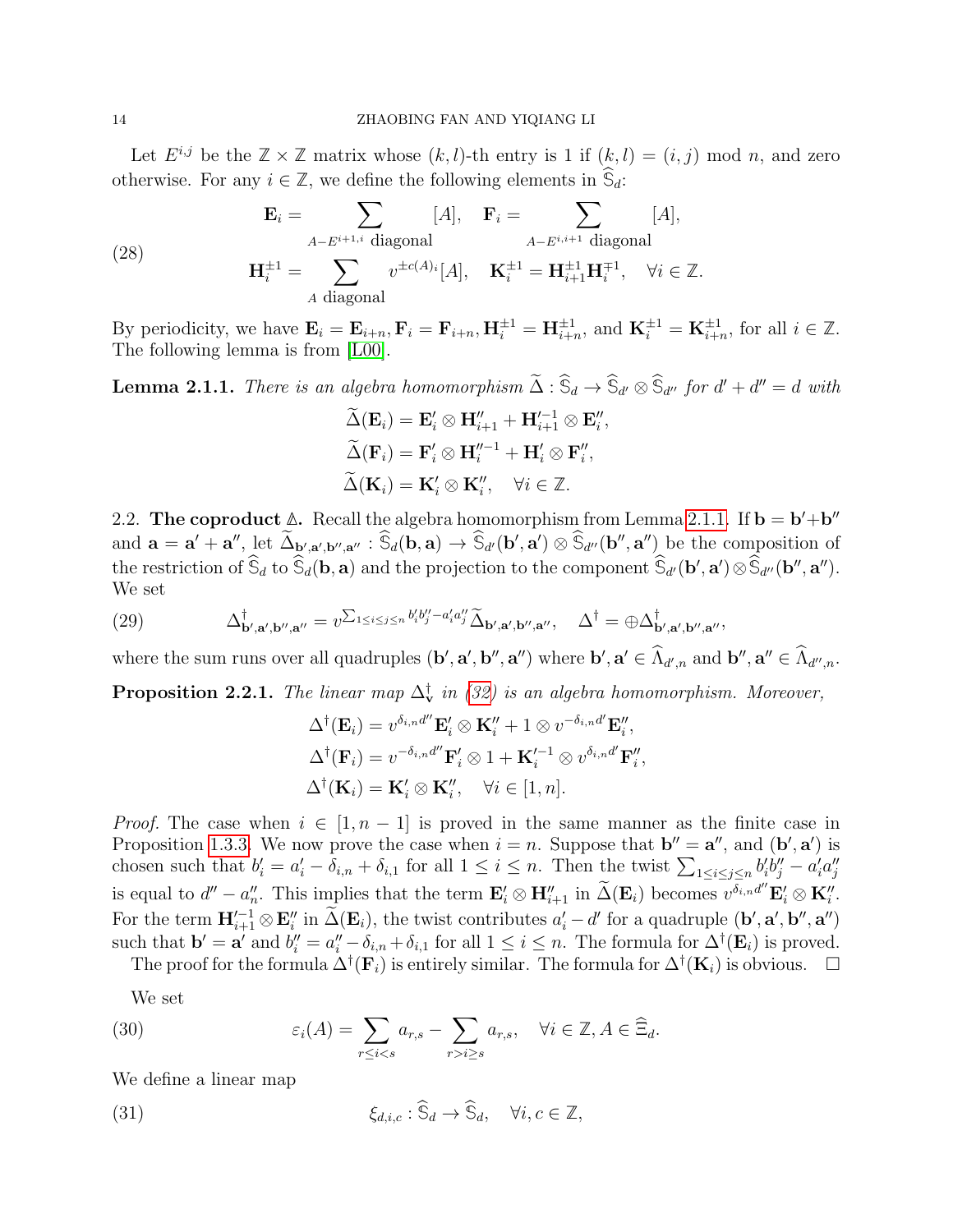Let  $E^{i,j}$  be the  $\mathbb{Z} \times \mathbb{Z}$  matrix whose  $(k, l)$ -th entry is 1 if  $(k, l) = (i, j) \mod n$ , and zero otherwise. For any  $i \in \mathbb{Z}$ , we define the following elements in  $\widehat{S}_d$ :

(28) 
$$
\mathbf{E}_{i} = \sum_{A-E^{i+1,i} \text{ diagonal}} [A], \quad \mathbf{F}_{i} = \sum_{A-E^{i,i+1} \text{ diagonal}} [A],
$$

$$
\mathbf{H}_{i}^{\pm 1} = \sum_{A \text{ diagonal}} v^{\pm c(A)_{i}}[A], \quad \mathbf{K}_{i}^{\pm 1} = \mathbf{H}_{i+1}^{\pm 1} \mathbf{H}_{i}^{\mp 1}, \quad \forall i \in \mathbb{Z}.
$$

By periodicity, we have  $\mathbf{E}_i = \mathbf{E}_{i+n}$ ,  $\mathbf{F}_i = \mathbf{F}_{i+n}$ ,  $\mathbf{H}_i^{\pm 1} = \mathbf{H}_{i+n}^{\pm 1}$ , and  $\mathbf{K}_i^{\pm 1} = \mathbf{K}_{i+n}^{\pm 1}$ , for all  $i \in \mathbb{Z}$ . The following lemma is from [\[L00\]](#page-44-4).

<span id="page-13-0"></span>**Lemma 2.1.1.** There is an algebra homomorphism  $\Delta : \mathbb{S}_d \to \mathbb{S}_{d'} \otimes \mathbb{S}_{d''}$  for  $d' + d'' = d$  with

,

$$
\widetilde{\Delta}(\mathbf{E}_i) = \mathbf{E}'_i \otimes \mathbf{H}''_{i+1} + \mathbf{H}'^{-1}_{i+1} \otimes \mathbf{E}''_i
$$

$$
\widetilde{\Delta}(\mathbf{F}_i) = \mathbf{F}'_i \otimes \mathbf{H}''^{-1}_i + \mathbf{H}'_i \otimes \mathbf{F}''_i,
$$

$$
\widetilde{\Delta}(\mathbf{K}_i) = \mathbf{K}'_i \otimes \mathbf{K}''_i, \quad \forall i \in \mathbb{Z}.
$$

2.2. The coproduct  $\Delta$ . Recall the algebra homomorphism from Lemma [2.1.1.](#page-13-0) If  $\mathbf{b} = \mathbf{b}' + \mathbf{b}''$ and  $\mathbf{a} = \mathbf{a}' + \mathbf{a}'', \text{ let } \Delta_{\mathbf{b}', \mathbf{a}', \mathbf{b}'', \mathbf{a}''} : \hat{\mathbb{S}}_d(\mathbf{b}, \mathbf{a}) \to \hat{\mathbb{S}}_{d'}(\mathbf{b}', \mathbf{a}') \otimes \hat{\mathbb{S}}_{d''}(\mathbf{b}'', \mathbf{a}'')$  be the composition of the restriction of  $\hat{S}_d$  to  $\hat{S}_d(\mathbf{b}, \mathbf{a})$  and the projection to the component  $\hat{S}_{d'}(\mathbf{b}', \mathbf{a}') \otimes \hat{S}_{d''}(\mathbf{b}'', \mathbf{a}'')$ . We set

(29) 
$$
\Delta^{\dagger}_{\mathbf{b}',\mathbf{a}',\mathbf{b}'',\mathbf{a}''} = v^{\sum_{1 \leq i \leq j \leq n} b'_i b''_j - a'_i a''_j} \widetilde{\Delta}_{\mathbf{b}',\mathbf{a}',\mathbf{b}'',\mathbf{a}'}, \quad \Delta^{\dagger} = \bigoplus \Delta^{\dagger}_{\mathbf{b}',\mathbf{a}',\mathbf{b}'',\mathbf{a}''},
$$

where the sum runs over all quadruples  $(\mathbf{b}', \mathbf{a}', \mathbf{b}'', \mathbf{a}'')$  where  $\mathbf{b}', \mathbf{a}' \in \widehat{\Lambda}_{d',n}$  and  $\mathbf{b}'', \mathbf{a}'' \in \widehat{\Lambda}_{d'',n}$ .

<span id="page-13-1"></span>**Proposition 2.2.1.** The linear map  $\Delta_{\mathbf{v}}^{\dagger}$  in [\(32\)](#page-14-0) is an algebra homomorphism. Moreover,

$$
\Delta^{\dagger}(\mathbf{E}_{i}) = v^{\delta_{i,n}d''}\mathbf{E}'_{i} \otimes \mathbf{K}''_{i} + 1 \otimes v^{-\delta_{i,n}d'}\mathbf{E}''_{i},
$$
  

$$
\Delta^{\dagger}(\mathbf{F}_{i}) = v^{-\delta_{i,n}d''}\mathbf{F}'_{i} \otimes 1 + \mathbf{K}'^{-1}_{i} \otimes v^{\delta_{i,n}d'}\mathbf{F}''_{i},
$$
  

$$
\Delta^{\dagger}(\mathbf{K}_{i}) = \mathbf{K}'_{i} \otimes \mathbf{K}''_{i}, \quad \forall i \in [1, n].
$$

*Proof.* The case when  $i \in [1, n-1]$  is proved in the same manner as the finite case in Proposition [1.3.3.](#page-4-2) We now prove the case when  $i = n$ . Suppose that  $\mathbf{b}'' = \mathbf{a}''$ , and  $(\mathbf{b}', \mathbf{a}')$  is chosen such that  $b'_i = a'_i - \delta_{i,n} + \delta_{i,1}$  for all  $1 \leq i \leq n$ . Then the twist  $\sum_{1 \leq i \leq j \leq n} b'_i b''_j - a'_i a''_j$ is equal to  $d'' - a''_n$ . This implies that the term  $\mathbf{E}'_i \otimes \mathbf{H}''_{i+1}$  in  $\widetilde{\Delta}(\mathbf{E}_i)$  becomes  $v^{\delta_{i,n}d''}\mathbf{E}'_i \otimes \mathbf{K}''_i$ . For the term  $\mathbf{H}_{i+1}^{\prime-1} \otimes \mathbf{E}_i^{\prime\prime}$  in  $\widetilde{\Delta}(\mathbf{E}_i)$ , the twist contributes  $a_i^{\prime} - d^{\prime}$  for a quadruple  $(\mathbf{b}', \mathbf{a}', \mathbf{b}'', \mathbf{a}'')$ such that  $\mathbf{b}' = \mathbf{a}'$  and  $b_i'' = a_i'' - \delta_{i,n} + \delta_{i,1}$  for all  $1 \le i \le n$ . The formula for  $\Delta^{\dagger}(\mathbf{E}_i)$  is proved.

The proof for the formula  $\Delta^{\dagger}(\mathbf{F}_i)$  is entirely similar. The formula for  $\Delta^{\dagger}(\mathbf{K}_i)$  is obvious.  $\Box$ 

We set

<span id="page-13-3"></span>(30) 
$$
\varepsilon_i(A) = \sum_{r \leq i < s} a_{r,s} - \sum_{r > i \geq s} a_{r,s}, \quad \forall i \in \mathbb{Z}, A \in \widehat{\Xi}_d.
$$

We define a linear map

<span id="page-13-2"></span>(31) 
$$
\xi_{d,i,c} : \widehat{\mathbb{S}}_d \to \widehat{\mathbb{S}}_d, \quad \forall i, c \in \mathbb{Z},
$$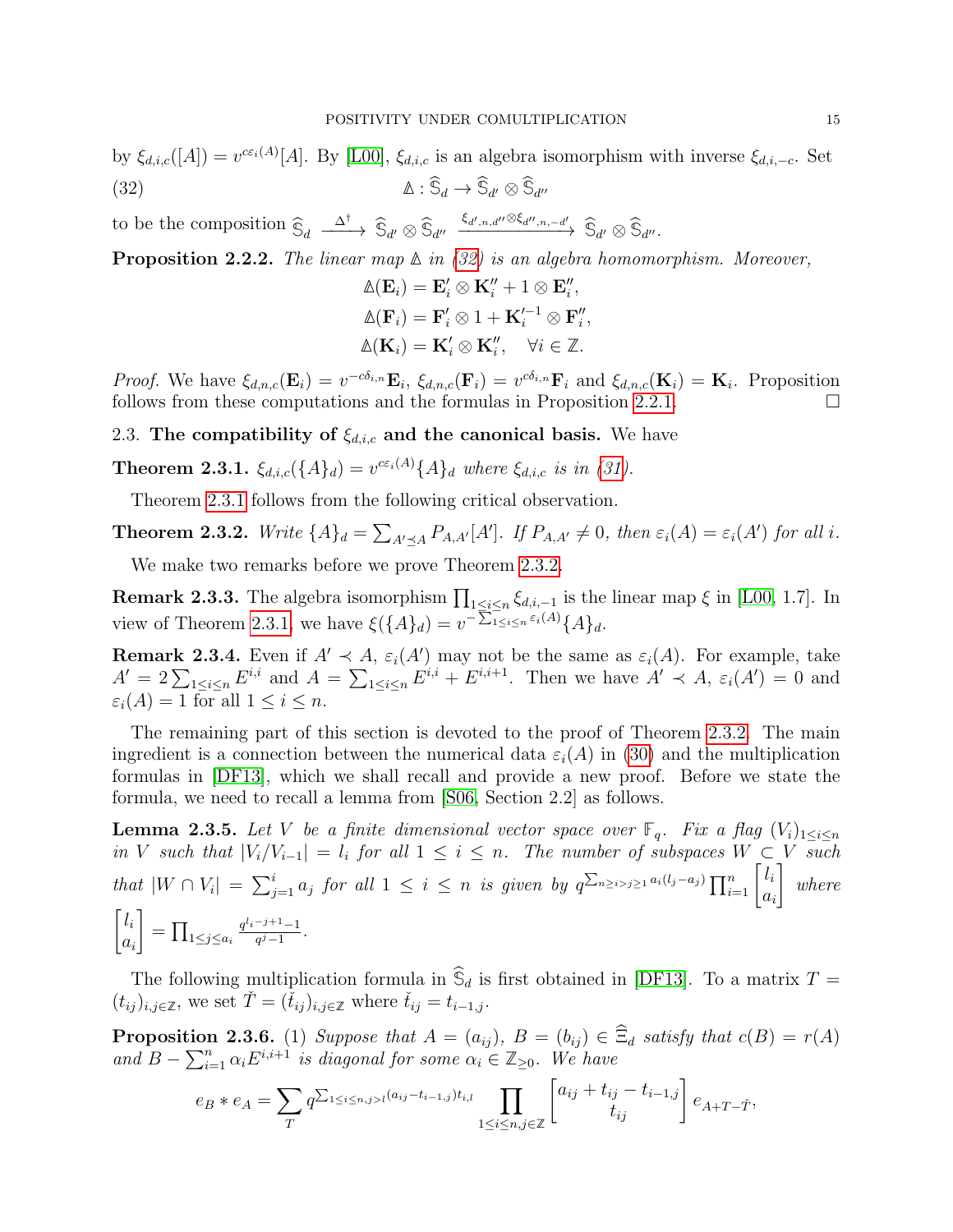<span id="page-14-0"></span>by  $\xi_{d,i,c}([A]) = v^{c\epsilon_i(A)}[A]$ . By [\[L00\]](#page-44-4),  $\xi_{d,i,c}$  is an algebra isomorphism with inverse  $\xi_{d,i,-c}$ . Set  $\Delta : \mathbb{S}_d \to \mathbb{S}_{d'} \otimes \mathbb{S}_{d''}$ 

to be the composition  $\widehat{S}_d \xrightarrow{\Delta^{\dagger}} \widehat{S}_{d'} \otimes \widehat{S}_{d''} \xrightarrow{\xi_{d',n,d''} \otimes \xi_{d'',n,-d'}} \widehat{S}_{d'} \otimes \widehat{S}_{d''}.$ 

Proposition 2.2.2. The linear map **∆** in [\(32\)](#page-14-0) is an algebra homomorphism. Moreover,

$$
\mathbb{A}(\mathbf{E}_i) = \mathbf{E}'_i \otimes \mathbf{K}''_i + 1 \otimes \mathbf{E}''_i,
$$
  

$$
\mathbb{A}(\mathbf{F}_i) = \mathbf{F}'_i \otimes 1 + \mathbf{K}'_i^{-1} \otimes \mathbf{F}''_i,
$$
  

$$
\mathbb{A}(\mathbf{K}_i) = \mathbf{K}'_i \otimes \mathbf{K}''_i, \quad \forall i \in \mathbb{Z}.
$$

*Proof.* We have  $\xi_{d,n,c}(\mathbf{E}_i) = v^{-c\delta_{i,n}} \mathbf{E}_i$ ,  $\xi_{d,n,c}(\mathbf{F}_i) = v^{c\delta_{i,n}} \mathbf{F}_i$  and  $\xi_{d,n,c}(\mathbf{K}_i) = \mathbf{K}_i$ . Proposition follows from these computations and the formulas in Proposition [2.2.1.](#page-13-1)  $\Box$ 

2.3. The compatibility of  $\xi_{d,i,c}$  and the canonical basis. We have

<span id="page-14-1"></span>**Theorem 2.3.1.**  $\xi_{d,i,c}(\{A\}_d) = v^{c\epsilon_i(A)}\{A\}_d$  where  $\xi_{d,i,c}$  is in [\(31\)](#page-13-2).

Theorem [2.3.1](#page-14-1) follows from the following critical observation.

<span id="page-14-2"></span>**Theorem 2.3.2.** Write 
$$
\{A\}_d = \sum_{A' \preceq A} P_{A,A'}[A']
$$
. If  $P_{A,A'} \neq 0$ , then  $\varepsilon_i(A) = \varepsilon_i(A')$  for all *i*.

We make two remarks before we prove Theorem [2.3.2.](#page-14-2)

<span id="page-14-5"></span>**Remark 2.3.3.** The algebra isomorphism  $\prod_{1 \leq i \leq n} \xi_{d,i,-1}$  is the linear map  $\xi$  in [\[L00,](#page-44-4) 1.7]. In view of Theorem [2.3.1,](#page-14-1) we have  $\xi({A}_d) = v^{-\sum_{1 \leq i \leq n} \varepsilon_i(A)} {A}_d$ .

**Remark 2.3.4.** Even if  $A' \prec A$ ,  $\varepsilon_i(A')$  may not be the same as  $\varepsilon_i(A)$ . For example, take  $A' = 2 \sum_{1 \leq i \leq n} E^{i,i}$  and  $A = \sum_{1 \leq i \leq n} E^{i,i} + E^{i,i+1}$ . Then we have  $A' \prec A$ ,  $\varepsilon_i(A') = 0$  and  $\varepsilon_i(A) = 1$  for all  $1 \leq i \leq n$ .

The remaining part of this section is devoted to the proof of Theorem [2.3.2.](#page-14-2) The main ingredient is a connection between the numerical data  $\varepsilon_i(A)$  in [\(30\)](#page-13-3) and the multiplication formulas in [\[DF13\]](#page-44-16), which we shall recall and provide a new proof. Before we state the formula, we need to recall a lemma from [\[S06,](#page-45-1) Section 2.2] as follows.

<span id="page-14-3"></span>**Lemma 2.3.5.** Let V be a finite dimensional vector space over **F**<sub>q</sub>. Fix a flag  $(V_i)_{1 \leq i \leq n}$ in V such that  $|V_i/V_{i-1}| = l_i$  for all  $1 \leq i \leq n$ . The number of subspaces  $W \subset V$  such that  $|W \cap V_i| = \sum_{j=1}^i a_j$  for all  $1 \leq i \leq n$  is given by  $q^{\sum_{n \geq i > j \geq 1} a_i(l_j - a_j)} \prod_{i=1}^n \begin{bmatrix} l_i \\ a_i \end{bmatrix}$  $a_i$ 1 where  $\lceil l_i$  $a_i$ 1  $= \prod_{1 \leq j \leq a_i}$  $q^{l_i-j+1}-1$  $\frac{-j+1}{q^j-1}$ .

The following multiplication formula in  $\widehat{\mathbb{S}}_d$  is first obtained in [\[DF13\]](#page-44-16). To a matrix  $T =$  $(t_{ij})_{i,j\in\mathbb{Z}}$ , we set  $\check{T}=(\check{t}_{ij})_{i,j\in\mathbb{Z}}$  where  $\check{t}_{ij}=t_{i-1,j}$ .

<span id="page-14-4"></span>**Proposition 2.3.6.** (1) Suppose that  $A = (a_{ij})$ ,  $B = (b_{ij}) \in \widehat{\Xi}_d$  satisfy that  $c(B) = r(A)$ and  $B - \sum_{i=1}^{n} \alpha_i E^{i,i+1}$  is diagonal for some  $\alpha_i \in \mathbb{Z}_{\geq 0}$ . We have

$$
e_B * e_A = \sum_T q^{\sum_{1 \le i \le n, j > l} (a_{ij} - t_{i-1,j}) t_{i,l}} \prod_{1 \le i \le n, j \in \mathbb{Z}} \begin{bmatrix} a_{ij} + t_{ij} - t_{i-1,j} \\ t_{ij} \end{bmatrix} e_{A+T-\check{T}},
$$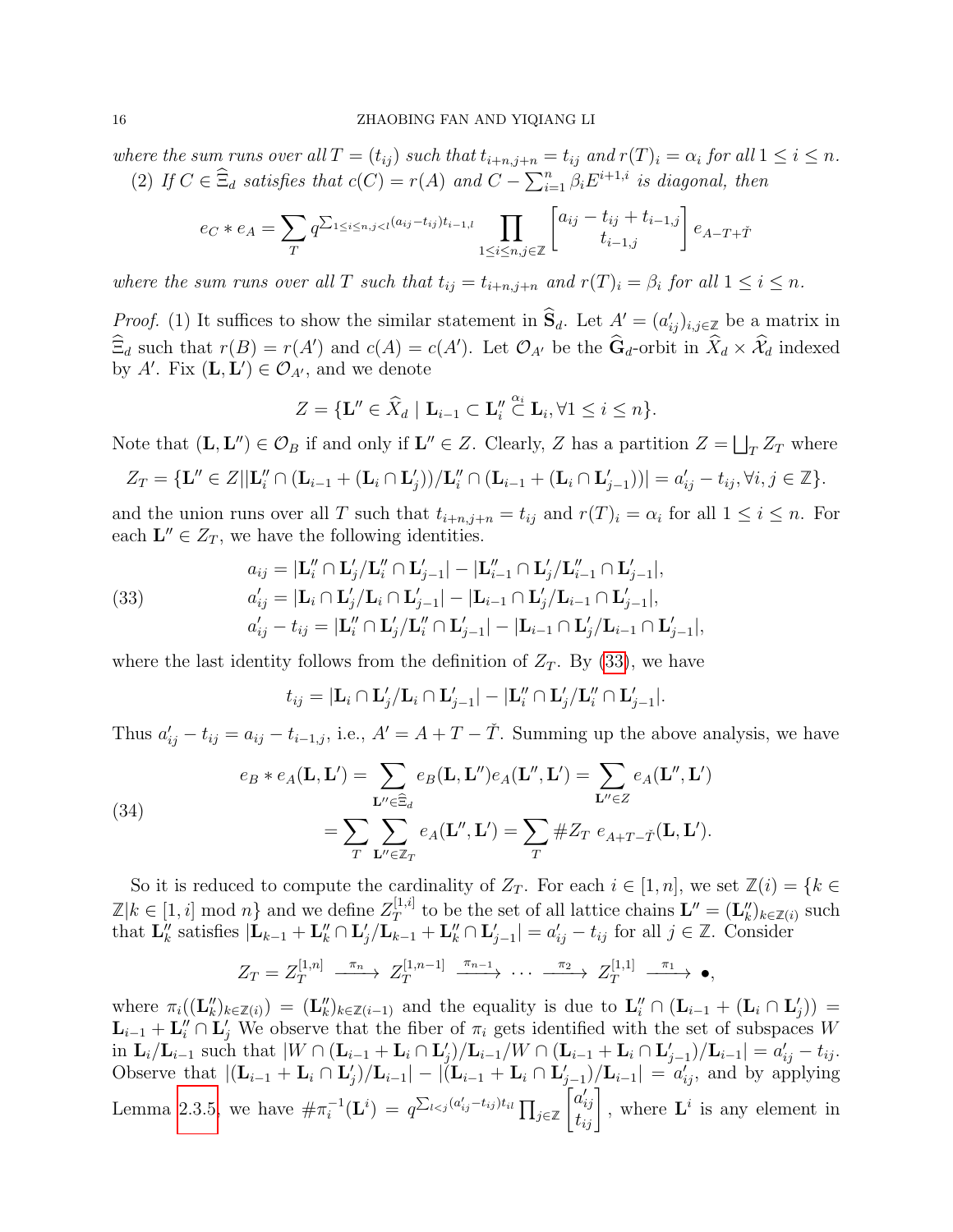where the sum runs over all  $T=(t_{ij})$  such that  $t_{i+n,j+n}=t_{ij}$  and  $r(T)_i=\alpha_i$  for all  $1\leq i\leq n$ . (2) If  $C \in \widehat{\Xi}_d$  satisfies that  $c(C) = r(A)$  and  $C - \sum_{i=1}^n \beta_i E^{i+1,i}$  is diagonal, then

$$
e_C * e_A = \sum_T q^{\sum_{1 \le i \le n, j < l} (a_{ij} - t_{ij}) t_{i-1,l}} \prod_{1 \le i \le n, j \in \mathbb{Z}} \left[ a_{ij} - t_{ij} + t_{i-1,j} \right] e_{A-T+\check{T}}
$$

where the sum runs over all T such that  $t_{ij} = t_{i+n,j+n}$  and  $r(T)_i = \beta_i$  for all  $1 \leq i \leq n$ .

*Proof.* (1) It suffices to show the similar statement in  $\hat{S}_d$ . Let  $A' = (a'_{ij})_{i,j \in \mathbb{Z}}$  be a matrix in  $\widehat{\Xi}_d$  such that  $r(B) = r(A')$  and  $c(A) = c(A')$ . Let  $\mathcal{O}_{A'}$  be the  $\widehat{\mathbf{G}}_d$ -orbit in  $\widehat{X}_d \times \widehat{\mathcal{X}}_d$  indexed by A'. Fix  $(L, L') \in \mathcal{O}_{A'}$ , and we denote

$$
Z = \{ \mathbf{L}'' \in \widehat{X}_d \mid \mathbf{L}_{i-1} \subset \mathbf{L}_i'' \stackrel{\alpha_i}{\subset} \mathbf{L}_i, \forall 1 \leq i \leq n \}.
$$

Note that  $(L, L'') \in \mathcal{O}_B$  if and only if  $L'' \in Z$ . Clearly, Z has a partition  $Z = \bigsqcup_T Z_T$  where

$$
Z_T = \{ \mathbf{L}'' \in Z | |\mathbf{L}_i'' \cap (\mathbf{L}_{i-1} + (\mathbf{L}_i \cap \mathbf{L}_j')) / \mathbf{L}_i'' \cap (\mathbf{L}_{i-1} + (\mathbf{L}_i \cap \mathbf{L}_{j-1}'))| = a_{ij}' - t_{ij}, \forall i, j \in \mathbb{Z} \}.
$$

and the union runs over all T such that  $t_{i+n,j+n} = t_{ij}$  and  $r(T)_i = \alpha_i$  for all  $1 \le i \le n$ . For each  $\mathbf{L}'' \in Z_T$ , we have the following identities.

<span id="page-15-0"></span>(33) 
$$
a_{ij} = |\mathbf{L}_{i}^{"} \cap \mathbf{L}_{j}^{'}/\mathbf{L}_{i}^{"} \cap \mathbf{L}_{j-1}^{'}| - |\mathbf{L}_{i-1}^{"} \cap \mathbf{L}_{j}^{'}/\mathbf{L}_{i-1}^{"} \cap \mathbf{L}_{j-1}^{'}|, a_{ij}^{\prime} = |\mathbf{L}_{i} \cap \mathbf{L}_{j}^{'}/\mathbf{L}_{i} \cap \mathbf{L}_{j-1}^{'}| - |\mathbf{L}_{i-1} \cap \mathbf{L}_{j}^{'}/\mathbf{L}_{i-1} \cap \mathbf{L}_{j-1}^{'}|, a_{ij}^{\prime} - t_{ij} = |\mathbf{L}_{i}^{"} \cap \mathbf{L}_{j}^{'}/\mathbf{L}_{i}^{"} \cap \mathbf{L}_{j-1}^{'}| - |\mathbf{L}_{i-1} \cap \mathbf{L}_{j}^{'}/\mathbf{L}_{i-1} \cap \mathbf{L}_{j-1}^{'}|,
$$

where the last identity follows from the definition of  $Z_T$ . By [\(33\)](#page-15-0), we have

$$
t_{ij} = |\mathbf{L}_i \cap \mathbf{L}_j'/\mathbf{L}_i \cap \mathbf{L}_{j-1}'| - |\mathbf{L}_i'' \cap \mathbf{L}_j'/\mathbf{L}_i'' \cap \mathbf{L}_{j-1}'|.
$$

Thus  $a'_{ij} - t_{ij} = a_{ij} - t_{i-1,j}$ , i.e.,  $A' = A + T - \check{T}$ . Summing up the above analysis, we have

<span id="page-15-1"></span>(34)  

$$
e_B * e_A(\mathbf{L}, \mathbf{L}') = \sum_{\mathbf{L}'' \in \widehat{\Xi}_d} e_B(\mathbf{L}, \mathbf{L}'') e_A(\mathbf{L}'', \mathbf{L}') = \sum_{\mathbf{L}'' \in Z} e_A(\mathbf{L}'', \mathbf{L}')
$$

$$
= \sum_{T} \sum_{\mathbf{L}'' \in \mathbb{Z}_T} e_A(\mathbf{L}'', \mathbf{L}') = \sum_{T} \# Z_T \ e_{A+T-\tilde{T}}(\mathbf{L}, \mathbf{L}').
$$

So it is reduced to compute the cardinality of  $Z_T$ . For each  $i \in [1, n]$ , we set  $\mathbb{Z}(i) = \{k \in$  $\mathbb{Z}|k \in [1, i] \mod n$  and we define  $Z_T^{[1, i]}$ <sup>[1,*i*]</sup> to be the set of all lattice chains  $\mathbf{L}'' = (\mathbf{L}''_k)_{k \in \mathbb{Z}(i)}$  such that  $\mathbf{L}_{k}''$  satisfies  $|\mathbf{L}_{k-1} + \mathbf{L}_{k}'' \cap \mathbf{L}_{j}' / \mathbf{L}_{k-1} + \mathbf{L}_{k}'' \cap \mathbf{L}_{j-1}'| = a_{ij}' - t_{ij}$  for all  $j \in \mathbb{Z}$ . Consider

$$
Z_T = Z_T^{[1,n]} \xrightarrow{\pi_n} Z_T^{[1,n-1]} \xrightarrow{\pi_{n-1}} \cdots \xrightarrow{\pi_2} Z_T^{[1,1]} \xrightarrow{\pi_1} \bullet,
$$

where  $\pi_i((\mathbf{L}_k'')_{k\in\mathbb{Z}(i)}) = (\mathbf{L}_k'')_{k\in\mathbb{Z}(i-1)}$  and the equality is due to  $\mathbf{L}_i'' \cap (\mathbf{L}_{i-1} + (\mathbf{L}_i \cap \mathbf{L}_j')) =$  $\mathbf{L}_{i-1} + \mathbf{L}'_i \cap \mathbf{L}'_j$  We observe that the fiber of  $\pi_i$  gets identified with the set of subspaces W in  $\mathbf{L}_i/\mathbf{L}_{i-1}$  such that  $|W \cap (\mathbf{L}_{i-1} + \mathbf{L}_i \cap \mathbf{L}'_j)/\mathbf{L}_{i-1}/W \cap (\mathbf{L}_{i-1} + \mathbf{L}_i \cap \mathbf{L}'_{j-1})/\mathbf{L}_{i-1}| = a'_{ij} - t_{ij}$ . Observe that  $|(\mathbf{L}_{i-1} + \mathbf{L}_i \cap \mathbf{L}'_j)/\mathbf{L}_{i-1}| - |(\mathbf{L}_{i-1} + \mathbf{L}_i \cap \mathbf{L}'_{j-1})/\mathbf{L}_{i-1}| = a'_{ij}$ , and by applying Lemma [2.3.5,](#page-14-3) we have  $\#\pi_i^{-1}$  $\bar{q}_i^{-1}(\mathbf{L}^i) = q^{\sum_{l < j} (a'_{ij} - t_{ij}) t_{il}} \prod_{j \in \mathbb{Z}_i}$  $\begin{bmatrix} a'_{ij} \\ t_{ij} \end{bmatrix}$ , where  $\mathbf{L}^i$  is any element in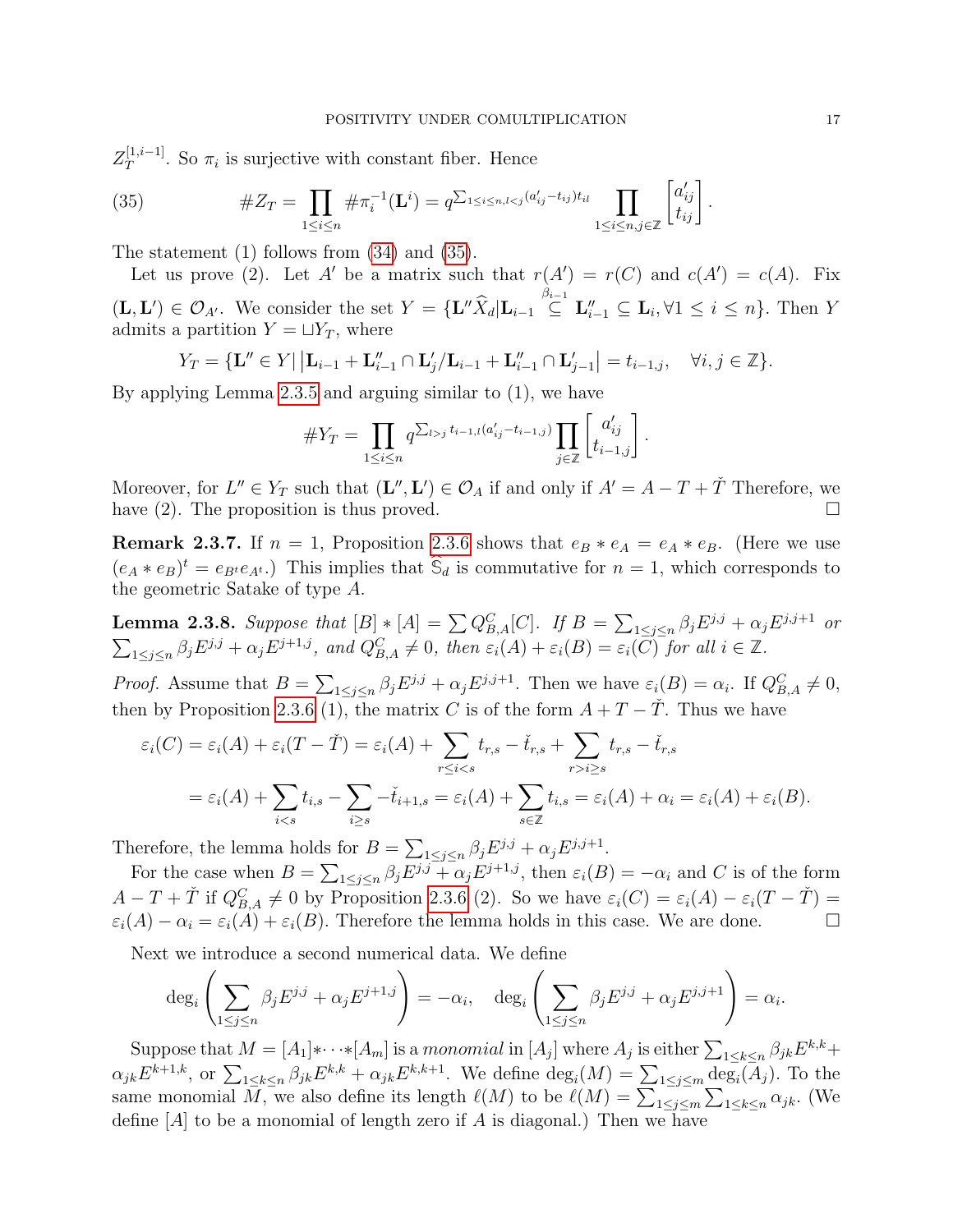$Z_T^{[1,i-1]}$  $T^{[1,i-1]}$ . So  $\pi_i$  is surjective with constant fiber. Hence

<span id="page-16-0"></span>(35) 
$$
\#Z_T = \prod_{1 \leq i \leq n} \# \pi_i^{-1}(\mathbf{L}^i) = q^{\sum_{1 \leq i \leq n, l < j} (a'_{ij} - t_{ij}) t_{il}} \prod_{1 \leq i \leq n, j \in \mathbb{Z}} \begin{bmatrix} a'_{ij} \\ t_{ij} \end{bmatrix}.
$$

The statement (1) follows from [\(34\)](#page-15-1) and [\(35\)](#page-16-0).

Let us prove (2). Let A' be a matrix such that  $r(A') = r(C)$  and  $c(A') = c(A)$ . Fix  $(\mathbf{L}, \mathbf{L}') \in \mathcal{O}_{A'}$ . We consider the set  $Y = {\mathbf{L}'' \widehat{X}_d \vert \mathbf{L}_{i-1} \subseteq L''_i \subseteq \mathbf{L}_i, \forall 1 \leq i \leq n}.$  Then Y admits a partition  $Y = \sqcup Y_T$ , where

$$
Y_T = \{ \mathbf{L}'' \in Y \mid \left| \mathbf{L}_{i-1} + \mathbf{L}_{i-1}'' \cap \mathbf{L}_j' / \mathbf{L}_{i-1} + \mathbf{L}_{i-1}'' \cap \mathbf{L}_{j-1}' \right| = t_{i-1,j}, \quad \forall i, j \in \mathbb{Z} \}.
$$

By applying Lemma [2.3.5](#page-14-3) and arguing similar to (1), we have

#Y<sup>T</sup> = Y 1≤i≤n q P l>j ti−1,l(a 0 ij−ti−1,j )Y j∈**Z** a 0 ij <sup>t</sup>i−1,j .

Moreover, for  $L'' \in Y_T$  such that  $(\mathbf{L}'', \mathbf{L}') \in \mathcal{O}_A$  if and only if  $A' = A - T + \check{T}$  Therefore, we have (2). The proposition is thus proved.  $\square$ 

**Remark 2.3.7.** If  $n = 1$ , Proposition [2.3.6](#page-14-4) shows that  $e_B * e_A = e_A * e_B$ . (Here we use  $(e_A * e_B)^t = e_{B^t} e_{A^t}$ .) This implies that  $\hat{S}_d$  is commutative for  $n = 1$ , which corresponds to the geometric Satake of type A.

<span id="page-16-1"></span>**Lemma 2.3.8.** Suppose that  $[B] * [A] = \sum Q_{B,A}^C[C]$ . If  $B = \sum_{1 \leq j \leq n} \beta_j E^{j,j} + \alpha_j E^{j,j+1}$  or  $\sum_{1 \leq j \leq n} \beta_j E^{j,j} + \alpha_j E^{j+1,j}$ , and  $Q_{B,A}^C \neq 0$ , then  $\varepsilon_i(A) + \varepsilon_i(B) = \varepsilon_i(C)$  for all  $i \in \mathbb{Z}$ .

*Proof.* Assume that  $B = \sum_{1 \leq j \leq n} \beta_j E^{j,j} + \alpha_j E^{j,j+1}$ . Then we have  $\varepsilon_i(B) = \alpha_i$ . If  $Q_{B,A}^C \neq 0$ , then by Proposition [2.3.6](#page-14-4) (1), the matrix C is of the form  $A + T - \dot{T}$ . Thus we have

$$
\varepsilon_i(C) = \varepsilon_i(A) + \varepsilon_i(T - \check{T}) = \varepsilon_i(A) + \sum_{r \leq i < s} t_{r,s} - \check{t}_{r,s} + \sum_{r > i \geq s} t_{r,s} - \check{t}_{r,s}
$$
\n
$$
= \varepsilon_i(A) + \sum_{i < s} t_{i,s} - \sum_{i \geq s} -\check{t}_{i+1,s} = \varepsilon_i(A) + \sum_{s \in \mathbb{Z}} t_{i,s} = \varepsilon_i(A) + \alpha_i = \varepsilon_i(A) + \varepsilon_i(B).
$$

Therefore, the lemma holds for  $B = \sum_{1 \leq j \leq n} \beta_j E^{j,j} + \alpha_j E^{j,j+1}$ .

For the case when  $B = \sum_{1 \leq j \leq n} \beta_j E^{j,j} + \alpha_j E^{j+1,j}$ , then  $\varepsilon_i(B) = -\alpha_i$  and C is of the form  $A-T+\check{T}$  if  $Q_{B,A}^C\neq 0$  by Proposition [2.3.6](#page-14-4) (2). So we have  $\varepsilon_i(C)=\varepsilon_i(A)-\varepsilon_i(T-\check{T})=$  $\varepsilon_i(A) - \alpha_i = \varepsilon_i(A) + \varepsilon_i(B)$ . Therefore the lemma holds in this case. We are done.

Next we introduce a second numerical data. We define

$$
\deg_i\left(\sum_{1\leq j\leq n}\beta_jE^{j,j}+\alpha_jE^{j+1,j}\right)=-\alpha_i,\quad \deg_i\left(\sum_{1\leq j\leq n}\beta_jE^{j,j}+\alpha_jE^{j,j+1}\right)=\alpha_i.
$$

Suppose that  $M = [A_1]*\cdots * [A_m]$  is a monomial in  $[A_j]$  where  $A_j$  is either  $\sum_{1 \leq k \leq n} \beta_{jk} E^{k,k} +$  $\alpha_{jk} E^{k+1,k}$ , or  $\sum_{1 \leq k \leq n} \beta_{jk} E^{k,k} + \alpha_{jk} E^{k,k+1}$ . We define  $\deg_i(M) = \sum_{1 \leq j \leq m} \deg_i(A_j)$ . To the same monomial M, we also define its length  $\ell(M)$  to be  $\ell(M) = \sum_{1 \leq j \leq m} \sum_{1 \leq k \leq n} \alpha_{jk}$ . (We define  $[A]$  to be a monomial of length zero if A is diagonal.) Then we have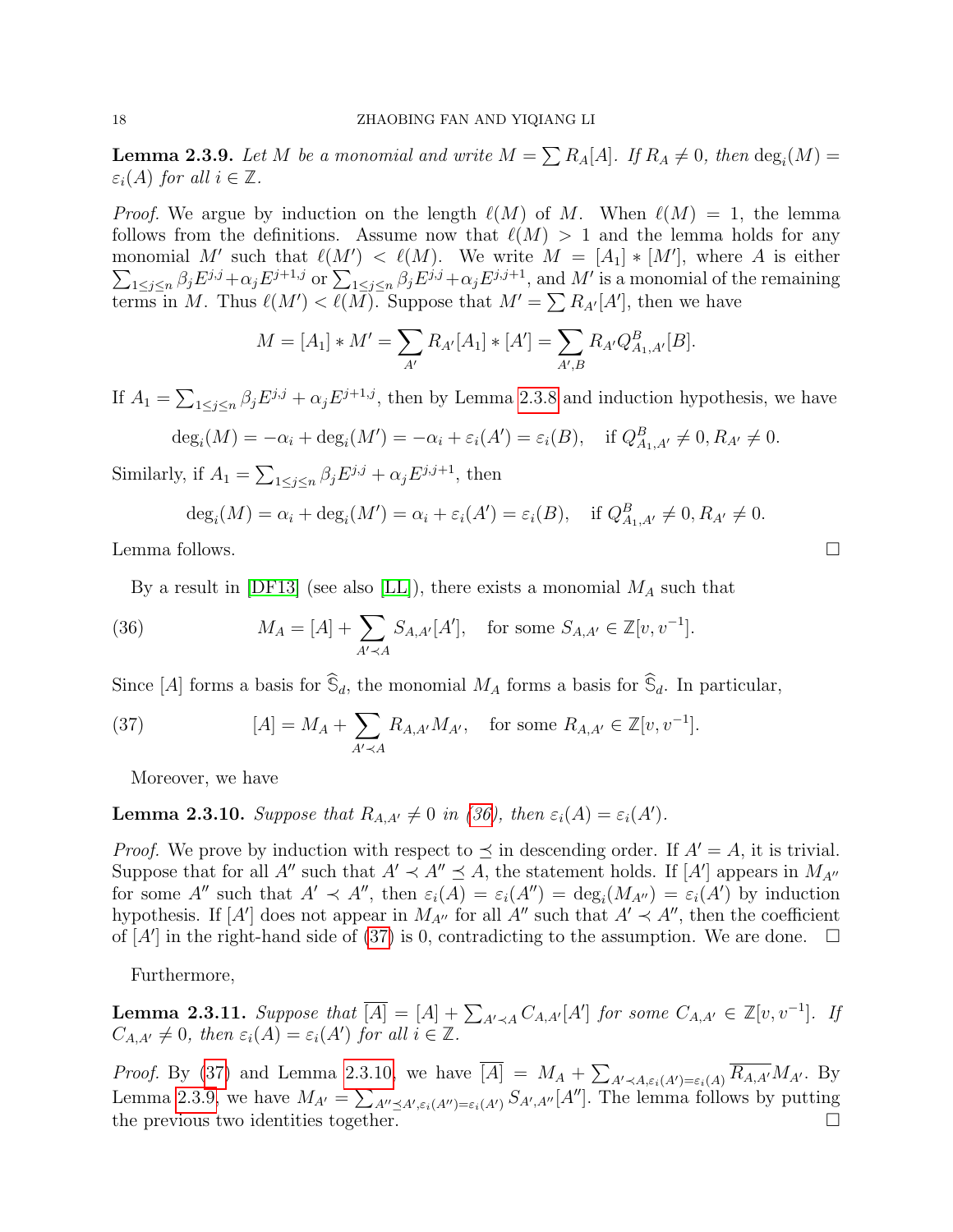<span id="page-17-3"></span>**Lemma 2.3.9.** Let M be a monomial and write  $M = \sum R_A[A]$ . If  $R_A \neq 0$ , then  $\deg_i(M) =$  $\varepsilon_i(A)$  for all  $i \in \mathbb{Z}$ .

*Proof.* We argue by induction on the length  $\ell(M)$  of M. When  $\ell(M) = 1$ , the lemma follows from the definitions. Assume now that  $\ell(M) > 1$  and the lemma holds for any monomial M' such that  $\ell(M') < \ell(M)$ . We write  $M = [A_1] * [M']$ , where A is either  $\sum_{1 \leq j \leq n} \beta_j E^{j,j} + \alpha_j E^{j+1,j}$  or  $\sum_{1 \leq j \leq n} \beta_j E^{j,j} + \alpha_j E^{j,j+1}$ , and M' is a monomial of the remaining terms in M. Thus  $\ell(M') < \ell(M)$ . Suppose that  $M' = \sum R_{A'}[A']$ , then we have

$$
M = [A_1] * M' = \sum_{A'} R_{A'}[A_1] * [A'] = \sum_{A',B} R_{A'}Q_{A_1,A'}^B[B].
$$

If  $A_1 = \sum_{1 \leq j \leq n} \beta_j E^{j,j} + \alpha_j E^{j+1,j}$ , then by Lemma [2.3.8](#page-16-1) and induction hypothesis, we have

$$
\deg_i(M) = -\alpha_i + \deg_i(M') = -\alpha_i + \varepsilon_i(A') = \varepsilon_i(B), \quad \text{if } Q_{A_1, A'}^B \neq 0, R_{A'} \neq 0.
$$

Similarly, if  $A_1 = \sum_{1 \leq j \leq n} \beta_j E^{j,j} + \alpha_j E^{j,j+1}$ , then

$$
\deg_i(M) = \alpha_i + \deg_i(M') = \alpha_i + \varepsilon_i(A') = \varepsilon_i(B), \quad \text{if } Q_{A_1, A'}^B \neq 0, R_{A'} \neq 0.
$$

Lemma follows.  $\Box$ 

By a result in [\[DF13\]](#page-44-16) (see also [\[LL\]](#page-44-21)), there exists a monomial  $M_A$  such that

<span id="page-17-0"></span>(36) 
$$
M_A = [A] + \sum_{A' \prec A} S_{A,A'}[A'], \text{ for some } S_{A,A'} \in \mathbb{Z}[v, v^{-1}].
$$

Since [A] forms a basis for  $\widehat{S}_d$ , the monomial  $M_A$  forms a basis for  $\widehat{S}_d$ . In particular,

<span id="page-17-1"></span>(37) 
$$
[A] = M_A + \sum_{A' \prec A} R_{A, A'} M_{A'}, \text{ for some } R_{A, A'} \in \mathbb{Z}[v, v^{-1}].
$$

Moreover, we have

<span id="page-17-2"></span>**Lemma 2.3.10.** Suppose that  $R_{A,A'} \neq 0$  in [\(36\)](#page-17-0), then  $\varepsilon_i(A) = \varepsilon_i(A')$ .

*Proof.* We prove by induction with respect to  $\preceq$  in descending order. If  $A' = A$ , it is trivial. Suppose that for all A'' such that  $A' \prec A'' \preceq A$ , the statement holds. If [A'] appears in  $M_{A''}$ for some A'' such that  $A' \prec A''$ , then  $\varepsilon_i(A) = \varepsilon_i(A'') = \deg_i(M_{A''}) = \varepsilon_i(A')$  by induction hypothesis. If  $[A']$  does not appear in  $M_{A''}$  for all  $A''$  such that  $A' \prec A''$ , then the coefficient of  $[A']$  in the right-hand side of [\(37\)](#page-17-1) is 0, contradicting to the assumption. We are done.  $\square$ 

Furthermore,

<span id="page-17-4"></span>**Lemma 2.3.11.** Suppose that  $\overline{[A]} = [A] + \sum_{A' \prec A} C_{A,A'}[A']$  for some  $C_{A,A'} \in \mathbb{Z}[v, v^{-1}]$ . If  $C_{A,A'} \neq 0$ , then  $\varepsilon_i(A) = \varepsilon_i(A')$  for all  $i \in \mathbb{Z}$ .

*Proof.* By [\(37\)](#page-17-1) and Lemma [2.3.10,](#page-17-2) we have  $[A] = M_A + \sum_{A' \prec A, \varepsilon_i(A') = \varepsilon_i(A)} \overline{R_{A,A'}} M_{A'}$ . By Lemma [2.3.9,](#page-17-3) we have  $M_{A'} = \sum_{A'' \preceq A', \varepsilon_i(A'') = \varepsilon_i(A')} S_{A',A''}[A'']$ . The lemma follows by putting the previous two identities together.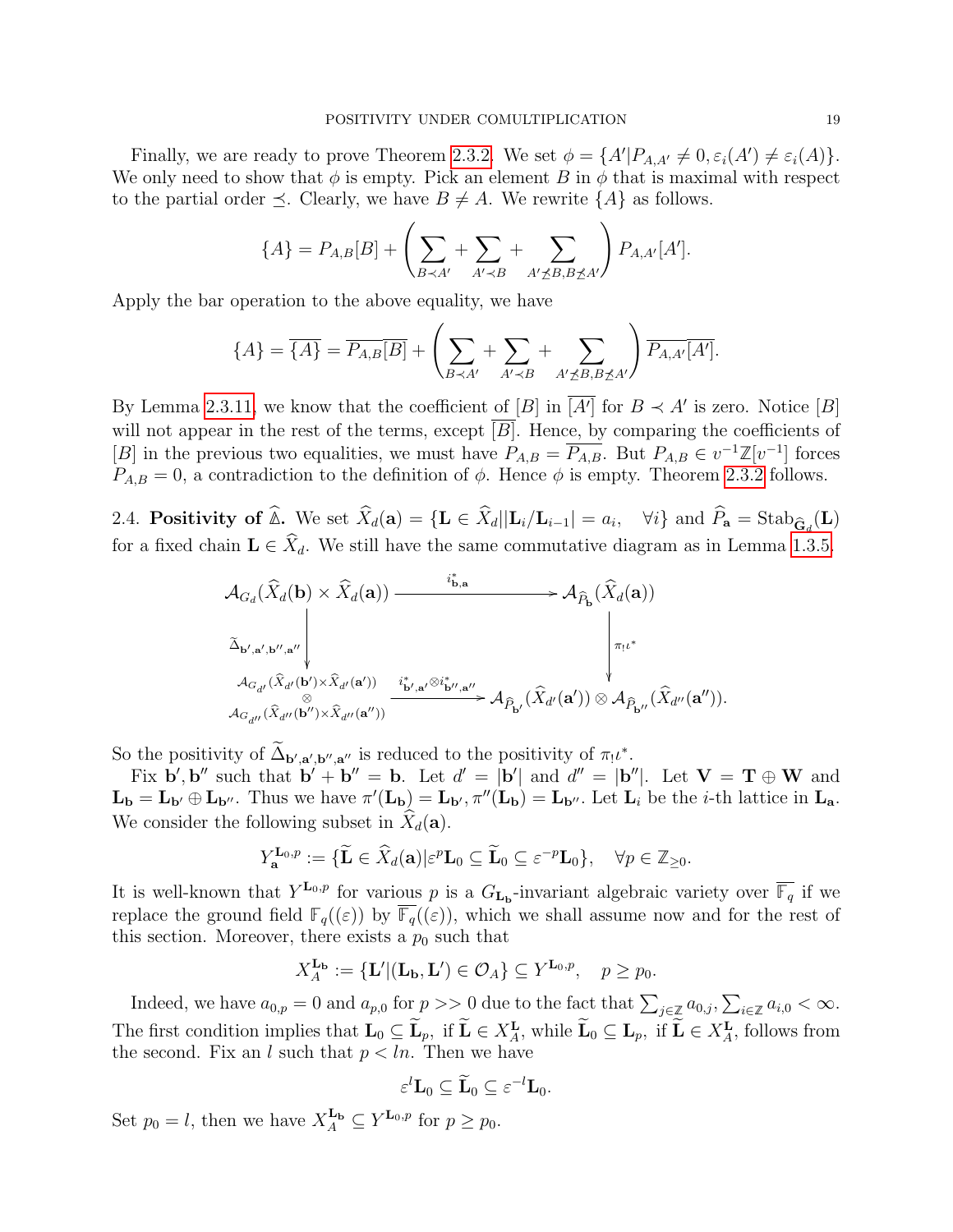Finally, we are ready to prove Theorem [2.3.2.](#page-14-2) We set  $\phi = \{A' | P_{A,A'} \neq 0, \varepsilon_i(A') \neq \varepsilon_i(A)\}.$ We only need to show that  $\phi$  is empty. Pick an element B in  $\phi$  that is maximal with respect to the partial order  $\preceq$ . Clearly, we have  $B \neq A$ . We rewrite  $\{A\}$  as follows.

$$
\{A\} = P_{A,B}[B] + \left(\sum_{B \prec A'} + \sum_{A' \prec B} + \sum_{A' \not\preceq B, B \not\preceq A'}\right) P_{A,A'}[A'].
$$

Apply the bar operation to the above equality, we have

$$
\{A\} = \overline{\{A\}} = \overline{P_{A,B}[B]} + \left(\sum_{B \prec A'} \sum_{A' \prec B} \sum_{A' \not\preceq B, B \not\preceq A'} \right) \overline{P_{A,A'}[A']}.
$$

By Lemma [2.3.11,](#page-17-4) we know that the coefficient of  $[B]$  in  $\overline{[A']}$  for  $B \prec A'$  is zero. Notice  $[B]$ will not appear in the rest of the terms, except  $\overline{B}$ . Hence, by comparing the coefficients of [B] in the previous two equalities, we must have  $P_{A,B} = \overline{P_{A,B}}$ . But  $P_{A,B} \in v^{-1}\mathbb{Z}[v^{-1}]$  forces  $P_{A,B} = 0$ , a contradiction to the definition of  $\phi$ . Hence  $\phi$  is empty. Theorem [2.3.2](#page-14-2) follows.

2.4. **Positivity of**  $\mathbb{\Delta}$ . We set  $X_d(\mathbf{a}) = {\mathbf{L} \in X_d | |\mathbf{L}_i/\mathbf{L}_{i-1}| = a_i, \quad \forall i \}$  and  $P_{\mathbf{a}} = \text{Stab}_{\hat{\mathbf{G}}_d}(\mathbf{L})$ for a fixed chain  $\mathbf{L} \in \hat{X}_d$ . We still have the same commutative diagram as in Lemma [1.3.5.](#page-6-2)

$$
\begin{array}{ccc} {\mathcal A}_{G_d}(\widehat{X}_d(\textbf{b})\times\widehat{X}_d(\textbf{a})) & \stackrel{i^*_{\textbf{b},\textbf{a}}}{\longrightarrow} {\mathcal A}_{\widehat{P}_{\textbf{b}}}(\widehat{X}_d(\textbf{a})) \\ \stackrel{\sim}{\sim}_{\textbf{b}',\textbf{a}',\textbf{b}'',\textbf{a}''} & & & \\ {\mathcal A}_{G_{d'}}(\widehat{X}_{d'}(\textbf{b}')\times\widehat{X}_{d'}(\textbf{a}'))} & \stackrel{i^*_{\textbf{b}',\textbf{a}'}\otimes i^*_{\textbf{b}'',\textbf{a}''}}{\longrightarrow} {\mathcal A}_{\widehat{P}_{\textbf{b}'}}(\widehat{X}_{d'}(\textbf{a}'))\otimes{\mathcal A}_{\widehat{P}_{\textbf{b}''}}(\widehat{X}_{d''}(\textbf{a}'')). \end{array}
$$

So the positivity of  $\tilde{\Delta}_{\mathbf{b}',\mathbf{a}',\mathbf{b}'',\mathbf{a}''}$  is reduced to the positivity of  $\pi_!\iota^*$ .

Fix  $\mathbf{b}', \mathbf{b}''$  such that  $\mathbf{b}' + \mathbf{b}'' = \mathbf{b}$ . Let  $d' = |\mathbf{b}'|$  and  $d'' = |\mathbf{b}''|$ . Let  $\mathbf{V} = \mathbf{T} \oplus \mathbf{W}$  and  $\mathbf{L}_{\mathbf{b}} = \mathbf{L}_{\mathbf{b}'} \oplus \mathbf{L}_{\mathbf{b}''}$ . Thus we have  $\pi'(\mathbf{L}_{\mathbf{b}}) = \mathbf{L}_{\mathbf{b}'}, \pi''(\mathbf{L}_{\mathbf{b}}) = \mathbf{L}_{\mathbf{b}''}$ . Let  $\mathbf{L}_i$  be the *i*-th lattice in  $\mathbf{L}_{\mathbf{a}}$ . We consider the following subset in  $\ddot{X}_d(\mathbf{a})$ .

$$
Y_{\mathbf{a}}^{\mathbf{L}_0,p} := \{ \widetilde{\mathbf{L}} \in \widehat{X}_d(\mathbf{a}) \big| \varepsilon^p \mathbf{L}_0 \subseteq \widetilde{\mathbf{L}}_0 \subseteq \varepsilon^{-p} \mathbf{L}_0 \}, \quad \forall p \in \mathbb{Z}_{\geq 0}.
$$

It is well-known that  $Y^{\mathbf{L}_0,p}$  for various p is a  $G_{\mathbf{L}_b}$ -invariant algebraic variety over  $\overline{\mathbb{F}_q}$  if we replace the ground field  $\mathbb{F}_q((\varepsilon))$  by  $\overline{\mathbb{F}_q}((\varepsilon))$ , which we shall assume now and for the rest of this section. Moreover, there exists a  $p_0$  such that

$$
X_A^{\mathbf{L}_{\mathbf{b}}} := {\mathbf{L}' | (\mathbf{L}_{\mathbf{b}}, \mathbf{L}') \in \mathcal{O}_A} \subseteq Y^{\mathbf{L}_0, p}, \quad p \ge p_0.
$$

Indeed, we have  $a_{0,p} = 0$  and  $a_{p,0}$  for  $p \gg 0$  due to the fact that  $\sum_{j \in \mathbb{Z}} a_{0,j}, \sum_{i \in \mathbb{Z}} a_{i,0} < \infty$ . The first condition implies that  $\mathbf{L}_0 \subseteq \mathbf{L}_p$ , if  $\mathbf{L} \in X_{\mathbf{L}}^{\mathbf{L}}$ , while  $\mathbf{L}_0 \subseteq \mathbf{L}_p$ , if  $\mathbf{L} \in X_{\mathbf{A}}^{\mathbf{L}}$ , follows from the second. Fix an l such that  $p < ln$ . Then we have

$$
\varepsilon^l \mathbf{L}_0 \subseteq \widetilde{\mathbf{L}}_0 \subseteq \varepsilon^{-l} \mathbf{L}_0.
$$

Set  $p_0 = l$ , then we have  $X_A^{\mathbf{L}_{\mathbf{b}}} \subseteq Y^{\mathbf{L}_{0}, p}$  for  $p \geq p_0$ .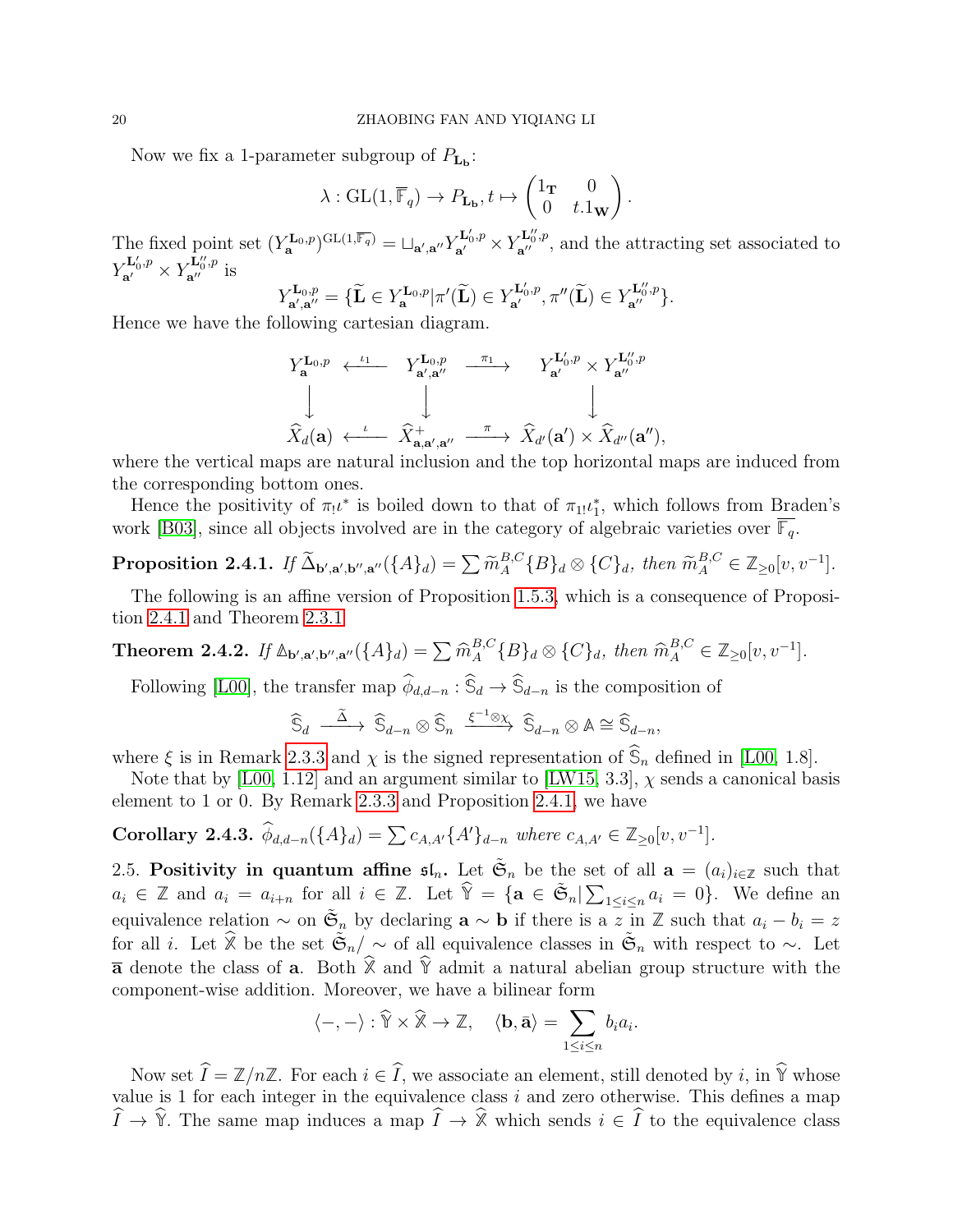Now we fix a 1-parameter subgroup of  $P_{L<sub>b</sub>}$ :

$$
\lambda: GL(1, \overline{\mathbb{F}}_q) \to P_{\mathbf{L}_{\mathbf{b}}}, t \mapsto \begin{pmatrix} 1_{\mathbf{T}} & 0 \\ 0 & t.1_{\mathbf{W}} \end{pmatrix}.
$$

The fixed point set  $(Y_{\mathbf{a}}^{\mathbf{L}_0,p})^{\mathrm{GL}(1,\overline{\mathbb{F}_q})} = \sqcup_{\mathbf{a}',\mathbf{a}''} Y_{\mathbf{a}'}^{\mathbf{L}_0',p} \times Y_{\mathbf{a}''}^{\mathbf{L}_0'',p}$ , and the attracting set associated to  $Y_{\mathbf{a}'}^{\mathbf{L}'_0,p} \times Y_{\mathbf{a}''}^{\mathbf{L}''_0,p}$  is<br> $Y_{\mathbf{a}'}^{\mathbf{L}_0,p}$  is<br> $Y_{\mathbf{a}'}^{\mathbf{L}_0,p}$  is

$$
Y_{\mathbf{a}',\mathbf{a}''}^{\mathbf{L}_0,p} = \{\widetilde{\mathbf{L}} \in Y_{\mathbf{a}}^{\mathbf{L}_0,p} | \pi'(\widetilde{\mathbf{L}}) \in Y_{\mathbf{a}'}^{\mathbf{L}_0',p}, \pi''(\widetilde{\mathbf{L}}) \in Y_{\mathbf{a}''}^{\mathbf{L}_0'',p} \}.
$$

Hence we have the following cartesian diagram.

$$
\begin{array}{ccc}\nY_{\mathbf{a}}^{\mathbf{L}_0,p} & \xleftarrow{\iota_1} & Y_{\mathbf{a}',\mathbf{a}''}^{\mathbf{L}_0,p} & \xrightarrow{\pi_1} & Y_{\mathbf{a}'}^{\mathbf{L}_0',p} \times Y_{\mathbf{a}''}^{\mathbf{L}_0'',p} \\
\downarrow & & \downarrow & & \downarrow \\
\hat{X}_d(\mathbf{a}) & \xleftarrow{\iota} & \hat{X}_{\mathbf{a},\mathbf{a}',\mathbf{a}''}^+ & \xrightarrow{\pi} & \hat{X}_{d'}(\mathbf{a}') \times \hat{X}_{d''}(\mathbf{a}''),\n\end{array}
$$

where the vertical maps are natural inclusion and the top horizontal maps are induced from the corresponding bottom ones.

Hence the positivity of  $\pi_1 \iota^*$  is boiled down to that of  $\pi_1 \iota_1^*$ , which follows from Braden's work [\[B03\]](#page-44-15), since all objects involved are in the category of algebraic varieties over  $\mathbb{F}_q$ .

<span id="page-19-1"></span>Proposition 2.4.1. If  $\widetilde{\Delta}_{\mathbf{b}',\mathbf{a}',\mathbf{b}'',\mathbf{a}'}(\{A\}_d) = \sum \widetilde{m}_A^{B,C}$  ${}_{A}^{B,C}$ {B}<sub>d</sub>  $\otimes$  {C}<sub>d</sub>, then  $\widetilde{m}_{A}^{B,C} \in \mathbb{Z}_{\geq 0}[v, v^{-1}].$ 

The following is an affine version of Proposition [1.5.3,](#page-8-0) which is a consequence of Proposition [2.4.1](#page-19-1) and Theorem [2.3.1](#page-14-1)

<span id="page-19-0"></span>**Theorem 2.4.2.** If 
$$
\mathbb{A}_{\mathbf{b}',\mathbf{a}',\mathbf{b}'',\mathbf{a}'}(\{A\}_d) = \sum \widehat{m}_{A}^{B,C} \{B\}_d \otimes \{C\}_d
$$
, then  $\widehat{m}_{A}^{B,C} \in \mathbb{Z}_{\geq 0}[v, v^{-1}].$ 

Following [\[L00\]](#page-44-4), the transfer map  $\hat{\phi}_{d,d-n}$  :  $\hat{\mathbb{S}}_d \to \hat{\mathbb{S}}_{d-n}$  is the composition of

$$
\widehat{\mathbb{S}}_d \stackrel{\widetilde{\Delta}}{\xrightarrow{\qquad \sim}} \widehat{\mathbb{S}}_{d-n} \otimes \widehat{\mathbb{S}}_n \stackrel{\xi^{-1}\otimes \chi}{\xrightarrow{\qquad \sim}} \widehat{\mathbb{S}}_{d-n} \otimes \mathbb{A} \cong \widehat{\mathbb{S}}_{d-n},
$$

where  $\xi$  is in Remark [2.3.3](#page-14-5) and  $\chi$  is the signed representation of  $\mathcal{S}_n$  defined in [\[L00,](#page-44-4) 1.8].

Note that by [\[L00,](#page-44-4) 1.12] and an argument similar to [\[LW15,](#page-44-0) 3.3],  $\chi$  sends a canonical basis element to 1 or 0. By Remark [2.3.3](#page-14-5) and Proposition [2.4.1,](#page-19-1) we have

**Corollary 2.4.3.** 
$$
\hat{\phi}_{d,d-n}(\{A\}_d) = \sum c_{A,A'}\{A'\}_{d-n}
$$
 where  $c_{A,A'} \in \mathbb{Z}_{\geq 0}[v, v^{-1}].$ 

2.5. Positivity in quantum affine  $\mathfrak{sl}_n$ . Let  $\tilde{\mathfrak{S}}_n$  be the set of all  $\mathbf{a} = (a_i)_{i \in \mathbb{Z}}$  such that  $a_i \in \mathbb{Z}$  and  $a_i = a_{i+n}$  for all  $i \in \mathbb{Z}$ . Let  $\hat{\mathbb{Y}} = {\mathbf{a} \in \tilde{\mathfrak{S}}_n | \sum_{1 \leq i \leq n} a_i = 0}$ . We define an equivalence relation  $\sim$  on  $\tilde{\mathfrak{S}}_n$  by declaring  $\mathbf{a} \sim \mathbf{b}$  if there is a z in Z such that  $a_i - b_i = z$ for all *i*. Let  $\hat{\mathbb{X}}$  be the set  $\tilde{\mathfrak{S}}_n/\sim$  of all equivalence classes in  $\tilde{\mathfrak{S}}_n$  with respect to  $\sim$ . Let  $\overline{a}$  denote the class of **a**. Both  $\hat{\mathbb{X}}$  and  $\hat{\mathbb{Y}}$  admit a natural abelian group structure with the component-wise addition. Moreover, we have a bilinear form

$$
\langle -, - \rangle : \widehat{\mathbb{Y}} \times \widehat{\mathbb{X}} \to \mathbb{Z}, \quad \langle \mathbf{b}, \bar{\mathbf{a}} \rangle = \sum_{1 \leq i \leq n} b_i a_i.
$$

Now set  $\hat{I} = \mathbb{Z}/n\mathbb{Z}$ . For each  $i \in \hat{I}$ , we associate an element, still denoted by i, in  $\hat{Y}$  whose value is 1 for each integer in the equivalence class  $i$  and zero otherwise. This defines a map  $\widehat{I} \to \widehat{Y}$ . The same map induces a map  $\widehat{I} \to \widehat{X}$  which sends  $i \in \widehat{I}$  to the equivalence class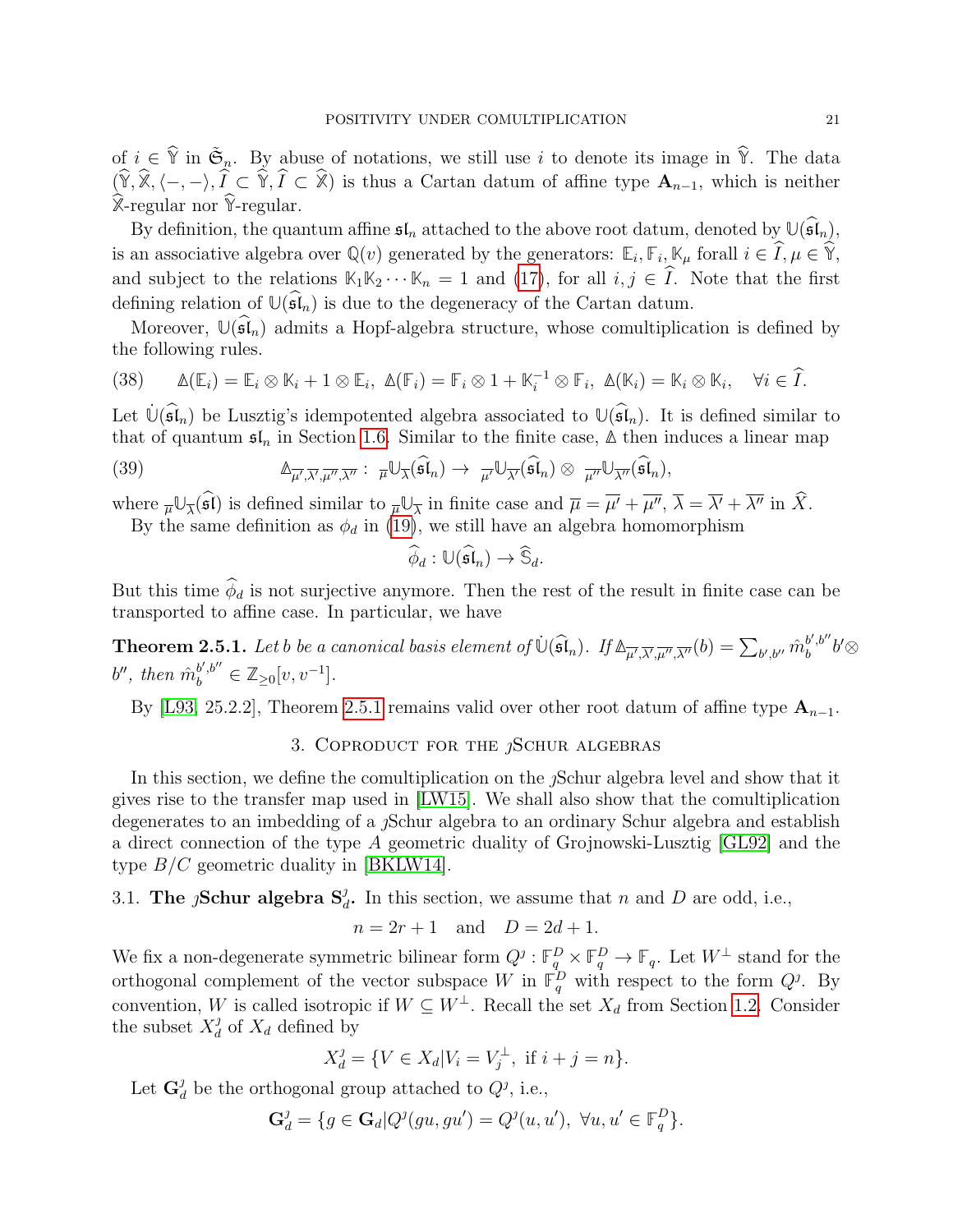of  $i \in \hat{\mathbb{Y}}$  in  $\tilde{\mathfrak{S}}_n$ . By abuse of notations, we still use i to denote its image in  $\hat{\mathbb{Y}}$ . The data  $(\hat{Y}, \hat{\mathbb{X}}, \langle -, -\rangle, \hat{I} \subset \hat{Y}, \hat{I} \subset \hat{\mathbb{X}})$  is thus a Cartan datum of affine type  $\mathbf{A}_{n-1}$ , which is neither  $\widehat{\mathbb{X}}$ -regular nor  $\widehat{\mathbb{Y}}$ -regular.

By definition, the quantum affine  $\mathfrak{sl}_n$  attached to the above root datum, denoted by  $\mathbb{U}(\widehat{\mathfrak{sl}}_n)$ , is an associative algebra over  $\mathbb{Q}(v)$  generated by the generators:  $\mathbb{E}_i, \mathbb{F}_i, \mathbb{K}_{\mu}$  forall  $i \in I, \mu \in \mathbb{Y}$ , and subject to the relations  $\mathbb{K}_1 \mathbb{K}_2 \cdots \mathbb{K}_n = 1$  and [\(17\)](#page-8-2), for all  $i, j \in \hat{I}$ . Note that the first defining relation of  $\mathbb{U}(\widehat{\mathfrak{sl}}_n)$  is due to the degeneracy of the Cartan datum.

Moreover,  $\mathbb{U}(\widehat{\mathfrak{sl}}_n)$  admits a Hopf-algebra structure, whose comultiplication is defined by the following rules.

(38) 
$$
\Delta(\mathbb{E}_i) = \mathbb{E}_i \otimes \mathbb{K}_i + 1 \otimes \mathbb{E}_i, \ \Delta(\mathbb{F}_i) = \mathbb{F}_i \otimes 1 + \mathbb{K}_i^{-1} \otimes \mathbb{F}_i, \ \Delta(\mathbb{K}_i) = \mathbb{K}_i \otimes \mathbb{K}_i, \quad \forall i \in \widehat{I}.
$$

Let  $\mathbb{U}(\mathfrak{sl}_n)$  be Lusztig's idempotented algebra associated to  $\mathbb{U}(\mathfrak{sl}_n)$ . It is defined similar to that of quantum  $\mathfrak{sl}_n$  in Section [1.6.](#page-8-3) Similar to the finite case,  $\Delta$  then induces a linear map

(39) 
$$
\mathbb{A}_{\overline{\mu'},\overline{\lambda'},\overline{\mu'},\overline{\lambda''}}: \ \overline{\mu}\mathbb{U}_{\overline{\lambda}}(\widehat{\mathfrak{sl}}_n) \to \ \overline{\mu'}\mathbb{U}_{\overline{\lambda'}}(\widehat{\mathfrak{sl}}_n) \otimes \ \overline{\mu''}\mathbb{U}_{\overline{\lambda''}}(\widehat{\mathfrak{sl}}_n),
$$

where  $\overline{\mu} \mathbb{U}_{\overline{\lambda}}(\mathfrak{sl})$  is defined similar to  $\overline{\mu} \mathbb{U}_{\overline{\lambda}}$  in finite case and  $\overline{\mu} = \overline{\mu'} + \overline{\mu''}$ ,  $\overline{\lambda} = \overline{\lambda'} + \overline{\lambda''}$  in X.

By the same definition as  $\phi_d$  in [\(19\)](#page-9-1), we still have an algebra homomorphism

$$
\widehat{\phi}_d: \mathbb{U}(\widehat{\mathfrak{sl}}_n) \to \widehat{\mathbb{S}}_d.
$$

But this time  $\widehat{\phi}_d$  is not surjective anymore. Then the rest of the result in finite case can be transported to affine case. In particular, we have

<span id="page-20-1"></span>**Theorem 2.5.1.** Let b be a canonical basis element of  $\dot{\mathbb{U}}(\widehat{\mathfrak{sl}}_n)$ . If  $\mathbb{\Delta}_{\overline{\mu'},\overline{\lambda'},\overline{\mu''},\overline{\lambda''}}(b) = \sum_{b',b''} \hat{m}_b^{b',b''}$  $_{b}^{b^{\prime },b^{\prime \prime }}b^{\prime }\otimes$  $b'', \text{ then } \hat{m}_b^{b',b''} \in \mathbb{Z}_{\geq 0}[v, v^{-1}].$ 

By [\[L93,](#page-44-6) 25.2.2], Theorem [2.5.1](#page-20-1) remains valid over other root datum of affine type  $A_{n-1}$ .

### 3. COPRODUCT FOR THE  $i$ SCHUR ALGEBRAS

<span id="page-20-0"></span>In this section, we define the comultiplication on the  $\jmath$ Schur algebra level and show that it gives rise to the transfer map used in [\[LW15\]](#page-44-0). We shall also show that the comultiplication degenerates to an imbedding of a *j*Schur algebra to an ordinary Schur algebra and establish a direct connection of the type A geometric duality of Grojnowski-Lusztig [\[GL92\]](#page-44-14) and the type  $B/C$  geometric duality in [\[BKLW14\]](#page-44-9).

# <span id="page-20-2"></span>3.1. The  $j$ Schur algebra  $S_d^j$ . In this section, we assume that n and D are odd, i.e.,

$$
n = 2r + 1 \quad \text{and} \quad D = 2d + 1.
$$

We fix a non-degenerate symmetric bilinear form  $Q^j: \mathbb{F}_q^D \times \mathbb{F}_q^D \to \mathbb{F}_q$ . Let  $W^{\perp}$  stand for the orthogonal complement of the vector subspace W in  $\mathbb{F}_q^D$  with respect to the form  $Q^j$ . By convention, W is called isotropic if  $W \subseteq W^{\perp}$ . Recall the set  $X_d$  from Section [1.2.](#page-3-1) Consider the subset  $X_d^j$  $_d^j$  of  $X_d$  defined by

$$
X_d^j = \{ V \in X_d | V_i = V_j^{\perp}, \text{ if } i + j = n \}.
$$

Let  $\mathbf{G}^j_{\vec{a}}$  $d_d$  be the orthogonal group attached to  $Q^j$ , i.e.,

$$
\mathbf{G}_d^{\jmath} = \{ g \in \mathbf{G}_d | Q^{\jmath}(gu, gu') = Q^{\jmath}(u, u'), \ \forall u, u' \in \mathbb{F}_q^D \}.
$$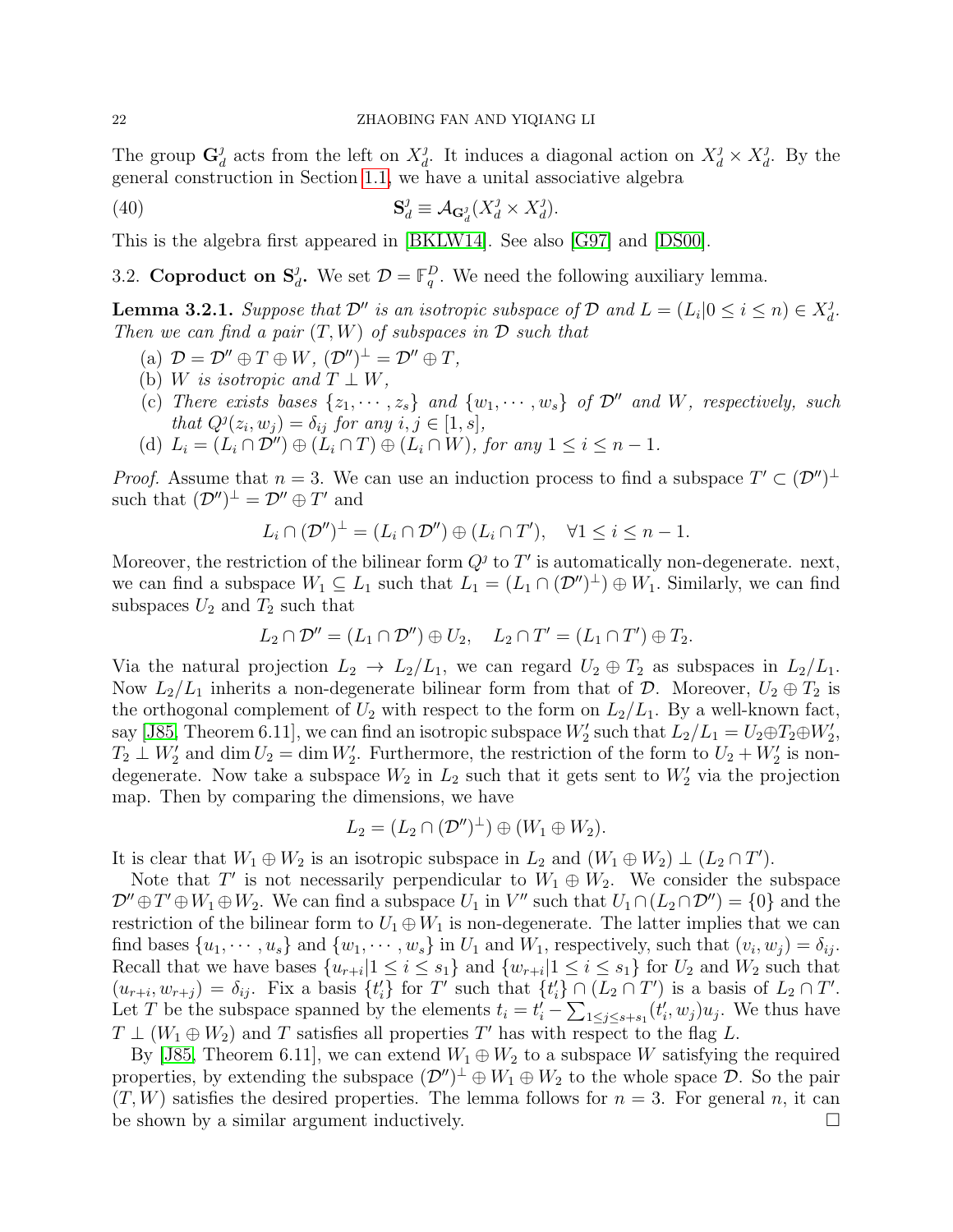The group  $\mathbf{G}^j_a$  $d_d$  acts from the left on  $X_d^j$ <sup>*j*</sup>, It induces a diagonal action on  $X_d^j \times X_d^j$  $\frac{\partial}{\partial t}$ . By the general construction in Section [1.1,](#page-2-1) we have a unital associative algebra

(40) 
$$
\mathbf{S}_d^j \equiv \mathcal{A}_{\mathbf{G}_d^j}(X_d^j \times X_d^j).
$$

This is the algebra first appeared in [\[BKLW14\]](#page-44-9). See also [\[G97\]](#page-44-22) and [\[DS00\]](#page-44-23).

3.2. **Coproduct on**  $S_d^j$ **.** We set  $\mathcal{D} = \mathbb{F}_q^D$ . We need the following auxiliary lemma.

<span id="page-21-0"></span>**Lemma 3.2.1.** Suppose that  $\mathcal{D}''$  is an isotropic subspace of  $\mathcal{D}$  and  $L = (L_i | 0 \le i \le n) \in X_d^j$  $\frac{j}{d}$ . Then we can find a pair  $(T, W)$  of subspaces in  $\mathcal D$  such that

- (a)  $\mathcal{D} = \mathcal{D}'' \oplus T \oplus W$ ,  $(\mathcal{D}'')^{\perp} = \mathcal{D}'' \oplus T$ ,
- (b) W is isotropic and  $T \perp W$ ,
- (c) There exists bases  $\{z_1, \dots, z_s\}$  and  $\{w_1, \dots, w_s\}$  of  $\mathcal{D}''$  and W, respectively, such that  $Q^j(z_i, w_j) = \delta_{ij}$  for any  $i, j \in [1, s],$
- (d)  $L_i = (L_i \cap \mathcal{D}'') \oplus (L_i \cap T) \oplus (L_i \cap W)$ , for any  $1 \leq i \leq n-1$ .

*Proof.* Assume that  $n = 3$ . We can use an induction process to find a subspace  $T' \subset (\mathcal{D}'')^{\perp}$ such that  $(\mathcal{D}'')^{\perp} = \mathcal{D}'' \oplus T'$  and

$$
L_i \cap (\mathcal{D}'')^{\perp} = (L_i \cap \mathcal{D}'') \oplus (L_i \cap T'), \quad \forall 1 \leq i \leq n-1.
$$

Moreover, the restriction of the bilinear form  $Q<sup>j</sup>$  to T' is automatically non-degenerate. next, we can find a subspace  $W_1 \subseteq L_1$  such that  $L_1 = (L_1 \cap (\mathcal{D}'')^{\perp}) \oplus W_1$ . Similarly, we can find subspaces  $U_2$  and  $T_2$  such that

$$
L_2 \cap \mathcal{D}'' = (L_1 \cap \mathcal{D}'') \oplus U_2, \quad L_2 \cap T' = (L_1 \cap T') \oplus T_2.
$$

Via the natural projection  $L_2 \to L_2/L_1$ , we can regard  $U_2 \oplus T_2$  as subspaces in  $L_2/L_1$ . Now  $L_2/L_1$  inherits a non-degenerate bilinear form from that of  $\mathcal{D}$ . Moreover,  $U_2 \oplus T_2$  is the orthogonal complement of  $U_2$  with respect to the form on  $L_2/L_1$ . By a well-known fact, say [\[J85,](#page-44-24) Theorem 6.11], we can find an isotropic subspace  $W_2'$  such that  $L_2/L_1 = U_2 \oplus T_2 \oplus W_2'$ ,  $T_2 \perp W'_2$  and dim  $U_2 = \dim W'_2$ . Furthermore, the restriction of the form to  $U_2 + W'_2$  is nondegenerate. Now take a subspace  $W_2$  in  $L_2$  such that it gets sent to  $W'_2$  via the projection map. Then by comparing the dimensions, we have

$$
L_2 = (L_2 \cap (\mathcal{D}'')^{\perp}) \oplus (W_1 \oplus W_2).
$$

It is clear that  $W_1 \oplus W_2$  is an isotropic subspace in  $L_2$  and  $(W_1 \oplus W_2) \perp (L_2 \cap T')$ .

Note that T' is not necessarily perpendicular to  $W_1 \oplus W_2$ . We consider the subspace  $\mathcal{D}'' \oplus T' \oplus W_1 \oplus W_2$ . We can find a subspace  $U_1$  in V'' such that  $U_1 \cap (L_2 \cap \mathcal{D}'') = \{0\}$  and the restriction of the bilinear form to  $U_1 \oplus W_1$  is non-degenerate. The latter implies that we can find bases  $\{u_1, \dots, u_s\}$  and  $\{w_1, \dots, w_s\}$  in  $U_1$  and  $W_1$ , respectively, such that  $(v_i, w_j) = \delta_{ij}$ . Recall that we have bases  $\{u_{r+i}|1 \leq i \leq s_1\}$  and  $\{w_{r+i}|1 \leq i \leq s_1\}$  for  $U_2$  and  $W_2$  such that  $(u_{r+i}, w_{r+j}) = \delta_{ij}$ . Fix a basis  $\{t'_i\}$  for T' such that  $\{t'_i\} \cap (L_2 \cap T')$  is a basis of  $L_2 \cap T'$ . Let T be the subspace spanned by the elements  $t_i = t'_i - \sum_{1 \leq j \leq s+s_1} (t'_i, w_j) u_j$ . We thus have  $T \perp (W_1 \oplus W_2)$  and T satisfies all properties T' has with respect to the flag L.

By [\[J85,](#page-44-24) Theorem 6.11], we can extend  $W_1 \oplus W_2$  to a subspace W satisfying the required properties, by extending the subspace  $(\mathcal{D}'')^{\perp} \oplus W_1 \oplus W_2$  to the whole space  $\mathcal{D}$ . So the pair  $(T, W)$  satisfies the desired properties. The lemma follows for  $n = 3$ . For general n, it can be shown by a similar argument inductively.  $\Box$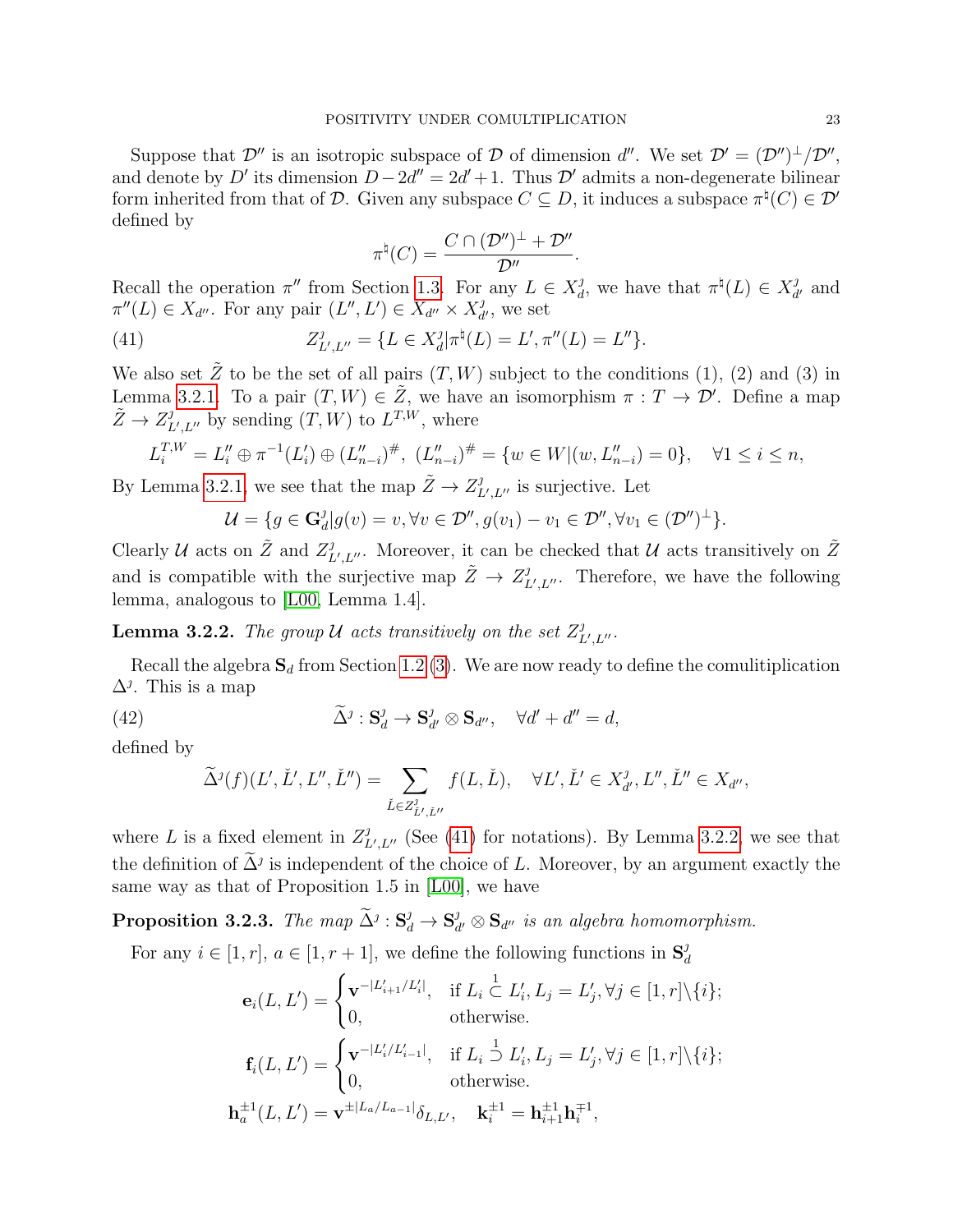Suppose that  $\mathcal{D}''$  is an isotropic subspace of  $\mathcal D$  of dimension d''. We set  $\mathcal{D}' = (\mathcal{D}'')^{\perp}/\mathcal{D}''$ , and denote by D' its dimension  $D - 2d'' = 2d' + 1$ . Thus D' admits a non-degenerate bilinear form inherited from that of D. Given any subspace  $C \subseteq D$ , it induces a subspace  $\pi^{\natural}(C) \in \mathcal{D}'$ defined by

$$
\pi^{\natural}(C)=\frac{C\cap (\mathcal{D}'')^{\perp}+\mathcal{D}''}{\mathcal{D}''}
$$

.

Recall the operation  $\pi''$  from Section [1.3.](#page-3-2) For any  $L \in X_d^j$ <sup>*j*</sup>, we have that  $\pi^{\natural}(L) \in X_d^j$  $\frac{\partial}{\partial t'}$  and  $\pi''(L) \in X_{d''}$ . For any pair  $(L'', L') \in X_{d''} \times X_{d}^j$  $\frac{\partial}{\partial t}$ , we set

<span id="page-22-0"></span>(41) 
$$
Z_{L',L''}^{\jmath} = \{ L \in X_d^{\jmath} | \pi^{\natural}(L) = L', \pi''(L) = L'' \}.
$$

We also set  $\tilde{Z}$  to be the set of all pairs  $(T, W)$  subject to the conditions (1), (2) and (3) in Lemma [3.2.1.](#page-21-0) To a pair  $(T, W) \in \tilde{Z}$ , we have an isomorphism  $\pi : T \to \mathcal{D}'$ . Define a map  $\tilde{Z} \to Z_I^j$  $L^{\prime}, L^{\prime\prime}$  by sending  $(T, W)$  to  $L^{T,W}$ , where

$$
L_i^{T,W} = L_i'' \oplus \pi^{-1}(L_i') \oplus (L_{n-i}'')^{\#}, \ (L_{n-i}'')^{\#} = \{w \in W | (w, L_{n-i}'') = 0\}, \quad \forall 1 \le i \le n,
$$

By Lemma [3.2.1,](#page-21-0) we see that the map  $\tilde{Z} \to Z_I^j$  $L^j, L^{\prime\prime}$  is surjective. Let

$$
\mathcal{U} = \{ g \in \mathbf{G}_d^j | g(v) = v, \forall v \in \mathcal{D}'', g(v_1) - v_1 \in \mathcal{D}'', \forall v_1 \in (\mathcal{D}'')^{\perp} \}.
$$

Clearly U acts on  $\tilde{Z}$  and  $Z_I^j$  $L^j_{L',L''}$ . Moreover, it can be checked that  $\mathcal U$  acts transitively on  $\tilde Z$ and is compatible with the surjective map  $\tilde{Z} \to Z_I^j$  $L^j_{L^j, L^{\prime\prime}}$ . Therefore, we have the following lemma, analogous to [\[L00,](#page-44-4) Lemma 1.4].

<span id="page-22-1"></span>**Lemma 3.2.2.** The group U acts transitively on the set  $Z_I^j$  $_{L^{\prime},L^{\prime\prime}}^{j}.$ 

Recall the algebra  $S_d$  from Section [1.2](#page-3-1) [\(3\)](#page-3-3). We are now ready to define the comulitiplication  $\Delta^j$ . This is a map

<span id="page-22-2"></span>(42) 
$$
\widetilde{\Delta}^j: \mathbf{S}_d^j \to \mathbf{S}_{d'}^j \otimes \mathbf{S}_{d''}, \quad \forall d' + d'' = d,
$$

defined by

$$
\widetilde{\Delta}^j(f)(L',\check{L}',L'',\check{L}'')=\sum_{\check{L}\in Z^j_{\check{L}',\check{L}''}}f(L,\check{L}),\quad \forall L',\check{L}'\in X^{\jmath}_{d'},L'',\check{L}''\in X_{d''},
$$

where L is a fixed element in  $Z_I^j$  $L^{\prime},L^{\prime\prime}$  (See [\(41\)](#page-22-0) for notations). By Lemma [3.2.2,](#page-22-1) we see that the definition of  $\tilde{\Delta}^j$  is independent of the choice of L. Moreover, by an argument exactly the same way as that of Proposition 1.5 in [\[L00\]](#page-44-4), we have

Proposition 3.2.3. The map  $\widetilde{\Delta}^j: \mathbf{S}_d^j \to \mathbf{S}_d^j$  $\mathbf{S}_{d'} \otimes \mathbf{S}_{d''}$  is an algebra homomorphism.

For any  $i \in [1, r]$ ,  $a \in [1, r + 1]$ , we define the following functions in  $S_d^j$ d

$$
\mathbf{e}_{i}(L, L') = \begin{cases} \mathbf{v}^{-|L'_{i+1}/L'_{i}|}, & \text{if } L_{i} \subset L'_{i}, L_{j} = L'_{j}, \forall j \in [1, r] \setminus \{i\}; \\ 0, & \text{otherwise}. \end{cases}
$$

$$
\mathbf{f}_{i}(L, L') = \begin{cases} \mathbf{v}^{-|L'_{i}/L'_{i-1}|}, & \text{if } L_{i} \supseteq L'_{i}, L_{j} = L'_{j}, \forall j \in [1, r] \setminus \{i\}; \\ 0, & \text{otherwise}. \end{cases}
$$

$$
\mathbf{h}_{a}^{\pm 1}(L, L') = \mathbf{v}^{\pm |L_{a}/L_{a-1}|} \delta_{L, L'}, \quad \mathbf{k}_{i}^{\pm 1} = \mathbf{h}_{i+1}^{\pm 1} \mathbf{h}_{i}^{\mp 1},
$$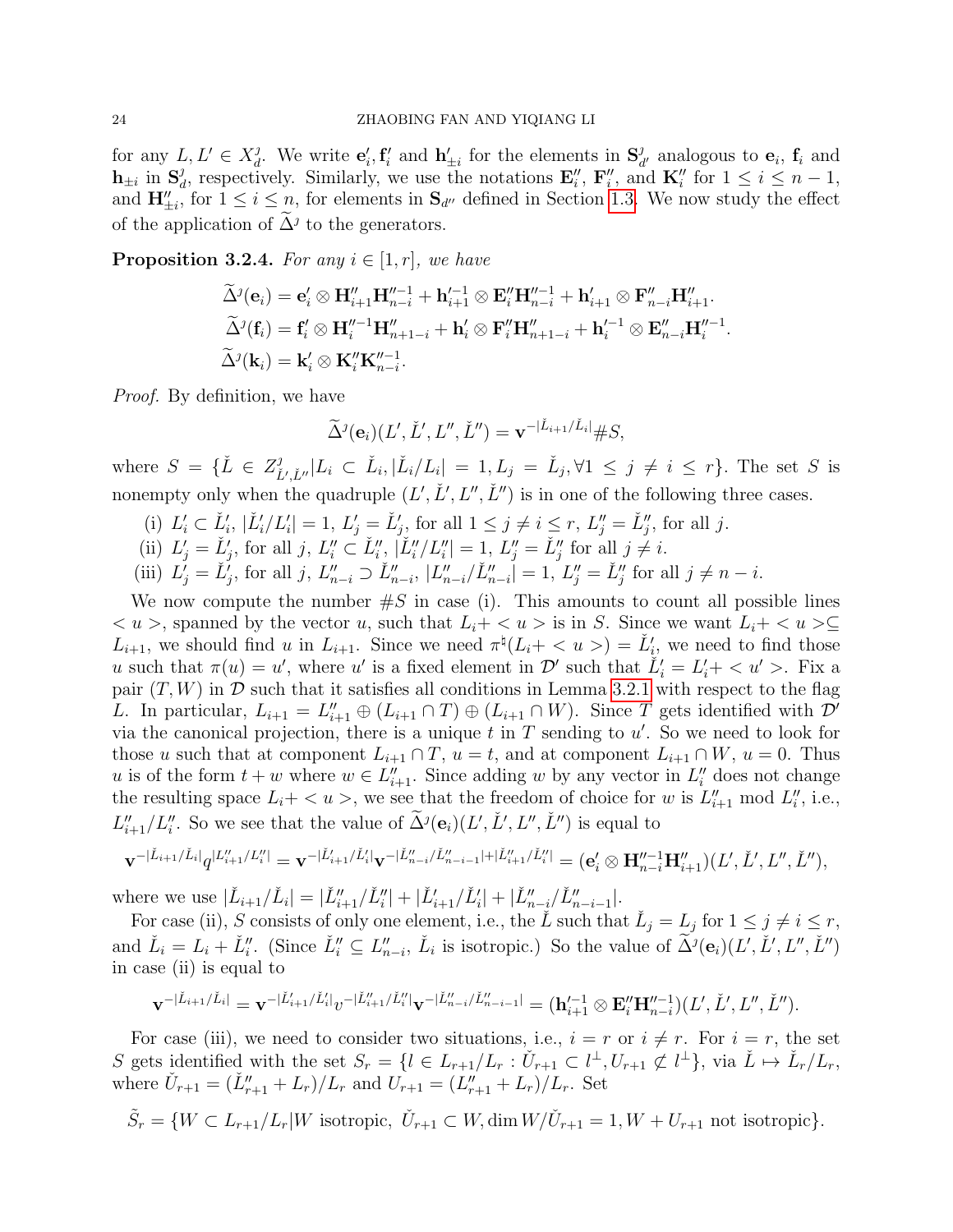for any  $L, L' \in X_d^j$ <sup>*j*</sup>. We write  $\mathbf{e}'_i$ ,  $\mathbf{f}'_i$  and  $\mathbf{h}'_{\pm i}$  for the elements in  $\mathbf{S}_a^j$  $\frac{d}{dt'}$  analogous to  $\mathbf{e}_i$ ,  $\mathbf{f}_i$  and  $\mathbf{h}_{\pm i}$  in  $\mathbf{S}_{\dot{a}}^j$ <sup>*f*</sup><sub>d</sub>, respectively. Similarly, we use the notations  $\mathbf{E}''_i$ ,  $\mathbf{F}''_i$ , and  $\mathbf{K}''_i$  for  $1 \leq i \leq n-1$ , and  $\mathbf{H}''_{\pm i}$ , for  $1 \leq i \leq n$ , for elements in  $\mathbf{S}_{d''}$  defined in Section [1.3.](#page-3-2) We now study the effect of the application of  $\Delta^j$  to the generators.

<span id="page-23-0"></span>**Proposition 3.2.4.** For any  $i \in [1, r]$ , we have

$$
\widetilde{\Delta}^{j}(\mathbf{e}_{i}) = \mathbf{e}'_{i} \otimes \mathbf{H}''_{i+1} \mathbf{H}''^{-1}_{n-i} + \mathbf{h}'^{-1}_{i+1} \otimes \mathbf{E}''_{i} \mathbf{H}''^{-1}_{n-i} + \mathbf{h}'_{i+1} \otimes \mathbf{F}''_{n-i} \mathbf{H}''_{i+1}.
$$
  
\n
$$
\widetilde{\Delta}^{j}(\mathbf{f}_{i}) = \mathbf{f}'_{i} \otimes \mathbf{H}''^{-1}_{i} \mathbf{H}''_{n+1-i} + \mathbf{h}'_{i} \otimes \mathbf{F}''_{i} \mathbf{H}''_{n+1-i} + \mathbf{h}'^{-1}_{i} \otimes \mathbf{E}''_{n-i} \mathbf{H}''^{-1}_{i}.
$$
  
\n
$$
\widetilde{\Delta}^{j}(\mathbf{k}_{i}) = \mathbf{k}'_{i} \otimes \mathbf{K}''_{i} \mathbf{K}''^{-1}_{n-i}.
$$

Proof. By definition, we have

$$
\widetilde{\Delta}^j(\mathbf{e}_i)(L',\check{L}',L'',\check{L}'')=\mathbf{v}^{-|\check{L}_{i+1}/\check{L}_i|} \#S,
$$

where  $S = \{ \check{L} \in Z_{\check{r}}^j \}$  $\tilde{L}_{\tilde{L}',\tilde{L}''}^j |L_i \subset \tilde{L}_i, |\tilde{L}_i/L_i| = 1, L_j = \tilde{L}_j, \forall 1 \leq j \neq i \leq r$ . The set S is nonempty only when the quadruple  $(L', L', L'', L'')$  is in one of the following three cases.

- (i)  $L'_i \subset \check{L}'_i, |\check{L}'_i/L'_i| = 1, L'_j = \check{L}'_j$ , for all  $1 \leq j \neq i \leq r, L''_j = \check{L}''_j$ , for all j.
- (ii)  $L'_j = \check{L}'_j$ , for all j,  $L''_i \subset \check{L}''_i$ ,  $|\check{L}''_i/L''_i| = 1$ ,  $L''_j = \check{L}''_j$  for all  $j \neq i$ .
- (iii)  $L'_j = L'_j$ , for all j,  $L''_{n-i} \supset L''_{n-i}$ ,  $|L''_{n-i}/\tilde{L}''_{n-i}| = 1$ ,  $L''_j = L''_j$  for all  $j \neq n-i$ .

We now compute the number  $\#S$  in case (i). This amounts to count all possible lines  $u >$ , spanned by the vector u, such that  $L_i + \langle u \rangle$  is in S. Since we want  $L_i + \langle u \rangle \subseteq$  $L_{i+1}$ , we should find u in  $L_{i+1}$ . Since we need  $\pi^{\natural}(L_i + \langle u \rangle) = L'_{i}$ , we need to find those u such that  $\pi(u) = u'$ , where u' is a fixed element in  $\mathcal{D}'$  such that  $\tilde{L}'_i = L'_i + \langle u' \rangle$ . Fix a pair  $(T, W)$  in  $\mathcal D$  such that it satisfies all conditions in Lemma [3.2.1](#page-21-0) with respect to the flag L. In particular,  $L_{i+1} = L''_{i+1} \oplus (L_{i+1} \cap T) \oplus (L_{i+1} \cap W)$ . Since T gets identified with  $\mathcal{D}'$ via the canonical projection, there is a unique  $t$  in  $T$  sending to  $u'$ . So we need to look for those u such that at component  $L_{i+1} \cap T$ ,  $u = t$ , and at component  $L_{i+1} \cap W$ ,  $u = 0$ . Thus u is of the form  $t + w$  where  $w \in L''_{i+1}$ . Since adding w by any vector in  $L''_i$  does not change the resulting space  $L_i + \langle u \rangle$ , we see that the freedom of choice for w is  $L''_{i+1}$  mod  $L''_i$ , i.e.,  $L''_{i+1}/L''_i$ . So we see that the value of  $\tilde{\Delta}^j(\mathbf{e}_i)(L', \check{L}', L'', \check{L}'')$  is equal to

$$
\mathbf{v}^{-|\check{L}_{i+1}/\check{L}_{i}|}q^{|L''_{i+1}/L''_{i}|} = \mathbf{v}^{-|\check{L}'_{i+1}/\check{L}'_{i}|} \mathbf{v}^{-|\check{L}''_{n-i}/\check{L}''_{n-i-1}|+|\check{L}''_{i+1}/\check{L}''_{i}|} = (\mathbf{e}'_{i} \otimes \mathbf{H}''^{-1}_{n-i} \mathbf{H}''_{i+1})(L', \check{L}', L'', \check{L}''),
$$

where we use  $|\check{L}_{i+1}/\check{L}_{i}| = |\check{L}_{i+1}''/\check{L}_{i}'| + |\check{L}_{i+1}'/\check{L}_{i}'| + |\check{L}_{n-i}''/\check{L}_{n-i-1}'|.$ 

For case (ii), S consists of only one element, i.e., the  $\check{L}$  such that  $\check{L}_j = L_j$  for  $1 \leq j \neq i \leq r$ , and  $\check{L}_i = L_i + \check{L}''_i$ . (Since  $\check{L}''_i \subseteq L''_{n-i}$ ,  $\check{L}_i$  is isotropic.) So the value of  $\widetilde{\Delta}^j(\mathbf{e}_i)(L', \check{L}', L'', \check{L}'')$ in case (ii) is equal to

$$
\mathbf{v}^{-|\check{L}_{i+1}/\check{L}_{i}|} = \mathbf{v}^{-|\check{L}'_{i+1}/\check{L}'_{i}|}v^{-|\check{L}''_{i+1}/\check{L}''_{i}|}\mathbf{v}^{-|\check{L}''_{n-i}/\check{L}''_{n-i-1}|} = (\mathbf{h}'^{-1}_{i+1} \otimes \mathbf{E}''_{i} \mathbf{H}''^{-1}_{n-i})(L', \check{L}', L'', \check{L}'').
$$

For case (iii), we need to consider two situations, i.e.,  $i = r$  or  $i \neq r$ . For  $i = r$ , the set S gets identified with the set  $S_r = \{l \in L_{r+1}/L_r : \check{U}_{r+1} \subset l^{\perp}, U_{r+1} \not\subset l^{\perp}\},\$  via  $\check{L} \mapsto \check{L}_r/L_r$ , where  $\check{U}_{r+1} = (\check{L}_{r+1}'' + L_r)/L_r$  and  $\check{U}_{r+1} = (L_{r+1}'' + L_r)/L_r$ . Set

$$
\tilde{S}_r = \{ W \subset L_{r+1}/L_r | W \text{ isotropic}, \ U_{r+1} \subset W, \dim W/\tilde{U}_{r+1} = 1, W + U_{r+1} \text{ not isotropic} \}.
$$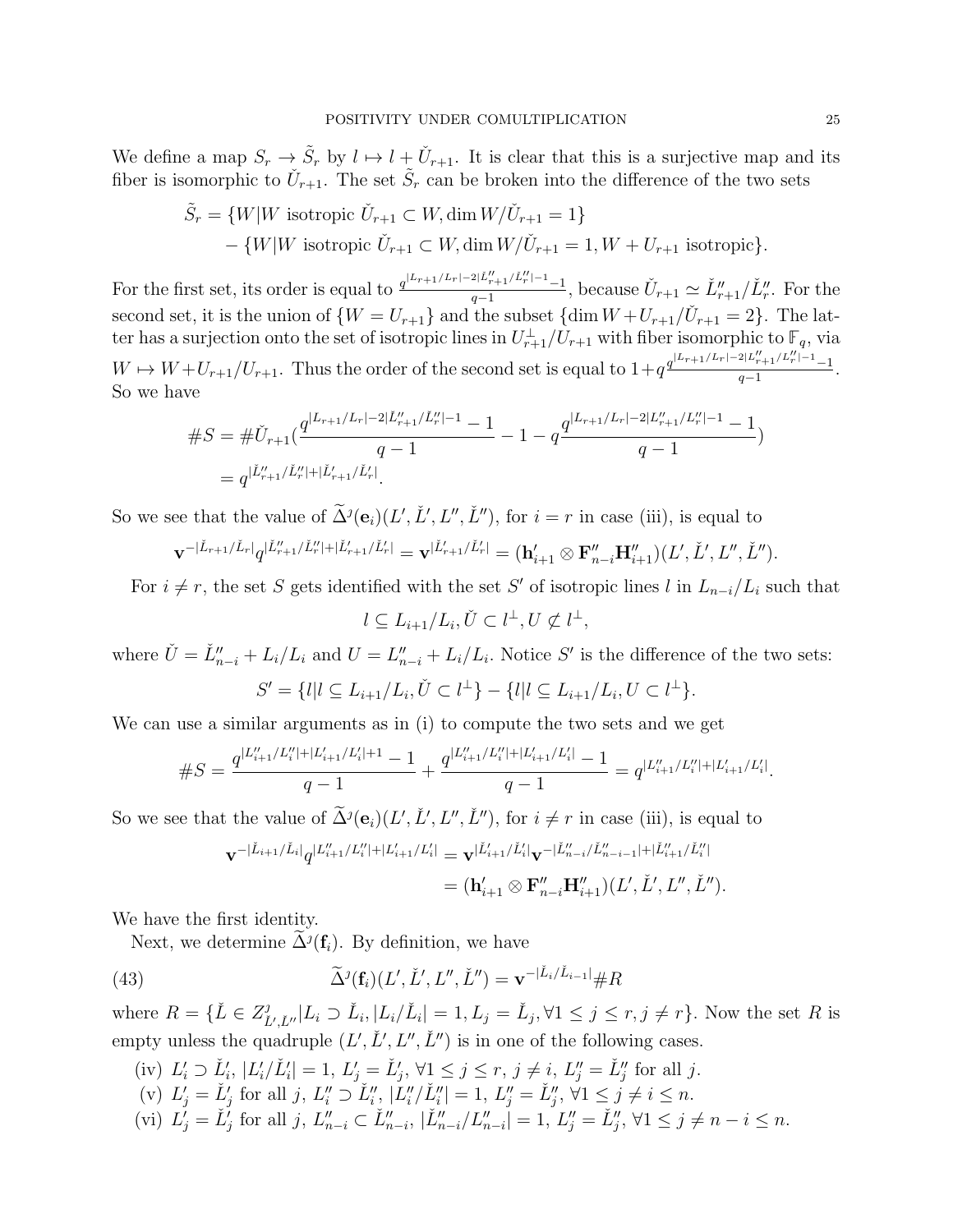We define a map  $S_r \to \tilde{S}_r$  by  $l \mapsto l + \check{U}_{r+1}$ . It is clear that this is a surjective map and its fiber is isomorphic to  $\check{U}_{r+1}$ . The set  $\tilde{S}_r$  can be broken into the difference of the two sets

$$
\tilde{S}_r = \{W|W \text{ isotropic } \check{U}_{r+1} \subset W, \dim W/\check{U}_{r+1} = 1\}
$$
  
- 
$$
\{W|W \text{ isotropic } \check{U}_{r+1} \subset W, \dim W/\check{U}_{r+1} = 1, W + U_{r+1} \text{ isotropic}\}.
$$

For the first set, its order is equal to  $\frac{q^{|L_{r+1}/L_r|-2|\tilde{L}''_{r+1}/\tilde{L}''_r|-1}-1}{q-1}$  $\frac{\tilde{U}_{r+1}/L_r^{n-1}-1}{q-1}$ , because  $\tilde{U}_{r+1} \simeq \tilde{L}_{r+1}''/\tilde{L}_r''$ . For the second set, it is the union of  $\{W = U_{r+1}\}\$  and the subset  $\{\dim W + U_{r+1}/\tilde{U}_{r+1} = 2\}$ . The latter has a surjection onto the set of isotropic lines in  $U_{r+1}^{\perp}/U_{r+1}$  with fiber isomorphic to  $\mathbb{F}_q$ , via  $W \mapsto W + U_{r+1}/U_{r+1}$ . Thus the order of the second set is equal to  $1+q^{\frac{q^{\lfloor L_r+1/L_r\rfloor-\lfloor L_r\rfloor}L_r^{\prime\prime}+1} - 1}$  $\frac{r+1}{r+1}$ . So we have

$$
\#S = \# \check{U}_{r+1}(\frac{q^{|L_{r+1}/L_r|-2|\check{L}''_{r+1}/\check{L}''_r|-1}-1-q^{\underline{q}^{|L_{r+1}/L_r|-2|L''_{r+1}/L''_r|-1}-1}}{q-1}-1-q^{\underline{q}^{|L_{r+1}/L_r|-2|L''_{r+1}/L''_r|-1}-1})
$$

So we see that the value of  $\tilde{\Delta}^j(e_i)(L', \tilde{L}', L'', \tilde{L}'')$ , for  $i = r$  in case (iii), is equal to

$$
\mathbf{v}^{-|\check{L}_{r+1}/\check{L}_r|}q^{|\check{L}_{r+1}''/\check{L}_r''|+|\check{L}_{r+1}'/\check{L}_r'|}=\mathbf{v}^{|\check{L}_{r+1}'/\check{L}_r'|}=(\mathbf{h}_{i+1}'\otimes \mathbf{F}_{n-i}''\mathbf{H}_{i+1}'')(L',\check{L}',L'',\check{L}'').
$$

For  $i \neq r$ , the set S gets identified with the set S' of isotropic lines l in  $L_{n-i}/L_i$  such that

$$
l \subseteq L_{i+1}/L_i, \check{U} \subset l^{\perp}, U \not\subset l^{\perp},
$$

where  $\check{U} = \check{L}_{n-i}'' + L_i/L_i$  and  $U = L_{n-i}'' + L_i/L_i$ . Notice S' is the difference of the two sets:

$$
S' = \{l | l \subseteq L_{i+1}/L_i, \check{U} \subset l^{\perp}\} - \{l | l \subseteq L_{i+1}/L_i, U \subset l^{\perp}\}.
$$

We can use a similar arguments as in (i) to compute the two sets and we get

$$
\#S = \frac{q^{|L_{i+1}''/L_i''| + |L_{i+1}'/L_i'|+1}-1}{q-1} + \frac{q^{|L_{i+1}''/L_i''| + |L_{i+1}'/L_i'|}-1}{q-1} = q^{|L_{i+1}''/L_i''| + |L_{i+1}'/L_i'|}.
$$

So we see that the value of  $\tilde{\Delta}^j(e_i)(L', \check{L}', L'', \check{L}'')$ , for  $i \neq r$  in case (iii), is equal to

<span id="page-24-0"></span>
$$
\mathbf{v}^{-|\check{L}_{i+1}/\check{L}_i|}q^{|L''_{i+1}/L''_i|+|L'_{i+1}/L'_i|} = \mathbf{v}^{|\check{L}'_{i+1}/\check{L}'_i|} \mathbf{v}^{-|\check{L}''_{n-i}/\check{L}''_{n-i-1}|+|\check{L}''_{i+1}/\check{L}''_i|}
$$
  
=  $(\mathbf{h}'_{i+1} \otimes \mathbf{F}''_{n-i} \mathbf{H}''_{i+1})(L', \check{L}', L'', \check{L}'').$ 

We have the first identity.

Next, we determine  $\tilde{\Delta}^j(\mathbf{f}_i)$ . By definition, we have

(43) 
$$
\widetilde{\Delta}^j(\mathbf{f}_i)(L', \check{L}', L'', \check{L}'') = \mathbf{v}^{-|\check{L}_i/\check{L}_{i-1}|} \# R
$$

where  $R = \{ \check{L} \in Z_{\check{I}}^{\mathcal{I}} \}$  $\tilde{L}_{\tilde{L}',\tilde{L}''}^j | L_i \supset \tilde{L}_i | L_i/\tilde{L}_i | = 1, L_j = \tilde{L}_j, \forall 1 \le j \le r, j \ne r$ . Now the set R is empty unless the quadruple  $(L', L'', L'')$  is in one of the following cases.

(iv)  $L'_i \supset L'_i$ ,  $|L'_i/\check{L}'_i| = 1$ ,  $L'_j = \check{L}'_j$ ,  $\forall 1 \leq j \leq r$ ,  $j \neq i$ ,  $L''_j = \check{L}''_j$  for all j. (v)  $L'_j = \check{L}'_j$  for all j,  $L''_i \supset \check{L}''_i$ ,  $|\check{L}''_i/\check{L}''_i| = 1$ ,  $L''_j = \check{L}''_j$ ,  $\forall 1 \le j \ne i \le n$ . (vi)  $L'_j = \check{L}'_j$  for all j,  $L''_{n-i} \subset \check{L}''_{n-i}$ ,  $|\check{L}''_{n-i}/L''_{n-i}| = 1$ ,  $L''_j = \check{L}''_j$ ,  $\forall 1 \leq j \neq n-i \leq n$ .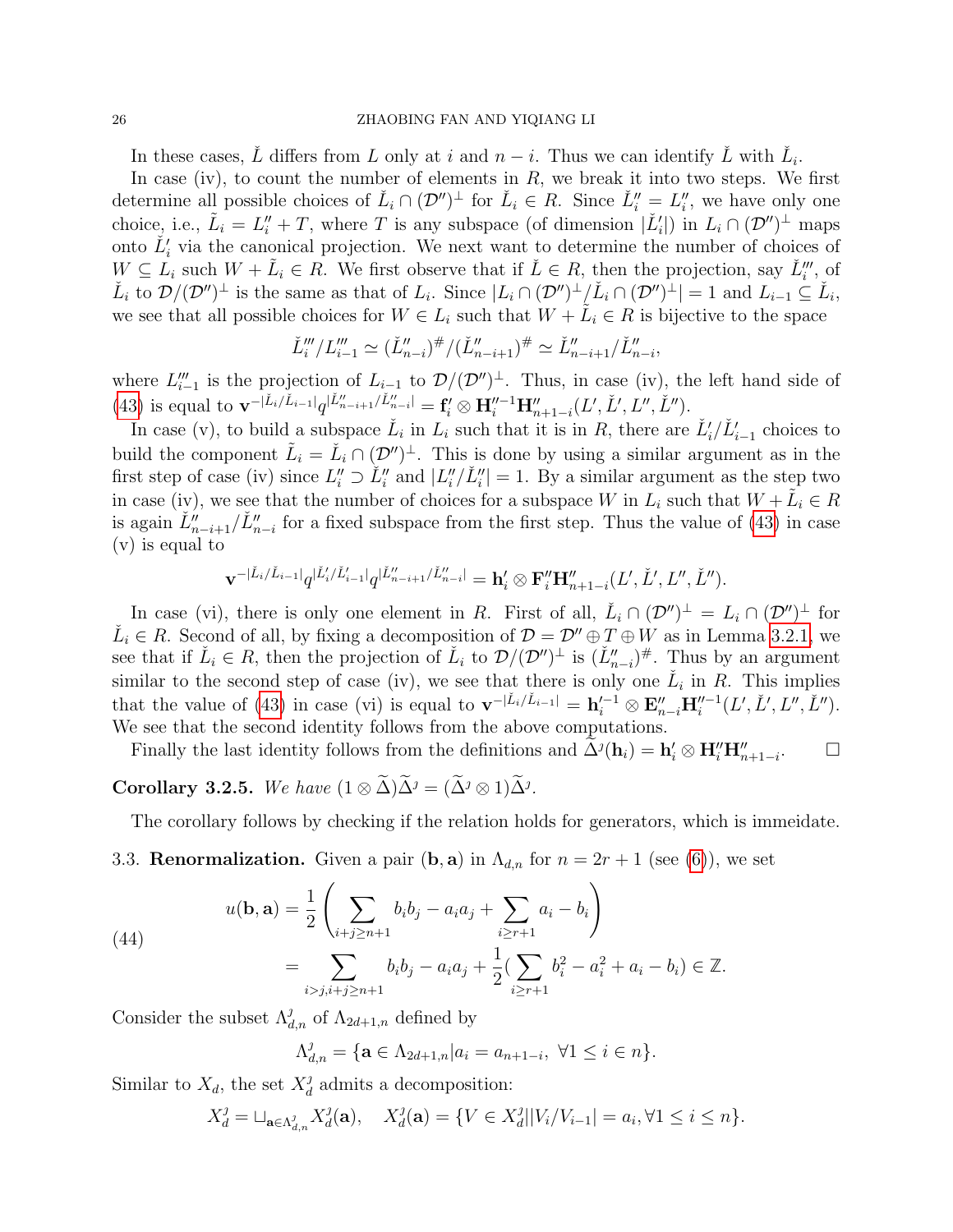### 26 ZHAOBING FAN AND YIQIANG LI

In these cases,  $\check{L}$  differs from L only at i and  $n - i$ . Thus we can identify  $\check{L}$  with  $\check{L}_i$ .

In case (iv), to count the number of elements in  $R$ , we break it into two steps. We first determine all possible choices of  $\check{L}_i \cap (\mathcal{D}'')^{\perp}$  for  $\check{L}_i \in R$ . Since  $\check{L}_i'' = L_i''$ , we have only one choice, i.e.,  $\tilde{L}_i = L''_i + T$ , where T is any subspace (of dimension  $|\check{L}'_i|$ ) in  $L_i \cap (\mathcal{D}'')^{\perp}$  maps onto  $\check{L}'_i$  via the canonical projection. We next want to determine the number of choices of  $W \subseteq L_i$  such  $W + \tilde{L}_i \in R$ . We first observe that if  $\check{L} \in R$ , then the projection, say  $\check{L}_i'''$ , of  $\check{L}_i$  to  $\mathcal{D}/(\mathcal{D}'')^{\perp}$  is the same as that of  $L_i$ . Since  $|L_i \cap (\mathcal{D}'')^{\perp}/\check{L}_i \cap (\mathcal{D}'')^{\perp}| = 1$  and  $L_{i-1} \subseteq \check{L}_i$ , we see that all possible choices for  $W \in L_i$  such that  $W + \tilde{L}_i \in R$  is bijective to the space

$$
\check{L}'''_i/L'''_{i-1} \simeq (\check{L}''_{n-i})^{\#}/(\check{L}''_{n-i+1})^{\#} \simeq \check{L}''_{n-i+1}/\check{L}''_{n-i},
$$

where  $L''_{i-1}$  is the projection of  $L_{i-1}$  to  $\mathcal{D}/(\mathcal{D}'')^{\perp}$ . Thus, in case (iv), the left hand side of [\(43\)](#page-24-0) is equal to  $\mathbf{v}^{-|\check{L}_i/\check{L}_{i-1}|}q^{|\check{L}_{n-i+1}''/\check{L}_{n-i}''|} = \mathbf{f}'_i \otimes \mathbf{H}''^{-1}\mathbf{H}''_{n+1-i}(L',\check{L}',L'',\check{L}'').$ 

In case (v), to build a subspace  $\check{L}_i$  in  $L_i$  such that it is in R, there are  $\check{L}'_i/\check{L}'_{i-1}$  choices to build the component  $\tilde{L}_i = \check{L}_i \cap (\mathcal{D}'')^{\perp}$ . This is done by using a similar argument as in the first step of case (iv) since  $L''_i \supset L''_i$  and  $|L''_i/\tilde{L}''_i| = 1$ . By a similar argument as the step two in case (iv), we see that the number of choices for a subspace W in  $L_i$  such that  $W + \tilde{L_i} \in R$ is again  $\check{L}''_{n-i+1}/\check{L}''_{n-i}$  for a fixed subspace from the first step. Thus the value of [\(43\)](#page-24-0) in case (v) is equal to

$$
\mathbf{v}^{-|\check{L}_i/\check{L}_{i-1}|}q^{|\check{L}'_i/\check{L}'_{i-1}|}q^{|\check{L}''_{n-i+1}/\check{L}''_{n-i}|}=\mathbf{h}'_i\otimes \mathbf{F}''_i\mathbf{H}''_{n+1-i}(L',\check{L}',L'',\check{L}'').
$$

In case (vi), there is only one element in R. First of all,  $\check{L}_i \cap (\mathcal{D}'')^{\perp} = L_i \cap (\mathcal{D}'')^{\perp}$  for  $\check{L}_i \in R$ . Second of all, by fixing a decomposition of  $\mathcal{D} = \mathcal{D}'' \oplus T \oplus W$  as in Lemma [3.2.1,](#page-21-0) we see that if  $\check{L}_i \in R$ , then the projection of  $\check{L}_i$  to  $\mathcal{D}/(\mathcal{D}'')^{\perp}$  is  $(\check{L}'_{n-i})^{\#}$ . Thus by an argument similar to the second step of case (iv), we see that there is only one  $\check{L}_i$  in R. This implies that the value of [\(43\)](#page-24-0) in case (vi) is equal to  $\mathbf{v}^{-|\check{L}_i/\check{L}_{i-1}|} = \mathbf{h}'^{-1}_i \otimes \mathbf{E}''_{n-i} \mathbf{H}''^{-1}_i(L', \check{L}', L'', \check{L}'').$ We see that the second identity follows from the above computations.

Finally the last identity follows from the definitions and  $\tilde{\Delta}^{j}(\mathbf{h}_{i}) = \mathbf{h}'_{i} \otimes \mathbf{H}''_{i} \mathbf{H}''_{n+1-i}$  $\Box$ 

**Corollary 3.2.5.** We have  $(1 \otimes \tilde{\Delta})\tilde{\Delta}^j = (\tilde{\Delta}^j \otimes 1)\tilde{\Delta}^j$ .

The corollary follows by checking if the relation holds for generators, which is immeidate.

<span id="page-25-0"></span>3.3. **Renormalization.** Given a pair  $(b, a)$  in  $\Lambda_{d,n}$  for  $n = 2r + 1$  (see [\(6\)](#page-4-4)), we set

(44)  

$$
u(\mathbf{b}, \mathbf{a}) = \frac{1}{2} \left( \sum_{i+j \ge n+1} b_i b_j - a_i a_j + \sum_{i \ge r+1} a_i - b_i \right)
$$

$$
= \sum_{i>j, i+j \ge n+1} b_i b_j - a_i a_j + \frac{1}{2} (\sum_{i \ge r+1} b_i^2 - a_i^2 + a_i - b_i) \in \mathbb{Z}.
$$

Consider the subset  $\Lambda_{d,n}^j$  of  $\Lambda_{2d+1,n}$  defined by

$$
\Lambda_{d,n}^j = \{ \mathbf{a} \in \Lambda_{2d+1,n} | a_i = a_{n+1-i}, \ \forall 1 \le i \in n \}.
$$

Similar to  $X_d$ , the set  $X_d^j$  $_d^j$  admits a decomposition:

$$
X_d^j = \sqcup_{\mathbf{a} \in \Lambda_{d,n}^j} X_d^j(\mathbf{a}), \quad X_d^j(\mathbf{a}) = \{ V \in X_d^j | |V_i / V_{i-1}| = a_i, \forall 1 \le i \le n \}.
$$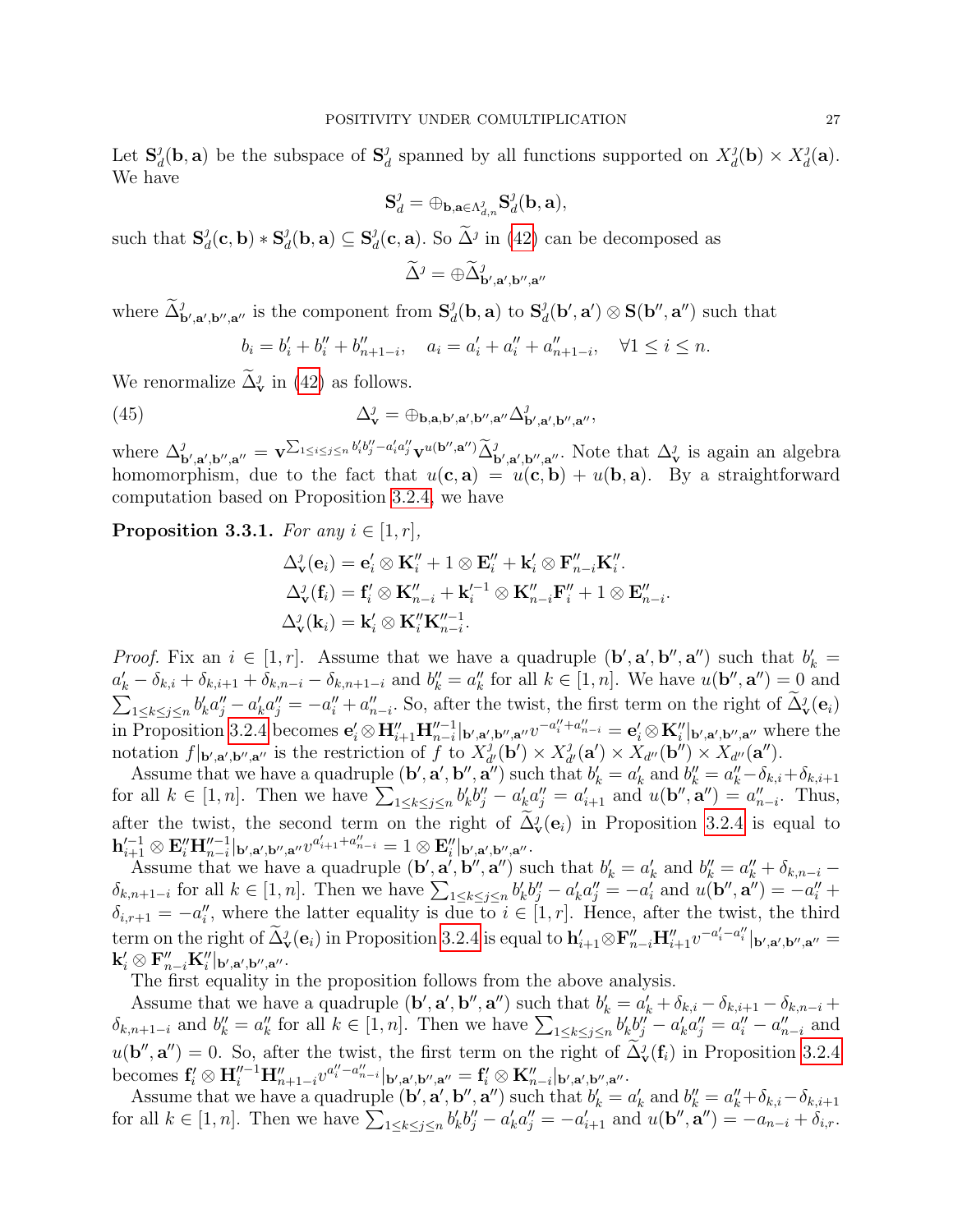Let  $\mathbf{S}_{\alpha}^{j}$  $\frac{d}{d}(\mathbf{b}, \mathbf{a})$  be the subspace of  $\mathbf{S}_{d}^{j}$  $d_d$  spanned by all functions supported on  $X_d^j$  $d_d^j(\mathbf{b}) \times X_d^j$  $\frac{\jmath_d({\bf a})}{\jmath$ . We have

$$
\mathbf S^{\jmath}_d = \oplus_{\mathbf b, \mathbf a \in \Lambda^{\jmath}_{d, n}} \mathbf S^{\jmath}_d(\mathbf b, \mathbf a),
$$

such that  $S_a^j$  $\frac{\partial}{\partial d}(\mathbf{c},\mathbf{b}) * \mathbf{S}^{\partial}_{d}$  $\frac{\partial}{\partial d}(\mathbf{b},\mathbf{a})\subseteq \mathbf{S}^{\mathcal{G}}_{\alpha}$  $d_d^j(\mathbf{c}, \mathbf{a})$ . So  $\tilde{\Delta}^j$  in [\(42\)](#page-22-2) can be decomposed as

$$
\widetilde{\Delta}^{\jmath}=\oplus \widetilde{\Delta}^{\jmath}_{{\bf b}',{\bf a}',{\bf b}'',{\bf a}''}
$$

where  $\widetilde{\Delta}^j_{\mathbf{b}',\mathbf{a}',\mathbf{b}'',\mathbf{a}''}$  is the component from  $S^j_a$  $\frac{\partial}{\partial d}(\mathbf{b}, \mathbf{a})$  to  $\mathbf{S}_{d}^{\mathcal{J}}$  $\mathbf{d}_d^{\jmath}(\mathbf{b}', \mathbf{a}') \otimes \mathbf{S}(\mathbf{b}'', \mathbf{a}'')$  such that

$$
b_i = b'_i + b''_i + b''_{n+1-i}, \quad a_i = a'_i + a''_i + a''_{n+1-i}, \quad \forall 1 \le i \le n.
$$

We renormalize  $\tilde{\Delta}_{\mathbf{v}}^{j}$  in [\(42\)](#page-22-2) as follows.

<span id="page-26-1"></span>(45) 
$$
\Delta_{\mathbf{v}}^{\jmath} = \oplus_{\mathbf{b},\mathbf{a},\mathbf{b}',\mathbf{a}',\mathbf{b}'',\mathbf{a}''}\Delta_{\mathbf{b}',\mathbf{a}',\mathbf{b}'',\mathbf{a}''}^{\jmath},
$$

where  $\Delta^j_{\mathbf{b}',\mathbf{a}',\mathbf{b}'',\mathbf{a}''} = \mathbf{v}^{\sum_{1\leq i\leq j\leq n}b'_ib''_j-a'_ia''_j}\mathbf{v}^{u(\mathbf{b}'',\mathbf{a}'')}\widetilde{\Delta}^j_{\mathbf{b}',\mathbf{a}',\mathbf{b}'',\mathbf{a}''}.$  Note that  $\Delta^j_{\mathbf{v}}$  is again an algebra homomorphism, due to the fact that  $u(c, a) = u(c, b) + u(b, a)$ . By a straightforward computation based on Proposition [3.2.4,](#page-23-0) we have

<span id="page-26-0"></span>**Proposition 3.3.1.** For any  $i \in [1, r]$ ,

$$
\Delta_{\mathbf{v}}^{j}(\mathbf{e}_{i}) = \mathbf{e}'_{i} \otimes \mathbf{K}_{i}'' + 1 \otimes \mathbf{E}_{i}'' + \mathbf{k}_{i}' \otimes \mathbf{F}_{n-i}'' \mathbf{K}_{i}''.
$$
  

$$
\Delta_{\mathbf{v}}^{j}(\mathbf{f}_{i}) = \mathbf{f}'_{i} \otimes \mathbf{K}_{n-i}'' + \mathbf{k}_{i}'^{-1} \otimes \mathbf{K}_{n-i}'' \mathbf{F}_{i}'' + 1 \otimes \mathbf{E}_{n-i}''.
$$
  

$$
\Delta_{\mathbf{v}}^{j}(\mathbf{k}_{i}) = \mathbf{k}_{i}' \otimes \mathbf{K}_{i}'' \mathbf{K}_{n-i}''.
$$

*Proof.* Fix an  $i \in [1, r]$ . Assume that we have a quadruple  $(\mathbf{b}', \mathbf{a}', \mathbf{b}'', \mathbf{a}'')$  such that  $b'_k =$  $a'_k - \delta_{k,i} + \delta_{k,i+1} + \delta_{k,n-i} - \delta_{k,n+1-i}$  and  $b''_k = a''_k$  for all  $k \in [1, n]$ . We have  $u(\mathbf{b}'', \mathbf{a}'') = 0$  and  $\sum_{1 \leq k \leq j \leq n} b'_k a''_j - a'_k a''_j = -a''_i + a''_{n-i}$ . So, after the twist, the first term on the right of  $\tilde{\Delta}_{\mathbf{v}}^j(\mathbf{e}_i)$ in Proposition [3.2.4](#page-23-0) becomes  $\mathbf{e}'_i \otimes \mathbf{H}''_{i+1} \mathbf{H}''^{-1}_{n-i} |_{\mathbf{b}',\mathbf{a}',\mathbf{b}'',\mathbf{a}''} v^{-a''_i+a''_{n-i}} = \mathbf{e}'_i \otimes \mathbf{K}''_i |_{\mathbf{b}',\mathbf{a}',\mathbf{b}'',\mathbf{a}''}$  where the notation  $f|_{\mathbf{b}',\mathbf{a}',\mathbf{b}'',\mathbf{a}''}$  is the restriction of f to  $X_d^j$  $\frac{d}{d'}(\mathbf{b'})\times X_d^j$  $d'_{d'}(\mathbf{a}') \times X_{d''}(\mathbf{b}'') \times X_{d''}(\mathbf{a}'').$ 

Assume that we have a quadruple  $(\mathbf{b}', \mathbf{a}', \mathbf{b}'', \mathbf{a}'')$  such that  $b'_k = a'_k$  and  $b''_k = a''_k - \delta_{k,i} + \delta_{k,i+1}$ for all  $k \in [1, n]$ . Then we have  $\sum_{1 \leq k \leq j \leq n} b'_k b''_j - a'_k a''_j = a'_{i+1}$  and  $u(\mathbf{b}'', \mathbf{a}'') = a''_{n-i}$ . Thus, after the twist, the second term on the right of  $\Delta_v^j(e_i)$  in Proposition [3.2.4](#page-23-0) is equal to  $\mathbf{h}_{i+1}'^{-1} \otimes \mathbf{E}''_i \mathbf{H}_{n-i}''^{-1}|_{\mathbf{b}',\mathbf{a}',\mathbf{b}'',\mathbf{a}''} v^{a_{i+1}'+a_{n-i}''}=1 \otimes \mathbf{E}''_i|_{\mathbf{b}',\mathbf{a}',\mathbf{b}'',\mathbf{a}''}.$ 

Assume that we have a quadruple  $(\mathbf{b}', \mathbf{a}', \mathbf{b}'', \mathbf{a}'')$  such that  $b'_k = a'_k$  and  $b''_k = a''_k + \delta_{k,n-i}$  $\delta_{k,n+1-i}$  for all  $k \in [1,n]$ . Then we have  $\sum_{1 \leq k \leq j \leq n} b'_k b''_j - a'_k a''_j = -a'_i$  and  $u(\mathbf{b}'', \mathbf{a}'') = -a''_i +$  $\delta_{i,r+1} = -a''_i$ , where the latter equality is due to  $i \in [1,r]$ . Hence, after the twist, the third term on the right of  $\tilde{\Delta}_{\mathbf{v}}^j(\mathbf{e}_i)$  in Proposition [3.2.4](#page-23-0) is equal to  $\mathbf{h}'_{i+1}\otimes \mathbf{F}''_{n-i}\mathbf{H}''_{i+1}v^{-a'_i-a''_i}|_{\mathbf{b}',\mathbf{a}',\mathbf{b}'',\mathbf{a}''}=\mathbf{h}'$  $\mathbf{k}'_i\otimes \mathbf{F}''_{n-i}\mathbf{K}''_i|_{\mathbf{b}',\mathbf{a}',\mathbf{b}'',\mathbf{a}''}.$ 

The first equality in the proposition follows from the above analysis.

Assume that we have a quadruple  $(\mathbf{b}', \mathbf{a}', \mathbf{b}'', \mathbf{a}'')$  such that  $b'_k = a'_k + \delta_{k,i} - \delta_{k,i+1} - \delta_{k,n-i} +$  $\delta_{k,n+1-i}$  and  $b''_k = a''_k$  for all  $k \in [1,n]$ . Then we have  $\sum_{1 \leq k \leq j \leq n} b'_k b''_j - a'_k a''_j = a''_i - a''_{n-i}$  and  $u(\mathbf{b}'', \mathbf{a}'') = 0$ . So, after the twist, the first term on the right of  $\tilde{\Delta}_{\mathbf{v}}(\mathbf{f}_i)$  in Proposition [3.2.4](#page-23-0)  $\text{becomes } f'_i \otimes \textbf{H}_i''^{-1}\textbf{H}_{n+1-i}''^{a''_i-a''_{n-i}}|_{\textbf{b}',\textbf{a}',\textbf{b}'',\textbf{a}''} = \textbf{f}'_i \otimes \textbf{K}_{n-i}''|_{\textbf{b}',\textbf{a}',\textbf{b}'',\textbf{a}''}.$ 

Assume that we have a quadruple  $(\mathbf{b}', \mathbf{a}', \mathbf{b}'', \mathbf{a}'')$  such that  $b'_k = a'_k$  and  $b''_k = a''_k + \delta_{k,i} - \delta_{k,i+1}$ for all  $k \in [1, n]$ . Then we have  $\sum_{1 \leq k \leq j \leq n} b'_k b''_j - a'_k a''_j = -a'_{i+1}$  and  $u(\mathbf{b}'', \mathbf{a}'') = -a_{n-i} + \delta_{i,r}$ .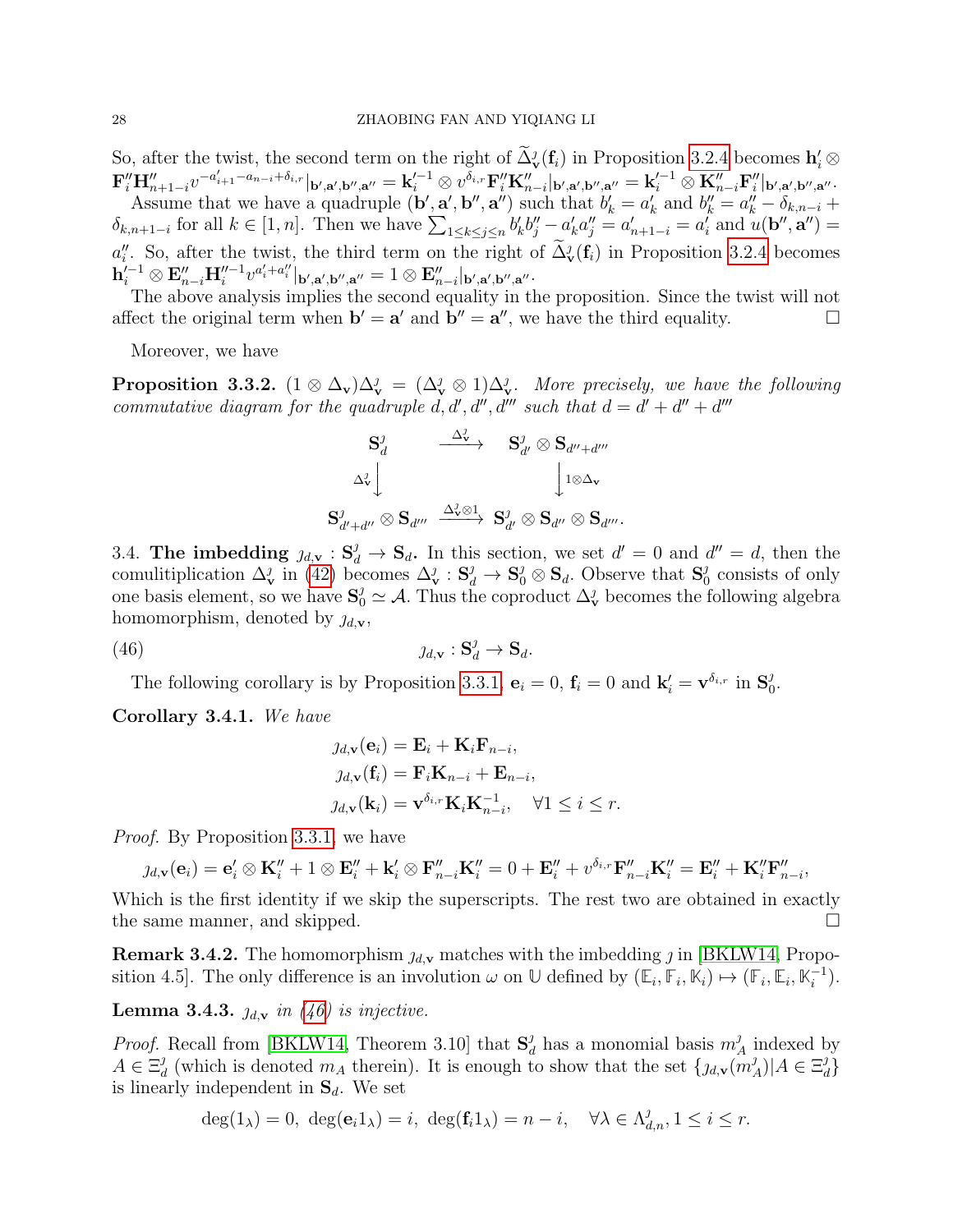So, after the twist, the second term on the right of  $\Delta_v^j(\mathbf{f}_i)$  in Proposition [3.2.4](#page-23-0) becomes  $\mathbf{h}'_i \otimes \mathbf{h}'_i$  $\mathbf{F}''_i \mathbf{H}''_{n+1-i} v^{-a'_{i+1}-a_{n-i}+\delta_{i,r}}|_{\mathbf{b}',\mathbf{a}',\mathbf{b}'',\mathbf{a}''} = \mathbf{k}_i'^{-1} \otimes v^{\bar{\delta}_{i,r}} \mathbf{F}''_i \mathbf{K}''_{n-i}|_{\mathbf{b}',\mathbf{a}',\mathbf{b}'',\mathbf{a}''} = \mathbf{k}_i'^{-1} \otimes \mathbf{K}''_{n-i} \mathbf{F}''_i|_{\mathbf{b}',\mathbf{a}',\mathbf{b}'',\mathbf{a}''}.$ 

Assume that we have a quadruple  $(\mathbf{b}', \mathbf{a}', \mathbf{b}'', \mathbf{a}'')$  such that  $b'_k = a'_k$  and  $b''_k = a''_k - \delta_{k,n-i}$  $\delta_{k,n+1-i}$  for all  $k \in [1,n]$ . Then we have  $\sum_{1 \leq k \leq j \leq n} b'_k b''_j - a'_k a''_j = a'_{n+1-i} = a'_i$  and  $u(\mathbf{b}'', \mathbf{a}'') =$  $a''_i$ . So, after the twist, the third term on the right of  $\tilde{\Delta}^j_{\mathbf{v}}(\mathbf{f}_i)$  in Proposition [3.2.4](#page-23-0) becomes  $\mathbf{h}_{i}^{'-1} \otimes \mathbf{E}''_{n-i} \mathbf{H}_{i}''^{-1} v^{a'_{i} + a''_{i}} |_{\mathbf{b}',\mathbf{a}',\mathbf{b}'',\mathbf{a}''} = 1 \otimes \mathbf{E}''_{n-i} |_{\mathbf{b}',\mathbf{a}',\mathbf{b}'',\mathbf{a}''}.$ 

The above analysis implies the second equality in the proposition. Since the twist will not affect the original term when  $\mathbf{b}' = \mathbf{a}'$  and  $\mathbf{b}'' = \mathbf{a}''$ , we have the third equality.

Moreover, we have

<span id="page-27-2"></span>**Proposition 3.3.2.**  $(1 \otimes \Delta_v)\Delta_v^j = (\Delta_v^j \otimes 1)\Delta_v^j$ . More precisely, we have the following commutative diagram for the quadruple d, d', d'', d''' such that  $d = d' + d'' + d''$ 

$$
\begin{array}{ccc} {\bf S}_d^{\jmath} & \stackrel{\Delta_{\bf V}^{\jmath}}{\longrightarrow} & {\bf S}_{d'}^{\jmath} \otimes {\bf S}_{d'' + d'''}\\ \\ \Delta_{\bf v}^{\jmath} \Big\downarrow & & \Big\downarrow_{1 \otimes \Delta_{\bf v}}\\ \\ {\bf S}_{d' + d''}^{\jmath} \otimes {\bf S}_{d'''} & \stackrel{\Delta_{\bf v}^{\jmath} \otimes 1}{\longrightarrow} & {\bf S}_{d'}^{\jmath} \otimes {\bf S}_{d''} \otimes {\bf S}_{d'''}.\end{array}
$$

3.4. The imbedding  $\chi_{d,v}: \mathbf{S}_d^j \to \mathbf{S}_d$ . In this section, we set  $d' = 0$  and  $d'' = d$ , then the comulitiplication  $\Delta_v^j$  in [\(42\)](#page-22-2) becomes  $\Delta_v^j : \mathbf{S}_d^j \to \mathbf{S}_0^j \otimes \mathbf{S}_d$ . Observe that  $\mathbf{S}_0^j$  $_0^j$  consists of only one basis element, so we have  $S_0^j \simeq A$ . Thus the coproduct  $\Delta_v^j$  becomes the following algebra homomorphism, denoted by  $j_{d,\mathbf{v}},$ 

<span id="page-27-0"></span>(46)  $\qquad \qquad \qquad \qquad \qquad \qquad \qquad \mathcal{J}_{d,\mathbf{v}} : \mathbf{S}_d^{\jmath} \to \mathbf{S}_d.$ 

The following corollary is by Proposition [3.3.1,](#page-26-0)  $\mathbf{e}_i = 0$ ,  $\mathbf{f}_i = 0$  and  $\mathbf{k}'_i = \mathbf{v}^{\delta_{i,r}}$  in  $\mathbf{S}^j_0$  $\frac{j}{0}$ .

<span id="page-27-1"></span>Corollary 3.4.1. We have

$$
j_{d,\mathbf{v}}(\mathbf{e}_i) = \mathbf{E}_i + \mathbf{K}_i \mathbf{F}_{n-i},
$$
  
\n
$$
j_{d,\mathbf{v}}(\mathbf{f}_i) = \mathbf{F}_i \mathbf{K}_{n-i} + \mathbf{E}_{n-i},
$$
  
\n
$$
j_{d,\mathbf{v}}(\mathbf{k}_i) = \mathbf{v}^{\delta_{i,r}} \mathbf{K}_i \mathbf{K}_{n-i}^{-1}, \quad \forall 1 \le i \le r.
$$

Proof. By Proposition [3.3.1,](#page-26-0) we have

$$
\jmath_{d,\mathbf{v}}(\mathbf{e}_i) = \mathbf{e}_i' \otimes \mathbf{K}_i'' + 1 \otimes \mathbf{E}_i'' + \mathbf{k}_i' \otimes \mathbf{F}_{n-i}'' \mathbf{K}_i'' = 0 + \mathbf{E}_i'' + v^{\delta_{i,r}} \mathbf{F}_{n-i}'' \mathbf{K}_i'' = \mathbf{E}_i'' + \mathbf{K}_i'' \mathbf{F}_{n-i}'' ,
$$

Which is the first identity if we skip the superscripts. The rest two are obtained in exactly the same manner, and skipped.

**Remark 3.4.2.** The homomorphism  $\jmath_{d,v}$  matches with the imbedding  $\jmath$  in [\[BKLW14,](#page-44-9) Proposition 4.5. The only difference is an involution  $\omega$  on  $\mathbb{U}$  defined by  $(\mathbb{E}_i, \mathbb{F}_i, \mathbb{K}_i) \mapsto (\mathbb{F}_i, \mathbb{E}_i, \mathbb{K}_i^{-1})$  $\binom{-1}{i}$ .

<span id="page-27-3"></span>**Lemma 3.4.3.**  $j_{d,v}$  in [\(46\)](#page-27-0) is injective.

*Proof.* Recall from [\[BKLW14,](#page-44-9) Theorem 3.10] that  $S^j_{\alpha}$  $\frac{d}{d}$  has a monomial basis  $m_A^j$  $A$  indexed by  $A \in \Xi_a^j$  $\frac{d}{d}$  (which is denoted  $m_A$  therein). It is enough to show that the set  $\{g_{d,v}(m_A^j)\}$  $_{A}^{j})|A\in\Xi_a^j$  $_{d}^{j}\}$ is linearly independent in  $S_d$ . We set

$$
\deg(1_{\lambda}) = 0, \ \deg(\mathbf{e}_i 1_{\lambda}) = i, \ \deg(\mathbf{f}_i 1_{\lambda}) = n - i, \quad \forall \lambda \in \Lambda_{d,n}^j, 1 \leq i \leq r.
$$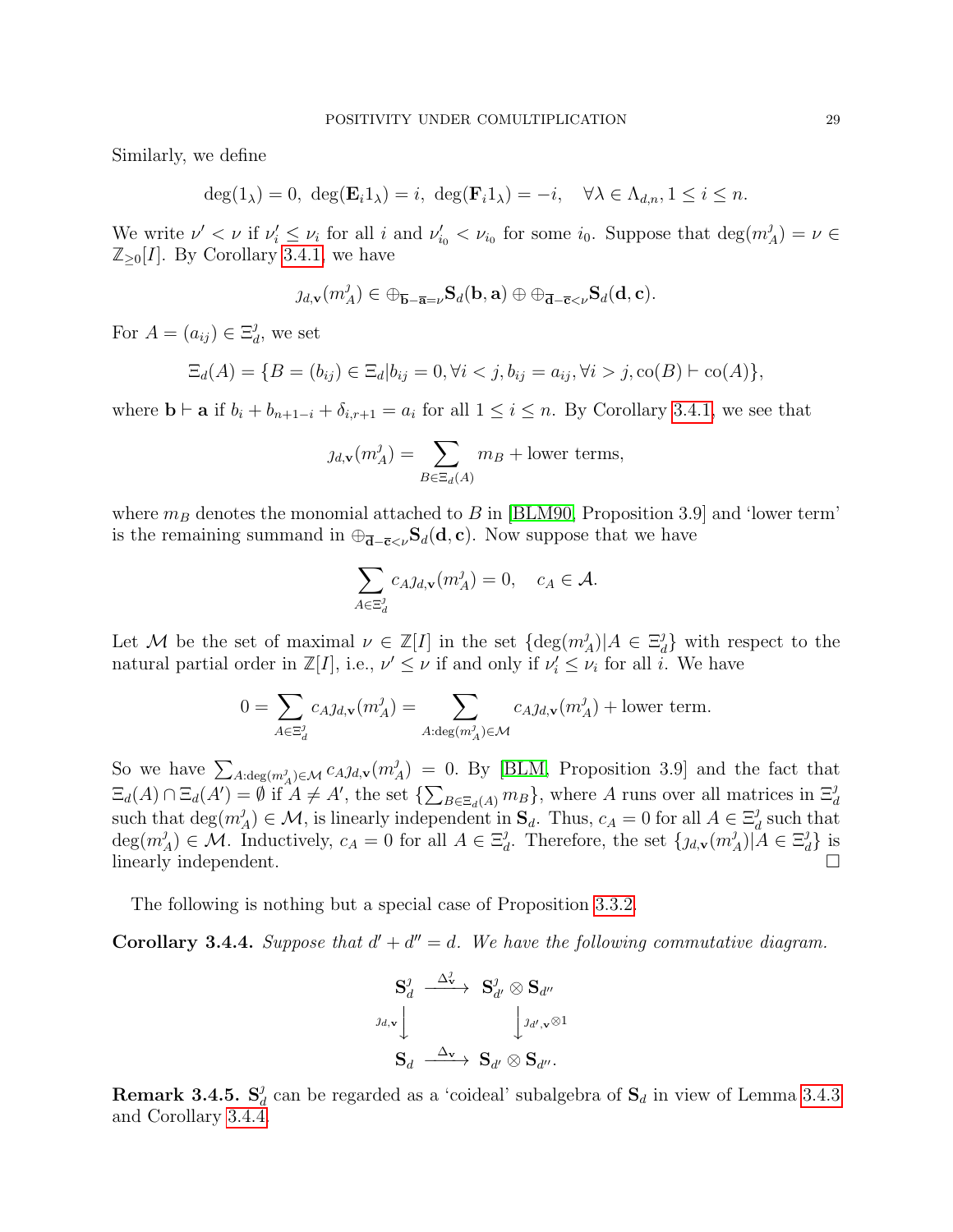Similarly, we define

$$
\deg(1_{\lambda}) = 0, \ \deg(\mathbf{E}_{i}1_{\lambda}) = i, \ \deg(\mathbf{F}_{i}1_{\lambda}) = -i, \quad \forall \lambda \in \Lambda_{d,n}, 1 \leq i \leq n.
$$

We write  $\nu' < \nu$  if  $\nu'_i \leq \nu_i$  for all i and  $\nu'_{i_0} < \nu_{i_0}$  for some  $i_0$ . Suppose that  $\deg(m)$  $_{A}^{j})=\nu\in$  $\mathbb{Z}_{\geq 0}[I]$ . By Corollary [3.4.1,](#page-27-1) we have

$$
\jmath_{d,\mathbf{v}}(m_A^{\jmath}) \in \oplus_{\overline{\mathbf{b}}-\overline{\mathbf{a}}=\nu} \mathbf{S}_d(\mathbf{b},\mathbf{a}) \oplus \oplus_{\overline{\mathbf{d}}-\overline{\mathbf{c}}<\nu} \mathbf{S}_d(\mathbf{d},\mathbf{c}).
$$

For  $A = (a_{ij}) \in \Xi_a^j$  $_d^j$ , we set

$$
\Xi_d(A) = \{ B = (b_{ij}) \in \Xi_d | b_{ij} = 0, \forall i < j, b_{ij} = a_{ij}, \forall i > j, \text{co}(B) \vdash \text{co}(A) \},
$$

where  $\mathbf{b} \vdash \mathbf{a}$  if  $b_i + b_{n+1-i} + \delta_{i,r+1} = a_i$  for all  $1 \leq i \leq n$ . By Corollary [3.4.1,](#page-27-1) we see that

$$
j_{d,\mathbf{v}}(m_A^j) = \sum_{B \in \Xi_d(A)} m_B + \text{lower terms},
$$

where  $m_B$  denotes the monomial attached to B in [\[BLM90,](#page-44-1) Proposition 3.9] and 'lower term' is the remaining summand in  $\oplus_{\bar{\mathbf{d}}-\bar{\mathbf{c}}<\nu} \mathbf{S}_d(\mathbf{d}, \mathbf{c})$ . Now suppose that we have

$$
\sum_{A \in \Xi_d^j} c_{A} \jmath_{d,\mathbf{v}}(m_A^j) = 0, \quad c_A \in \mathcal{A}.
$$

Let M be the set of maximal  $\nu \in \mathbb{Z}[I]$  in the set  $\{\deg(m)$  $\binom{J}{A}$ | $A \in \Xi_a^J$  $\left\{\begin{array}{c}J\ J\end{array}\right\}$  with respect to the natural partial order in  $\mathbb{Z}[I]$ , i.e.,  $\nu' \leq \nu$  if and only if  $\nu_i' \leq \nu_i$  for all i. We have

$$
0 = \sum_{A \in \Xi_d^j} c_{A} \jmath_{d,\mathbf{v}}(m_A^j) = \sum_{A: \deg(m_A^j) \in \mathcal{M}} c_{A} \jmath_{d,\mathbf{v}}(m_A^j) + \text{lower term}.
$$

So we have  $\sum_{A:\deg(m_A^j)\in\mathcal{M}} c_{A}j_{d,\mathbf{v}}(m_A^j)$  $\mathcal{A}_{A}^{J}$  = 0. By [\[BLM,](#page-44-10) Proposition 3.9] and the fact that  $\Xi_d(A) \cap \Xi_d(A') = \emptyset$  if  $A \neq A'$ , the set  $\{\sum_{B \in \Xi_d(A)} m_B\}$ , where A runs over all matrices in  $\Xi_d^J$ such that  $\deg(m)$  $(A_A)^j$   $\in \mathcal{M}$ , is linearly independent in  $\mathbf{S}_d$ . Thus,  $c_A = 0$  for all  $A \in \Xi_d^j$  $\frac{J}{d}$  such that  $deg(m)$  $(\mathcal{A})_A^{\jmath}$   $\in \mathcal{M}$ . Inductively,  $c_A = 0$  for all  $A \in \Xi_a^{\jmath}$ <sup>*j*</sup> Therefore, the set  $\{j_{d,\mathbf{v}}(m)$ <sup>*j*</sup>  $\binom{J}{A}|\mathring{A} \in \Xi_a^{\jmath}$  $_{d}^{j}$ } is linearly independent.

The following is nothing but a special case of Proposition [3.3.2.](#page-27-2)

<span id="page-28-0"></span>**Corollary 3.4.4.** Suppose that  $d' + d'' = d$ . We have the following commutative diagram.

$$
\begin{array}{ccc}\n\mathbf{S}_{d}^{j} & \stackrel{\Delta_{\mathbf{v}}^{j}}{\longrightarrow} & \mathbf{S}_{d'}^{j} \otimes \mathbf{S}_{d''} \\
\downarrow^{j_{d,\mathbf{v}}} & & \downarrow^{j_{d',\mathbf{v}}} \otimes 1 \\
\mathbf{S}_{d} & \stackrel{\Delta_{\mathbf{v}}}{\longrightarrow} & \mathbf{S}_{d'} \otimes \mathbf{S}_{d''}.\n\end{array}
$$

Remark 3.4.5.  $S^j_a$  $\frac{d}{d}$  can be regarded as a 'coideal' subalgebra of  $S_d$  in view of Lemma [3.4.3](#page-27-3) and Corollary [3.4.4.](#page-28-0)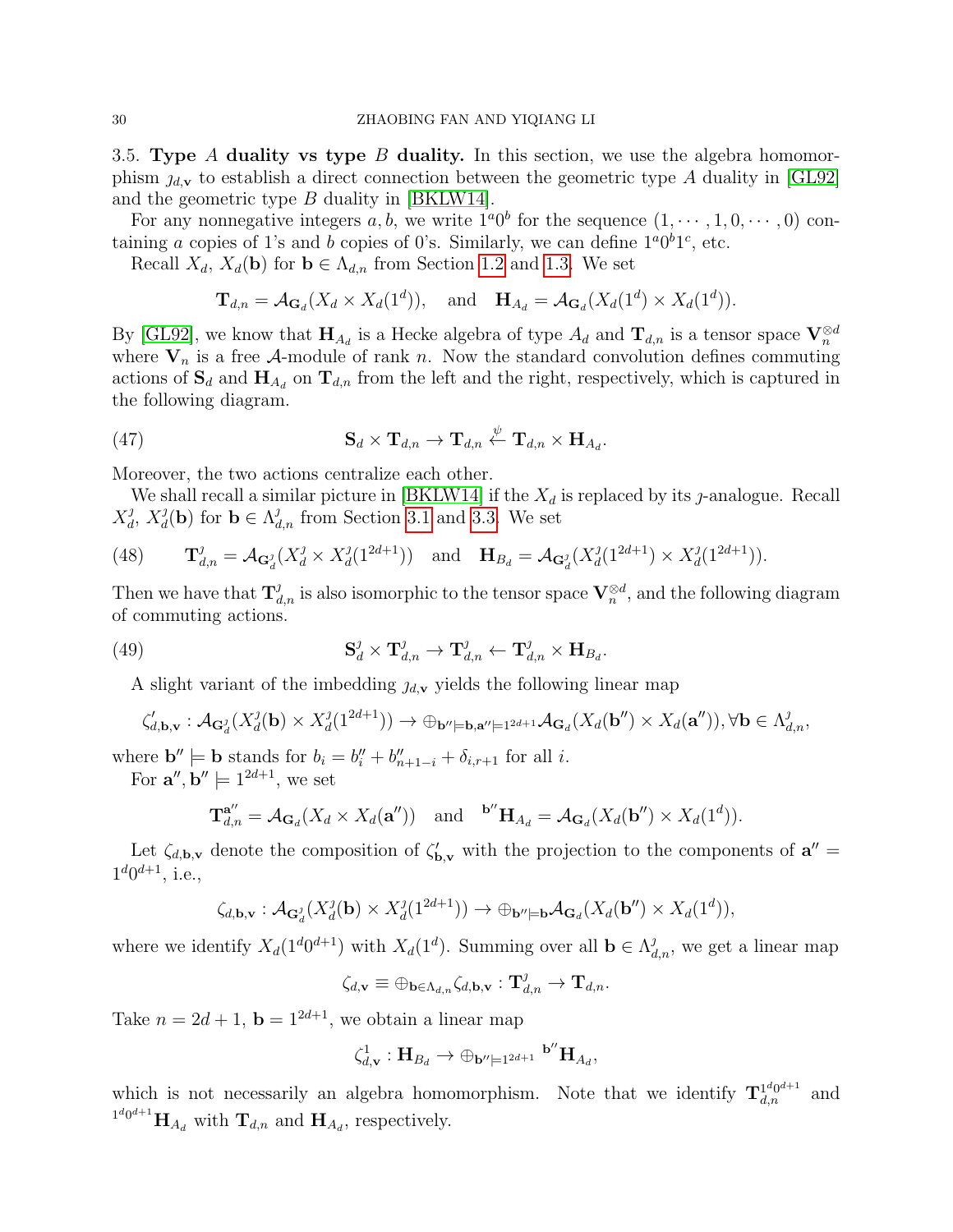3.5. Type A duality vs type B duality. In this section, we use the algebra homomorphism  $\eta_{d,v}$  to establish a direct connection between the geometric type A duality in [\[GL92\]](#page-44-14) and the geometric type B duality in [\[BKLW14\]](#page-44-9).

For any nonnegative integers a, b, we write  $1^a0^b$  for the sequence  $(1, \dots, 1, 0, \dots, 0)$  containing a copies of 1's and b copies of 0's. Similarly, we can define  $1^a0^b1^c$ , etc.

Recall  $X_d$ ,  $X_d(\mathbf{b})$  for  $\mathbf{b} \in \Lambda_{d,n}$  from Section [1.2](#page-3-1) and [1.3.](#page-3-2) We set

$$
\mathbf{T}_{d,n} = \mathcal{A}_{\mathbf{G}_d}(X_d \times X_d(1^d)), \text{ and } \mathbf{H}_{A_d} = \mathcal{A}_{\mathbf{G}_d}(X_d(1^d) \times X_d(1^d)).
$$

By [\[GL92\]](#page-44-14), we know that  $H_{A_d}$  is a Hecke algebra of type  $A_d$  and  $\mathbf{T}_{d,n}$  is a tensor space  $\mathbf{V}_n^{\otimes d}$ where  $V_n$  is a free A-module of rank n. Now the standard convolution defines commuting actions of  $S_d$  and  $H_{A_d}$  on  $T_{d,n}$  from the left and the right, respectively, which is captured in the following diagram.

<span id="page-29-0"></span>(47) 
$$
\mathbf{S}_d \times \mathbf{T}_{d,n} \to \mathbf{T}_{d,n} \stackrel{\psi}{\leftarrow} \mathbf{T}_{d,n} \times \mathbf{H}_{A_d}.
$$

Moreover, the two actions centralize each other.

We shall recall a similar picture in [\[BKLW14\]](#page-44-9) if the  $X_d$  is replaced by its *j*-analogue. Recall  $X_d^j$  $_d^j$ ,  $X_d^j$  $d_{d}^{j}(\mathbf{b})$  for  $\mathbf{b} \in \Lambda_{d,n}^{j}$  from Section [3.1](#page-20-2) and [3.3.](#page-25-0) We set

(48) 
$$
\mathbf{T}_{d,n}^{\jmath} = \mathcal{A}_{\mathbf{G}_d^{\jmath}}(X_d^{\jmath} \times X_d^{\jmath}(1^{2d+1})) \text{ and } \mathbf{H}_{B_d} = \mathcal{A}_{\mathbf{G}_d^{\jmath}}(X_d^{\jmath}(1^{2d+1}) \times X_d^{\jmath}(1^{2d+1})).
$$

Then we have that  $\mathbf{T}_{d,n}^j$  is also isomorphic to the tensor space  $\mathbf{V}_n^{\otimes d}$ , and the following diagram of commuting actions.

(49) 
$$
\mathbf{S}_d^{\jmath} \times \mathbf{T}_{d,n}^{\jmath} \to \mathbf{T}_{d,n}^{\jmath} \leftarrow \mathbf{T}_{d,n}^{\jmath} \times \mathbf{H}_{B_d}.
$$

A slight variant of the imbedding  $\jmath_{d,\mathbf{v}}$  yields the following linear map

$$
\zeta'_{d,\mathbf{b},\mathbf{v}}:\mathcal{A}_{\mathbf{G}_d^{\jmath}}(X_d^{\jmath}(\mathbf{b})\times X_d^{\jmath}(1^{2d+1}))\to\oplus_{\mathbf{b}''\models \mathbf{b},\mathbf{a}''\models 1^{2d+1}}\mathcal{A}_{\mathbf{G}_d}(X_d(\mathbf{b}'')\times X_d(\mathbf{a}'')), \forall \mathbf{b}\in \Lambda_{d,n}^{\jmath},
$$

where  $\mathbf{b}'' \models \mathbf{b}$  stands for  $b_i = b''_i + b''_{n+1-i} + \delta_{i,r+1}$  for all *i*.

For  $\mathbf{a}^{\prime\prime}, \mathbf{b}^{\prime\prime} \models 1^{2d+1}$ , we set

$$
\mathbf{T}_{d,n}^{\mathbf{a}''} = \mathcal{A}_{\mathbf{G}_d}(X_d \times X_d(\mathbf{a}'')) \quad \text{and} \quad {}^{\mathbf{b}''}\mathbf{H}_{A_d} = \mathcal{A}_{\mathbf{G}_d}(X_d(\mathbf{b}'') \times X_d(1^d)).
$$

Let  $\zeta_{d,b,\mathbf{v}}$  denote the composition of  $\zeta'_{b,\mathbf{v}}$  with the projection to the components of  $\mathbf{a}'' =$  $1^{\text{d}}0^{\text{d}+1}$ , i.e.,

$$
\zeta_{d,\mathbf{b},\mathbf{v}} : \mathcal{A}_{\mathbf{G}_d^{\jmath}}(X_d^{\jmath}(\mathbf{b}) \times X_d^{\jmath}(1^{2d+1})) \to \oplus_{\mathbf{b}'' \models \mathbf{b}} \mathcal{A}_{\mathbf{G}_d}(X_d(\mathbf{b}'') \times X_d(1^d)),
$$

where we identify  $X_d(1^d 0^{d+1})$  with  $X_d(1^d)$ . Summing over all  $\mathbf{b} \in \Lambda_{d,n}^j$ , we get a linear map

$$
\zeta_{d,\mathbf{v}}\equiv \oplus_{\mathbf{b}\in \Lambda_{d,n}}\zeta_{d,\mathbf{b},\mathbf{v}}:\mathbf{T}_{d,n}^{\jmath}\rightarrow \mathbf{T}_{d,n}.
$$

Take  $n = 2d + 1$ ,  $\mathbf{b} = 1^{2d+1}$ , we obtain a linear map

$$
\zeta_{d,\mathbf{v}}^1:\mathbf{H}_{B_d}\to \oplus_{\mathbf{b}''\models 1^{2d+1}}\ ^{\mathbf{b}''}\mathbf{H}_{A_d},
$$

which is not necessarily an algebra homomorphism. Note that we identify  ${\bf T}^{1^d0^{d+1}}_{d,n}$  and  $^{1^d0^{d+1}}\mathbf{H}_{A_d}$  with  $\mathbf{T}_{d,n}$  and  $\mathbf{H}_{A_d}$ , respectively.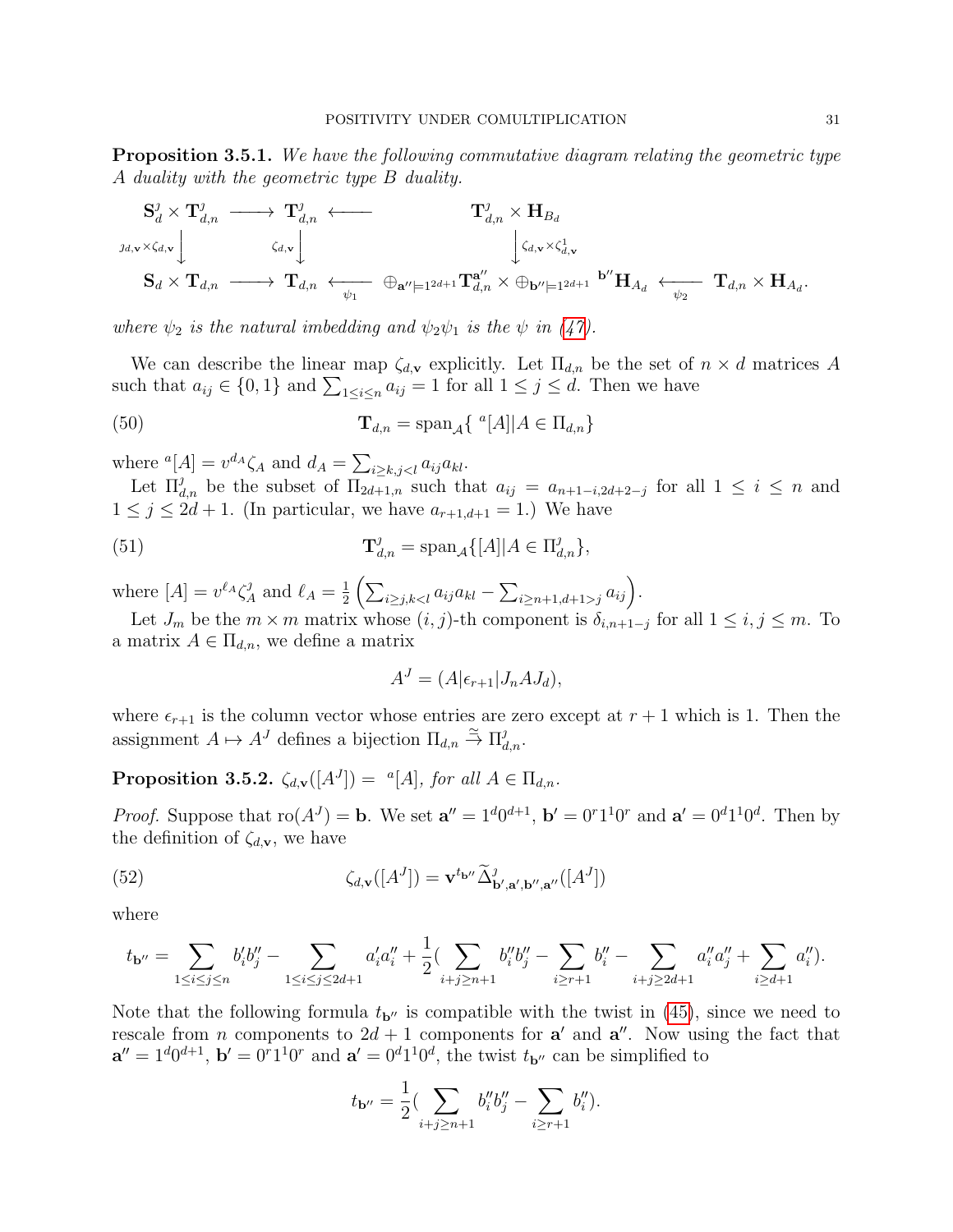<span id="page-30-4"></span>**Proposition 3.5.1.** We have the following commutative diagram relating the geometric type A duality with the geometric type B duality.

$$
\begin{array}{ccc}\n\mathbf{S}_{d}^{j} \times \mathbf{T}_{d,n}^{j} & \longrightarrow & \mathbf{T}_{d,n}^{j} \longleftarrow & \mathbf{T}_{d,n}^{j} \times \mathbf{H}_{B_{d}} \\
\downarrow^{j_{d,\mathbf{v}} \times \zeta_{d,\mathbf{v}}} \downarrow & \downarrow^{j_{d,\mathbf{v}} \times \zeta_{d,\mathbf{v}}^{1}} & \downarrow^{j_{d,\mathbf{v}} \times \zeta_{d,\mathbf{v}}^{1}} \\
\mathbf{S}_{d} \times \mathbf{T}_{d,n} & \longrightarrow & \mathbf{T}_{d,n} \longleftarrow & \oplus_{\mathbf{a}'' \models 1^{2d+1}} \mathbf{T}_{d,n}^{\mathbf{a}''} \times \oplus_{\mathbf{b}'' \models 1^{2d+1}} \mathbf{b}'' \mathbf{H}_{A_{d}} \longleftarrow & \mathbf{T}_{d,n} \times \mathbf{H}_{A_{d}}.\n\end{array}
$$

where  $\psi_2$  is the natural imbedding and  $\psi_2 \psi_1$  is the  $\psi$  in [\(47\)](#page-29-0).

We can describe the linear map  $\zeta_{d,v}$  explicitly. Let  $\Pi_{d,n}$  be the set of  $n \times d$  matrices A such that  $a_{ij} \in \{0,1\}$  and  $\sum_{1 \leq i \leq n} a_{ij} = 1$  for all  $1 \leq j \leq d$ . Then we have

<span id="page-30-3"></span>(50) 
$$
\mathbf{T}_{d,n} = \text{span}_{\mathcal{A}} \{ \ ^{a}[A] | A \in \Pi_{d,n} \}
$$

where  ${}^a[A] = v^{d_A} \zeta_A$  and  $d_A = \sum_{i \ge k, j < l} a_{ij} a_{kl}$ .

Let  $\Pi_{d,n}^j$  be the subset of  $\Pi_{2d+1,n}$  such that  $a_{ij} = a_{n+1-i,2d+2-j}$  for all  $1 \leq i \leq n$  and  $1 \leq j \leq 2d+1$ . (In particular, we have  $a_{r+1,d+1} = 1$ .) We have

<span id="page-30-2"></span>(51) 
$$
\mathbf{T}_{d,n}^{\jmath} = \mathrm{span}_{\mathcal{A}}\{[A]|A \in \Pi_{d,n}^{\jmath}\},
$$

where  $[A] = v^{\ell_A} \zeta^{\jmath}_A$  $\ell_A^j$  and  $\ell_A = \frac{1}{2}$  $\frac{1}{2} \left( \sum_{i \geq j, k < l} a_{ij} a_{kl} - \sum_{i \geq n+1, d+1 > j} a_{ij} \right).$ 

Let  $J_m$  be the  $m \times m$  matrix whose  $(i, j)$ -th component is  $\delta_{i,n+1-j}$  for all  $1 \leq i, j \leq m$ . To a matrix  $A \in \Pi_{d,n}$ , we define a matrix

$$
A^J = (A|\epsilon_{r+1}|J_nAJ_d),
$$

where  $\epsilon_{r+1}$  is the column vector whose entries are zero except at  $r + 1$  which is 1. Then the assignment  $A \mapsto A^J$  defines a bijection  $\Pi_{d,n} \stackrel{\simeq}{\to} \Pi_{d,n}^J$ .

<span id="page-30-1"></span>**Proposition 3.5.2.**  $\zeta_{d,v}([A^J]) = {}^a[A]$ , for all  $A \in \Pi_{d,n}$ .

*Proof.* Suppose that  $\text{ro}(A^{J}) = \mathbf{b}$ . We set  $\mathbf{a}'' = 1^d 0^{d+1}$ ,  $\mathbf{b}' = 0^r 1^1 0^r$  and  $\mathbf{a}' = 0^d 1^1 0^d$ . Then by the definition of  $\zeta_{d,\mathbf{v}}$ , we have

<span id="page-30-0"></span>(52) 
$$
\zeta_{d,\mathbf{v}}([A^J]) = \mathbf{v}^{t_{\mathbf{b''}}}\widetilde{\Delta}_{\mathbf{b'},\mathbf{a'},\mathbf{b''},\mathbf{a''}}^j([A^J])
$$

where

$$
t_{\mathbf{b}''} = \sum_{1 \leq i \leq j \leq n} b_i' b_j'' - \sum_{1 \leq i \leq j \leq 2d+1} a_i' a_i'' + \frac{1}{2} (\sum_{i+j \geq n+1} b_i'' b_j'' - \sum_{i \geq r+1} b_i'' - \sum_{i+j \geq 2d+1} a_i'' a_j'' + \sum_{i \geq d+1} a_i'').
$$

Note that the following formula  $t_{\mathbf{b}''}$  is compatible with the twist in [\(45\)](#page-26-1), since we need to rescale from *n* components to  $2d + 1$  components for **a'** and **a''**. Now using the fact that  $\mathbf{a}'' = 1^d 0^{d+1}$ ,  $\mathbf{b}' = 0^r 1^1 0^r$  and  $\mathbf{a}' = 0^d 1^1 0^d$ , the twist  $t_{\mathbf{b}''}$  can be simplified to

$$
t_{\mathbf{b}''} = \frac{1}{2} \left( \sum_{i+j \ge n+1} b_i'' b_j'' - \sum_{i \ge r+1} b_i'' \right).
$$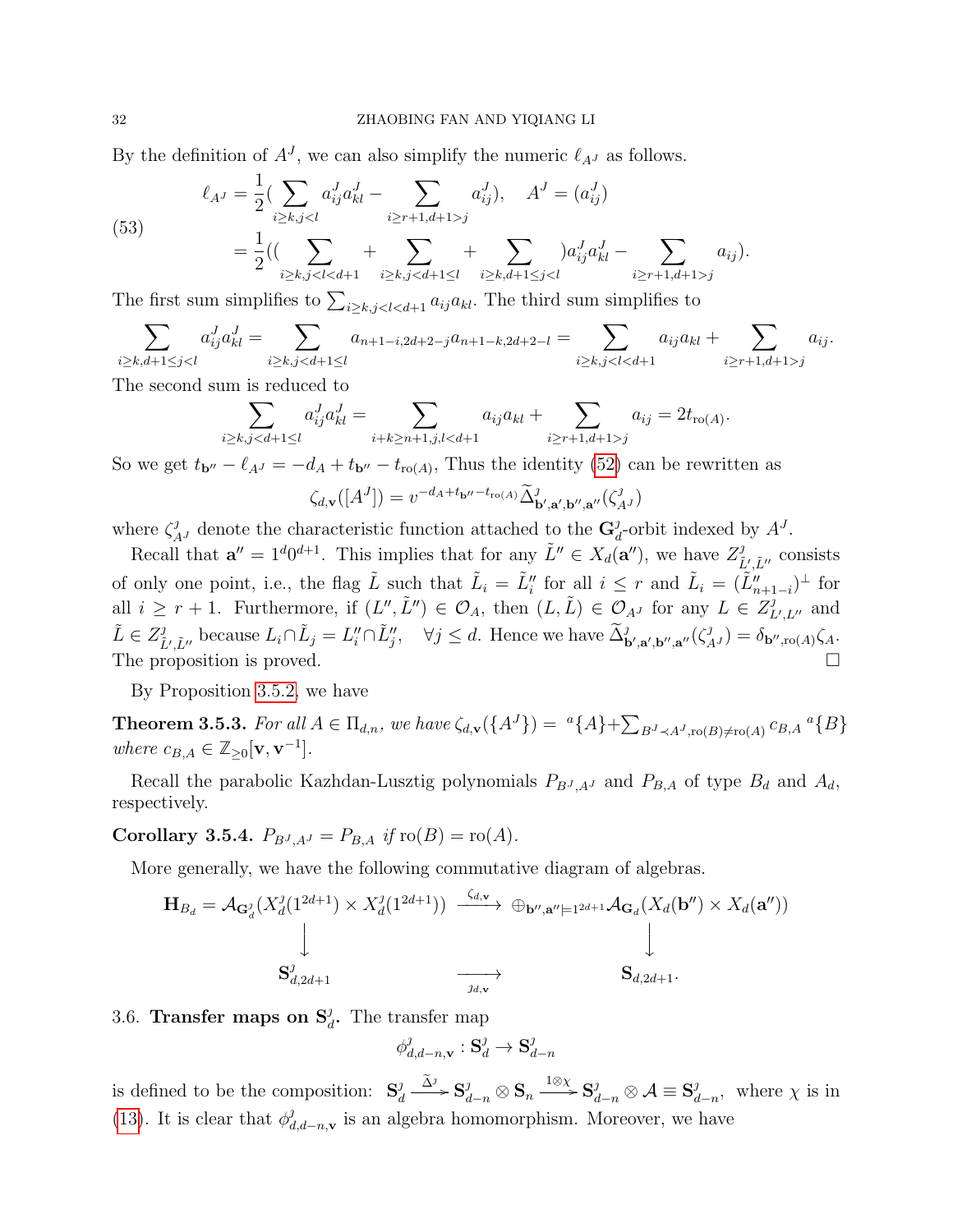By the definition of  $A<sup>J</sup>$ , we can also simplify the numeric  $\ell_{A<sup>J</sup>}$  as follows.

(53) 
$$
\ell_{A^J} = \frac{1}{2} \left( \sum_{i \ge k, j < l} a_{ij}^J a_{kl}^J - \sum_{i \ge r+1, d+1 > j} a_{ij}^J \right), \quad A^J = (a_{ij}^J) \n= \frac{1}{2} \left( \left( \sum_{i \ge k, j < l < d+1} + \sum_{i \ge k, j < d+1 \le l} + \sum_{i \ge k, d+1 \le j < l} a_{ij}^J a_{kl}^J - \sum_{i \ge r+1, d+1 > j} a_{ij}^J \right) \right).
$$

The first sum simplifies to  $\sum_{i \geq k, j < l < d+1} a_{ij} a_{kl}$ . The third sum simplifies to

$$
\sum_{i\geq k,d+1\leq jj} a_{ij}.
$$

The second sum is reduced to

$$
\sum_{i\geq k,jj} a_{ij} = 2t_{\text{ro}(A)}.
$$

So we get  $t_{\mathbf{b}''} - \ell_{A} = -d_A + t_{\mathbf{b}''} - t_{\text{ro}(A)}$ , Thus the identity [\(52\)](#page-30-0) can be rewritten as

$$
\zeta_{d,\mathbf{v}}([A^J]) = v^{-d_A + t_{\mathbf{b}''} - t_{\text{ro}(A)}} \widetilde{\Delta}_{\mathbf{b}',\mathbf{a}',\mathbf{b}'',\mathbf{a}''}^{\jmath}(\zeta_{A^J}^{\jmath})
$$

where  $\zeta_{A}^j$  denote the characteristic function attached to the  $\mathbf{G}_a^j$  $_{d}^{j}$ -orbit indexed by  $A^{J}$ .

Recall that  $\mathbf{a}'' = 1^d 0^{d+1}$ . This implies that for any  $\tilde{L}'' \in X_d(\mathbf{a}'')$ , we have  $Z_i^j$  $\tilde{L}^{\prime}, \tilde{L}^{\prime\prime}$  consists of only one point, i.e., the flag  $\tilde{L}$  such that  $\tilde{L}_i = \tilde{L}_i''$  for all  $i \leq r$  and  $\tilde{L}_i = (\tilde{L}_{n+1-i}'')^{\perp}$  for all  $i \geq r+1$ . Furthermore, if  $(L'', \tilde{L}'') \in \mathcal{O}_A$ , then  $(L, \tilde{L}) \in \mathcal{O}_{A^J}$  for any  $L \in Z_I^J$  $L^j$ ,  $L^j$  and  $\tilde{L} \in Z_{\tilde{r}}^j$  $\tilde{L}'_{\tilde{L}''}$  because  $L_i \cap \tilde{L}_j = L''_i \cap \tilde{L}''_j$ ,  $\forall j \leq d$ . Hence we have  $\tilde{\Delta}_{\mathbf{b}',\mathbf{a}',\mathbf{b}'',\mathbf{a}''}^j(\zeta_{A'}^j) = \delta_{\mathbf{b}'',\text{ro}(A)}\zeta_{A'}$ . The proposition is proved.

By Proposition [3.5.2,](#page-30-1) we have

<span id="page-31-0"></span>**Theorem 3.5.3.** For all  $A \in \Pi_{d,n}$ , we have  $\zeta_{d,\mathbf{v}}(\{A^J\}) = \binom{a}{A} + \sum_{B^J \prec A^J, \text{ro}(B) \neq \text{ro}(A)} c_{B,A} \binom{a}{B}$ where  $c_{B,A} \in \mathbb{Z}_{\geq 0}[\mathbf{v}, \mathbf{v}^{-1}].$ 

Recall the parabolic Kazhdan-Lusztig polynomials  $P_{B,J,AJ}$  and  $P_{B,A}$  of type  $B_d$  and  $A_d$ , respectively.

**Corollary 3.5.4.**  $P_{B^J, A^J} = P_{B, A}$  if  $\text{ro}(B) = \text{ro}(A)$ .

More generally, we have the following commutative diagram of algebras.

$$
\mathbf{H}_{B_d} = \mathcal{A}_{\mathbf{G}_d^j}(X_d^j(1^{2d+1}) \times X_d^j(1^{2d+1})) \xrightarrow{\zeta_{d,\mathbf{v}}} \oplus_{\mathbf{b}'',\mathbf{a}'' \models 1^{2d+1}} \mathcal{A}_{\mathbf{G}_d}(X_d(\mathbf{b}'') \times X_d(\mathbf{a}''))
$$
\n
$$
\downarrow \qquad \qquad \downarrow
$$
\n
$$
\mathbf{S}_{d,2d+1}^j \qquad \qquad \overrightarrow{\phantom{A}_{d,2d+1}} \qquad \qquad \overrightarrow{\phantom{A_{d,2d+1}} \qquad \qquad } \mathbf{S}_{d,2d+1}.
$$

# 3.6. Transfer maps on  $S_d^j$ . The transfer map

$$
\phi_{d,d-n,\mathbf{v}}^{ \jmath}: \mathbf{S}_{d}^{\jmath} \to \mathbf{S}_{d-n}^{\jmath}
$$

is defined to be the composition:  $S_d^j$  $\mathbf{S}^{\jmath}_d \stackrel{\widetilde{\Delta}^{\jmath}}{\longrightarrow} \mathbf{S}^{\jmath}_{d-n} \otimes \mathbf{S}_n \stackrel{1 \otimes \chi}{\longrightarrow} \mathbf{S}^{\jmath}_{d-n} \otimes \mathcal{A} \equiv \mathbf{S}^{\jmath}_d$  $_{d-n}^j$ , where  $\chi$  is in [\(13\)](#page-6-3). It is clear that  $\phi^j_a$  $d_{d,d-n,\mathbf{v}}^j$  is an algebra homomorphism. Moreover, we have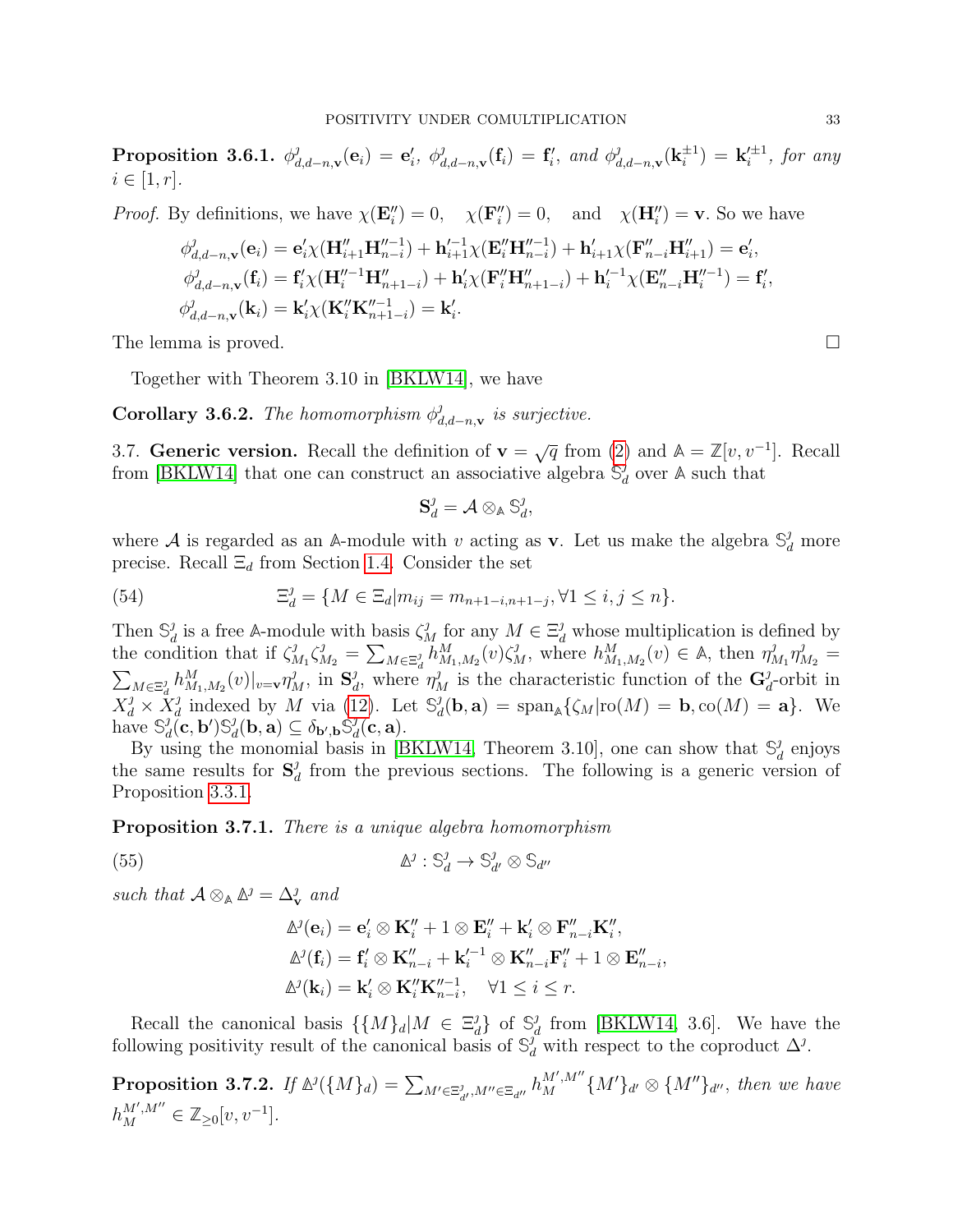<span id="page-32-0"></span>Proposition 3.6.1.  $\phi^j_a$  $\theta _{d,d-n,\mathbf{v}}^{j}(\mathbf{e}_{i})\,=\,\mathbf{e}_{i}^{\prime },\,\,\phi _{d}^{j}% (\mathbf{\hat{e}}_{i}),\,\,\phi _{d,n}^{j}(\mathbf{\hat{e}}_{i}),\,\,\phi _{d,n}^{j}(\mathbf{\hat{e}}_{i}),\,\,\phi _{d,n}^{j}(\mathbf{\hat{e}}_{i}),\,\,\phi _{d,n}^{j}(\mathbf{\hat{e}}_{i}),\,\,\phi _{d,n}^{j}(\mathbf{\hat{e}}_{i}),\,\,\phi _{d,n}^{j}(\mathbf{\hat{e}}_{i}),\,\,\phi _{d,n}^{j}(\mathbf{\hat{e}}_{$  $\mathbf{d}_{d,d-n,\mathbf{v}}^{j}(\mathbf{f}_{i}) = \mathbf{f}'_{i}$ , and  $\phi_{d}^{j}$  $^{\jmath}_{d,d-n,\mathbf{v}}(\mathbf{k}_i^{\pm1})$  $\epsilon^{\pm 1}_i)=\,{\bf k}_i^{\prime\pm 1}$  $i^{\pm 1}$ , for any  $i \in [1, r]$ .

*Proof.* By definitions, we have 
$$
\chi(\mathbf{E}_{i}^{"}) = 0
$$
,  $\chi(\mathbf{F}_{i}^{"}) = 0$ , and  $\chi(\mathbf{H}_{i}^{"}) = \mathbf{v}$ . So we have  
\n
$$
\phi_{d,d-n,\mathbf{v}}^{j}(\mathbf{e}_{i}) = \mathbf{e}_{i}^{\prime} \chi(\mathbf{H}_{i+1}^{"}\mathbf{H}_{n-i}^{"-1}) + \mathbf{h}_{i+1}^{\prime-1} \chi(\mathbf{E}_{i}^{"}\mathbf{H}_{n-i}^{"-1}) + \mathbf{h}_{i+1}^{\prime} \chi(\mathbf{F}_{n-i}^{"}\mathbf{H}_{i+1}^{"}) = \mathbf{e}_{i}^{\prime},
$$
\n
$$
\phi_{d,d-n,\mathbf{v}}^{j}(\mathbf{f}_{i}) = \mathbf{f}_{i}^{\prime} \chi(\mathbf{H}_{i}^{\prime\prime-1}\mathbf{H}_{n+1-i}^{"}) + \mathbf{h}_{i}^{\prime} \chi(\mathbf{F}_{i}^{"}\mathbf{H}_{n+1-i}^{"}) + \mathbf{h}_{i}^{\prime-1} \chi(\mathbf{E}_{n-i}^{"}\mathbf{H}_{i}^{\prime\prime-1}) = \mathbf{f}_{i}^{\prime},
$$
\n
$$
\phi_{d,d-n,\mathbf{v}}^{j}(\mathbf{k}_{i}) = \mathbf{k}_{i}^{\prime} \chi(\mathbf{K}_{i}^{"}\mathbf{K}_{n+1-i}^{"}) = \mathbf{k}_{i}^{\prime}.
$$

The lemma is proved.  $\square$ 

Together with Theorem 3.10 in [\[BKLW14\]](#page-44-9), we have

**Corollary 3.6.2.** The homomorphism  $\phi^j_a$  $\frac{d}{d}$ ,  $d-n$ , v is surjective.

3.7. **Generic version.** Recall the definition of  $\mathbf{v} = \sqrt{q}$  from [\(2\)](#page-3-4) and  $\mathbb{A} = \mathbb{Z}[v, v^{-1}]$ . Recall from [\[BKLW14\]](#page-44-9) that one can construct an associative algebra  $\mathcal{S}_{d}^{j}$  $_d^j$  over  $\mathbb A$  such that

$$
\mathbf S_d^{\jmath} = \mathcal A \otimes_{\mathbb A} \mathbb S_d^{\jmath},
$$

where A is regarded as an A-module with v acting as **v**. Let us make the algebra  $\mathbb{S}_d^j$  more precise. Recall  $\Xi_d$  from Section [1.4.](#page-6-0) Consider the set

<span id="page-32-3"></span>(54) 
$$
\Xi_d^j = \{ M \in \Xi_d | m_{ij} = m_{n+1-i,n+1-j}, \forall 1 \le i, j \le n \}.
$$

Then  $\mathbb{S}_a^j$ <sup>*f*</sup><sub>d</sub> is a free A-module with basis  $\zeta_M^j$  for any  $M \in \Xi_d^j$  whose multiplication is defined by the condition that if  $\zeta_n^j$  $\sum_{M_1}^{j} \zeta_{M_2}^j = \sum_{M \in \Xi_d} h_{M_1,M_2}^M(v) \zeta_M^j$ , where  $h_{M_1,M_2}^M(v) \in A$ , then  $\eta_M^j$  $\eta_{M_1}^j\eta_{M_2}^j=$  $\sum_{M \in \Xi_d^j} h_{M_1,M_2}^M(v)|_{v=v} \eta_M^j$ , in  $\mathbf{S}_d^j$ <sup>*f*</sup><sub>d</sub>, where  $\eta_M^j$  is the characteristic function of the  $\mathbf{G}_a^j$  $_{d}^{j}$ -orbit in  $X^{\jmath}_d \times \overset{u}{X}{}^{\jmath}_d$ <sup>*j*</sup> indexed by *M* via [\(12\)](#page-6-4). Let  $\mathbb{S}_d^j$  $d_d(\mathbf{b}, \mathbf{a}) = \text{span}_{\mathbb{A}} \{ \zeta_M | \text{ro}(M) = \mathbf{b}, \text{co}(M) = \mathbf{a} \}.$  We have  $\mathbb{S}_a^j$  $\smallint_{d}^{\jmath} (\mathbf{c},\mathbf{b}') \mathbb{S}^{\jmath}_d$  $\delta_d^{\jmath}(\mathbf{b},\mathbf{a})\subseteq \delta_{\mathbf{b}',\mathbf{b}}\hat{\mathbb{S}}_d^{\jmath}$  $\frac{\jmath_d}{}(\mathbf{c},\mathbf{a}).$ 

By using the monomial basis in [\[BKLW14,](#page-44-9) Theorem 3.10], one can show that  $\mathbb{S}_{q}^{j}$  $_d^j$  enjoys the same results for  $S_d^j$  $d<sub>d</sub>$  from the previous sections. The following is a generic version of Proposition [3.3.1.](#page-26-0)

**Proposition 3.7.1.** There is a unique algebra homomorphism

<span id="page-32-1"></span>(55) 
$$
\Delta^j : \mathbb{S}_d^j \to \mathbb{S}_{d'}^j \otimes \mathbb{S}_{d''}
$$

such that  $\mathcal{A} \otimes_{\mathbb{A}} \mathbb{A}^{\jmath} = \Delta^{\jmath}_{\mathbf{v}}$  and

$$
\Delta^{j}(\mathbf{e}_{i}) = \mathbf{e}'_{i} \otimes \mathbf{K}''_{i} + 1 \otimes \mathbf{E}''_{i} + \mathbf{k}'_{i} \otimes \mathbf{F}''_{n-i} \mathbf{K}''_{i},
$$
  
\n
$$
\Delta^{j}(\mathbf{f}_{i}) = \mathbf{f}'_{i} \otimes \mathbf{K}''_{n-i} + \mathbf{k}'_{i}^{-1} \otimes \mathbf{K}''_{n-i} \mathbf{F}''_{i} + 1 \otimes \mathbf{E}''_{n-i},
$$
  
\n
$$
\Delta^{j}(\mathbf{k}_{i}) = \mathbf{k}'_{i} \otimes \mathbf{K}''_{i} \mathbf{K}''_{n-i}, \quad \forall 1 \leq i \leq r.
$$

Recall the canonical basis  $\{\{M\}_d | M \in \Xi_d^j\}$  $\{d\}$  of  $\mathbb{S}_a^j$  $d_d$  from [\[BKLW14,](#page-44-9) 3.6]. We have the following positivity result of the canonical basis of  $\mathbb{S}_d^j$  with respect to the coproduct  $\Delta^j$ .

<span id="page-32-2"></span>**Proposition 3.7.2.** If  $\mathbb{A}^j(\{M\}_d) = \sum_{M' \in \Xi_{d'}^j, M'' \in \Xi_{d''}} h_M^{M', M''} \{M'\}_{d'} \otimes \{M''\}_{d''},$  then we have  $h_M^{M',M''} \in \mathbb{Z}_{\geq 0}[v, v^{-1}].$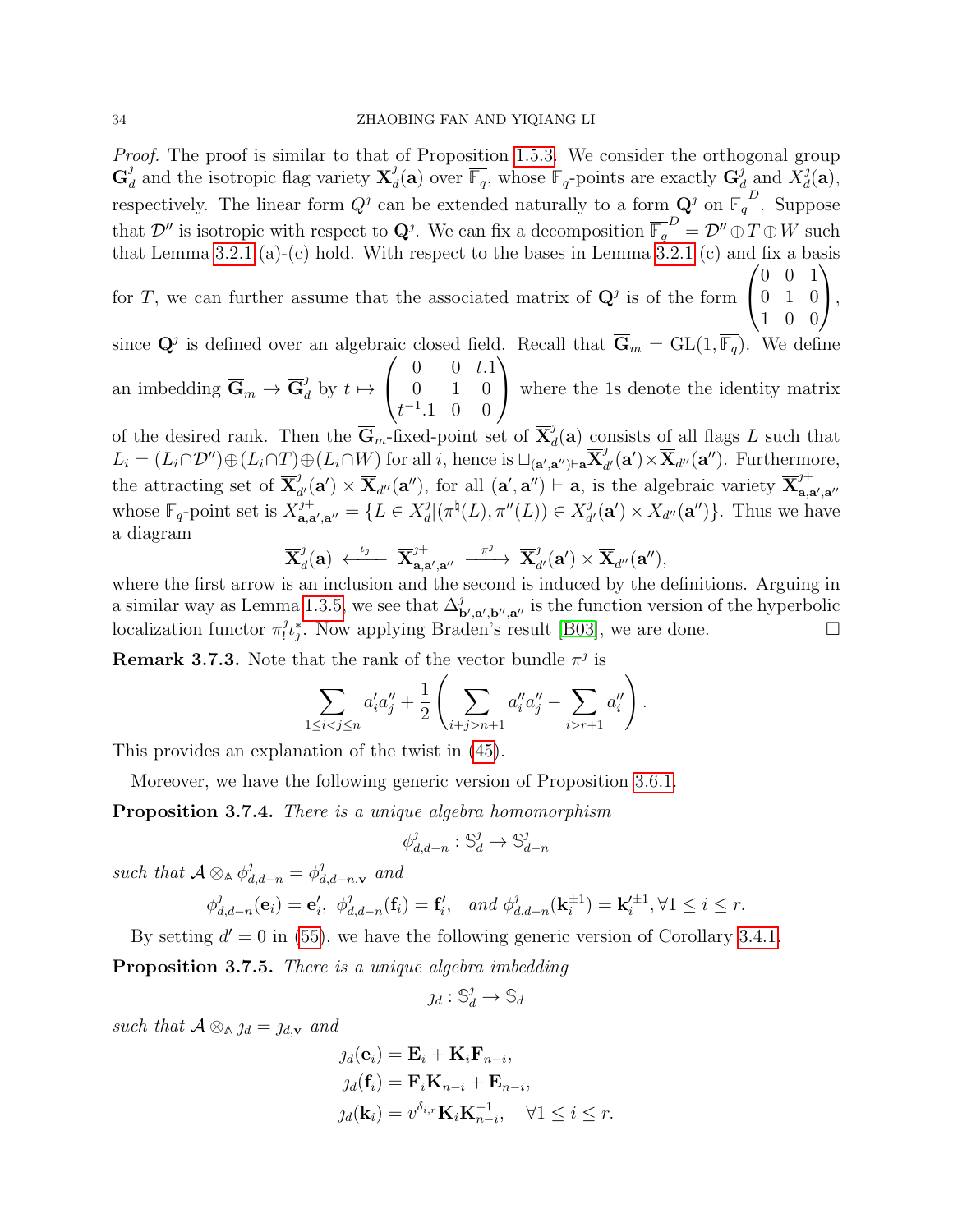Proof. The proof is similar to that of Proposition [1.5.3.](#page-8-0) We consider the orthogonal group  $\overline{\mathbf{G}}^{\jmath}_a$  $\frac{d}{d}$  and the isotropic flag variety  $\overline{\mathbf{X}}_{d}^{j}$  $d_d^j(\mathbf{a})$  over  $\overline{\mathbb{F}_q}$ , whose  $\mathbb{F}_q$ -points are exactly  $\mathbf{G}_d^j$  $\frac{d}{d}$  and  $X_d^j$  $_{d}^{\jmath}(\mathbf{a}),$ respectively. The linear form  $Q^j$  can be extended naturally to a form  $\mathbf{Q}^j$  on  $\overline{\mathbb{F}_q}^D$ . Suppose that  $\mathcal{D}''$  is isotropic with respect to  $\mathbf{Q}^j$ . We can fix a decomposition  $\overline{\mathbb{F}_q}^D = \mathcal{D}'' \oplus T \oplus W$  such that Lemma [3.2.1](#page-21-0) (a)-(c) hold. With respect to the bases in Lemma  $3.2.1$  (c) and fix a basis  $\sqrt{ }$ 0 0 1  $\setminus$ 

for T, we can further assume that the associated matrix of  $\mathbf{Q}^j$  is of the form  $\mathcal{L}$ 0 1 0 1 0 0  $\vert$ ,

since  $\mathbf{Q}^j$  is defined over an algebraic closed field. Recall that  $\overline{\mathbf{G}}_m = GL(1, \overline{\mathbb{F}_q})$ . We define  $\sqrt{ }$  $0 \t 0 \t t.1$  $\setminus$ 

an imbedding  $\overline{\mathbf{G}}_m \to \overline{\mathbf{G}}_d^j$  by  $t \mapsto$  $\overline{1}$ 0 1 0  $t^{-1}$ .1 0 0 where the 1s denote the identity matrix

of the desired rank. Then the  $\overline{\mathbf{G}}_m$ -fixed-point set of  $\overline{\mathbf{X}}_a^j$  $d_d(\mathbf{a})$  consists of all flags L such that  $L_i = (L_i \cap \mathcal{D}'') \oplus (L_i \cap T) \oplus (L_i \cap W)$  for all i, hence is  $\sqcup_{(\mathbf{a}',\mathbf{a}'')\vdash \mathbf{a}} \overline{\mathbf{X}}_{a}^j$  $d_d^{\jmath}(\mathbf{a}') \times \overline{\mathbf{X}}_{d''}(\mathbf{a}'')$ . Furthermore, the attracting set of  $\overline{\mathbf{X}}_a^j$  $d_d^j(\mathbf{a}') \times \overline{\mathbf{X}}_{d''}(\mathbf{a}'')$ , for all  $(\mathbf{a}', \mathbf{a}'') \vdash \mathbf{a}$ , is the algebraic variety  $\overline{\mathbf{X}}_{\mathbf{a}, \mathbf{a}'}^{j+1}$  $a,a',a''$ whose  $\mathbb{F}_q$ -point set is  $X_{\mathbf{a},\mathbf{a}}^{j+}$  $a_{\mathbf{a},\mathbf{a}',\mathbf{a}''}^{j+} = \{L \in X_d^j\}$  $d_d^{\jmath} |(\pi^{\natural}(L), \pi''(L)) \in X_d^{\jmath}$  $d'_{d'}(\mathbf{a}') \times X_{d''}(\mathbf{a}'')\}.$  Thus we have a diagram

$$
\overline{\mathbf{X}}^{\jmath}_d(\mathbf{a}) \stackrel{\iota_{\jmath}}{\longleftarrow} \overline{\mathbf{X}}^{\jmath+}_{\mathbf{a},\mathbf{a}',\mathbf{a}''} \stackrel{\pi^{\jmath}}{\xrightarrow{--}} \overline{\mathbf{X}}^{\jmath}_{d'}(\mathbf{a}') \times \overline{\mathbf{X}}_{d''}(\mathbf{a}''),
$$

where the first arrow is an inclusion and the second is induced by the definitions. Arguing in a similar way as Lemma [1.3.5,](#page-6-2) we see that  $\Delta_{\mathbf{b}',\mathbf{a}',\mathbf{b}'',\mathbf{a}'}^{j}$  is the function version of the hyperbolic localization functor  $\pi_l^j$  ${}_{1}^{j}$ . Now applying Braden's result [\[B03\]](#page-44-15), we are done.  $\square$ 

**Remark 3.7.3.** Note that the rank of the vector bundle  $\pi^j$  is

$$
\sum_{1 \leq i < j \leq n} a_i' a_j'' + \frac{1}{2} \left( \sum_{i+j > n+1} a_i'' a_j'' - \sum_{i > r+1} a_i'' \right).
$$

This provides an explanation of the twist in [\(45\)](#page-26-1).

Moreover, we have the following generic version of Proposition [3.6.1.](#page-32-0)

Proposition 3.7.4. There is a unique algebra homomorphism

$$
\phi_{d,d-n}^{\jmath}:\mathbb{S}_{d}^{\jmath}\to\mathbb{S}_{d-n}^{\jmath}
$$

such that  $\mathcal{A} \otimes_{\mathbb{A}} \phi_{d,d-n}^j = \phi_a^j$  $_{d,d-n,\mathbf{v}}^{j}$  and

$$
\phi_{d,d-n}^j(\mathbf{e}_i) = \mathbf{e}'_i, \ \phi_{d,d-n}^j(\mathbf{f}_i) = \mathbf{f}'_i, \ \text{and} \ \phi_{d,d-n}^j(\mathbf{k}_i^{\pm 1}) = \mathbf{k}'_i^{\pm 1}, \forall 1 \le i \le r.
$$

By setting  $d' = 0$  in [\(55\)](#page-32-1), we have the following generic version of Corollary [3.4.1.](#page-27-1)

<span id="page-33-0"></span>Proposition 3.7.5. There is a unique algebra imbedding

$$
j_d: \mathbb{S}_d^j \to \mathbb{S}_d
$$

such that  $A \otimes_{A} \mathcal{A} = \mathcal{A}_{d,v}$  and

$$
j_d(\mathbf{e}_i) = \mathbf{E}_i + \mathbf{K}_i \mathbf{F}_{n-i},
$$
  
\n
$$
j_d(\mathbf{f}_i) = \mathbf{F}_i \mathbf{K}_{n-i} + \mathbf{E}_{n-i},
$$
  
\n
$$
j_d(\mathbf{k}_i) = v^{\delta_{i,r}} \mathbf{K}_i \mathbf{K}_{n-i}^{-1}, \quad \forall 1 \le i \le r.
$$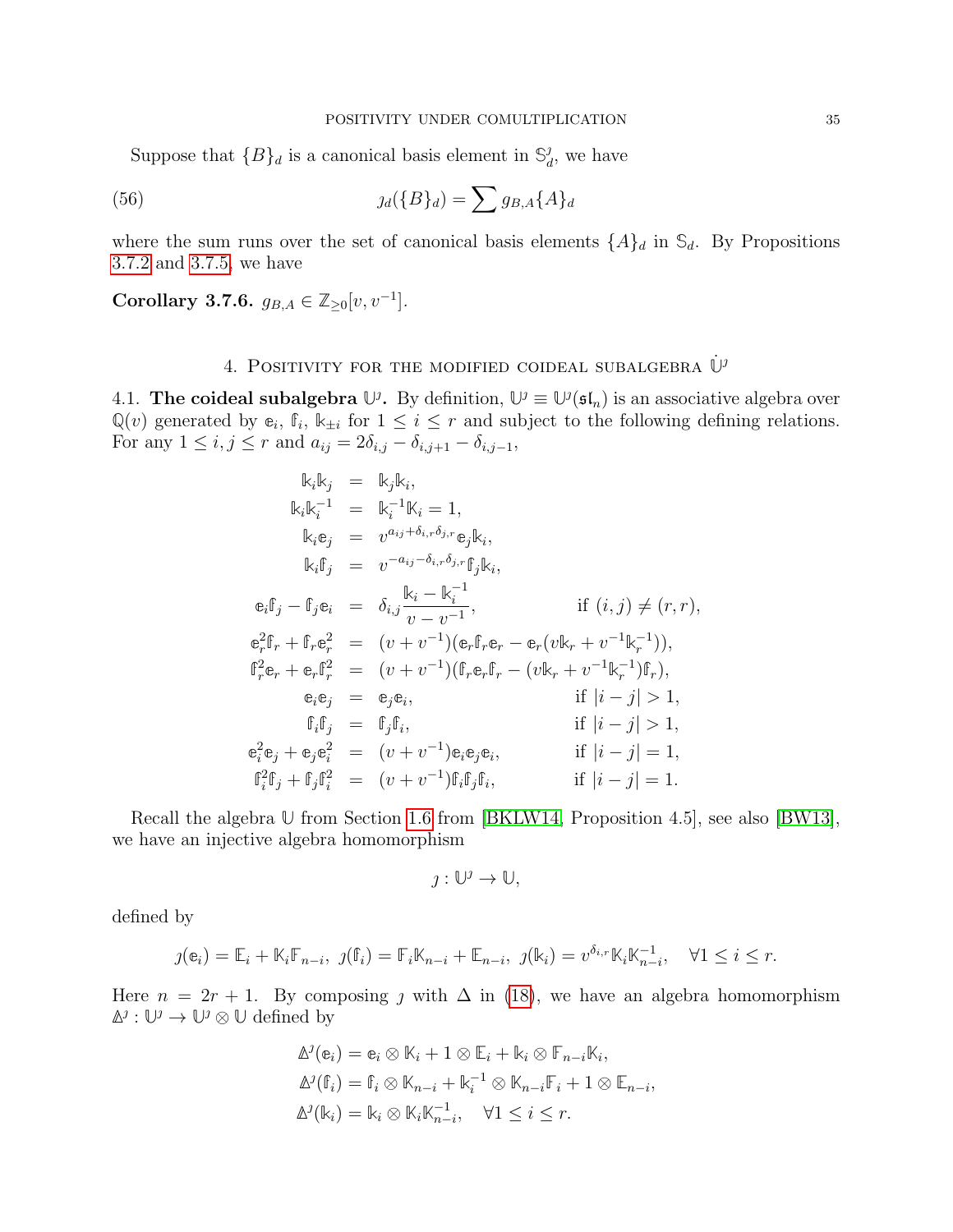Suppose that  ${B}_d$  is a canonical basis element in  $\mathbb{S}_d^j$  $_d^j$ , we have

<span id="page-34-2"></span>(56) 
$$
j_d({B}_d) = \sum g_{B,A}{A}_d
$$

where the sum runs over the set of canonical basis elements  $\{A\}_d$  in  $\mathcal{S}_d$ . By Propositions [3.7.2](#page-32-2) and [3.7.5,](#page-33-0) we have

<span id="page-34-3"></span>Corollary 3.7.6.  $g_{B,A} \in \mathbb{Z}_{\geq 0}[v, v^{-1}].$ 

## 4. POSITIVITY FOR THE MODIFIED COIDEAL SUBALGEBRA  $\dot{\mathbb{U}}^{\jmath}$

<span id="page-34-1"></span><span id="page-34-0"></span>4.1. **The coideal subalgebra**  $\mathbb{U}^j$ . By definition,  $\mathbb{U}^j \equiv \mathbb{U}^j(\mathfrak{sl}_n)$  is an associative algebra over  $\mathbb{Q}(v)$  generated by  $\mathbb{e}_i$ ,  $\mathbb{f}_i$ ,  $\mathbb{k}_{\pm i}$  for  $1 \leq i \leq r$  and subject to the following defining relations. For any  $1 \le i, j \le r$  and  $a_{ij} = 2\delta_{i,j} - \delta_{i,j+1} - \delta_{i,j-1}$ ,

$$
k_{i}k_{j} = k_{j}k_{i},
$$
  
\n
$$
k_{i}k_{i}^{-1} = k_{i}^{-1}k_{i} = 1,
$$
  
\n
$$
k_{i}e_{j} = v^{a_{ij} + \delta_{i,r}\delta_{j,r}}e_{j}k_{i},
$$
  
\n
$$
k_{i}f_{j} = v^{-a_{ij} - \delta_{i,r}\delta_{j,r}}f_{j}k_{i},
$$
  
\n
$$
e_{i}f_{j} - f_{j}e_{i} = \delta_{i,j}\frac{k_{i} - k_{i}^{-1}}{v - v^{-1}}, \text{ if } (i, j) \neq (r, r),
$$
  
\n
$$
e_{r}^{2}f_{r} + f_{r}e_{r}^{2} = (v + v^{-1})(e_{r}f_{r}e_{r} - e_{r}(vk_{r} + v^{-1}k_{r}^{-1})),
$$
  
\n
$$
f_{r}^{2}e_{r} + e_{r}f_{r}^{2} = (v + v^{-1})(f_{r}e_{r}f_{r} - (vk_{r} + v^{-1}k_{r}^{-1})f_{r}),
$$
  
\n
$$
e_{i}e_{j} = e_{j}e_{i}, \text{ if } |i - j| > 1,
$$
  
\n
$$
f_{i}f_{j} = f_{j}f_{i}, \text{ if } |i - j| > 1,
$$
  
\n
$$
e_{i}^{2}e_{j} + e_{j}e_{i}^{2} = (v + v^{-1})e_{i}e_{j}e_{i}, \text{ if } |i - j| = 1,
$$
  
\n
$$
f_{i}^{2}f_{j} + f_{j}f_{i}^{2} = (v + v^{-1})f_{i}f_{j}f_{i}, \text{ if } |i - j| = 1.
$$

Recall the algebra **U** from Section [1.6](#page-8-3) from [\[BKLW14,](#page-44-9) Proposition 4.5], see also [\[BW13\]](#page-44-8), we have an injective algebra homomorphism

$$
j:\mathbb{U}^j\to\mathbb{U},
$$

defined by

$$
\jmath(\mathbf{e}_i) = \mathbb{E}_i + \mathbb{K}_i \mathbb{F}_{n-i}, \ \jmath(\mathbf{f}_i) = \mathbb{F}_i \mathbb{K}_{n-i} + \mathbb{E}_{n-i}, \ \jmath(\mathbf{k}_i) = v^{\delta_{i,r}} \mathbb{K}_i \mathbb{K}_{n-i}^{-1}, \quad \forall 1 \le i \le r.
$$

Here  $n = 2r + 1$ . By composing *j* with  $\Delta$  in [\(18\)](#page-9-0), we have an algebra homomorphism  $\mathbb{\Delta}^j$  :  $\mathbb{U}^j$   $\rightarrow$   $\mathbb{U}^j$  ⊗  $\mathbb{U}$  defined by

$$
\Delta^{j}(\mathbf{e}_{i}) = \mathbf{e}_{i} \otimes \mathbb{K}_{i} + 1 \otimes \mathbb{E}_{i} + \mathbb{K}_{i} \otimes \mathbb{F}_{n-i} \mathbb{K}_{i},
$$
  

$$
\Delta^{j}(\mathbb{f}_{i}) = \mathbb{f}_{i} \otimes \mathbb{K}_{n-i} + \mathbb{K}_{i}^{-1} \otimes \mathbb{K}_{n-i} \mathbb{F}_{i} + 1 \otimes \mathbb{E}_{n-i},
$$
  

$$
\Delta^{j}(\mathbb{K}_{i}) = \mathbb{K}_{i} \otimes \mathbb{K}_{i} \mathbb{K}_{n-i}^{-1}, \quad \forall 1 \leq i \leq r.
$$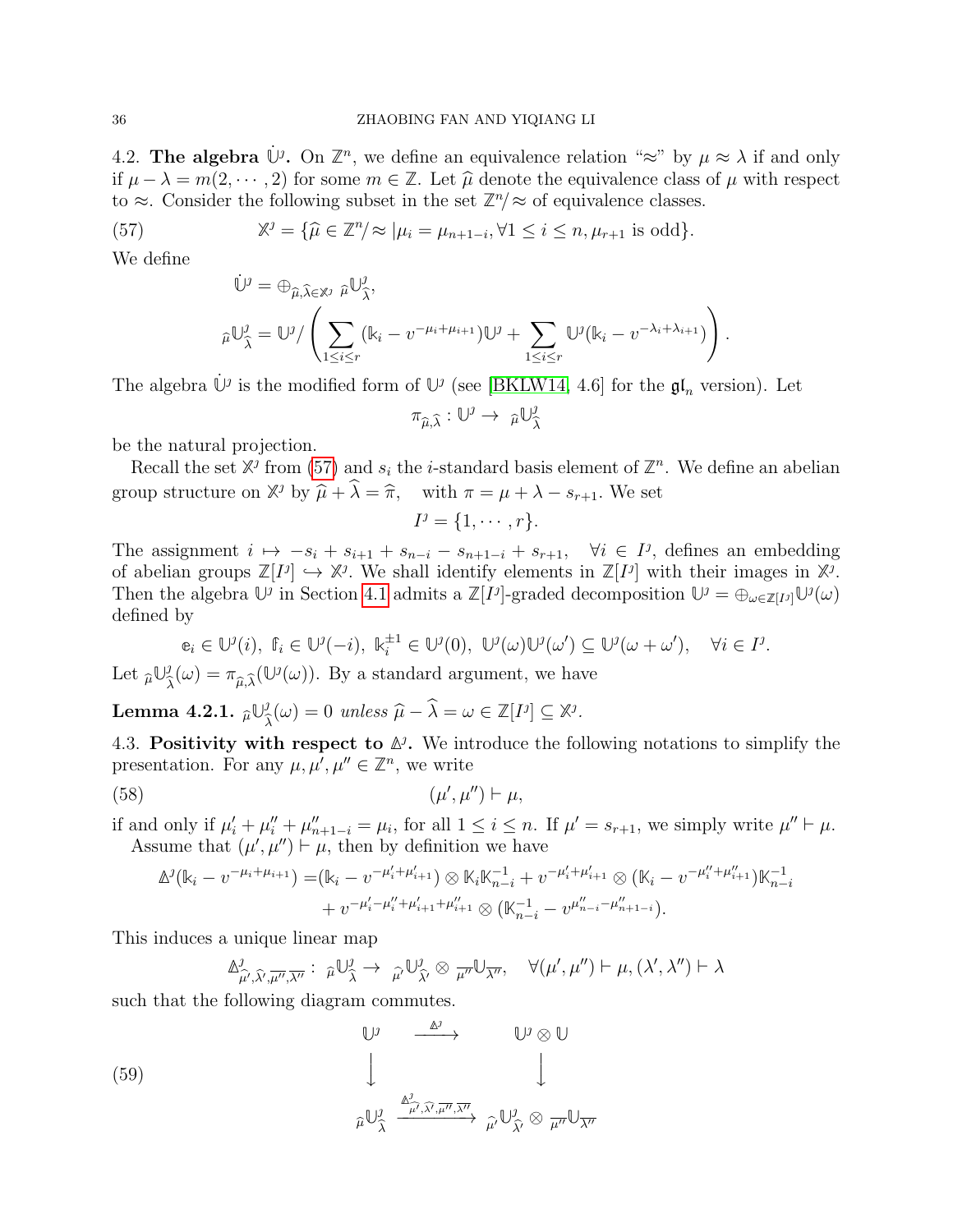4.2. **The algebra**  $\dot{\mathbb{U}}$ <sup>*i*</sup>. On  $\mathbb{Z}^n$ , we define an equivalence relation "≈" by  $\mu \approx \lambda$  if and only if  $\mu - \lambda = m(2, \dots, 2)$  for some  $m \in \mathbb{Z}$ . Let  $\hat{\mu}$  denote the equivalence class of  $\mu$  with respect to  $\approx$ . Consider the following subset in the set  $\mathbb{Z}^n/\approx$  of equivalence classes.

<span id="page-35-1"></span>(57) 
$$
\mathbb{X}^j = \{\widehat{\mu} \in \mathbb{Z}^n / \approx |\mu_i = \mu_{n+1-i}, \forall 1 \leq i \leq n, \mu_{r+1} \text{ is odd}\}.
$$

We define

$$
\dot{\mathbb{U}}^j = \bigoplus_{\widehat{\mu}, \widehat{\lambda} \in \mathbb{X}^j} \widehat{\mu} \mathbb{U}^j_{\widehat{\lambda}},
$$
  

$$
\widehat{\mu} \mathbb{U}^j_{\widehat{\lambda}} = \mathbb{U}^j / \left( \sum_{1 \le i \le r} (k_i - v^{-\mu_i + \mu_{i+1}}) \mathbb{U}^j + \sum_{1 \le i \le r} \mathbb{U}^j (k_i - v^{-\lambda_i + \lambda_{i+1}}) \right)
$$

.

The algebra  $\dot{\mathbb{U}}$ <sup>*i*</sup> is the modified form of  $\mathbb{U}$ <sup>*i*</sup> (see [\[BKLW14,](#page-44-9) 4.6] for the  $\mathfrak{gl}_n$  version). Let

$$
\pi_{\widehat{\mu},\widehat{\lambda}}:\mathbb{U}^{\jmath}\to \pi \mathbb{U}^{\jmath}_{\widehat{\lambda}}
$$

be the natural projection.

Recall the set  $\mathbb{X}^j$  from [\(57\)](#page-35-1) and  $s_i$  the *i*-standard basis element of  $\mathbb{Z}^n$ . We define an abelian group structure on  $\mathbb{X}^j$  by  $\widehat{\mu} + \widehat{\lambda} = \widehat{\pi}$ , with  $\pi = \mu + \lambda - s_{r+1}$ . We set

$$
I^j = \{1, \cdots, r\}.
$$

The assignment  $i \mapsto -s_i + s_{i+1} + s_{n-i} - s_{n+1-i} + s_{r+1}$ ,  $\forall i \in I^j$ , defines an embedding of abelian groups  $\mathbb{Z}[I^j] \hookrightarrow \mathbb{X}^j$ . We shall identify elements in  $\mathbb{Z}[I^j]$  with their images in  $\mathbb{X}^j$ . Then the algebra  $\mathbb{U}^j$  in Section [4.1](#page-34-1) admits a  $\mathbb{Z}[I^j]$ -graded decomposition  $\mathbb{U}^j = \bigoplus_{\omega \in \mathbb{Z}[I^j]} \mathbb{U}^j(\omega)$ defined by

$$
\mathbf{e}_i \in \mathbb{U}^{\mathcal{I}}(i), \ \mathbf{f}_i \in \mathbb{U}^{\mathcal{I}}(-i), \ \mathbf{k}_i^{\pm 1} \in \mathbb{U}^{\mathcal{I}}(0), \ \mathbb{U}^{\mathcal{I}}(\omega)\mathbb{U}^{\mathcal{I}}(\omega') \subseteq \mathbb{U}^{\mathcal{I}}(\omega + \omega'), \quad \forall i \in I^{\mathcal{I}}.
$$

Let  $\widehat{\mu} \mathbb{U}^{\jmath}_{\widehat{\jmath}}$  $\lambda$  $(\omega) = \pi_{\widehat{\mu}, \widehat{\lambda}}(\mathbb{U}^j(\omega)).$  By a standard argument, we have

<span id="page-35-2"></span> $\text{Lemma 4.2.1. } \widehat{\mu} \mathbb{U}^j_{\widehat{\lambda}}$  $\widehat{\lambda}^j(\omega) = 0$  unless  $\widehat{\mu} - \widehat{\lambda} = \omega \in \mathbb{Z}[I^j] \subseteq \mathbb{X}^j$ .

4.3. Positivity with respect to **∆** . We introduce the following notations to simplify the presentation. For any  $\mu, \mu', \mu'' \in \mathbb{Z}^n$ , we write

<span id="page-35-3"></span>
$$
(58)\qquad \qquad (\mu',\mu'') \vdash \mu,
$$

if and only if  $\mu'_i + \mu''_i + \mu''_{n+1-i} = \mu_i$ , for all  $1 \le i \le n$ . If  $\mu' = s_{r+1}$ , we simply write  $\mu'' \vdash \mu$ . Assume that  $(\mu', \mu'') \vdash \mu$ , then by definition we have

$$
\Delta^{j}(\mathbb{k}_{i} - v^{-\mu_{i} + \mu_{i+1}}) = (\mathbb{k}_{i} - v^{-\mu'_{i} + \mu'_{i+1}}) \otimes \mathbb{K}_{i} \mathbb{K}_{n-i}^{-1} + v^{-\mu'_{i} + \mu'_{i+1}} \otimes (\mathbb{K}_{i} - v^{-\mu''_{i} + \mu''_{i+1}}) \mathbb{K}_{n-i}^{-1} + v^{-\mu'_{i} - \mu''_{i} + \mu'_{i+1} + \mu''_{i+1}} \otimes (\mathbb{K}_{n-i}^{-1} - v^{\mu''_{n-i} - \mu''_{n+1-i}}).
$$

This induces a unique linear map

$$
\underline{\mathbb{A}}_{\widehat{\mu}',\widehat{\lambda}',\overline{\mu''},\overline{\lambda''}}^{\jmath}:\ \widehat{\mu}\mathbb{U}_{\widehat{\lambda}}^{\jmath}\to \ \widehat{\mu}\mathbb{U}_{\widehat{\lambda}'}^{\jmath}\otimes \overline{\mu''}\mathbb{U}_{\overline{\lambda''}},\quad \forall (\mu',\mu'')\vdash \mu, (\lambda',\lambda'')\vdash \lambda
$$

such that the following diagram commutes.

<span id="page-35-0"></span>(59)  
\n
$$
\downarrow \qquad \qquad \mathbb{U}^{j} \otimes \mathbb{U}
$$
\n
$$
\downarrow \qquad \qquad \downarrow
$$
\n
$$
\hat{\mu} \mathbb{U}^{j} \overset{\Delta^{j}}{\underset{\widehat{\mu}^{j}}{\longrightarrow} \widehat{\lambda^{j}, \widehat{\mu^{i}}, \widehat{\lambda^{j}}, \mu^{i}}}} \hat{\mu} \mathbb{U}^{j} \otimes \mathbb{U}
$$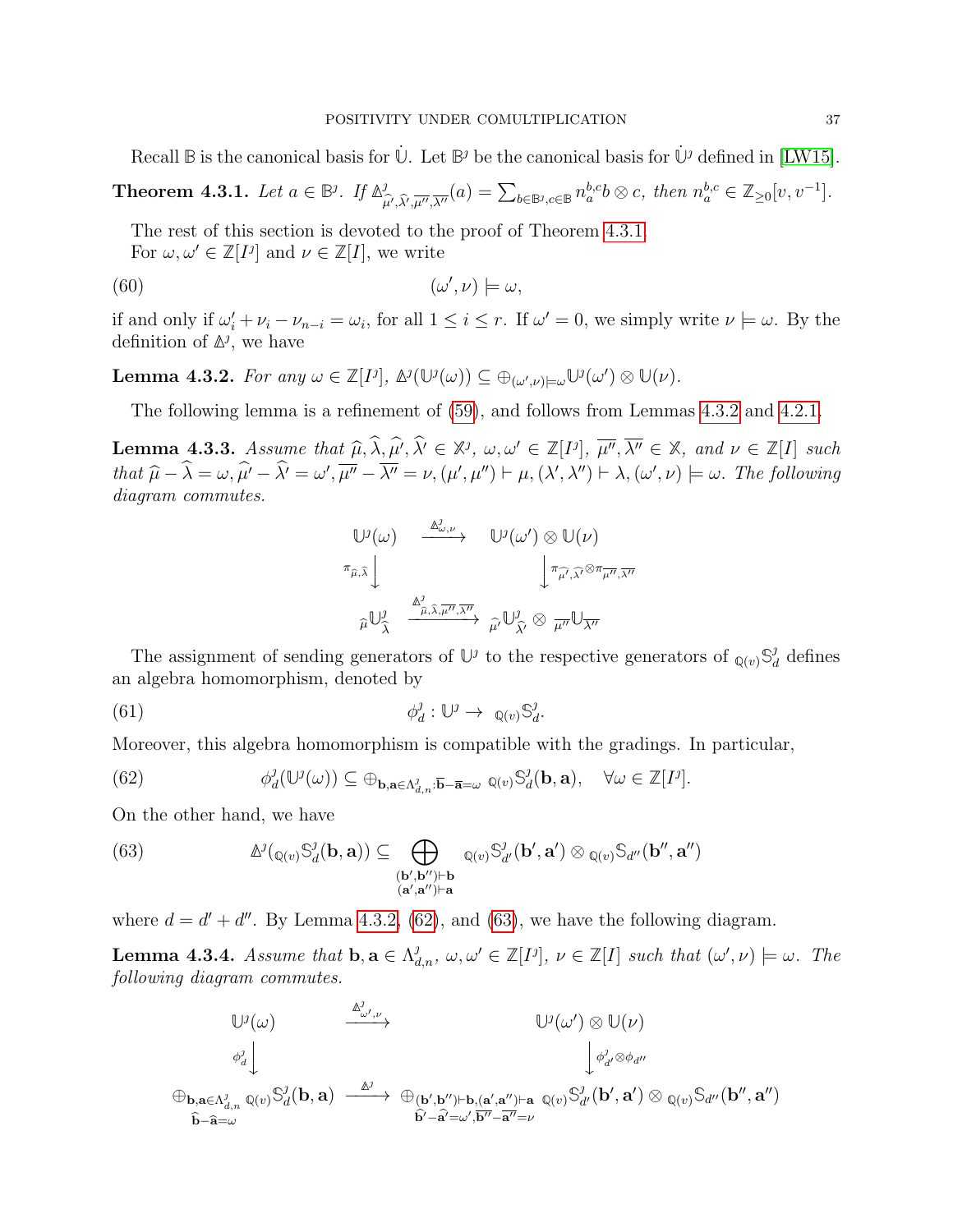Recall  $\mathbb B$  is the canonical basis for  $\dot{\mathbb U}$ . Let  $\mathbb B^{\jmath}$  be the canonical basis for  $\dot{\mathbb U}^{\jmath}$  defined in [\[LW15\]](#page-44-0).

<span id="page-36-0"></span>Theorem 4.3.1. Let  $a \in \mathbb{B}^j$ . If  $\mathbb{A}^j$  $\int_{\mu',\hat{\lambda}',\overline{\mu''},\overline{\lambda''}}^{\hat{\theta}}(a) = \sum_{b \in \mathbb{B}^j,c \in \mathbb{B}} n_a^{b,c}b \otimes c$ , then  $n_a^{b,c} \in \mathbb{Z}_{\geq 0}[v,v^{-1}].$ 

The rest of this section is devoted to the proof of Theorem [4.3.1.](#page-36-0)

For  $\omega, \omega' \in \mathbb{Z}[I^j]$  and  $\nu \in \mathbb{Z}[I]$ , we write

(60) 
$$
(\omega', \nu) \models \omega,
$$

if and only if  $\omega'_i + \nu_i - \nu_{n-i} = \omega_i$ , for all  $1 \leq i \leq r$ . If  $\omega' = 0$ , we simply write  $\nu \models \omega$ . By the definition of  $\mathbb{A}^j$ , we have

<span id="page-36-1"></span>**Lemma 4.3.2.** For any  $\omega \in \mathbb{Z}[I^j], \Delta^j(\mathbb{U}^j(\omega)) \subseteq \bigoplus_{(\omega',\nu) \models \omega} \mathbb{U}^j(\omega') \otimes \mathbb{U}(\nu)$ .

The following lemma is a refinement of [\(59\)](#page-35-0), and follows from Lemmas [4.3.2](#page-36-1) and [4.2.1.](#page-35-2)

<span id="page-36-5"></span>**Lemma 4.3.3.** Assume that  $\widehat{\mu}, \widehat{\lambda}, \widehat{\mu'}, \widehat{\lambda'} \in \mathbb{X}^j$ ,  $\omega, \omega' \in \mathbb{Z}[I^j]$ ,  $\overline{\mu''}, \overline{\lambda''} \in \mathbb{X}$ , and  $\nu \in \mathbb{Z}[I]$  such that  $\widehat{\lambda}$ ,  $\widehat{\lambda}$  and  $\widehat{\mu}$  and  $\widehat{\mu}$  and  $\widehat{\mu}$  and  $\widehat{\mu}$  and  $\widehat$ that  $\widehat{\mu} - \widehat{\lambda} = \omega, \widehat{\mu'} - \widehat{\lambda'} = \omega', \overline{\mu''} - \overline{\lambda''} = \nu, (\mu', \mu'') \vdash \mu, (\lambda', \lambda'') \vdash \lambda, (\omega', \nu) \models \omega$ . The following diagram commutes.

$$
\begin{array}{ccc}\n\mathbb{U}^{j}(\omega) & \xrightarrow{\Delta^{j}_{\omega,\nu}} & \mathbb{U}^{j}(\omega') \otimes \mathbb{U}(\nu) \\
\pi_{\widehat{\mu},\widehat{\lambda}} & & \pi_{\widehat{\mu'},\widehat{\lambda'}} \otimes \pi_{\overline{\mu''},\overline{\lambda''}} \\
\downarrow^{\Delta^{j}_{\widehat{\mu},\widehat{\lambda},\overline{\mu''},\overline{\lambda''}}} & & \widehat{\mu'} \mathbb{U}^{j}_{\widehat{\lambda'}} \otimes \pi_{\overline{\mu''}} \mathbb{U}_{\overline{\lambda''}}\n\end{array}
$$

The assignment of sending generators of  $\mathbb{U}^j$  to the respective generators of  $_{\mathbb{Q}(v)}\mathbb{S}_d^j$  $_d^j$  defines an algebra homomorphism, denoted by

 $\phi^j_o$  $\mathcal{L}_d^{\jmath} : \mathbb{U}^{\jmath} \to \mathbb{Q}(v) \mathbb{S}_d^{\jmath}$ (61)  $\phi_d^j : \mathbb{U}^j \to \mathbb{Q}(v) \mathbb{S}_d^j.$ 

Moreover, this algebra homomorphism is compatible with the gradings. In particular,

<span id="page-36-2"></span>(62) 
$$
\phi_d^{\jmath}(\mathbb{U}^{\jmath}(\omega)) \subseteq \oplus_{\mathbf{b},\mathbf{a}\in\Lambda_{d,n}^{\jmath}} \overline{\mathbf{b}} - \overline{\mathbf{a}} = \omega \mathbb{Q}(v) \mathbb{S}_d^{\jmath}(\mathbf{b},\mathbf{a}), \quad \forall \omega \in \mathbb{Z}[I^{\jmath}].
$$

On the other hand, we have

<span id="page-36-3"></span>(63) 
$$
\mathbb{A}^{j}(\mathbb{Q}(v) \mathbb{S}_{d}^{j}(\mathbf{b}, \mathbf{a})) \subseteq \bigoplus_{\substack{(\mathbf{b}', \mathbf{b}'') \vdash \mathbf{b} \\ (\mathbf{a}', \mathbf{a}'') \vdash \mathbf{a}}} \mathbb{Q}(v) \mathbb{S}_{d'}^{j}(\mathbf{b}', \mathbf{a}') \otimes \mathbb{Q}(v) \mathbb{S}_{d''}(\mathbf{b}'', \mathbf{a}'')
$$

where  $d = d' + d''$ . By Lemma [4.3.2,](#page-36-1) [\(62\)](#page-36-2), and [\(63\)](#page-36-3), we have the following diagram.

<span id="page-36-4"></span>**Lemma 4.3.4.** Assume that  $\mathbf{b}, \mathbf{a} \in \Lambda_{d,n}^j$ ,  $\omega, \omega' \in \mathbb{Z}[I^j]$ ,  $\nu \in \mathbb{Z}[I]$  such that  $(\omega', \nu) \models \omega$ . The following diagram commutes.

$$
\begin{array}{ccc} \mathbb{U}^{\jmath}(\omega) & \xrightarrow{\mathbb{A}^{\jmath}_{\omega',\nu}} & \mathbb{U}^{\jmath}(\omega') \otimes \mathbb{U}(\nu) \\ & & \downarrow^{\jmath}_{d'} \otimes \phi_{d''} \\ \oplus_{\mathbf{b},\mathbf{a} \in \Lambda^{\jmath}_{d,n}} \mathbb{Q}(v) \mathbb{S}^{\jmath}_d(\mathbf{b},\mathbf{a}) & \xrightarrow{\mathbb{A}^{\jmath}} & \oplus_{(\mathbf{b}',\mathbf{b}'') \vdash \mathbf{b},(\mathbf{a}',\mathbf{a}'') \vdash \mathbf{a}} \mathbb{Q}(v) \mathbb{S}^{\jmath}_{d'}(\mathbf{b}',\mathbf{a}') \otimes \mathbb{Q}(v) \mathbb{S}_{d''}(\mathbf{b}'',\mathbf{a}'') \\ & & \widehat{\mathbf{b}} \text{-}\widehat{\mathbf{a}} = \omega & \widehat{\mathbf{b}'} \text{-}\widehat{\mathbf{a}'} = \omega', \overline{\mathbf{b}''} \text{-}\overline{\mathbf{a}''} = \nu \end{array}
$$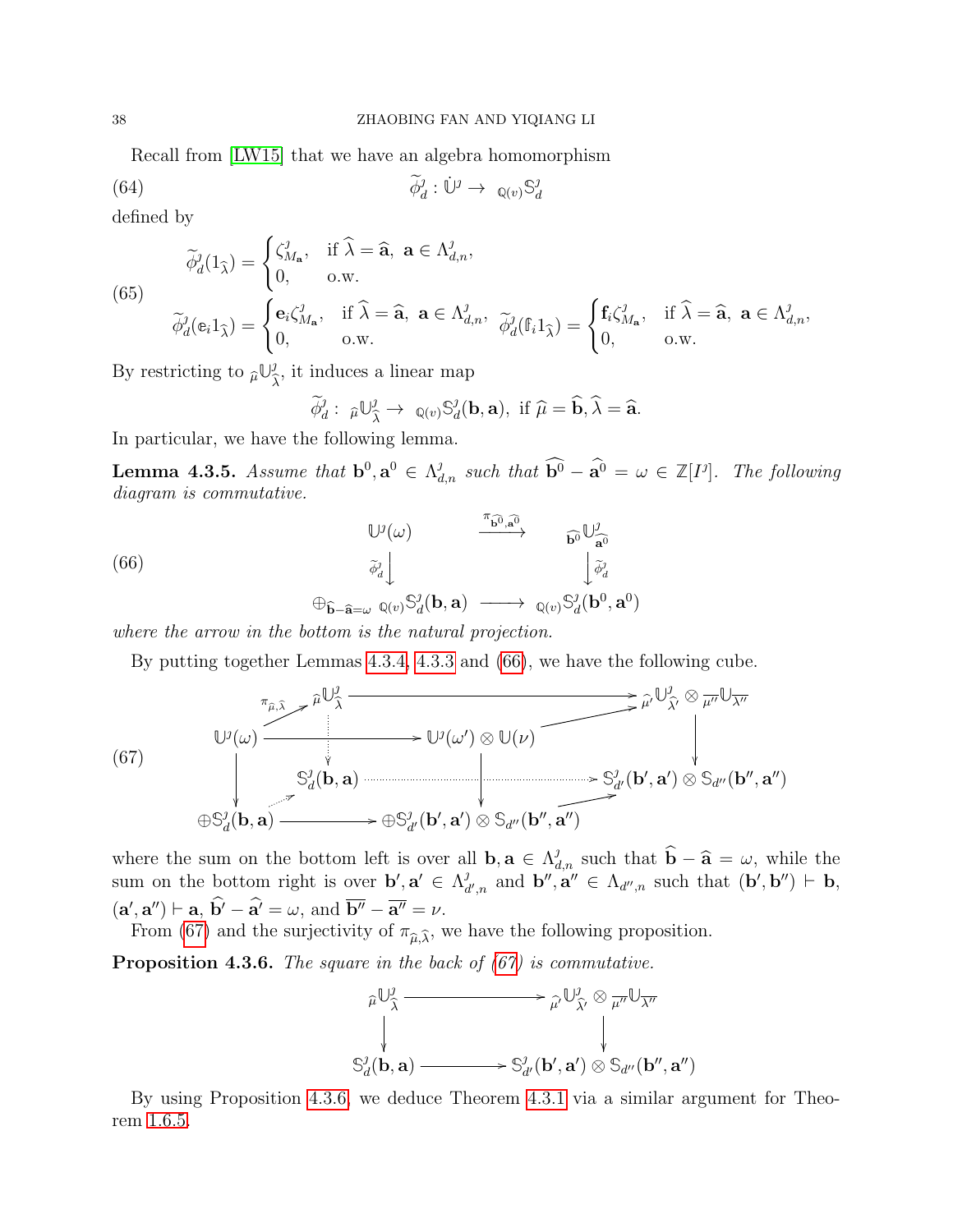Recall from [\[LW15\]](#page-44-0) that we have an algebra homomorphism

 $\widetilde{\phi}_d^j : \dot{\mathbb{U}}^j \to \mathbb{Q}(v) \mathbb{S}_d^j$ d (64)

defined by

(65)  
\n
$$
\widetilde{\phi}_d^j(1_{\widehat{\lambda}}) = \begin{cases}\n\zeta_{M_{\mathbf{a}}}^j, & \text{if } \widehat{\lambda} = \widehat{\mathbf{a}}, \ \mathbf{a} \in \Lambda_{d,n}^j, \\
0, & \text{o.w.} \n\end{cases}
$$
\n
$$
\widetilde{\phi}_d^j(\mathbf{e}_i 1_{\widehat{\lambda}}) = \begin{cases}\n\mathbf{e}_i \zeta_{M_{\mathbf{a}}}^j, & \text{if } \widehat{\lambda} = \widehat{\mathbf{a}}, \ \mathbf{a} \in \Lambda_{d,n}^j, \\
0, & \text{o.w.} \n\end{cases}
$$
\n
$$
\widetilde{\phi}_d^j(\mathbf{f}_i 1_{\widehat{\lambda}}) = \begin{cases}\n\mathbf{f}_i \zeta_{M_{\mathbf{a}}}^j, & \text{if } \widehat{\lambda} = \widehat{\mathbf{a}}, \ \mathbf{a} \in \Lambda_{d,n}^j, \\
0, & \text{o.w.} \n\end{cases}
$$

By restricting to  $\widehat{\mu} \mathbb{U}_{\widehat{\lambda}}^j$  $\lambda$ , it induces a linear map

$$
\widetilde{\phi}_d^j
$$
:  $\widehat{\mu}\bigcup_{\widehat{\lambda}}^j \to \mathbb{Q}(v)\mathbb{S}_d^j(\mathbf{b}, \mathbf{a})$ , if  $\widehat{\mu} = \widehat{\mathbf{b}}, \widehat{\lambda} = \widehat{\mathbf{a}}$ .

In particular, we have the following lemma.

**Lemma 4.3.5.** Assume that  $\mathbf{b}^0$ ,  $\mathbf{a}^0 \in \Lambda_{d,n}^j$  such that  $\widehat{\mathbf{b}^0} - \widehat{\mathbf{a}^0} = \omega \in \mathbb{Z}[I^j]$ . The following diagram is commutative.

<span id="page-37-0"></span>(66)  
\n
$$
\begin{array}{ccc}\n& \mathbb{U}^{j}(\omega) & \xrightarrow{\pi_{\mathbf{b}^{0},\mathbf{a}^{0}}} & \widehat{\mathbf{b}^{0}} \mathbb{U}^{j}_{\mathbf{a}^{0}} \\
& \downarrow \widetilde{\phi}_{d}^{j} & \downarrow \widetilde{\phi}_{d}^{j} \\
& \oplus_{\widehat{\mathbf{b}}-\widehat{\mathbf{a}}=\omega} \mathbb{Q}(v) \mathbb{S}_{d}^{j}(\mathbf{b},\mathbf{a}) & \longrightarrow \mathbb{Q}(v) \mathbb{S}_{d}^{j}(\mathbf{b}^{0},\mathbf{a}^{0})\n\end{array}
$$

where the arrow in the bottom is the natural projection.

By putting together Lemmas [4.3.4,](#page-36-4) [4.3.3](#page-36-5) and [\(66\)](#page-37-0), we have the following cube.

<span id="page-37-1"></span>µb**U** λb / µb0**U** <sup>λ</sup>b<sup>0</sup> <sup>⊗</sup> <sup>µ</sup><sup>00</sup>**U**λ<sup>00</sup> **U** (ω) <sup>π</sup>µ, <sup>b</sup> <sup>λ</sup><sup>b</sup> <sup>6</sup> / **U** (ω 0 ) ⊗ **U**(ν) 2 **S** d (b, a) /**S** d <sup>0</sup>(b 0 , a 0 ) ⊗ **S**<sup>d</sup> <sup>00</sup>(b 00 , a 00) ⊕**S** d (b, a) 6 /⊕**S** d <sup>0</sup>(b 0 , a 0 ) ⊗ **S**<sup>d</sup> <sup>00</sup>(b 00 , a 00) 2 (67)

where the sum on the bottom left is over all **b**,  $\mathbf{a} \in \Lambda_{d,n}^j$  such that  $\widehat{\mathbf{b}} - \widehat{\mathbf{a}} = \omega$ , while the sum on the bottom right is over  $\mathbf{b}', \mathbf{a}' \in \Lambda_d^j$  $d'_{d',n}$  and  $\mathbf{b}'', \mathbf{a}'' \in \Lambda_{d'',n}$  such that  $(\mathbf{b}', \mathbf{b}'') \vdash \mathbf{b},$  $(\mathbf{a}', \mathbf{a}'') \vdash \mathbf{a}, \mathbf{b}' - \mathbf{a}' = \omega, \text{ and } \overline{\mathbf{b}''} - \overline{\mathbf{a}''} = \nu.$ 

From [\(67\)](#page-37-1) and the surjectivity of  $\pi_{\hat{\mu}, \hat{\lambda}}$ , we have the following proposition.

<span id="page-37-2"></span>**Proposition 4.3.6.** The square in the back of  $(67)$  is commutative.



By using Proposition [4.3.6,](#page-37-2) we deduce Theorem [4.3.1](#page-36-0) via a similar argument for Theorem [1.6.5.](#page-11-0)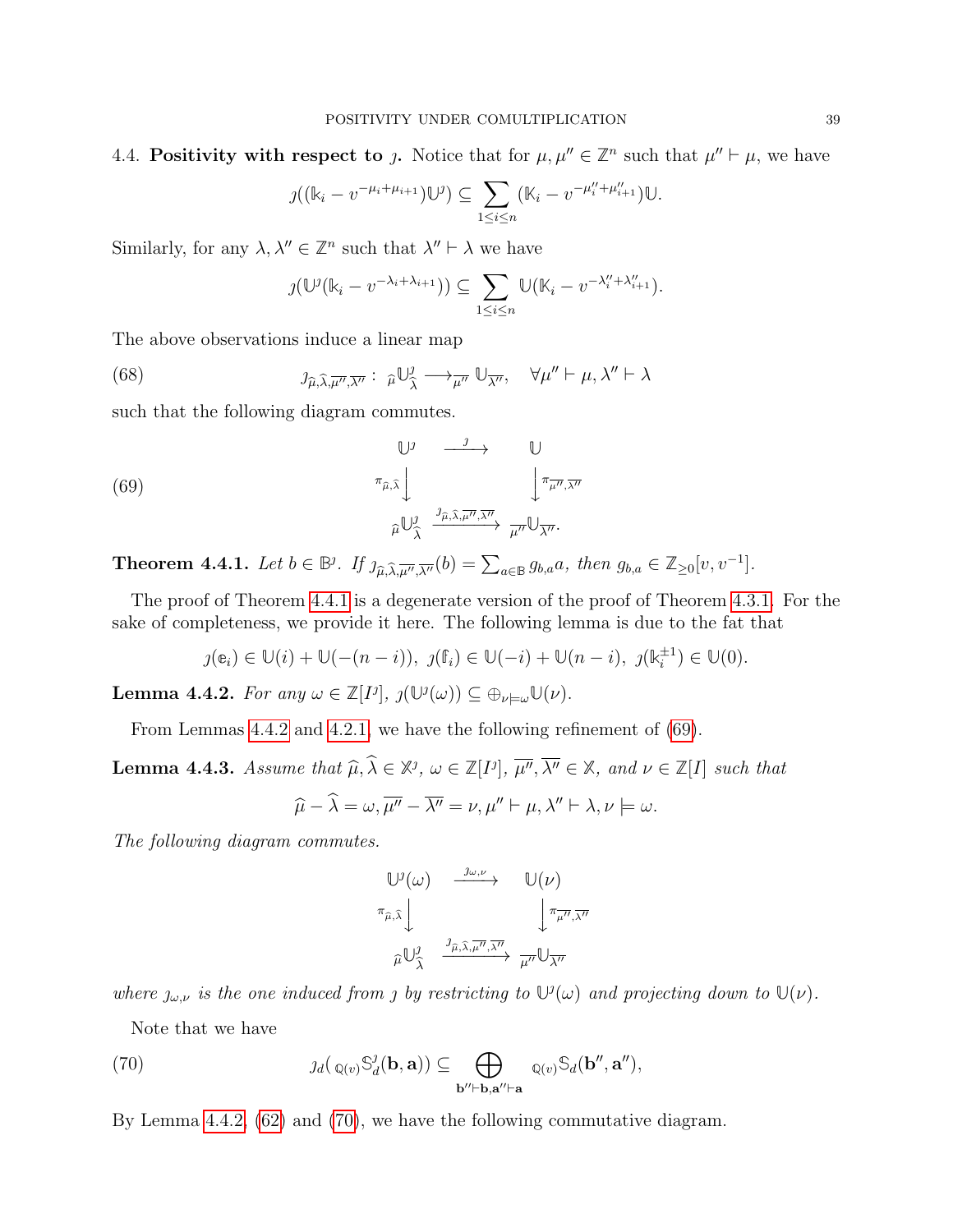$$
\jmath((\Bbbk_i - v^{-\mu_i + \mu_{i+1}}) \Bbb U^{\jmath}) \subseteq \sum_{1 \leq i \leq n} (\Bbbk_i - v^{-\mu''_i + \mu''_{i+1}}) \Bbb U.
$$

Similarly, for any  $\lambda, \lambda'' \in \mathbb{Z}^n$  such that  $\lambda'' \vdash \lambda$  we have

$$
\jmath(\mathbb{U}^{\jmath}(\mathbb{k}_i - v^{-\lambda_i + \lambda_{i+1}})) \subseteq \sum_{1 \leq i \leq n} \mathbb{U}(\mathbb{K}_i - v^{-\lambda_i^{\prime\prime} + \lambda_{i+1}^{\prime\prime}}).
$$

The above observations induce a linear map

<span id="page-38-0"></span>(68) 
$$
\jmath_{\widehat{\mu},\widehat{\lambda},\overline{\mu''},\overline{\lambda''}}: \widehat{\mu}\bigcup_{\widehat{\lambda}}^{j} \longrightarrow_{\overline{\mu''}} \mathbb{U}_{\overline{\lambda''}}, \quad \forall \mu'' \vdash \mu, \lambda'' \vdash \lambda
$$

such that the following diagram commutes.

<span id="page-38-3"></span>(69)  

$$
\begin{array}{ccc}\n & \mathbb{U}^{\jmath} & \xrightarrow{\jmath} & \mathbb{U} \\
 & \pi_{\widehat{\mu},\widehat{\lambda}} \downarrow & & \downarrow \pi_{\overline{\mu''},\overline{\lambda''}} \\
 & & \widehat{\mu} \mathbb{U}^{\jmath}_{\widehat{\lambda}} & \xrightarrow{\jmath} \widehat{\mu''} \mathbb{U}_{\overline{\lambda''}}.\n\end{array}
$$

<span id="page-38-1"></span>**Theorem 4.4.1.** Let  $b \in \mathbb{B}^j$ . If  $\lim_{\widehat{\mu}, \widehat{\lambda}, \overline{\mu''}, \overline{\lambda''}}(b) = \sum_{a \in \mathbb{B}} g_{b,a} a$ , then  $g_{b,a} \in \mathbb{Z}_{\geq 0}[v, v^{-1}]$ .

The proof of Theorem [4.4.1](#page-38-1) is a degenerate version of the proof of Theorem [4.3.1.](#page-36-0) For the sake of completeness, we provide it here. The following lemma is due to the fat that

$$
\jmath(\mathbf{e}_i) \in \mathbb{U}(i) + \mathbb{U}(-(n-i)), \ \jmath(\mathbf{f}_i) \in \mathbb{U}(-i) + \mathbb{U}(n-i), \ \jmath(\mathbf{k}_i^{\pm 1}) \in \mathbb{U}(0).
$$

<span id="page-38-2"></span>**Lemma 4.4.2.** For any  $\omega \in \mathbb{Z}[I^j], \jmath(\mathbb{U}^j(\omega)) \subseteq \bigoplus_{\nu \models \omega} \mathbb{U}(\nu).$ 

From Lemmas [4.4.2](#page-38-2) and [4.2.1,](#page-35-2) we have the following refinement of [\(69\)](#page-38-3).

<span id="page-38-5"></span>**Lemma 4.4.3.** Assume that  $\widehat{\mu}, \widehat{\lambda} \in \mathbb{X}^j$ ,  $\omega \in \mathbb{Z}[I^j]$ ,  $\overline{\mu''}, \overline{\lambda''} \in \mathbb{X}$ , and  $\nu \in \mathbb{Z}[I]$  such that  $\widehat{\mu} - \widehat{\lambda} = \omega, \overline{\mu''} - \overline{\lambda''} = \nu, \mu'' \vdash \mu, \lambda'' \vdash \lambda, \nu \models \omega.$ 

The following diagram commutes.

$$
\begin{array}{ccc}\n\mathbb{U}^{\jmath}(\omega) & \xrightarrow{\jmath\omega,\nu} & \mathbb{U}(\nu) \\
\pi_{\widehat{\mu},\widehat{\lambda}}\downarrow & & \downarrow^{\pi_{\widehat{\mu''},\overline{\lambda''}}} \\
\widehat{\mu}\mathbb{U}^{\jmath}_{\widehat{\lambda}} & \xrightarrow{\jmath\widehat{\mu},\widehat{\lambda},\overline{\mu''},\overline{\lambda''}} \mu''\mathbb{U}_{\overline{\lambda''}}\n\end{array}
$$

where  $j_{\omega,\nu}$  is the one induced from *j* by restricting to  $\mathbb{U}^j(\omega)$  and projecting down to  $\mathbb{U}(\nu)$ .

Note that we have

<span id="page-38-4"></span>(70) 
$$
\jmath_d(\mathbf{Q}(v) \mathbb{S}_d^{\jmath}(\mathbf{b}, \mathbf{a})) \subseteq \bigoplus_{\mathbf{b}'' \vdash \mathbf{b}, \mathbf{a}'' \vdash \mathbf{a}} \mathbf{Q}(v) \mathbb{S}_d(\mathbf{b}'', \mathbf{a}''),
$$

By Lemma [4.4.2,](#page-38-2) [\(62\)](#page-36-2) and [\(70\)](#page-38-4), we have the following commutative diagram.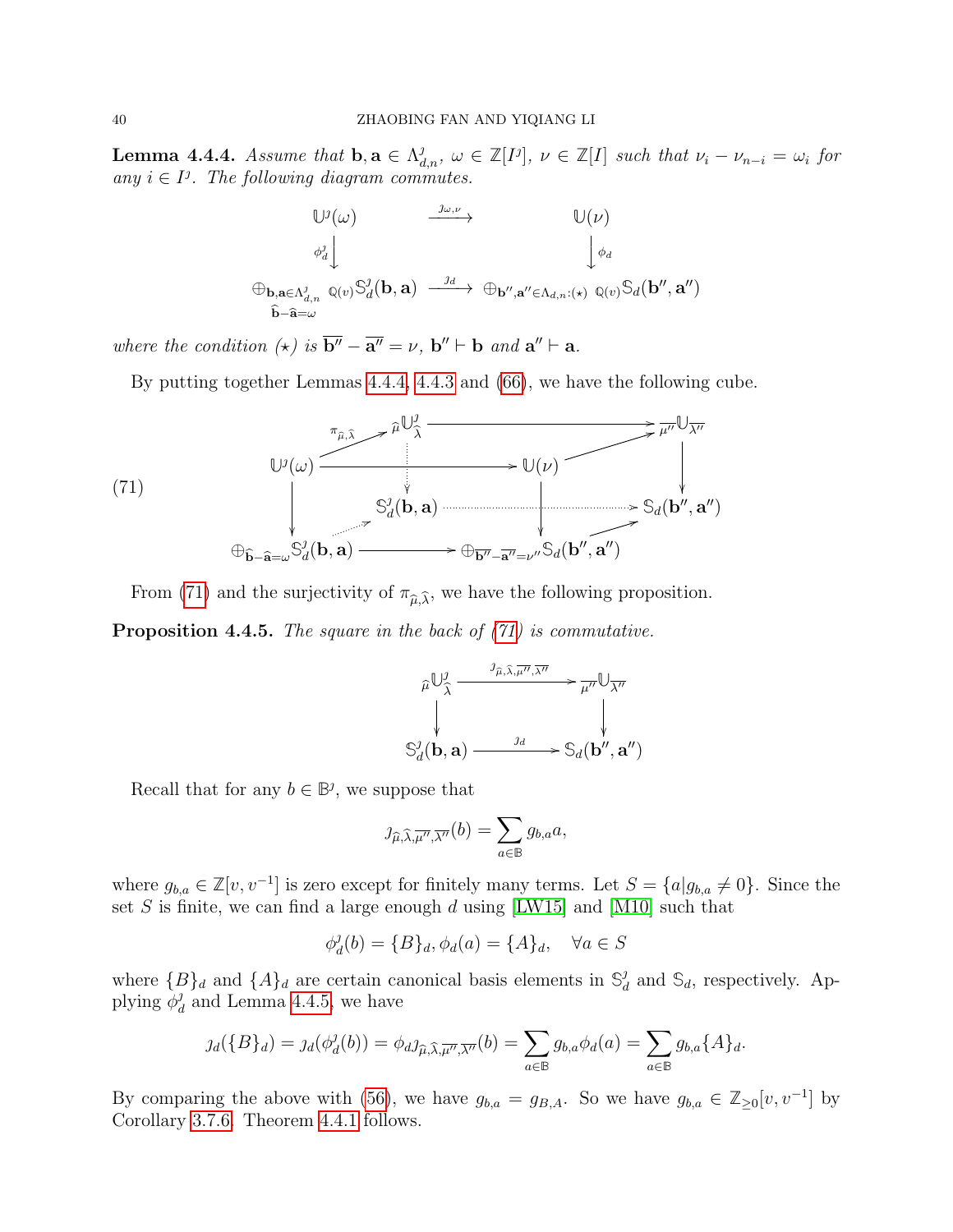<span id="page-39-0"></span>**Lemma 4.4.4.** Assume that  $\mathbf{b}, \mathbf{a} \in \Lambda_{d,n}^j$ ,  $\omega \in \mathbb{Z}[I], \nu \in \mathbb{Z}[I]$  such that  $\nu_i - \nu_{n-i} = \omega_i$  for any  $i \in I^j$ . The following diagram commutes.

$$
\begin{array}{ccc}\n\mathbb{U}^{j}(\omega) & \xrightarrow{\jmath\omega,\nu} & \mathbb{U}(\nu) \\
& \phi^{j}_{d} \downarrow & & \downarrow^{\phi_{d}} \\
\oplus_{\mathbf{b},\mathbf{a}\in\Lambda^{j}_{d,n}} \mathbb{Q}(v) \mathbb{S}^{j}_{d}(\mathbf{b},\mathbf{a}) & \xrightarrow{\jmath d} & \oplus_{\mathbf{b}'',\mathbf{a}''\in\Lambda_{d,n}:(\star)} \mathbb{Q}(v) \mathbb{S}_{d}(\mathbf{b}'',\mathbf{a}'') \\
\widehat{\mathbf{b}}-\widehat{\mathbf{a}}=\omega\n\end{array}
$$

where the condition  $(\star)$  is  $\overline{b''} - \overline{a''} = \nu$ ,  $b'' \vdash b$  and  $a'' \vdash a$ .

By putting together Lemmas [4.4.4,](#page-39-0) [4.4.3](#page-38-5) and [\(66\)](#page-37-0), we have the following cube.

<span id="page-39-1"></span>

From [\(71\)](#page-39-1) and the surjectivity of  $\pi_{\hat{\mu}, \hat{\lambda}}$ , we have the following proposition.

<span id="page-39-2"></span>**Proposition 4.4.5.** The square in the back of  $(71)$  is commutative.

$$
\widehat{\mu}\bigcup_{\widehat{\lambda}}^{J} \frac{\partial_{\widehat{\mu},\widehat{\lambda},\overline{\mu''},\overline{\lambda''}}}{\partial \lambda''} \rightarrow \widehat{\mu''}\bigcup_{\lambda''}
$$
\n
$$
\bigvee_{d}^{J}(\mathbf{b}, \mathbf{a}) \xrightarrow{Jd} \mathcal{S}_d(\mathbf{b'', \mathbf{a''}})
$$

Recall that for any  $b \in \mathbb{B}^j$ , we suppose that

$$
\jmath_{\widehat{\mu},\widehat{\lambda},\overline{\mu''},\overline{\lambda''}}(b) = \sum_{a \in \mathbb{B}} g_{b,a} a,
$$

where  $g_{b,a} \in \mathbb{Z}[v, v^{-1}]$  is zero except for finitely many terms. Let  $S = \{a | g_{b,a} \neq 0\}$ . Since the set S is finite, we can find a large enough d using [\[LW15\]](#page-44-0) and [\[M10\]](#page-44-5) such that

$$
\phi_d^j(b) = \{B\}_d, \phi_d(a) = \{A\}_d, \quad \forall a \in S
$$

where  ${B}_d$  and  ${A}_d$  are certain canonical basis elements in  $\mathbb{S}_d^j$  $_d^j$  and  $\mathbb{S}_d$ , respectively. Applying  $\phi_a^j$  $_d^j$  and Lemma [4.4.5,](#page-39-2) we have

$$
\jmath_d(\{B\}_d) = \jmath_d(\phi_d^{\jmath}(b)) = \phi_d \jmath_{\widehat{\mu}, \widehat{\lambda}, \overline{\mu''}, \overline{\lambda''}}(b) = \sum_{a \in \mathbb{B}} g_{b,a} \phi_d(a) = \sum_{a \in \mathbb{B}} g_{b,a} \{A\}_d.
$$

By comparing the above with [\(56\)](#page-34-2), we have  $g_{b,a} = g_{B,A}$ . So we have  $g_{b,a} \in \mathbb{Z}_{\geq 0}[v, v^{-1}]$  by Corollary [3.7.6.](#page-34-3) Theorem [4.4.1](#page-38-1) follows.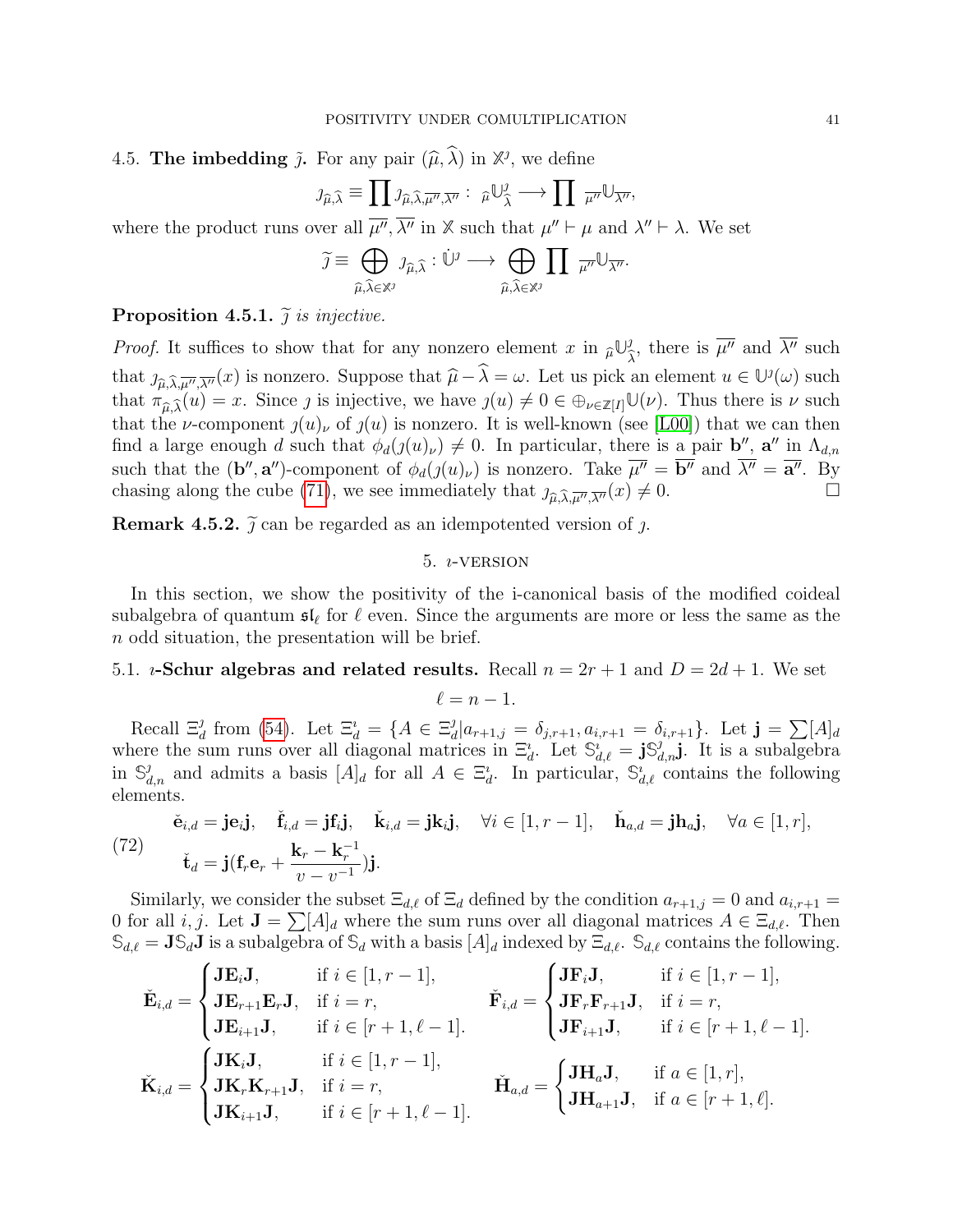# 4.5. **The imbedding**  $\tilde{j}$ . For any pair  $(\hat{\mu}, \hat{\lambda})$  in  $\mathbb{X}^{j}$ , we define

$$
\jmath_{\widehat{\mu},\widehat{\lambda}} \equiv \prod \jmath_{\widehat{\mu},\widehat{\lambda},\overline{\mu''},\overline{\lambda''}} : \widehat{\mu} \cup_{\widehat{\lambda}}^{\jmath} \longrightarrow \prod \widehat{\mu''} \cup_{\overline{\lambda''}},
$$

where the product runs over all  $\overline{\mu''}, \overline{\lambda''}$  in X such that  $\mu'' \vdash \mu$  and  $\lambda'' \vdash \lambda$ . We set

$$
\widetilde{\jmath} \equiv \bigoplus_{\widehat{\mu}, \widehat{\lambda} \in \mathbb{X}^{\jmath}} \jmath_{\widehat{\mu}, \widehat{\lambda}} : \dot{\mathbb{U}}^{\jmath} \longrightarrow \bigoplus_{\widehat{\mu}, \widehat{\lambda} \in \mathbb{X}^{\jmath}} \prod_{\mu''} \overline{\mathbb{U}_{\overline{\lambda''}}}.
$$

### Proposition 4.5.1.  $\tilde{\jmath}$  is injective.

*Proof.* It suffices to show that for any nonzero element x in  $\hat{\mu} \mathbb{U}^j_{\hat{\lambda}}$ , there is  $\overline{\mu''}$  and  $\overline{\lambda''}$  such  $\lambda$ that  $j_{\widehat{\mu}, \widehat{\lambda}, \overline{\mu''}, \overline{\lambda''}}(x)$  is nonzero. Suppose that  $\widehat{\mu} - \widehat{\lambda} = \omega$ . Let us pick an element  $u \in \mathbb{U}^j(\omega)$  such that  $\pi(\omega) = x$ . Since a is injective we have  $s(\omega) \neq 0 \in \mathbb{R}$ . If  $\mathbb{U}(\omega)$ . Thus there that  $\pi_{\hat{\mu},\hat{\lambda}}(u) = x$ . Since *j* is injective, we have  $\jmath(u) \neq 0 \in \bigoplus_{\nu \in \mathbb{Z}[I]} \mathbb{U}(\nu)$ . Thus there is  $\nu$  such that the *u* component  $\iota(u)$  of  $\iota(u)$  is poppens. It is well known (see [I,00]) that we see that the *v*-component  $\chi(u)$  of  $\chi(u)$  is nonzero. It is well-known (see [\[L00\]](#page-44-4)) that we can then find a large enough d such that  $\phi_d(j(u)_\nu) \neq 0$ . In particular, there is a pair **b''**, **a''** in  $\Lambda_{d,n}$ such that the  $(\mathbf{b}'', \mathbf{a}'')$ -component of  $\phi_d(j(u)_\nu)$  is nonzero. Take  $\overline{\mu''} = \overline{\mathbf{b}''}$  and  $\overline{\lambda''} = \overline{\mathbf{a}''}$ . By chasing along the cube [\(71\)](#page-39-1), we see immediately that  $j_{\hat{\mu}, \hat{\lambda}, \overline{\mu''}, \overline{\lambda''}}(x) \neq 0$ .

<span id="page-40-0"></span>**Remark 4.5.2.**  $\tilde{j}$  can be regarded as an idempotented version of  $j$ .

### $5.$   $i$ -VERSION

In this section, we show the positivity of the i-canonical basis of the modified coideal subalgebra of quantum  $\mathfrak{sl}_\ell$  for  $\ell$  even. Since the arguments are more or less the same as the n odd situation, the presentation will be brief.

### 5.1. *i*-Schur algebras and related results. Recall  $n = 2r + 1$  and  $D = 2d + 1$ . We set

$$
\ell=n-1.
$$

Recall  $\Xi_d^j$  from [\(54\)](#page-32-3). Let  $\Xi_d^i = \{A \in \Xi_d^j\}$  $\delta_d^j | a_{r+1,j} = \delta_{j,r+1}, a_{i,r+1} = \delta_{i,r+1} \}$ . Let  $\mathbf{j} = \sum [A]_d$ where the sum runs over all diagonal matrices in  $\Xi_d^i$ . Let  $\mathbb{S}_{d,\ell}^i = \mathbf{j} \mathbb{S}_{d,n}^j \mathbf{j}$ . It is a subalgebra in  $\mathbb{S}_{d,n}^j$  and admits a basis  $[A]_d$  for all  $A \in \Xi_d^i$ . In particular,  $\mathbb{S}_{d,\ell}^i$  contains the following elements.

(72) 
$$
\check{\mathbf{e}}_{i,d} = \mathbf{j} \mathbf{e}_i \mathbf{j}, \quad \check{\mathbf{f}}_{i,d} = \mathbf{j} \mathbf{f}_i \mathbf{j}, \quad \check{\mathbf{k}}_{i,d} = \mathbf{j} \mathbf{k}_i \mathbf{j}, \quad \forall i \in [1, r-1], \quad \check{\mathbf{h}}_{a,d} = \mathbf{j} \mathbf{h}_{a} \mathbf{j}, \quad \forall a \in [1, r],
$$

$$
\check{\mathbf{t}}_d = \mathbf{j} (\mathbf{f}_r \mathbf{e}_r + \frac{\mathbf{k}_r - \mathbf{k}_r^{-1}}{v - v^{-1}}) \mathbf{j}.
$$

Similarly, we consider the subset  $\Xi_{d,\ell}$  of  $\Xi_d$  defined by the condition  $a_{r+1,j} = 0$  and  $a_{i,r+1} =$ 0 for all *i*, *j*. Let  $J = \sum[A]_d$  where the sum runs over all diagonal matrices  $A \in \Xi_{d,\ell}$ . Then  $\mathbb{S}_{d,\ell} = \mathbf{J} \mathbb{S}_d \mathbf{J}$  is a subalgebra of  $\mathbb{S}_d$  with a basis  $[A]_d$  indexed by  $\Xi_{d,\ell}$ .  $\mathbb{S}_{d,\ell}$  contains the following.

$$
\check{\mathbf{E}}_{i,d} = \begin{cases}\n\mathbf{J}\mathbf{E}_i \mathbf{J}, & \text{if } i \in [1, r-1], \\
\mathbf{J}\mathbf{E}_{r+1}\mathbf{E}_r \mathbf{J}, & \text{if } i = r, \\
\mathbf{J}\mathbf{E}_{i+1}\mathbf{J}, & \text{if } i \in [r+1, \ell-1].\n\end{cases}\n\qquad\n\check{\mathbf{F}}_{i,d} = \begin{cases}\n\mathbf{J}\mathbf{F}_i \mathbf{J}, & \text{if } i = r, \\
\mathbf{J}\mathbf{F}_r \mathbf{F}_{r+1} \mathbf{J}, & \text{if } i = r, \\
\mathbf{J}\mathbf{F}_{i+1} \mathbf{J}, & \text{if } i \in [r+1, \ell-1].\n\end{cases}
$$
\n
$$
\check{\mathbf{K}}_{i,d} = \begin{cases}\n\mathbf{J}\mathbf{K}_i \mathbf{J}, & \text{if } i \in [1, r-1], \\
\mathbf{J}\mathbf{K}_r \mathbf{K}_{r+1} \mathbf{J}, & \text{if } i = r,\n\end{cases}\n\qquad\n\check{\mathbf{H}}_{a,d} = \begin{cases}\n\mathbf{J}\mathbf{H}_a \mathbf{J}, & \text{if } a \in [1, r], \\
\mathbf{J}\mathbf{H}_{a+1} \mathbf{J}, & \text{if } a \in [r+1, \ell].\n\end{cases}
$$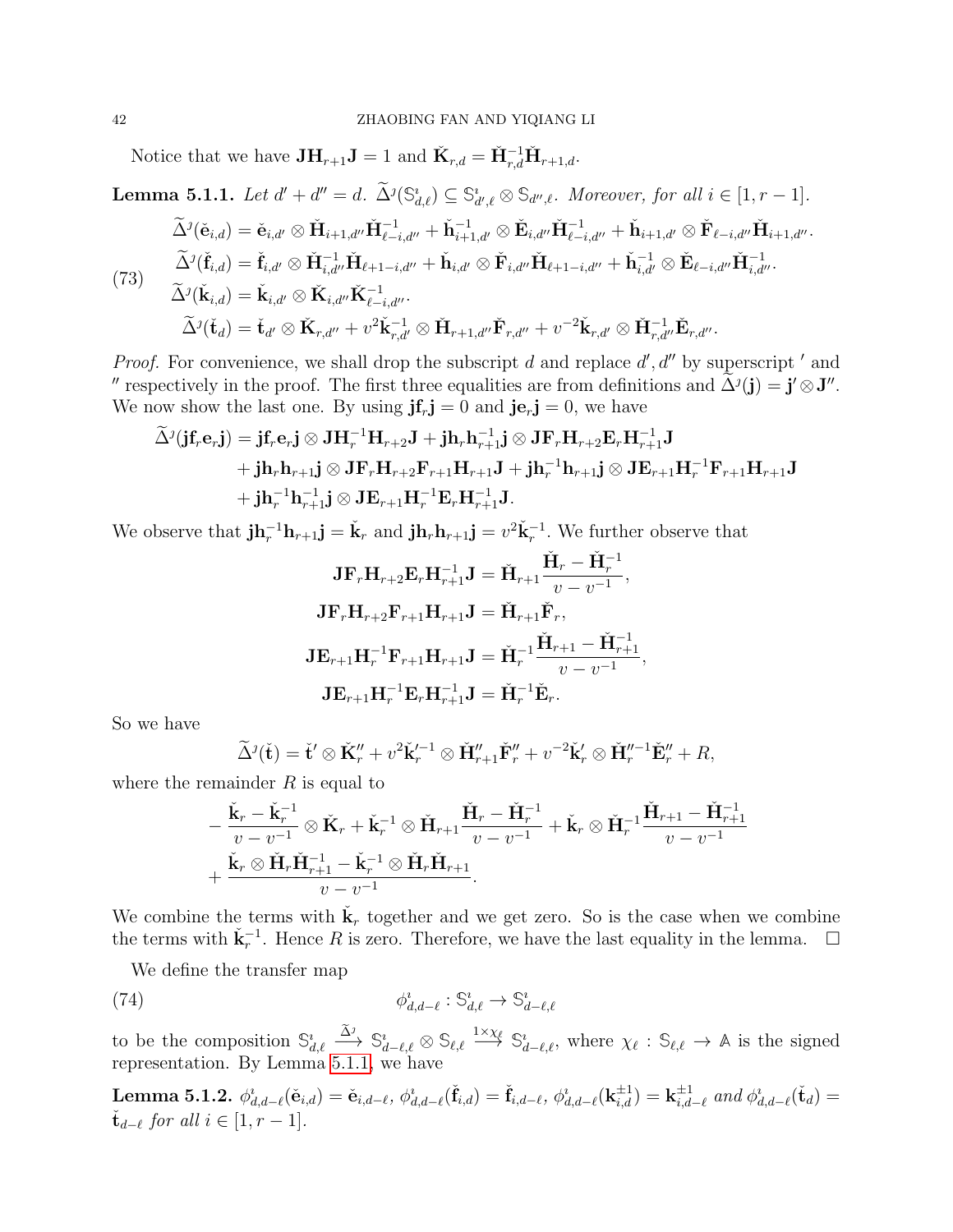Notice that we have  $JH_{r+1}J = 1$  and  $\check{K}_{r,d} = \check{H}_{r,d}^{-1} \check{H}_{r+1,d}$ .

<span id="page-41-0"></span>**Lemma 5.1.1.** Let 
$$
d' + d'' = d
$$
.  $\tilde{\Delta}^{j}(\mathbb{S}_{d,\ell}^{i}) \subseteq \mathbb{S}_{d',\ell}^{i} \otimes \mathbb{S}_{d'',\ell}$ . Moreover, for all  $i \in [1, r - 1]$ .  
\n
$$
\tilde{\Delta}^{j}(\check{\mathbf{e}}_{i,d}) = \check{\mathbf{e}}_{i,d'} \otimes \check{\mathbf{H}}_{i+1,d''} \check{\mathbf{H}}_{\ell-i,d''}^{-1} + \check{\mathbf{h}}_{i+1,d'}^{-1} \otimes \check{\mathbf{E}}_{i,d''} \check{\mathbf{H}}_{\ell-i,d''}^{-1} + \check{\mathbf{h}}_{i+1,d'} \otimes \check{\mathbf{F}}_{\ell-i,d''} \check{\mathbf{H}}_{i+1,d''}.
$$
\n
$$
\tilde{\Delta}^{j}(\check{\mathbf{f}}_{i,d}) = \check{\mathbf{f}}_{i,d'} \otimes \check{\mathbf{H}}_{i,d''}^{-1} \check{\mathbf{H}}_{\ell+1-i,d''} + \check{\mathbf{h}}_{i,d'} \otimes \check{\mathbf{F}}_{i,d''} \check{\mathbf{H}}_{\ell+1-i,d''} + \check{\mathbf{h}}_{i,d'}^{-1} \otimes \check{\mathbf{E}}_{\ell-i,d''} \check{\mathbf{H}}_{i,d''}^{-1}.
$$
\n
$$
\tilde{\Delta}^{j}(\check{\mathbf{k}}_{i,d}) = \check{\mathbf{k}}_{i,d'} \otimes \check{\mathbf{K}}_{i,d''} \check{\mathbf{K}}_{\ell-i,d''}^{-1}.
$$
\n
$$
\tilde{\Delta}^{j}(\check{\mathbf{t}}_{d}) = \check{\mathbf{t}}_{d'} \otimes \check{\mathbf{K}}_{r,d''} + v^{2} \check{\mathbf{k}}_{r,d'}^{-1} \otimes \check{\mathbf{H}}_{r+1,d''} \check{\mathbf{F}}_{r,d''} + v^{-2} \check{\mathbf{k}}_{r,d'} \otimes \check{\mathbf{H}}_{r,d''}^{-1} \check{\mathbf{E}}_{r,d''}.
$$

*Proof.* For convenience, we shall drop the subscript d and replace  $d'$ ,  $d''$  by superscript ' and " respectively in the proof. The first three equalities are from definitions and  $\tilde{\Delta}^j(\mathbf{j}) = \mathbf{j}' \otimes \mathbf{J}''$ . We now show the last one. By using  $\mathbf{j}f_r \mathbf{j} = 0$  and  $\mathbf{j}e_r \mathbf{j} = 0$ , we have

$$
\begin{aligned} \widetilde{\Delta}^{\jmath}(\mathbf{j}\mathbf{f}_{r}\mathbf{e}_{r}\mathbf{j})&=\mathbf{j}\mathbf{f}_{r}\mathbf{e}_{r}\mathbf{j}\otimes\mathbf{J}\mathbf{H}_{r}^{-1}\mathbf{H}_{r+2}\mathbf{J}+\mathbf{j}\mathbf{h}_{r}\mathbf{h}_{r+1}^{-1}\mathbf{j}\otimes\mathbf{J}\mathbf{F}_{r}\mathbf{H}_{r+2}\mathbf{E}_{r}\mathbf{H}_{r+1}^{-1}\mathbf{J}\\ &+\mathbf{j}\mathbf{h}_{r}\mathbf{h}_{r+1}\mathbf{j}\otimes\mathbf{J}\mathbf{F}_{r}\mathbf{H}_{r+2}\mathbf{F}_{r+1}\mathbf{H}_{r+1}\mathbf{J}+\mathbf{j}\mathbf{h}_{r}^{-1}\mathbf{h}_{r+1}\mathbf{j}\otimes\mathbf{J}\mathbf{E}_{r+1}\mathbf{H}_{r}^{-1}\mathbf{F}_{r+1}\mathbf{H}_{r+1}\mathbf{J}\\ &+\mathbf{j}\mathbf{h}_{r}^{-1}\mathbf{h}_{r+1}^{-1}\mathbf{j}\otimes\mathbf{J}\mathbf{E}_{r+1}\mathbf{H}_{r}^{-1}\mathbf{E}_{r}\mathbf{H}_{r+1}^{-1}\mathbf{J}. \end{aligned}
$$

We observe that  $\mathbf{j} \mathbf{h}_r^{-1} \mathbf{h}_{r+1} \mathbf{j} = \mathbf{k}_r$  and  $\mathbf{j} \mathbf{h}_r \mathbf{h}_{r+1} \mathbf{j} = v^2 \mathbf{k}_r^{-1}$ . We further observe that

$$
\mathbf{J} \mathbf{F}_r \mathbf{H}_{r+2} \mathbf{E}_r \mathbf{H}_{r+1}^{-1} \mathbf{J} = \check{\mathbf{H}}_{r+1} \frac{\check{\mathbf{H}}_r - \check{\mathbf{H}}_r^{-1}}{v - v^{-1}},
$$
  

$$
\mathbf{J} \mathbf{F}_r \mathbf{H}_{r+2} \mathbf{F}_{r+1} \mathbf{H}_{r+1} \mathbf{J} = \check{\mathbf{H}}_{r+1} \check{\mathbf{F}}_r,
$$
  

$$
\mathbf{J} \mathbf{E}_{r+1} \mathbf{H}_r^{-1} \mathbf{F}_{r+1} \mathbf{H}_{r+1} \mathbf{J} = \check{\mathbf{H}}_r^{-1} \frac{\check{\mathbf{H}}_{r+1} - \check{\mathbf{H}}_{r+1}^{-1}}{v - v^{-1}},
$$
  

$$
\mathbf{J} \mathbf{E}_{r+1} \mathbf{H}_r^{-1} \mathbf{E}_r \mathbf{H}_{r+1}^{-1} \mathbf{J} = \check{\mathbf{H}}_r^{-1} \check{\mathbf{E}}_r.
$$

So we have

$$
\widetilde{\Delta}^j(\check{\mathbf{t}}) = \check{\mathbf{t}}' \otimes \check{\mathbf{K}}''_r + v^2 \check{\mathbf{k}}'^{-1}_r \otimes \check{\mathbf{H}}''_{r+1} \check{\mathbf{F}}''_r + v^{-2} \check{\mathbf{k}}'_r \otimes \check{\mathbf{H}}''^{-1}_r \check{\mathbf{E}}''_r + R,
$$

where the remainder  $R$  is equal to

$$
\begin{aligned}\n&-\frac{\check{\mathbf{K}}_{r}-\check{\mathbf{K}}_{r}^{-1}}{v-v^{-1}}\otimes\check{\mathbf{K}}_{r}+\check{\mathbf{K}}_{r}^{-1}\otimes\check{\mathbf{H}}_{r+1}\frac{\check{\mathbf{H}}_{r}-\check{\mathbf{H}}_{r}^{-1}}{v-v^{-1}}+\check{\mathbf{K}}_{r}\otimes\check{\mathbf{H}}_{r}^{-1}\frac{\check{\mathbf{H}}_{r+1}-\check{\mathbf{H}}_{r+1}^{-1}}{v-v^{-1}}\\
&+\frac{\check{\mathbf{K}}_{r}\otimes\check{\mathbf{H}}_{r}\check{\mathbf{H}}_{r+1}^{-1}-\check{\mathbf{K}}_{r}^{-1}\otimes\check{\mathbf{H}}_{r}\check{\mathbf{H}}_{r+1}}{v-v^{-1}}.\n\end{aligned}
$$

We combine the terms with  $\check{\mathbf{k}}_r$  together and we get zero. So is the case when we combine the terms with  $\check{\mathbf{k}}_r^{-1}$ . Hence R is zero. Therefore, we have the last equality in the lemma.  $\Box$ 

We define the transfer map

(74) 
$$
\phi_{d,d-\ell}^i : \mathbb{S}_{d,\ell}^i \to \mathbb{S}_{d-\ell,\ell}^i
$$

to be the composition  $\mathbb{S}_{d,\ell}^i \xrightarrow{\tilde{\Delta}^j} \mathbb{S}_{d-\ell,\ell}^i \otimes \mathbb{S}_{\ell,\ell} \xrightarrow{1 \times \chi_{\ell}} \mathbb{S}_{d-\ell,\ell}^i$ , where  $\chi_{\ell} : \mathbb{S}_{\ell,\ell} \to \mathbb{A}$  is the signed representation. By Lemma [5.1.1,](#page-41-0) we have

<span id="page-41-1"></span> ${\rm Lemma~5.1.2.}~~\phi^i_{d,d-\ell}(\check {\bf e}_{i,d})=\check {\bf e}_{i,d-\ell},~\phi^i_{d,d-\ell}(\check {\bf f}_{i,d})=\check {\bf f}_{i,d-\ell},~\phi^i_{d,d-\ell}({\bf k}_{i,d}^{\pm 1})={\bf k}_{i,d}^{\pm 1}$  $\prod_{i,d=\ell}^{\pm 1}$  and  $\phi_{d,d-\ell}^i(\check{\mathbf{t}}_d) =$  $\check{\mathbf{t}}_{d-\ell}$  for all  $i \in [1, r-1]$ .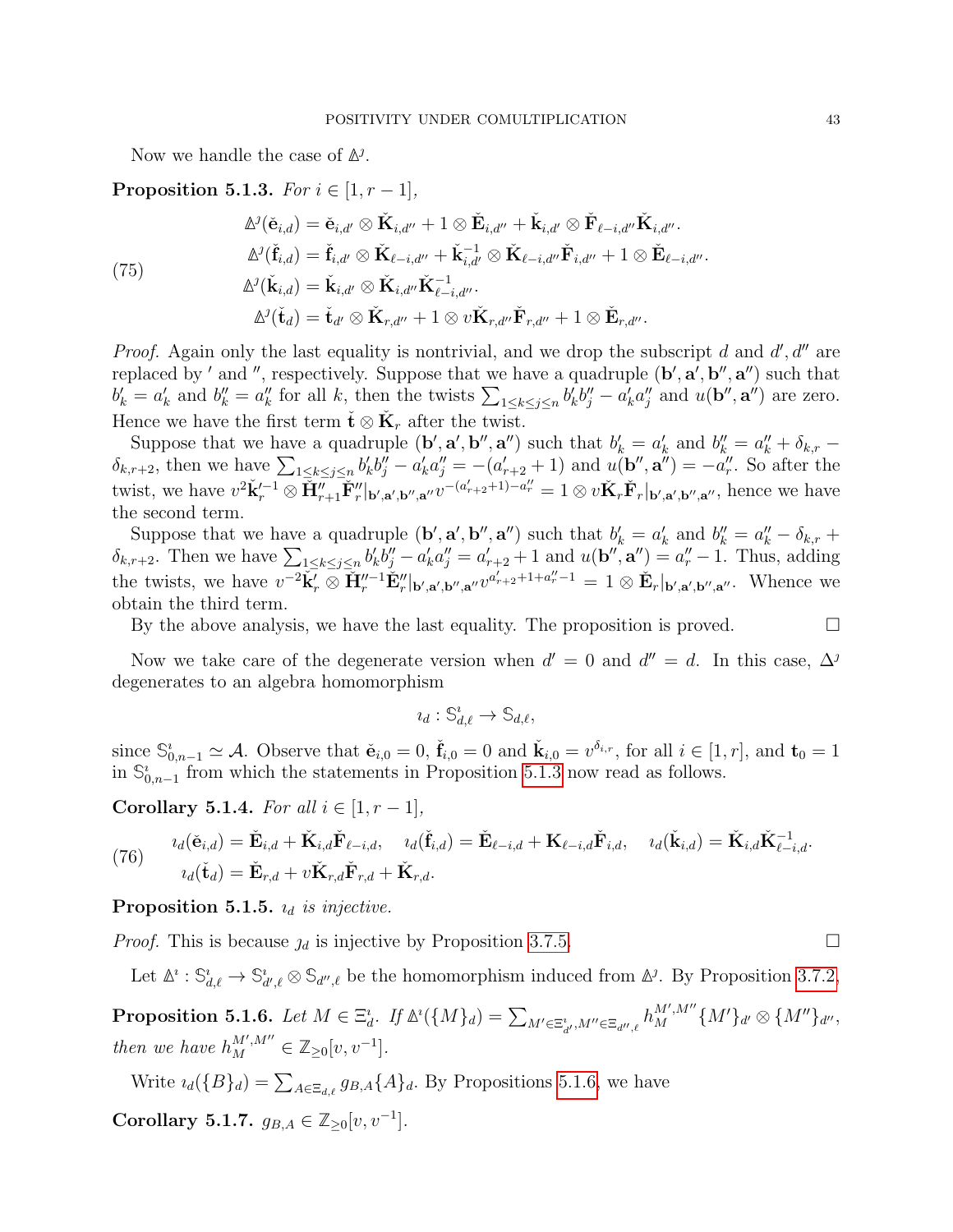Now we handle the case of **∆** .

<span id="page-42-0"></span>Proposition 5.1.3. For  $i \in [1, r-1]$ ,

$$
\Delta^{j}(\check{\mathbf{e}}_{i,d}) = \check{\mathbf{e}}_{i,d'} \otimes \check{\mathbf{K}}_{i,d''} + 1 \otimes \check{\mathbf{E}}_{i,d''} + \check{\mathbf{K}}_{i,d'} \otimes \check{\mathbf{F}}_{\ell-i,d''} \check{\mathbf{K}}_{i,d''}.
$$
\n
$$
\Delta^{j}(\check{\mathbf{f}}_{i,d}) = \check{\mathbf{f}}_{i,d'} \otimes \check{\mathbf{K}}_{\ell-i,d''} + \check{\mathbf{K}}_{i,d'}^{-1} \otimes \check{\mathbf{K}}_{\ell-i,d''} \check{\mathbf{F}}_{i,d''} + 1 \otimes \check{\mathbf{E}}_{\ell-i,d''}.
$$
\n
$$
\Delta^{j}(\check{\mathbf{K}}_{i,d}) = \check{\mathbf{K}}_{i,d'} \otimes \check{\mathbf{K}}_{i,d''} \check{\mathbf{K}}_{\ell-i,d''}^{-1}.
$$
\n
$$
\Delta^{j}(\check{\mathbf{t}}_{d}) = \check{\mathbf{t}}_{d'} \otimes \check{\mathbf{K}}_{r,d''} + 1 \otimes v \check{\mathbf{K}}_{r,d''} \check{\mathbf{F}}_{r,d''} + 1 \otimes \check{\mathbf{E}}_{r,d''}.
$$

*Proof.* Again only the last equality is nontrivial, and we drop the subscript d and  $d'$ ,  $d''$  are replaced by ' and ", respectively. Suppose that we have a quadruple  $(b', a', b'', a'')$  such that  $b'_k = a'_k$  and  $b''_k = a''_k$  for all k, then the twists  $\sum_{1 \le k \le j \le n} b'_k b''_j - a'_k a''_j$  and  $u(\mathbf{b}'', \mathbf{a}'')$  are zero. Hence we have the first term  $\check{\mathbf{t}} \otimes \check{\mathbf{K}}_r$  after the twist.

Suppose that we have a quadruple  $(\mathbf{b}', \mathbf{a}', \mathbf{b}'', \mathbf{a}'')$  such that  $b'_k = a'_k$  and  $b''_k = a''_k + \delta_{k,r}$  $\delta_{k,r+2}$ , then we have  $\sum_{1 \leq k \leq j \leq n} b'_k b''_j - a'_k a''_j = -(a'_{r+2} + 1)$  and  $u(\mathbf{b}'', \mathbf{a}'') = -a''_r$ . So after the twist, we have  $v^2\check{\mathbf{k}}_r'^{-1}\otimes \check{\mathbf{H}}_{r+1}''\check{\mathbf{F}}_r''|_{\mathbf{b}',\mathbf{a}',\mathbf{b}'',\mathbf{a}''}v^{-(a'_{r+2}+1)-a_r''}=1\otimes v\check{\mathbf{K}}_r\check{\mathbf{F}}_r|_{\mathbf{b}',\mathbf{a}',\mathbf{b}'',\mathbf{a}''},$  hence we have the second term.

Suppose that we have a quadruple  $(\mathbf{b}', \mathbf{a}', \mathbf{b}'', \mathbf{a}'')$  such that  $b'_k = a'_k$  and  $b''_k = a''_k - \delta_{k,r}$  +  $\delta_{k,r+2}$ . Then we have  $\sum_{1 \leq k \leq j \leq n} b'_k b''_j - a'_k a''_j = a'_{r+2} + 1$  and  $u(\mathbf{b}'', \mathbf{a}'') = a''_r - 1$ . Thus, adding the twists, we have  $v^{-2}\tilde{\mathbf{k}}_r \otimes \tilde{\mathbf{H}}_r''^{-1}\tilde{\mathbf{E}}_r''|_{\mathbf{b}',\mathbf{a}',\mathbf{b}'',\mathbf{a}''}v^{a'_{r+2}+1+a''_r-1} = 1 \otimes \tilde{\mathbf{E}}_r|_{\mathbf{b}',\mathbf{a}',\mathbf{b}'',\mathbf{a}''}.$  Whence we obtain the third term.

By the above analysis, we have the last equality. The proposition is proved.  $\Box$ 

Now we take care of the degenerate version when  $d' = 0$  and  $d'' = d$ . In this case,  $\Delta^j$ degenerates to an algebra homomorphism

$$
i_d: \mathbb{S}^i_{d,\ell} \to \mathbb{S}_{d,\ell},
$$

since  $\mathbb{S}_{0,n-1}^i \simeq \mathcal{A}$ . Observe that  $\check{\mathbf{e}}_{i,0} = 0$ ,  $\check{\mathbf{f}}_{i,0} = 0$  and  $\check{\mathbf{k}}_{i,0} = v^{\delta_{i,r}}$ , for all  $i \in [1,r]$ , and  $\mathbf{t}_0 = 1$ in  $\mathbb{S}_{0,n-1}^i$  from which the statements in Proposition [5.1.3](#page-42-0) now read as follows.

Corollary 5.1.4. For all  $i \in [1, r-1]$ ,

(76) 
$$
i_d(\check{\mathbf{e}}_{i,d}) = \check{\mathbf{E}}_{i,d} + \check{\mathbf{K}}_{i,d}\check{\mathbf{F}}_{\ell-i,d}, \quad i_d(\check{\mathbf{f}}_{i,d}) = \check{\mathbf{E}}_{\ell-i,d} + \mathbf{K}_{\ell-i,d}\check{\mathbf{F}}_{i,d}, \quad i_d(\check{\mathbf{k}}_{i,d}) = \check{\mathbf{K}}_{i,d}\check{\mathbf{K}}_{\ell-i,d}^{-1}.
$$

$$
i_d(\check{\mathbf{t}}_d) = \check{\mathbf{E}}_{r,d} + v\check{\mathbf{K}}_{r,d}\check{\mathbf{F}}_{r,d} + \check{\mathbf{K}}_{r,d}.
$$

Proposition 5.1.5.  $i_d$  is injective.

*Proof.* This is because  $\mathcal{U}_d$  is injective by Proposition [3.7.5.](#page-33-0)

Let  $\mathbb{A}^i$ :  $\mathbb{S}_{d,\ell}^i \to \mathbb{S}_{d',\ell}^i \otimes \mathbb{S}_{d'',\ell}$  be the homomorphism induced from  $\mathbb{A}^j$ . By Proposition [3.7.2,](#page-32-2)

<span id="page-42-1"></span>**Proposition 5.1.6.** Let  $M \in \Xi_d^i$ . If  $\mathbb{A}^i(\{M\}_d) = \sum_{M' \in \Xi_{d'}^i, M'' \in \Xi_{d'',\ell}} h_M^{M',M''} \{M'\}_{d'} \otimes \{M''\}_{d''},$ then we have  $h_M^{M',M''} \in \mathbb{Z}_{\geq 0}[v, v^{-1}].$ 

Write  $u_d$ ( $\{B\}_d$ ) =  $\sum_{A \in \Xi_{d,\ell}} g_{B,A} \{A\}_d$ . By Propositions [5.1.6,](#page-42-1) we have

<span id="page-42-2"></span>Corollary 5.1.7.  $g_{B,A} \in \mathbb{Z}_{\geq 0}[v, v^{-1}].$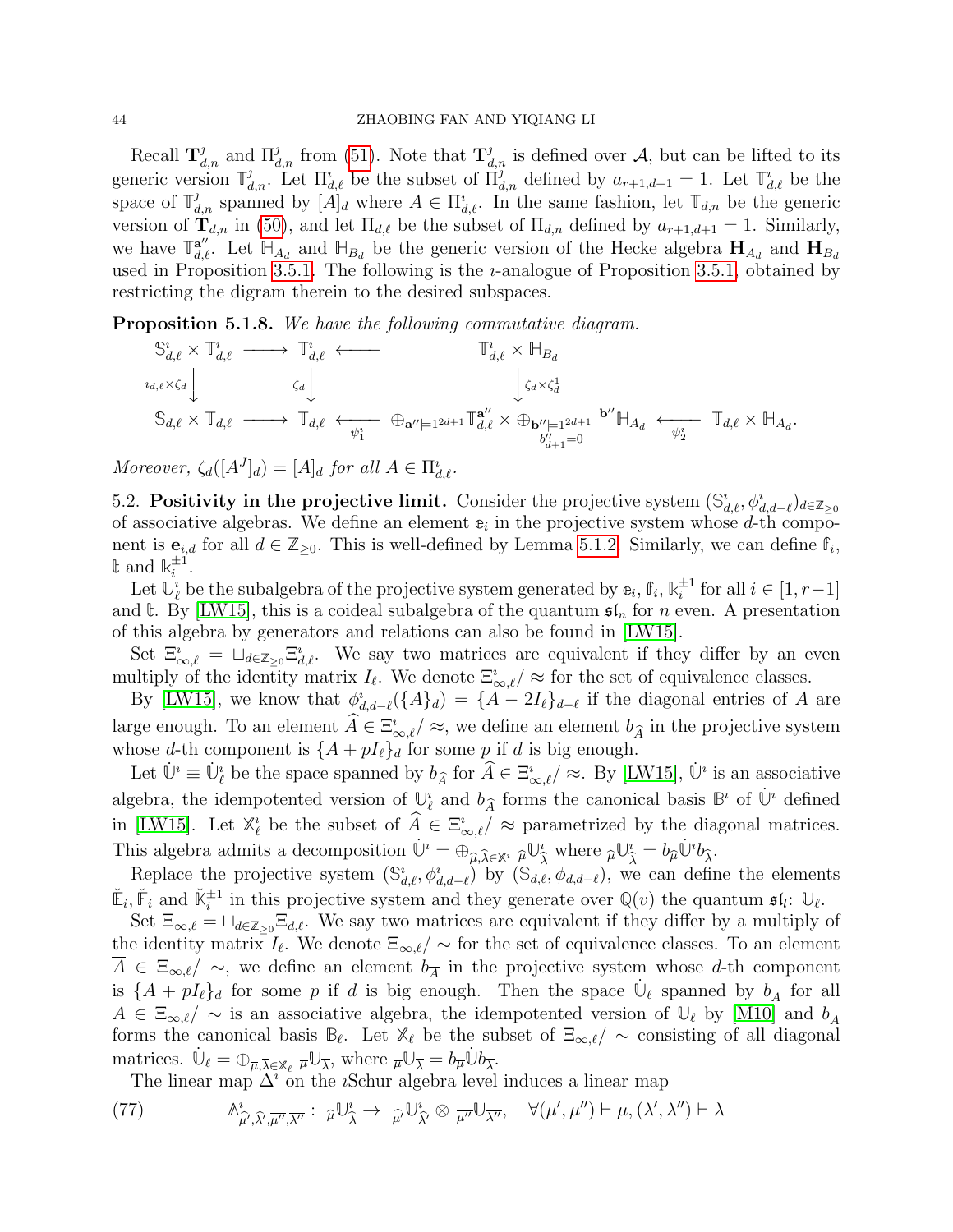Recall  $\mathbf{T}_{d,n}^{j}$  and  $\Pi_{d,n}^{j}$  from [\(51\)](#page-30-2). Note that  $\mathbf{T}_{d,n}^{j}$  is defined over A, but can be lifted to its generic version  $\mathbb{T}_{d,n}^j$ . Let  $\prod_{d,\ell}^i$  be the subset of  $\prod_{d,n}^j$  defined by  $a_{r+1,d+1} = 1$ . Let  $\mathbb{T}_{d,\ell}^i$  be the space of  $\mathbb{T}_{d,n}^j$  spanned by  $[A]_d$  where  $A \in \Pi_{d,\ell}^i$ . In the same fashion, let  $\mathbb{T}_{d,n}$  be the generic version of  $\mathbf{T}_{d,n}$  in [\(50\)](#page-30-3), and let  $\Pi_{d,\ell}$  be the subset of  $\Pi_{d,n}$  defined by  $a_{r+1,d+1} = 1$ . Similarly, we have  $\mathbb{T}_{d,\ell}^{\mathbf{a}''}$ . Let  $\mathbb{H}_{A_d}$  and  $\mathbb{H}_{B_d}$  be the generic version of the Hecke algebra  $\mathbf{H}_{A_d}$  and  $\mathbf{H}_{B_d}$ used in Proposition [3.5.1.](#page-30-4) The following is the  $\imath$ -analogue of Proposition [3.5.1,](#page-30-4) obtained by restricting the digram therein to the desired subspaces.

Proposition 5.1.8. We have the following commutative diagram.

$$
\mathbb{S}^i_{d,\ell} \times \mathbb{T}^i_{d,\ell} \longrightarrow \mathbb{T}^i_{d,\ell} \longleftarrow \mathbb{T}^i_{d,\ell} \times \mathbb{H}_{B_d}
$$
\n
$$
\mathbb{S}_{d,\ell} \times \mathbb{T}_{d,\ell} \longrightarrow \mathbb{T}_{d,\ell} \longleftrightarrow \mathbb{T}_{d,\ell} \longleftrightarrow \mathbb{T}_{d,\ell} \longleftrightarrow \mathbb{T}^i_{d,\ell} \longrightarrow \mathbb{T}^i_{d,\ell} \longrightarrow \mathbb{T}^i_{d,\ell} \longrightarrow \mathbb{T}^i_{d,\ell} \longrightarrow \mathbb{T}^i_{d,\ell} \longrightarrow \mathbb{T}^i_{d,\ell} \times \mathbb{H}_{B_d}
$$
\n
$$
\mathbb{S}_{d,\ell} \times \mathbb{T}_{d,\ell} \longrightarrow \mathbb{T}_{d,\ell} \longleftrightarrow \mathbb{T}^i_{d,\ell} \longrightarrow \mathbb{T}^i_{d,\ell} \longrightarrow \mathbb{T}^i_{d,\ell} \longrightarrow \mathbb{T}^i_{d,\ell} \longrightarrow \mathbb{T}^i_{d,\ell} \longrightarrow \mathbb{T}^i_{d,\ell} \longrightarrow \mathbb{T}^i_{d,\ell} \longrightarrow \mathbb{T}^i_{d,\ell} \longrightarrow \mathbb{T}^i_{d,\ell} \longrightarrow \mathbb{T}^i_{d,\ell} \longrightarrow \mathbb{T}^i_{d,\ell} \longrightarrow \mathbb{T}^i_{d,\ell} \longrightarrow \mathbb{T}^i_{d,\ell} \longrightarrow \mathbb{T}^i_{d,\ell} \longrightarrow \mathbb{T}^i_{d,\ell} \longrightarrow \mathbb{T}^i_{d,\ell} \longrightarrow \mathbb{T}^i_{d,\ell} \longrightarrow \mathbb{T}^i_{d,\ell} \longrightarrow \mathbb{T}^i_{d,\ell} \longrightarrow \mathbb{T}^i_{d,\ell} \longrightarrow \mathbb{T}^i_{d,\ell} \longrightarrow \mathbb{T}^i_{d,\ell} \longrightarrow \mathbb{T}^i_{d,\ell} \longrightarrow \mathbb{T}^i_{d,\ell} \longrightarrow \mathbb{T}^i_{d,\ell} \longrightarrow \mathbb{T}^i_{d,\ell} \longrightarrow \mathbb{T}^i_{d,\ell} \longrightarrow \mathbb{T}^i_{d,\ell} \longrightarrow \mathbb{T}^i_{d,\ell} \longrightarrow \mathbb{T}^i_{d,\ell} \longrightarrow \mathbb{T}^i_{d,\ell} \longrightarrow \mathbb{T}^i_{d,\ell} \longrightarrow \mathbb{T}^i_{d,\ell} \longrightarrow \mathbb{T}^i_{d,\ell} \longrightarrow \mathbb{T}^i_{d,\ell} \longrightarrow \mathbb
$$

Moreover,  $\zeta_d([A^J]_d) = [A]_d$  for all  $A \in \Pi^i_{d,\ell}$ .

5.2. Positivity in the projective limit. Consider the projective system  $(\mathbb{S}^i_{d,\ell}, \phi^i_{d,d-\ell})_{d \in \mathbb{Z}_{\geq 0}}$ of associative algebras. We define an element  $e_i$  in the projective system whose  $d$ -th component is  $e_{i,d}$  for all  $d \in \mathbb{Z}_{\geq 0}$ . This is well-defined by Lemma [5.1.2.](#page-41-1) Similarly, we can define  $\mathbb{f}_i$ ,  $\mathbb{t}$  and  $\mathbb{k}_i^{\pm 1}$  $\frac{\pm 1}{i}$ .

Let  $\mathbb{U}_{\ell}^i$  be the subalgebra of the projective system generated by  $e_i$ ,  $f_i$ ,  $k_i^{\pm 1}$  $i^{\pm 1}$  for all  $i \in [1, r-1]$ and  $\mathbf{t}$ . By [\[LW15\]](#page-44-0), this is a coideal subalgebra of the quantum  $\mathfrak{sl}_n$  for n even. A presentation of this algebra by generators and relations can also be found in [\[LW15\]](#page-44-0).

Set  $\Xi_{\infty,\ell}^i = \Box_{d\in\mathbb{Z}_{\geq 0}} \Xi_{d,\ell}^i$ . We say two matrices are equivalent if they differ by an even multiply of the identity matrix  $I_\ell$ . We denote  $\Xi_{\infty,\ell}^i/\approx$  for the set of equivalence classes.

By [\[LW15\]](#page-44-0), we know that  $\phi_{d,d-\ell}^i(\{A\}_d) = \{A - 2I_\ell\}_{d-\ell}$  if the diagonal entries of A are large enough. To an element  $\hat{A} \in \Xi^i_{\infty,\ell}/\approx$ , we define an element  $b_{\hat{A}}$  in the projective system whose d-th component is  $\{A + pI_{\ell}\}_d$  for some p if d is big enough.

Let  $\dot{\mathbb{U}}^i \equiv \dot{\mathbb{U}}^i_{\ell}$  be the space spanned by  $b_{\hat{A}}$  for  $\hat{A} \in \Xi^i_{\infty,\ell}/\approx$ . By [\[LW15\]](#page-44-0),  $\dot{\mathbb{U}}^i$  is an associative algebra, the idempotented version of  $\mathbb{U}_{\ell}^{i}$  and  $b_{\widehat{A}}$  forms the canonical basis  $\mathbb{B}^{i}$  of  $\mathbb{U}^{i}$  defined in [\[LW15\]](#page-44-0). Let  $\mathbb{X}_{\ell}^i$  be the subset of  $\widehat{A} \in \Xi_{\infty,\ell}^i/\approx$  parametrized by the diagonal matrices. This algebra admits a decomposition  $\dot{\mathbb{U}}^i = \bigoplus_{\widehat{\mu}, \widehat{\lambda} \in \mathbb{X}^i} \widehat{\mu} \mathbb{U}^i_{\widehat{\lambda}} \quad \text{where } \widehat{\mu} \mathbb{U}^i_{\widehat{\lambda}} = b_{\widehat{\mu}} \dot{\mathbb{U}}^i b_{\widehat{\lambda}}.$ 

Replace the projective system  $(\mathbb{S}_{d,\ell}^i, \phi_{d,d-\ell}^i)$  by  $(\mathbb{S}_{d,\ell}^i, \phi_{d,d-\ell})$ , we can define the elements  $\check{\mathbb{E}}_i$ ,  $\check{\mathbb{F}}_i$  and  $\check{\mathbb{K}}_i^{\pm 1}$  in this projective system and they generate over  $\mathbb{Q}(v)$  the quantum  $\mathfrak{sl}_i$ :  $\mathbb{U}_{\ell}$ .

Set  $\Xi_{\infty,\ell} = \Box_{d\in\mathbb{Z}_{\geq 0}}\Xi_{d,\ell}$ . We say two matrices are equivalent if they differ by a multiply of the identity matrix  $I_\ell$ . We denote  $\Xi_{\infty,\ell}/\sim$  for the set of equivalence classes. To an element  $A \in \Xi_{\infty,\ell}/\sim$ , we define an element  $b_{\overline{A}}$  in the projective system whose d-th component is  $\{A + pI_{\ell}\}_d$  for some p if d is big enough. Then the space  $\dot{\mathbb{U}}_{\ell}$  spanned by  $b_{\overline{A}}$  for all  $A \in \Xi_{\infty,\ell}/\sim$  is an associative algebra, the idempotented version of  $\mathbb{U}_{\ell}$  by [\[M10\]](#page-44-5) and  $b_{\overline{A}}$ forms the canonical basis  $\mathbb{B}_{\ell}$ . Let  $\mathbb{X}_{\ell}$  be the subset of  $\Xi_{\infty,\ell}/\sim$  consisting of all diagonal matrices.  $\dot{\mathbb{U}}_{\ell} = \bigoplus_{\overline{\mu}, \overline{\lambda} \in \mathbb{X}_{\ell}} \overline{\mu} \mathbb{U}_{\overline{\lambda}}$ , where  $\overline{\mu} \mathbb{U}_{\overline{\lambda}} = b_{\overline{\mu}} \dot{\mathbb{U}} b_{\overline{\lambda}}$ .

The linear map  $\Delta^i$  on the *i*Schur algebra level induces a linear map

<span id="page-43-0"></span>(77) 
$$
\Delta^i_{\widehat{\mu'},\widehat{\lambda'},\overline{\mu''},\overline{\lambda''}}: \widehat{\mu}} \cup_{\widehat{\lambda}}^i \to \widehat{\mu'}} \cup_{\widehat{\lambda'}}^i \otimes \widehat{\mu''}} \cup_{\overline{\lambda''}}, \quad \forall (\mu',\mu'') \vdash \mu, (\lambda',\lambda'') \vdash \lambda
$$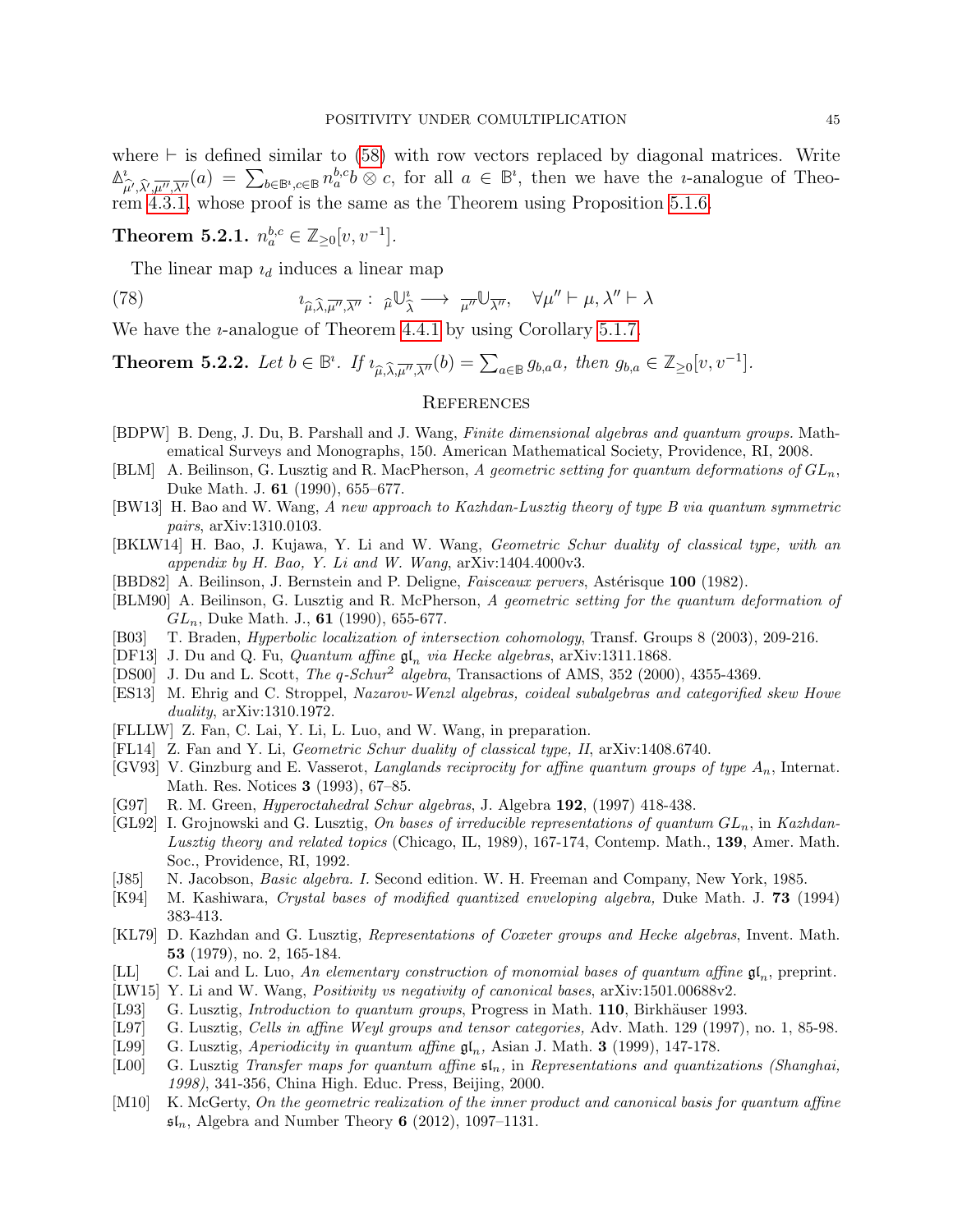where  $\vdash$  is defined similar to [\(58\)](#page-35-3) with row vectors replaced by diagonal matrices. Write **∆** ı  $\hat{\mu}_{\mu}$ ,  $\hat{\lambda}_{\mu}$ ,  $\overline{\mu}_{\mu}$ ,  $\overline{\lambda}^{\mu}$  (a) =  $\sum_{b \in \mathbb{B}^i, c \in \mathbb{B}} n_a^{b,c} b \otimes c$ , for all  $a \in \mathbb{B}^i$ , then we have the *i*-analogue of Theo-rem [4.3.1,](#page-36-0) whose proof is the same as the Theorem using Proposition [5.1.6.](#page-42-1)

<span id="page-44-11"></span>Theorem 5.2.1.  $n_a^{b,c} \in \mathbb{Z}_{\geq 0}[v, v^{-1}].$ 

The linear map  $i_d$  induces a linear map

<span id="page-44-12"></span>(78) 
$$
i_{\widehat{\mu},\widehat{\lambda},\overline{\mu''},\overline{\lambda''}}: \widehat{\mu} \cup_{\widehat{\lambda}}^i \longrightarrow \overline{\mu''} \cup_{\overline{\lambda''}}, \quad \forall \mu'' \vdash \mu, \lambda'' \vdash \lambda
$$

We have the *u*-analogue of Theorem [4.4.1](#page-38-1) by using Corollary [5.1.7.](#page-42-2)

<span id="page-44-13"></span>**Theorem 5.2.2.** Let  $b \in \mathbb{B}^i$ . If  $i_{\widehat{\mu}, \widehat{\lambda}, \overline{\mu''}, \overline{\lambda''}}(b) = \sum_{a \in \mathbb{B}} g_{b,a} a$ , then  $g_{b,a} \in \mathbb{Z}_{\geq 0}[v, v^{-1}]$ .

### <span id="page-44-20"></span>**REFERENCES**

- [BDPW] B. Deng, J. Du, B. Parshall and J. Wang, Finite dimensional algebras and quantum groups. Mathematical Surveys and Monographs, 150. American Mathematical Society, Providence, RI, 2008.
- <span id="page-44-10"></span>[BLM] A. Beilinson, G. Lusztig and R. MacPherson, A geometric setting for quantum deformations of  $GL_n$ , Duke Math. J. 61 (1990), 655–677.
- <span id="page-44-8"></span>[BW13] H. Bao and W. Wang, A new approach to Kazhdan-Lusztig theory of type B via quantum symmetric pairs, arXiv:1310.0103.
- <span id="page-44-9"></span>[BKLW14] H. Bao, J. Kujawa, Y. Li and W. Wang, Geometric Schur duality of classical type, with an appendix by H. Bao, Y. Li and W. Wang, arXiv:1404.4000v3.
- [BBD82] A. Beilinson, J. Bernstein and P. Deligne, *Faisceaux pervers*, Astérisque 100 (1982).
- <span id="page-44-1"></span>[BLM90] A. Beilinson, G. Lusztig and R. McPherson, A geometric setting for the quantum deformation of  $GL_n$ , Duke Math. J., 61 (1990), 655-677.
- <span id="page-44-15"></span>[B03] T. Braden, Hyperbolic localization of intersection cohomology, Transf. Groups 8 (2003), 209-216.
- <span id="page-44-16"></span>[DF13] J. Du and Q. Fu, *Quantum affine*  $\mathfrak{gl}_n$  *via Hecke algebras*, arXiv:1311.1868.
- <span id="page-44-23"></span>[DS00] J. Du and L. Scott, The  $q$ -Schur<sup>2</sup> algebra, Transactions of AMS, 352 (2000), 4355-4369.
- <span id="page-44-18"></span>[ES13] M. Ehrig and C. Stroppel, Nazarov-Wenzl algebras, coideal subalgebras and categorified skew Howe duality, arXiv:1310.1972.
- <span id="page-44-17"></span>[FLLLW] Z. Fan, C. Lai, Y. Li, L. Luo, and W. Wang, in preparation.
- <span id="page-44-19"></span>[FL14] Z. Fan and Y. Li, Geometric Schur duality of classical type, II, arXiv:1408.6740.
- <span id="page-44-2"></span>[GV93] V. Ginzburg and E. Vasserot, Langlands reciprocity for affine quantum groups of type  $A_n$ , Internat. Math. Res. Notices 3 (1993), 67–85.
- <span id="page-44-22"></span>[G97] R. M. Green, *Hyperoctahedral Schur algebras*, J. Algebra 192, (1997) 418-438.
- <span id="page-44-14"></span>[GL92] I. Grojnowski and G. Lusztig, On bases of irreducible representations of quantum  $GL_n$ , in Kazhdan-Lusztig theory and related topics (Chicago, IL, 1989), 167-174, Contemp. Math., 139, Amer. Math. Soc., Providence, RI, 1992.
- <span id="page-44-24"></span>[J85] N. Jacobson, *Basic algebra. I.* Second edition. W. H. Freeman and Company, New York, 1985.
- <span id="page-44-7"></span>[K94] M. Kashiwara, Crystal bases of modified quantized enveloping algebra, Duke Math. J. 73 (1994) 383-413.
- [KL79] D. Kazhdan and G. Lusztig, Representations of Coxeter groups and Hecke algebras, Invent. Math. 53 (1979), no. 2, 165-184.
- <span id="page-44-21"></span>[LL] C. Lai and L. Luo, An elementary construction of monomial bases of quantum affine  $\mathfrak{gl}_n$ , preprint.
- <span id="page-44-0"></span>[LW15] Y. Li and W. Wang, *Positivity vs negativity of canonical bases*, arXiv:1501.00688v2.
- <span id="page-44-6"></span>[L93] G. Lusztig, *Introduction to quantum groups*, Progress in Math. 110, Birkhäuser 1993.
- [L97] G. Lusztig, Cells in affine Weyl groups and tensor categories, Adv. Math. 129 (1997), no. 1, 85-98.
- <span id="page-44-3"></span>[L99] G. Lusztig, Aperiodicity in quantum affine  $\mathfrak{gl}_n$ , Asian J. Math. 3 (1999), 147-178.
- <span id="page-44-4"></span>[L00] G. Lusztig Transfer maps for quantum affine  $\mathfrak{sl}_n$ , in Representations and quantizations (Shanghai, 1998), 341-356, China High. Educ. Press, Beijing, 2000.
- <span id="page-44-5"></span>[M10] K. McGerty, On the geometric realization of the inner product and canonical basis for quantum affine  $\mathfrak{sl}_n$ , Algebra and Number Theory 6 (2012), 1097-1131.